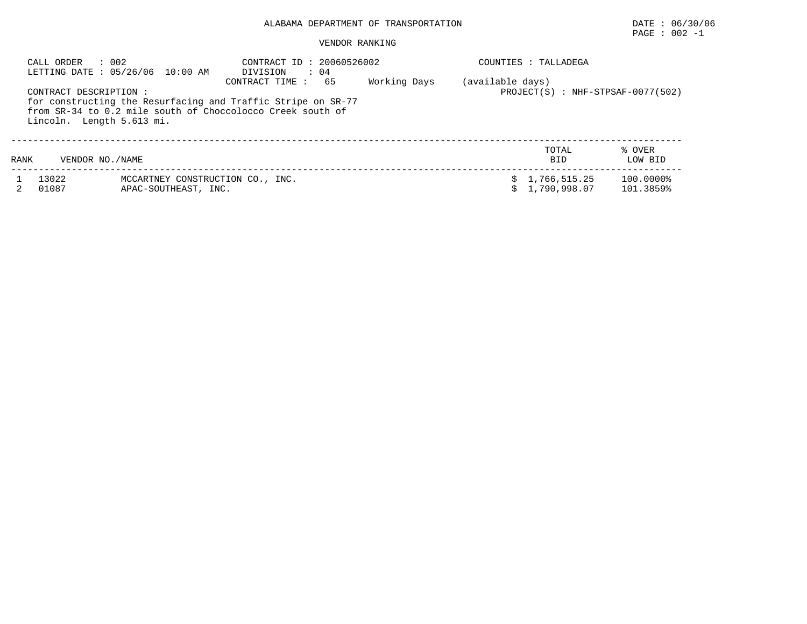# $\texttt{PAGE}$  : 002 -1

#### VENDOR RANKING

|      | : 002<br>CALL ORDER                                 | LETTING DATE : 05/26/06 10:00 AM                         | CONTRACT ID: 20060526002<br>: 04<br>DIVISION                                                                                                       |              | COUNTIES : TALLADEGA |                              |                                  |
|------|-----------------------------------------------------|----------------------------------------------------------|----------------------------------------------------------------------------------------------------------------------------------------------------|--------------|----------------------|------------------------------|----------------------------------|
|      | CONTRACT DESCRIPTION :<br>Lincoln. Length 5.613 mi. |                                                          | 65<br>CONTRACT TIME:<br>for constructing the Resurfacing and Traffic Stripe on SR-77<br>from SR-34 to 0.2 mile south of Choccolocco Creek south of | Working Days | (available days)     |                              | PROJECT(S): NHF-STPSAF-0077(502) |
| RANK | VENDOR NO. / NAME                                   |                                                          |                                                                                                                                                    |              |                      | TOTAL<br><b>BID</b>          | % OVER<br>LOW BID                |
|      | 13022<br>01087                                      | MCCARTNEY CONSTRUCTION CO., INC.<br>APAC-SOUTHEAST, INC. |                                                                                                                                                    |              |                      | 1,766,515.25<br>1,790,998.07 | 100.0000%<br>101.3859%           |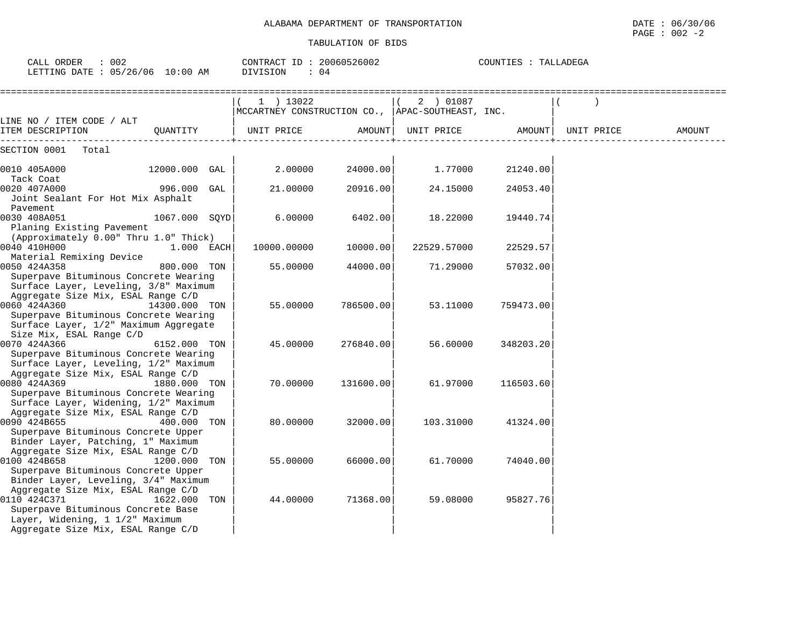| CALL ORDER : 002<br>LETTING DATE : 05/26/06 10:00 AM                                                                                                                              | CONTRACT ID: 20060526002<br>DIVISION<br>: 04                  |           |                                                       | COUNTIES : TALLADEGA |        |
|-----------------------------------------------------------------------------------------------------------------------------------------------------------------------------------|---------------------------------------------------------------|-----------|-------------------------------------------------------|----------------------|--------|
|                                                                                                                                                                                   | 1 ) 13022<br>MCCARTNEY CONSTRUCTION CO., APAC-SOUTHEAST, INC. |           | ( 2 ) 01087                                           |                      |        |
| LINE NO / ITEM CODE / ALT<br>ITEM DESCRIPTION<br>QUANTITY                                                                                                                         | UNIT PRICE                                                    |           | AMOUNT   UNIT PRICE               AMOUNT   UNIT PRICE |                      | AMOUNT |
| SECTION 0001<br>Total                                                                                                                                                             |                                                               |           |                                                       |                      |        |
| 0010 405A000<br>12000.000 GAL                                                                                                                                                     | 2.00000                                                       | 24000.00  | 1.77000                                               | 21240.00             |        |
| Tack Coat<br>996.000 GAL<br>0020 407A000<br>Joint Sealant For Hot Mix Asphalt                                                                                                     | 21.00000                                                      | 20916.00  | 24.15000                                              | 24053.40             |        |
| Pavement<br>0030 408A051<br>1067.000 SOYD<br>Planing Existing Pavement                                                                                                            | 6.00000                                                       | 6402.00   | 18.22000                                              | 19440.74             |        |
| (Approximately 0.00" Thru 1.0" Thick)<br>0040 410H000<br>1.000 EACH<br>Material Remixing Device                                                                                   | 10000.00000                                                   | 10000.00  | 22529.57000                                           | 22529.57             |        |
| 0050 424A358<br>800.000 TON<br>Superpave Bituminous Concrete Wearing<br>Surface Layer, Leveling, 3/8" Maximum                                                                     | 55.00000                                                      | 44000.00  | 71.29000                                              | 57032.00             |        |
| Aggregate Size Mix, ESAL Range C/D<br>0060 424A360<br>14300.000 TON<br>Superpave Bituminous Concrete Wearing<br>Surface Layer, 1/2" Maximum Aggregate                             | 55.00000                                                      | 786500.00 | 53.11000                                              | 759473.00            |        |
| Size Mix, ESAL Range C/D<br>0070 424A366<br>6152.000 TON<br>Superpave Bituminous Concrete Wearing<br>Surface Layer, Leveling, 1/2" Maximum                                        | 45.00000                                                      | 276840.00 | 56.60000                                              | 348203.20            |        |
| Aggregate Size Mix, ESAL Range C/D<br>0080 424A369<br>1880.000 TON<br>Superpave Bituminous Concrete Wearing<br>Surface Layer, Widening, 1/2" Maximum                              | 70.00000                                                      | 131600.00 | 61.97000                                              | 116503.60            |        |
| Aggregate Size Mix, ESAL Range C/D<br>0090 424B655<br>400.000 TON<br>Superpave Bituminous Concrete Upper<br>Binder Layer, Patching, 1" Maximum                                    | 80.00000                                                      | 32000.00  | 103.31000                                             | 41324.00             |        |
| Aggregate Size Mix, ESAL Range C/D<br>0100 424B658<br>1200.000 TON<br>Superpave Bituminous Concrete Upper<br>Binder Layer, Leveling, 3/4" Maximum                                 | 55.00000                                                      | 66000.00  | 61.70000                                              | 74040.001            |        |
| Aggregate Size Mix, ESAL Range C/D<br>0110 424C371<br>1622.000 TON<br>Superpave Bituminous Concrete Base<br>Layer, Widening, 1 1/2" Maximum<br>Aggregate Size Mix, ESAL Range C/D | 44.00000                                                      | 71368.00  | 59.08000                                              | 95827.76             |        |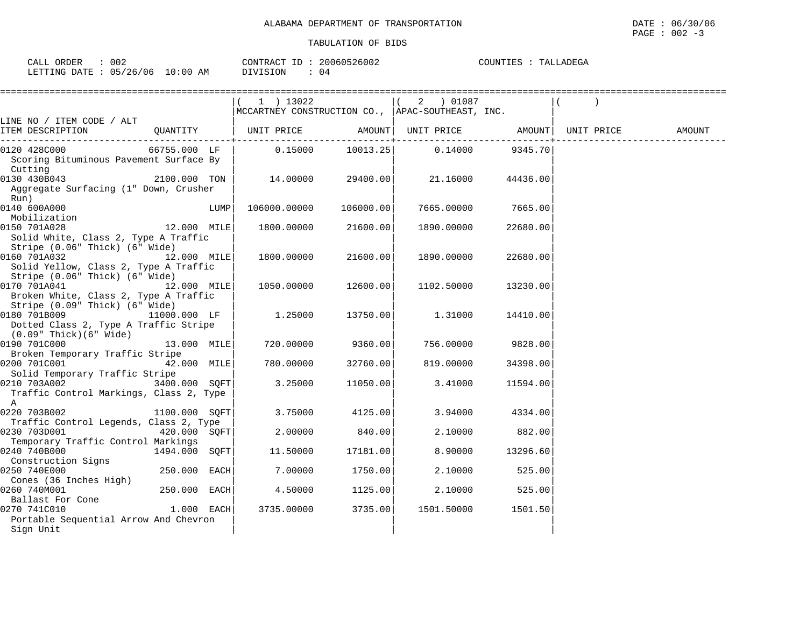| 002<br>CALL ORDER               | CONTRACT ID: 20060526002 | COUNTIES : TALLADEGA |
|---------------------------------|--------------------------|----------------------|
| LETTING DATE: 05/26/06 10:00 AM | DIVISION : 04            |                      |

|                                         |               |      | 1 ) 13022                                                   |           | 2 ) 01087                                                            |                |        |
|-----------------------------------------|---------------|------|-------------------------------------------------------------|-----------|----------------------------------------------------------------------|----------------|--------|
|                                         |               |      | MCCARTNEY CONSTRUCTION CO., APAC-SOUTHEAST, INC.            |           |                                                                      |                |        |
| LINE NO / ITEM CODE / ALT               |               |      |                                                             |           |                                                                      |                |        |
| ITEM DESCRIPTION                        |               |      | QUANTITY   UNIT PRICE AMOUNT  UNIT PRICE AMOUNT  UNIT PRICE |           |                                                                      |                | AMOUNT |
| 0120 428C000                            | 66755.000 LF  |      |                                                             |           | ----------+-------------<br>$0.15000$ $10013.25$ $0.14000$ $9345.70$ |                |        |
| Scoring Bituminous Pavement Surface By  |               |      |                                                             |           |                                                                      |                |        |
| Cutting                                 |               |      |                                                             |           |                                                                      |                |        |
| 0130 430B043 2100.000 TON               |               |      |                                                             |           | 14.00000 29400.00 21.16000                                           | 44436.00       |        |
| Aggregate Surfacing (1" Down, Crusher   |               |      |                                                             |           |                                                                      |                |        |
| Run)                                    |               |      |                                                             |           |                                                                      |                |        |
| 0140 600A000                            |               | LUMP | 106000.00000                                                | 106000.00 | 7665.00000                                                           | 7665.00        |        |
| Mobilization                            |               |      |                                                             |           |                                                                      |                |        |
| 0150 701A028                            | 12.000 MILE   |      | 1800.00000 21600.00                                         |           | 1890.00000                                                           | 22680.00       |        |
| Solid White, Class 2, Type A Traffic    |               |      |                                                             |           |                                                                      |                |        |
| Stripe (0.06" Thick) (6" Wide)          |               |      |                                                             |           |                                                                      |                |        |
| 0160 701A032 12.000 MILE                |               |      | 1800.00000                                                  | 21600.00  | 1890.00000                                                           | 22680.00       |        |
| Solid Yellow, Class 2, Type A Traffic   |               |      |                                                             |           |                                                                      |                |        |
| Stripe (0.06" Thick) (6" Wide)          |               |      |                                                             |           |                                                                      |                |        |
| 12.000 MILE<br>0170 701A041             |               |      | 1050.00000 12600.00                                         |           | 1102.50000                                                           | 13230.00       |        |
| Broken White, Class 2, Type A Traffic   |               |      |                                                             |           |                                                                      |                |        |
| Stripe (0.09" Thick) (6" Wide)          |               |      |                                                             |           |                                                                      |                |        |
| 0180 701B009 11000.000 LF               |               |      | 1.25000                                                     | 13750.00  | 1.31000                                                              | 14410.00       |        |
| Dotted Class 2, Type A Traffic Stripe   |               |      |                                                             |           |                                                                      |                |        |
| (0.09" Thick)(6" Wide)                  |               |      |                                                             |           |                                                                      |                |        |
| 0190 701C000                            | 13.000 MILE   |      | 720.00000                                                   | 9360.00   | 756.00000                                                            | 9828.00        |        |
| Broken Temporary Traffic Stripe         |               |      |                                                             |           |                                                                      |                |        |
| 0200 701C001 42.000 MILE                |               |      | 780.00000                                                   | 32760.00  | 819.00000                                                            | 34398.00       |        |
| Solid Temporary Traffic Stripe          |               |      |                                                             |           |                                                                      |                |        |
| 0210 703A002                            | 3400.000 SQFT |      | 3.25000                                                     | 11050.00  | 3.41000                                                              | 11594.00       |        |
| Traffic Control Markings, Class 2, Type |               |      |                                                             |           |                                                                      |                |        |
| $\mathbb A$                             |               |      |                                                             |           |                                                                      |                |        |
| 0220 703B002                            | 1100.000 SQFT |      | 3.75000                                                     | 4125.00   | 3.94000                                                              | 4334.00        |        |
| Traffic Control Legends, Class 2, Type  |               |      |                                                             |           |                                                                      |                |        |
| 0230 703D001                            | 420.000 SOFT  |      | 2.00000                                                     | 840.00    |                                                                      | 2.10000 882.00 |        |
| Temporary Traffic Control Markings      |               |      |                                                             |           |                                                                      |                |        |
| 0240 740B000                            | 1494.000 SOFT |      | 11.50000                                                    | 17181.00  | 8.90000                                                              | 13296.60       |        |
| Construction Signs                      |               |      |                                                             |           |                                                                      |                |        |
| 0250 740E000                            | 250.000 EACH  |      | 7.00000                                                     | 1750.00   | 2.10000                                                              | 525.00         |        |
| Cones (36 Inches High)                  |               |      |                                                             |           |                                                                      |                |        |
| 0260 740M001<br>Ballast For Cone        | 250.000 EACH  |      | 4.50000 1125.00                                             |           |                                                                      | 2.10000 525.00 |        |
| 0270 741C010                            | $1.000$ EACH  |      | 3735.00000                                                  | 3735.00   |                                                                      |                |        |
| Portable Sequential Arrow And Chevron   |               |      |                                                             |           | 1501.50000 1501.50                                                   |                |        |
| Sign Unit                               |               |      |                                                             |           |                                                                      |                |        |
|                                         |               |      |                                                             |           |                                                                      |                |        |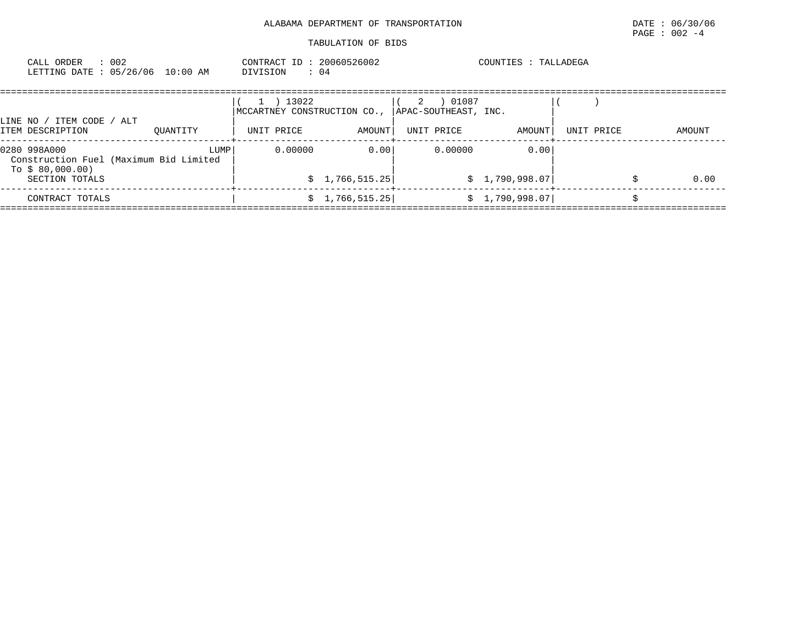| CALL ORDER<br>LETTING DATE: 05/26/06 10:00 AM                                                | : 002 |          |      | CONTRACT ID: 20060526002<br>DIVISION                          | $\therefore$ 04         |   |                                              | COUNTIES : TALLADEGA   |            |  |        |
|----------------------------------------------------------------------------------------------|-------|----------|------|---------------------------------------------------------------|-------------------------|---|----------------------------------------------|------------------------|------------|--|--------|
| LINE NO / ITEM CODE / ALT<br>ITEM DESCRIPTION                                                |       | OUANTITY |      | 13022<br>$\perp$<br>MCCARTNEY CONSTRUCTION CO.,<br>UNIT PRICE | AMOUNT                  | 2 | 01087<br> APAC-SOUTHEAST, INC.<br>UNIT PRICE | AMOUNT                 | UNIT PRICE |  | AMOUNT |
| 0280 998A000<br>Construction Fuel (Maximum Bid Limited<br>To $$80,000.00)$<br>SECTION TOTALS |       |          | LUMP | 0.00000                                                       | 0.001<br>\$1,766,515.25 |   | 0.00000                                      | 0.00<br>\$1,790,998.07 |            |  | 0.00   |
| CONTRACT TOTALS                                                                              |       |          |      |                                                               | \$1,766,515.25]         |   |                                              | \$1,790,998.07         |            |  |        |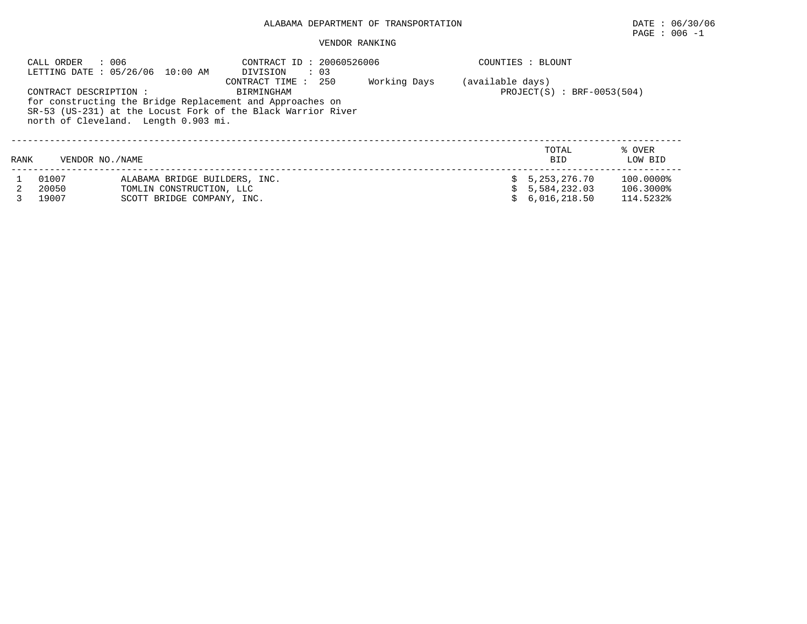# $\texttt{PAGE}$  : 006 -1

#### VENDOR RANKING

|      | : 006<br>CALL ORDER    | LETTING DATE : 05/26/06 10:00 AM     | CONTRACT ID: 20060526006<br>$\therefore$ 03<br>DIVISION      |              |                  | COUNTIES : BLOUNT            |           |
|------|------------------------|--------------------------------------|--------------------------------------------------------------|--------------|------------------|------------------------------|-----------|
|      |                        |                                      | 250<br>CONTRACT TIME:                                        | Working Days | (available days) |                              |           |
|      | CONTRACT DESCRIPTION : |                                      | BIRMINGHAM                                                   |              |                  | $PROJECT(S)$ : BRF-0053(504) |           |
|      |                        |                                      | for constructing the Bridge Replacement and Approaches on    |              |                  |                              |           |
|      |                        |                                      | SR-53 (US-231) at the Locust Fork of the Black Warrior River |              |                  |                              |           |
|      |                        | north of Cleveland. Length 0.903 mi. |                                                              |              |                  |                              |           |
|      |                        |                                      |                                                              |              |                  |                              |           |
|      |                        |                                      |                                                              |              |                  | TOTAL                        | % OVER    |
| RANK | VENDOR NO. / NAME      |                                      |                                                              |              |                  | <b>BTD</b>                   | LOW BID   |
|      | 01007                  | ALABAMA BRIDGE BUILDERS, INC.        |                                                              |              |                  | 5,253,276.70                 | 100.0000% |
|      | 20050                  | TOMLIN CONSTRUCTION, LLC             |                                                              |              |                  | 5,584,232.03                 | 106.3000% |
|      | 19007                  | SCOTT BRIDGE COMPANY, INC.           |                                                              |              |                  | 6,016,218.50                 | 114.5232% |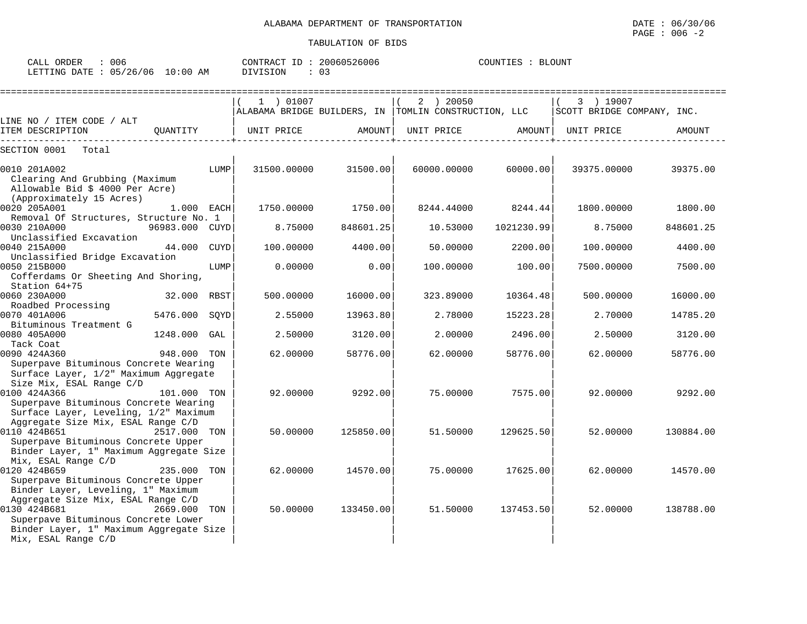| CALL<br>ORDER | $\sim$ $\sim$<br>JUE |             |          |  | 20060526006    | COUNTIES | <b>BLOUNT</b> |
|---------------|----------------------|-------------|----------|--|----------------|----------|---------------|
| LETTING DATE  | 05/26/06             | 10:00<br>AM | DIVISION |  | $\mathbf{u}$ . |          |               |

|                                                                                |                |      | 1 ) 01007   |           | 2 ) 20050                                             |                   | 3 ) 19007                  |           |
|--------------------------------------------------------------------------------|----------------|------|-------------|-----------|-------------------------------------------------------|-------------------|----------------------------|-----------|
|                                                                                |                |      |             |           | ALABAMA BRIDGE BUILDERS, IN  TOMLIN CONSTRUCTION, LLC |                   | SCOTT BRIDGE COMPANY, INC. |           |
| LINE NO / ITEM CODE / ALT                                                      |                |      |             |           |                                                       |                   |                            |           |
| ITEM DESCRIPTION<br>------------------                                         | OUANTITY       |      | UNIT PRICE  | AMOUNT    |                                                       | UNIT PRICE AMOUNT | UNIT PRICE                 | AMOUNT    |
| SECTION 0001<br>Total                                                          |                |      |             |           |                                                       |                   |                            |           |
| 0010 201A002                                                                   |                | LUMP | 31500.00000 | 31500.00  | 60000.00000                                           | 60000.00          | 39375.00000                | 39375.00  |
| Clearing And Grubbing (Maximum                                                 |                |      |             |           |                                                       |                   |                            |           |
| Allowable Bid \$ 4000 Per Acre)                                                |                |      |             |           |                                                       |                   |                            |           |
| (Approximately 15 Acres)                                                       |                |      |             |           |                                                       |                   |                            |           |
| 0020 205A001                                                                   | 1.000 EACH     |      | 1750.00000  | 1750.00   | 8244.44000                                            | 8244.44           | 1800.00000                 | 1800.00   |
| Removal Of Structures, Structure No. 1                                         |                |      |             |           |                                                       |                   |                            |           |
| 0030 210A000                                                                   | 96983.000 CUYD |      | 8.75000     | 848601.25 | 10.53000                                              | 1021230.99        | 8.75000                    | 848601.25 |
| Unclassified Excavation                                                        |                |      |             |           |                                                       |                   |                            |           |
| 0040 215A000                                                                   | 44.000         | CUYD | 100.00000   | 4400.00   | 50.00000                                              | 2200.00           | 100.00000                  | 4400.00   |
| Unclassified Bridge Excavation                                                 |                |      |             |           |                                                       |                   |                            |           |
| 0050 215B000                                                                   |                | LUMP | 0.00000     | 0.00      | 100.00000                                             | 100.00            | 7500.00000                 | 7500.00   |
| Cofferdams Or Sheeting And Shoring,<br>Station 64+75                           |                |      |             |           |                                                       |                   |                            |           |
| 0060 230A000                                                                   | 32.000 RBST    |      | 500.00000   | 16000.00  | 323.89000                                             | 10364.48          | 500.00000                  | 16000.00  |
| Roadbed Processing                                                             |                |      |             |           |                                                       |                   |                            |           |
| 0070 401A006                                                                   | 5476.000 SOYD  |      | 2.55000     | 13963.80  | 2.78000                                               | 15223.28          | 2.70000                    | 14785.20  |
| Bituminous Treatment G                                                         |                |      |             |           |                                                       |                   |                            |           |
| 0080 405A000                                                                   | 1248.000       | GAL  | 2.50000     | 3120.00   | 2.00000                                               | 2496.00           | 2.50000                    | 3120.00   |
| Tack Coat                                                                      |                |      |             |           |                                                       |                   |                            |           |
| 0090 424A360                                                                   | 948.000 TON    |      | 62.00000    | 58776.00  | 62.00000                                              | 58776.00          | 62.00000                   | 58776.00  |
| Superpave Bituminous Concrete Wearing                                          |                |      |             |           |                                                       |                   |                            |           |
| Surface Layer, 1/2" Maximum Aggregate                                          |                |      |             |           |                                                       |                   |                            |           |
| Size Mix, ESAL Range C/D                                                       |                |      |             |           |                                                       |                   |                            |           |
| 0100 424A366                                                                   | 101.000 TON    |      | 92.00000    | 9292.00   | 75.00000                                              | 7575.00           | 92.00000                   | 9292.00   |
| Superpave Bituminous Concrete Wearing                                          |                |      |             |           |                                                       |                   |                            |           |
| Surface Layer, Leveling, 1/2" Maximum                                          |                |      |             |           |                                                       |                   |                            |           |
| Aggregate Size Mix, ESAL Range C/D                                             |                |      |             |           |                                                       |                   |                            |           |
| 0110 424B651                                                                   | 2517.000 TON   |      | 50.00000    | 125850.00 | 51.50000                                              | 129625.50         | 52.00000                   | 130884.00 |
| Superpave Bituminous Concrete Upper<br>Binder Layer, 1" Maximum Aggregate Size |                |      |             |           |                                                       |                   |                            |           |
| Mix, ESAL Range C/D                                                            |                |      |             |           |                                                       |                   |                            |           |
| 0120 424B659                                                                   | 235.000 TON    |      | 62.00000    | 14570.00  | 75.00000                                              | 17625.00          | 62.00000                   | 14570.00  |
| Superpave Bituminous Concrete Upper                                            |                |      |             |           |                                                       |                   |                            |           |
| Binder Layer, Leveling, 1" Maximum                                             |                |      |             |           |                                                       |                   |                            |           |
| Aggregate Size Mix, ESAL Range C/D                                             |                |      |             |           |                                                       |                   |                            |           |
| 0130 424B681                                                                   | 2669.000 TON   |      | 50.00000    | 133450.00 | 51.50000                                              | 137453.50         | 52.00000                   | 138788.00 |
| Superpave Bituminous Concrete Lower                                            |                |      |             |           |                                                       |                   |                            |           |
| Binder Layer, 1" Maximum Aggregate Size                                        |                |      |             |           |                                                       |                   |                            |           |
| Mix, ESAL Range C/D                                                            |                |      |             |           |                                                       |                   |                            |           |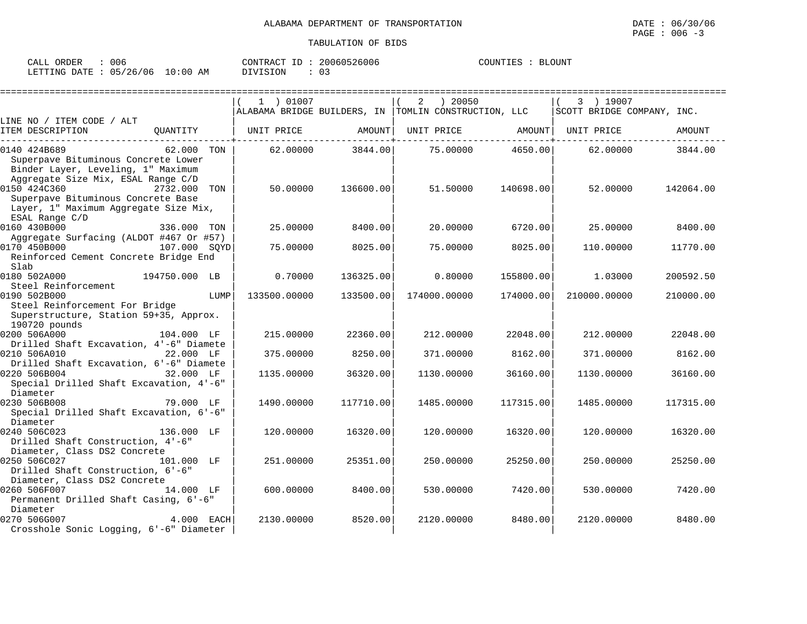| : 006<br>CALL ORDER             |  |          | CONTRACT ID: 20060526006 | COUNTIES : BLOUNT |  |
|---------------------------------|--|----------|--------------------------|-------------------|--|
| LETTING DATE: 05/26/06 10:00 AM |  | DIVISION |                          |                   |  |

|                                                                                                                                  | 1 ) 01007    |           | ) 20050<br>2                                         |           | 3 ) 19007                  |           |
|----------------------------------------------------------------------------------------------------------------------------------|--------------|-----------|------------------------------------------------------|-----------|----------------------------|-----------|
|                                                                                                                                  |              |           | ALABAMA BRIDGE BUILDERS, IN TOMLIN CONSTRUCTION, LLC |           | SCOTT BRIDGE COMPANY, INC. |           |
| LINE NO / ITEM CODE / ALT<br>ITEM DESCRIPTION<br>OUANTITY                                                                        | UNIT PRICE   | AMOUNT    | UNIT PRICE                                           | AMOUNT    | UNIT PRICE                 | AMOUNT    |
| 0140 424B689<br>62.000 TON                                                                                                       | 62,00000     | 3844.00   | 75.00000                                             | 4650.00   | 62.00000                   | 3844.00   |
| Superpave Bituminous Concrete Lower<br>Binder Layer, Leveling, 1" Maximum<br>Aggregate Size Mix, ESAL Range C/D                  |              |           |                                                      |           |                            |           |
| 0150 424C360<br>2732.000<br>TON<br>Superpave Bituminous Concrete Base<br>Layer, 1" Maximum Aggregate Size Mix,<br>ESAL Range C/D | 50.00000     | 136600.00 | 51.50000                                             | 140698.00 | 52.00000                   | 142064.00 |
| 0160 430B000<br>336.000 TON<br>Aggregate Surfacing (ALDOT #467 Or #57)                                                           | 25.00000     | 8400.00   | 20,00000                                             | 6720.00   | 25,00000                   | 8400.00   |
| 0170 450B000<br>107.000 SOYD<br>Reinforced Cement Concrete Bridge End<br>Slab                                                    | 75.00000     | 8025.00   | 75.00000                                             | 8025.00   | 110.00000                  | 11770.00  |
| 0180 502A000<br>194750.000 LB                                                                                                    | 0.70000      | 136325.00 | 0.80000                                              | 155800.00 | 1.03000                    | 200592.50 |
| Steel Reinforcement<br>0190 502B000<br>LUMP<br>Steel Reinforcement For Bridge<br>Superstructure, Station 59+35, Approx.          | 133500.00000 | 133500.00 | 174000.00000                                         | 174000.00 | 210000.00000               | 210000.00 |
| 190720 pounds                                                                                                                    |              |           |                                                      |           |                            |           |
| 0200 506A000<br>104.000 LF<br>Drilled Shaft Excavation, 4'-6" Diamete                                                            | 215,00000    | 22360.00  | 212,00000                                            | 22048.00  | 212,00000                  | 22048.00  |
| 0210 506A010<br>22.000 LF<br>Drilled Shaft Excavation, 6'-6" Diamete                                                             | 375.00000    | 8250.00   | 371.00000                                            | 8162.00   | 371,00000                  | 8162.00   |
| 0220 506B004<br>32.000 LF<br>Special Drilled Shaft Excavation, 4'-6"<br>Diameter                                                 | 1135.00000   | 36320.00  | 1130.00000                                           | 36160.00  | 1130.00000                 | 36160.00  |
| 0230 506B008<br>79.000 LF<br>Special Drilled Shaft Excavation, 6'-6"<br>Diameter                                                 | 1490.00000   | 117710.00 | 1485.00000                                           | 117315.00 | 1485.00000                 | 117315.00 |
| 0240 506C023<br>136.000 LF<br>Drilled Shaft Construction, 4'-6"<br>Diameter, Class DS2 Concrete                                  | 120.00000    | 16320.00  | 120.00000                                            | 16320.00  | 120.00000                  | 16320.00  |
| 0250 506C027<br>101.000 LF<br>Drilled Shaft Construction, 6'-6"<br>Diameter, Class DS2 Concrete                                  | 251.00000    | 25351.00  | 250.00000                                            | 25250.00  | 250.00000                  | 25250.00  |
| 0260 506F007<br>14.000 LF<br>Permanent Drilled Shaft Casing, 6'-6"<br>Diameter                                                   | 600.00000    | 8400.00   | 530.00000                                            | 7420.00   | 530.00000                  | 7420.00   |
| 0270 506G007<br>4.000 EACH<br>Crosshole Sonic Logging, 6'-6" Diameter                                                            | 2130.00000   | 8520.00   | 2120.00000                                           | 8480.00   | 2120.00000                 | 8480.00   |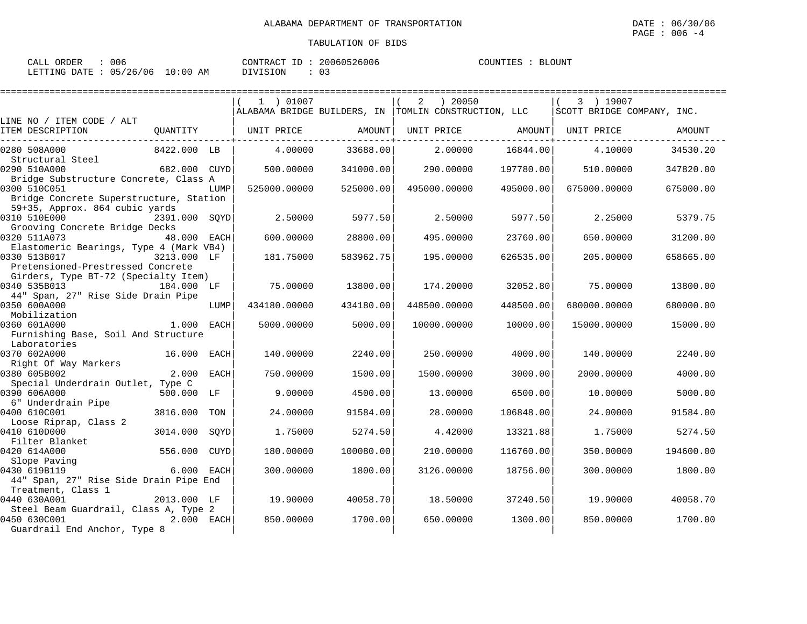| : 006<br>CALL ORDER             | CONTRACT ID: 20060526006 | COUNTIES : BLOUNT |
|---------------------------------|--------------------------|-------------------|
| LETTING DATE: 05/26/06 10:00 AM | DIVISION                 |                   |

|                                                                           |               |      | 1 ) 01007    |           | ) 20050<br>2                                         |           | 3 ) 19007                  |           |
|---------------------------------------------------------------------------|---------------|------|--------------|-----------|------------------------------------------------------|-----------|----------------------------|-----------|
|                                                                           |               |      |              |           | ALABAMA BRIDGE BUILDERS, IN TOMLIN CONSTRUCTION, LLC |           | SCOTT BRIDGE COMPANY, INC. |           |
| LINE NO / ITEM CODE / ALT                                                 |               |      |              |           |                                                      |           |                            |           |
| ITEM DESCRIPTION                                                          | OUANTITY      |      | UNIT PRICE   | AMOUNT    | UNIT PRICE AMOUNT                                    |           | UNIT PRICE                 | AMOUNT    |
| 0280 508A000                                                              | 8422.000 LB   |      | 4,00000      | 33688.00  | 2,00000                                              | 16844.00  | 4.10000                    | 34530.20  |
| Structural Steel                                                          |               |      |              |           |                                                      |           |                            |           |
| 0290 510A000                                                              | 682.000 CUYD  |      | 500.00000    | 341000.00 | 290.00000                                            | 197780.00 | 510.00000                  | 347820.00 |
| Bridge Substructure Concrete, Class A<br>0300 510C051                     |               |      | 525000.00000 | 525000.00 | 495000.00000                                         | 495000.00 | 675000.00000               |           |
| Bridge Concrete Superstructure, Station                                   |               | LUMP |              |           |                                                      |           |                            | 675000.00 |
| 59+35, Approx. 864 cubic yards<br>0310 510E000                            | 2391.000 SOYD |      | 2.50000      | 5977.50   | 2.50000                                              | 5977.50   | 2.25000                    | 5379.75   |
| Grooving Concrete Bridge Decks                                            |               |      |              |           |                                                      |           |                            |           |
| 0320 511A073                                                              | 48.000 EACH   |      | 600,00000    | 28800.00  | 495,00000                                            | 23760.00  | 650.00000                  | 31200.00  |
| Elastomeric Bearings, Type 4 (Mark VB4)                                   |               |      |              |           |                                                      |           |                            |           |
| 0330 513B017                                                              | 3213.000 LF   |      | 181.75000    | 583962.75 | 195.00000                                            | 626535.00 | 205.00000                  | 658665.00 |
| Pretensioned-Prestressed Concrete<br>Girders, Type BT-72 (Specialty Item) |               |      |              |           |                                                      |           |                            |           |
| 0340 535B013                                                              | 184.000 LF    |      | 75,00000     | 13800.00  | 174.20000                                            | 32052.80  | 75.00000                   | 13800.00  |
| 44" Span, 27" Rise Side Drain Pipe                                        |               |      |              |           |                                                      |           |                            |           |
| 0350 600A000                                                              |               | LUMP | 434180.00000 | 434180.00 | 448500.00000                                         | 448500.00 | 680000.00000               | 680000.00 |
| Mobilization                                                              |               |      |              |           |                                                      |           |                            |           |
| 0360 601A000                                                              | 1.000         | EACH | 5000.00000   | 5000.00   | 10000.00000                                          | 10000.00  | 15000.00000                | 15000.00  |
| Furnishing Base, Soil And Structure                                       |               |      |              |           |                                                      |           |                            |           |
| Laboratories<br>0370 602A000                                              | 16.000        | EACH | 140.00000    | 2240.00   | 250.00000                                            | 4000.00   | 140.00000                  | 2240.00   |
| Right Of Way Markers                                                      |               |      |              |           |                                                      |           |                            |           |
| 0380 605B002                                                              | 2.000 EACH    |      | 750.00000    | 1500.00   | 1500.00000                                           | 3000.00   | 2000.00000                 | 4000.00   |
| Special Underdrain Outlet, Type C                                         |               |      |              |           |                                                      |           |                            |           |
| 0390 606A000                                                              | 500.000 LF    |      | 9.00000      | 4500.00   | 13,00000                                             | 6500.00   | 10,00000                   | 5000.00   |
| 6" Underdrain Pipe                                                        |               |      |              |           |                                                      |           |                            |           |
| 0400 610C001                                                              | 3816.000      | TON  | 24.00000     | 91584.00  | 28,00000                                             | 106848.00 | 24.00000                   | 91584.00  |
| Loose Riprap, Class 2<br>0410 610D000                                     | 3014.000      |      | 1.75000      |           | 4.42000                                              | 13321.88  | 1.75000                    | 5274.50   |
| Filter Blanket                                                            |               | SOYD |              | 5274.50   |                                                      |           |                            |           |
| 0420 614A000                                                              | 556.000       | CUYD | 180.00000    | 100080.00 | 210.00000                                            | 116760.00 | 350.00000                  | 194600.00 |
| Slope Paving                                                              |               |      |              |           |                                                      |           |                            |           |
| 0430 619B119                                                              | 6.000 EACH    |      | 300,00000    | 1800.00   | 3126.00000                                           | 18756.00  | 300.00000                  | 1800.00   |
| 44" Span, 27" Rise Side Drain Pipe End                                    |               |      |              |           |                                                      |           |                            |           |
| Treatment, Class 1                                                        |               |      |              |           |                                                      |           |                            |           |
| 0440 630A001                                                              | 2013.000 LF   |      | 19,90000     | 40058.70  | 18.50000                                             | 37240.50  | 19,90000                   | 40058.70  |
| Steel Beam Guardrail, Class A, Type 2<br>0450 630C001                     | 2.000 EACH    |      | 850.00000    | 1700.00   | 650.00000                                            | 1300.00   | 850,00000                  | 1700.00   |
| Guardrail End Anchor, Type 8                                              |               |      |              |           |                                                      |           |                            |           |
|                                                                           |               |      |              |           |                                                      |           |                            |           |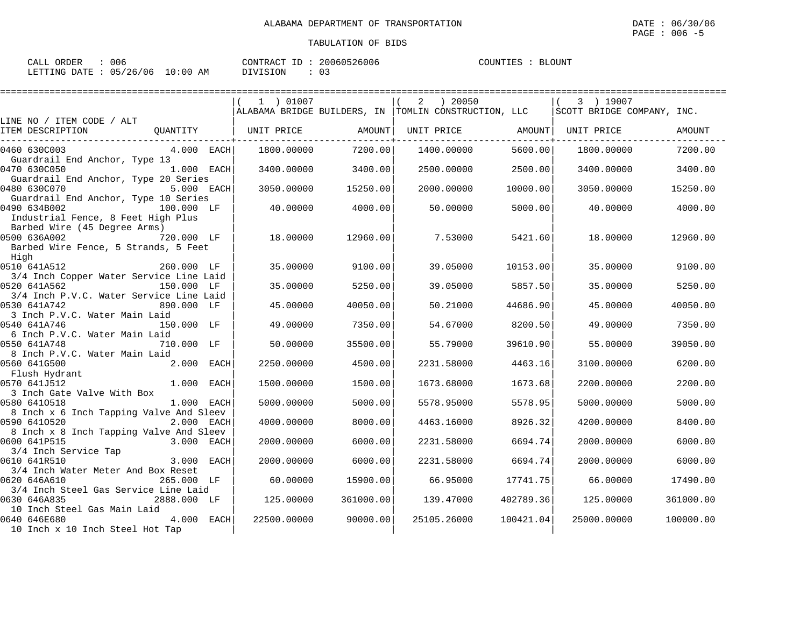| CALL ORDER                      | . 006 | CONTRACT ID: 20060526006 |      | COUNTIES : BLOUNT |  |
|---------------------------------|-------|--------------------------|------|-------------------|--|
| LETTING DATE: 05/26/06 10:00 AM |       | DIVISION                 | : 03 |                   |  |

|                                                                                                          |              |                   | ========================= |                                                                      | ================= |                                         |           |
|----------------------------------------------------------------------------------------------------------|--------------|-------------------|---------------------------|----------------------------------------------------------------------|-------------------|-----------------------------------------|-----------|
|                                                                                                          |              | 1 ) 01007         |                           | ) 20050<br>2<br>ALABAMA BRIDGE BUILDERS, IN TOMLIN CONSTRUCTION, LLC |                   | 3 ) 19007<br>SCOTT BRIDGE COMPANY, INC. |           |
| LINE NO / ITEM CODE / ALT                                                                                |              |                   |                           |                                                                      |                   |                                         |           |
| ITEM DESCRIPTION                                                                                         | OUANTITY     | UNIT PRICE AMOUNT |                           | UNIT PRICE AMOUNT                                                    |                   | UNIT PRICE                              | AMOUNT    |
| 0460 630C003<br>Guardrail End Anchor, Type 13                                                            | $4.000$ EACH | 1800.00000        | 7200.00                   | 1400.00000                                                           | 5600.00           | 1800.00000                              | 7200.00   |
| 0470 630C050<br>Guardrail End Anchor, Type 20 Series                                                     | $1.000$ EACH | 3400.00000        | 3400.00                   | 2500.00000                                                           | 2500.00           | 3400.00000                              | 3400.00   |
| 5.000 EACH<br>0480 630C070                                                                               |              | 3050.00000        | 15250.00                  | 2000.00000                                                           | 10000.00          | 3050.00000                              | 15250.00  |
| Guardrail End Anchor, Type 10 Series<br>0490 634B002<br>100.000 LF<br>Industrial Fence, 8 Feet High Plus |              | 40.00000          | 4000.00                   | 50.00000                                                             | 5000.00           | 40.00000                                | 4000.00   |
| Barbed Wire (45 Degree Arms)<br>0500 636A002<br>720.000 LF<br>Barbed Wire Fence, 5 Strands, 5 Feet       |              | 18.00000          | 12960.001                 | 7.53000                                                              | 5421.60           | 18.00000                                | 12960.00  |
| High                                                                                                     |              |                   |                           |                                                                      |                   |                                         |           |
| 0510 641A512<br>3/4 Inch Copper Water Service Line Laid                                                  | 260.000 LF   | 35,00000          | 9100.00                   | 39.05000                                                             | 10153.00          | 35.00000                                | 9100.00   |
| 0520 641A562                                                                                             | 150.000 LF   | 35.00000          | 5250.00                   | 39.05000                                                             | 5857.50           | 35.00000                                | 5250.00   |
| 3/4 Inch P.V.C. Water Service Line Laid<br>0530 641A742                                                  | 890.000 LF   | 45.00000          | 40050.00                  | 50.21000                                                             | 44686.90          | 45.00000                                | 40050.00  |
| 3 Inch P.V.C. Water Main Laid<br>0540 641A746                                                            | 150.000 LF   | 49.00000          | 7350.00                   | 54.67000                                                             | 8200.50           | 49.00000                                | 7350.00   |
| 6 Inch P.V.C. Water Main Laid                                                                            |              |                   |                           |                                                                      |                   |                                         |           |
| 0550 641A748<br>8 Inch P.V.C. Water Main Laid                                                            | 710.000 LF   | 50.00000          | 35500.00                  | 55.79000                                                             | 39610.90          | 55.00000                                | 39050.00  |
| 0560 641G500                                                                                             | 2.000 EACH   | 2250.00000        | 4500.00                   | 2231.58000                                                           | 4463.16           | 3100.00000                              | 6200.00   |
| Flush Hydrant<br>0570 641J512                                                                            | 1.000 EACH   | 1500.00000        | 1500.00                   | 1673.68000                                                           | 1673.68           | 2200.00000                              | 2200.00   |
| 3 Inch Gate Valve With Box                                                                               |              |                   |                           |                                                                      |                   |                                         |           |
| 0580 6410518<br>8 Inch x 6 Inch Tapping Valve And Sleev                                                  | 1.000 EACH   | 5000,00000        | 5000.00                   | 5578.95000                                                           | 5578.95           | 5000,00000                              | 5000.00   |
| 0590 6410520                                                                                             | 2.000 EACH   | 4000.00000        | 8000.00                   | 4463.16000                                                           | 8926.32           | 4200,00000                              | 8400.00   |
| 8 Inch x 8 Inch Tapping Valve And Sleev<br>0600 641P515                                                  | 3.000 EACH   | 2000.00000        | 6000.00                   | 2231.58000                                                           | 6694.74           | 2000.00000                              | 6000.00   |
| 3/4 Inch Service Tap                                                                                     |              |                   |                           |                                                                      |                   |                                         |           |
| 0610 641R510<br>3/4 Inch Water Meter And Box Reset                                                       | 3.000 EACH   | 2000,00000        | 6000.00                   | 2231.58000                                                           | 6694.74           | 2000.00000                              | 6000.00   |
| 0620 646A610                                                                                             | 265.000 LF   | 60.00000          | 15900.00                  | 66.95000                                                             | 17741.75          | 66.00000                                | 17490.00  |
| 3/4 Inch Steel Gas Service Line Laid<br>0630 646A835                                                     | 2888.000 LF  | 125.00000         | 361000.00                 | 139.47000                                                            | 402789.36         | 125.00000                               | 361000.00 |
| 10 Inch Steel Gas Main Laid<br>0640 646E680<br>10 Inch x 10 Inch Steel Hot Tap                           |              | 22500.00000       | 90000.00                  | 25105.26000                                                          | 100421.04         | 25000.00000                             | 100000.00 |
|                                                                                                          |              |                   |                           |                                                                      |                   |                                         |           |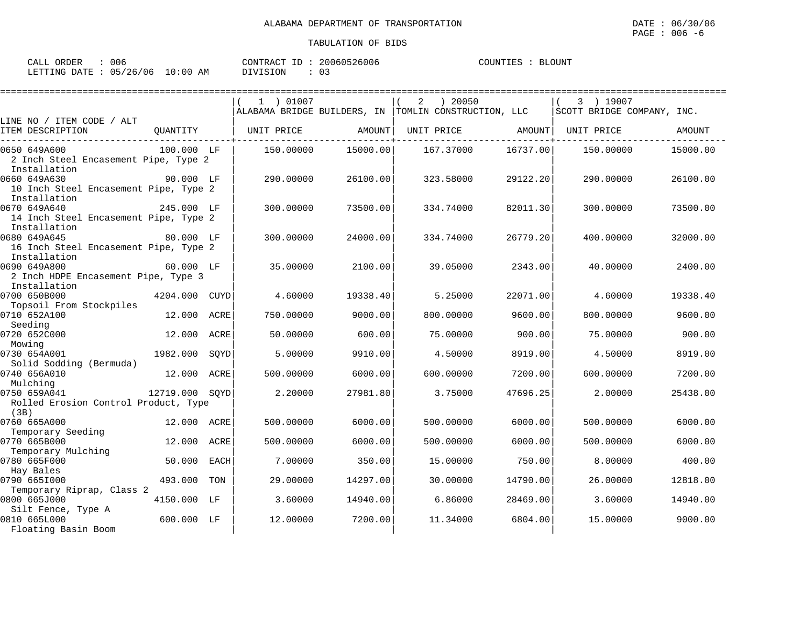| CALL ORDER                      | 006 | CONTRACT ID: 20060526006 | COUNTIES : BLOUNT |
|---------------------------------|-----|--------------------------|-------------------|
| LETTING DATE: 05/26/06 10:00 AM |     | DIVISION                 |                   |

|                                                                       |                |             | 1 ) 01007  |          | ) 20050<br>2                                         |          | 3 ) 19007                  |          |
|-----------------------------------------------------------------------|----------------|-------------|------------|----------|------------------------------------------------------|----------|----------------------------|----------|
| LINE NO / ITEM CODE / ALT                                             |                |             |            |          | ALABAMA BRIDGE BUILDERS, IN TOMLIN CONSTRUCTION, LLC |          | SCOTT BRIDGE COMPANY, INC. |          |
| ITEM DESCRIPTION                                                      | OUANTITY       |             | UNIT PRICE | AMOUNT   | UNIT PRICE                                           | AMOUNT   | UNIT PRICE                 | AMOUNT   |
| 0650 649A600<br>2 Inch Steel Encasement Pipe, Type 2<br>Installation  | 100.000 LF     |             | 150.00000  | 15000.00 | 167.37000                                            | 16737.00 | 150.00000                  | 15000.00 |
| 0660 649A630<br>10 Inch Steel Encasement Pipe, Type 2<br>Installation | 90.000 LF      |             | 290.00000  | 26100.00 | 323.58000                                            | 29122.20 | 290.00000                  | 26100.00 |
| 0670 649A640<br>14 Inch Steel Encasement Pipe, Type 2<br>Installation | 245.000 LF     |             | 300.00000  | 73500.00 | 334.74000                                            | 82011.30 | 300.00000                  | 73500.00 |
| 0680 649A645<br>16 Inch Steel Encasement Pipe, Type 2<br>Installation | 80.000 LF      |             | 300.00000  | 24000.00 | 334.74000                                            | 26779.20 | 400.00000                  | 32000.00 |
| 0690 649A800<br>2 Inch HDPE Encasement Pipe, Type 3<br>Installation   | 60.000 LF      |             | 35.00000   | 2100.00  | 39.05000                                             | 2343.00  | 40.00000                   | 2400.00  |
| 0700 650B000<br>Topsoil From Stockpiles                               | 4204.000       | CUYD        | 4.60000    | 19338.40 | 5.25000                                              | 22071.00 | 4.60000                    | 19338.40 |
| 0710 652A100<br>Seeding                                               | 12.000         | ACRE        | 750.00000  | 9000.00  | 800.00000                                            | 9600.00  | 800.00000                  | 9600.00  |
| 0720 652C000<br>Mowing                                                | 12.000         | <b>ACRE</b> | 50.00000   | 600.00   | 75.00000                                             | 900.00   | 75.00000                   | 900.00   |
| 0730 654A001<br>Solid Sodding (Bermuda)                               | 1982.000       | SOYD        | 5.00000    | 9910.00  | 4.50000                                              | 8919.00  | 4.50000                    | 8919.00  |
| 0740 656A010<br>Mulching                                              | 12.000         | <b>ACRE</b> | 500.00000  | 6000.00  | 600.00000                                            | 7200.00  | 600.00000                  | 7200.00  |
| 0750 659A041<br>Rolled Erosion Control Product, Type<br>(3B)          | 12719.000 SOYD |             | 2.20000    | 27981.80 | 3.75000                                              | 47696.25 | 2.00000                    | 25438.00 |
| 0760 665A000<br>Temporary Seeding                                     | 12.000         | ACRE        | 500.00000  | 6000.00  | 500.00000                                            | 6000.00  | 500.00000                  | 6000.00  |
| 0770 665B000<br>Temporary Mulching                                    | 12.000         | ACRE        | 500.00000  | 6000.00  | 500.00000                                            | 6000.00  | 500.00000                  | 6000.00  |
| 0780 665F000<br>Hay Bales                                             | 50.000         | <b>EACH</b> | 7.00000    | 350.00   | 15.00000                                             | 750.00   | 8.00000                    | 400.00   |
| 0790 6651000<br>Temporary Riprap, Class 2                             | 493.000        | TON         | 29.00000   | 14297.00 | 30.00000                                             | 14790.00 | 26,00000                   | 12818.00 |
| 0800 665J000<br>Silt Fence, Type A                                    | 4150.000       | LF          | 3.60000    | 14940.00 | 6.86000                                              | 28469.00 | 3.60000                    | 14940.00 |
| 0810 665L000<br>Floating Basin Boom                                   | 600.000 LF     |             | 12,00000   | 7200.00  | 11.34000                                             | 6804.00  | 15,00000                   | 9000.00  |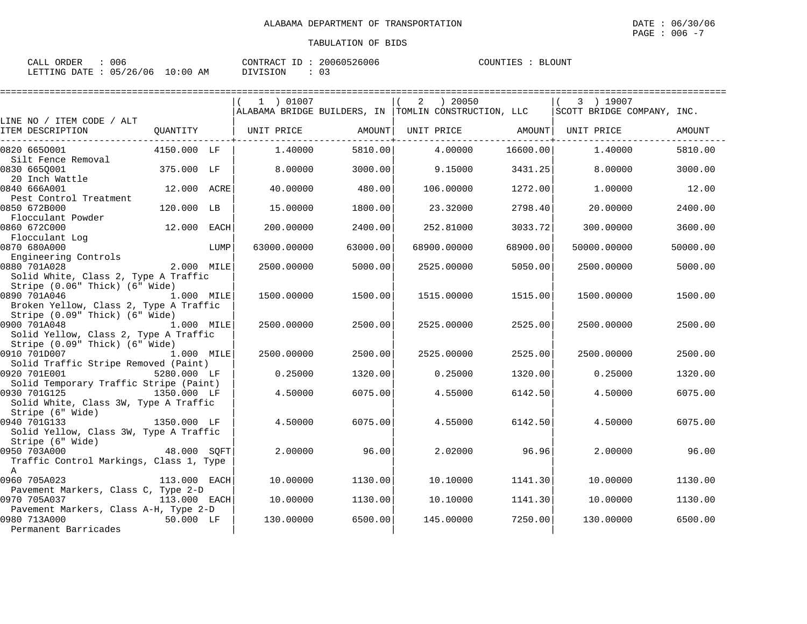| CALL ORDER : 006 |                                 |          | CONTRACT ID: 20060526006 | COUNTIES : BLOUNT |  |  |
|------------------|---------------------------------|----------|--------------------------|-------------------|--|--|
|                  | LETTING DATE: 05/26/06 10:00 AM | DIVISION |                          |                   |  |  |

|                                               |              |      | 1 ) 01007   |          | ) 20050<br>2                                         |          | 3 ) 19007                  |          |
|-----------------------------------------------|--------------|------|-------------|----------|------------------------------------------------------|----------|----------------------------|----------|
|                                               |              |      |             |          | ALABAMA BRIDGE BUILDERS, IN TOMLIN CONSTRUCTION, LLC |          | SCOTT BRIDGE COMPANY, INC. |          |
| LINE NO / ITEM CODE / ALT<br>ITEM DESCRIPTION | QUANTITY     |      | UNIT PRICE  | AMOUNT   | UNIT PRICE AMOUNT                                    |          | UNIT PRICE                 | AMOUNT   |
| 0820 6650001                                  | 4150.000 LF  |      | 1,40000     | 5810.00  | 4.00000                                              | 16600.00 | 1,40000                    | 5810.00  |
| Silt Fence Removal<br>0830 6650001            | 375.000 LF   |      | 8,00000     | 3000.00  | 9.15000                                              | 3431.25  | 8,00000                    | 3000.00  |
| 20 Inch Wattle                                |              |      |             |          |                                                      |          |                            |          |
| 0840 666A001                                  | 12.000 ACRE  |      | 40.00000    | 480.00   | 106.00000                                            | 1272.00  | 1,00000                    | 12.00    |
| Pest Control Treatment                        |              |      |             |          |                                                      |          |                            |          |
| 0850 672B000                                  | 120.000 LB   |      | 15.00000    | 1800.00  | 23.32000                                             | 2798.40  | 20.00000                   | 2400.00  |
| Flocculant Powder                             |              |      |             |          |                                                      |          |                            |          |
| 0860 672C000                                  | 12.000       | EACH | 200.00000   | 2400.00  | 252.81000                                            | 3033.72  | 300.00000                  | 3600.00  |
| Flocculant Log<br>0870 680A000                |              |      | 63000.00000 | 63000.00 | 68900.00000                                          | 68900.00 | 50000.00000                | 50000.00 |
| Engineering Controls                          |              | LUMP |             |          |                                                      |          |                            |          |
| 0880 701A028                                  | 2.000 MILE   |      | 2500.00000  | 5000.00  | 2525.00000                                           | 5050.00  | 2500.00000                 | 5000.00  |
| Solid White, Class 2, Type A Traffic          |              |      |             |          |                                                      |          |                            |          |
| Stripe (0.06" Thick) (6" Wide)                |              |      |             |          |                                                      |          |                            |          |
| 0890 701A046                                  | 1.000 MILE   |      | 1500.00000  | 1500.00  | 1515,00000                                           | 1515.00  | 1500.00000                 | 1500.00  |
| Broken Yellow, Class 2, Type A Traffic        |              |      |             |          |                                                      |          |                            |          |
| Stripe (0.09" Thick) (6" Wide)                |              |      |             |          |                                                      |          |                            |          |
| 0900 701A048                                  | 1.000 MILE   |      | 2500.00000  | 2500.00  | 2525.00000                                           | 2525.00  | 2500.00000                 | 2500.00  |
| Solid Yellow, Class 2, Type A Traffic         |              |      |             |          |                                                      |          |                            |          |
| Stripe (0.09" Thick) (6" Wide)                |              |      |             |          |                                                      |          |                            |          |
| 0910 701D007                                  | 1.000 MILE   |      | 2500.00000  | 2500.00  | 2525.00000                                           | 2525.00  | 2500.00000                 | 2500.00  |
| Solid Traffic Stripe Removed (Paint)          |              |      |             |          |                                                      |          |                            |          |
| 0920 701E001                                  | 5280.000 LF  |      | 0.25000     | 1320.00  | 0.25000                                              | 1320.00  | 0.25000                    | 1320.00  |
| Solid Temporary Traffic Stripe (Paint)        |              |      |             |          |                                                      |          |                            |          |
| 0930 701G125                                  | 1350.000 LF  |      | 4.50000     | 6075.00  | 4.55000                                              | 6142.50  | 4.50000                    | 6075.00  |
| Solid White, Class 3W, Type A Traffic         |              |      |             |          |                                                      |          |                            |          |
| Stripe (6" Wide)<br>0940 701G133              |              |      |             |          |                                                      |          |                            |          |
| Solid Yellow, Class 3W, Type A Traffic        | 1350.000 LF  |      | 4.50000     | 6075.00  | 4.55000                                              | 6142.50  | 4.50000                    | 6075.00  |
| Stripe (6" Wide)                              |              |      |             |          |                                                      |          |                            |          |
| 0950 703A000                                  | 48.000 SQFT  |      | 2,00000     | 96.00    | 2.02000                                              | 96.96    | 2,00000                    | 96.00    |
| Traffic Control Markings, Class 1, Type       |              |      |             |          |                                                      |          |                            |          |
| $\mathbb{A}$                                  |              |      |             |          |                                                      |          |                            |          |
| 0960 705A023                                  | 113.000 EACH |      | 10.00000    | 1130.00  | 10.10000                                             | 1141.30  | 10,00000                   | 1130.00  |
| Pavement Markers, Class C, Type 2-D           |              |      |             |          |                                                      |          |                            |          |
| 0970 705A037                                  | 113.000 EACH |      | 10.00000    | 1130.00  | 10.10000                                             | 1141.30  | 10.00000                   | 1130.00  |
| Pavement Markers, Class A-H, Type 2-D         |              |      |             |          |                                                      |          |                            |          |
| 0980 713A000                                  | 50.000 LF    |      | 130.00000   | 6500.00  | 145.00000                                            | 7250.00  | 130,00000                  | 6500.00  |
| Permanent Barricades                          |              |      |             |          |                                                      |          |                            |          |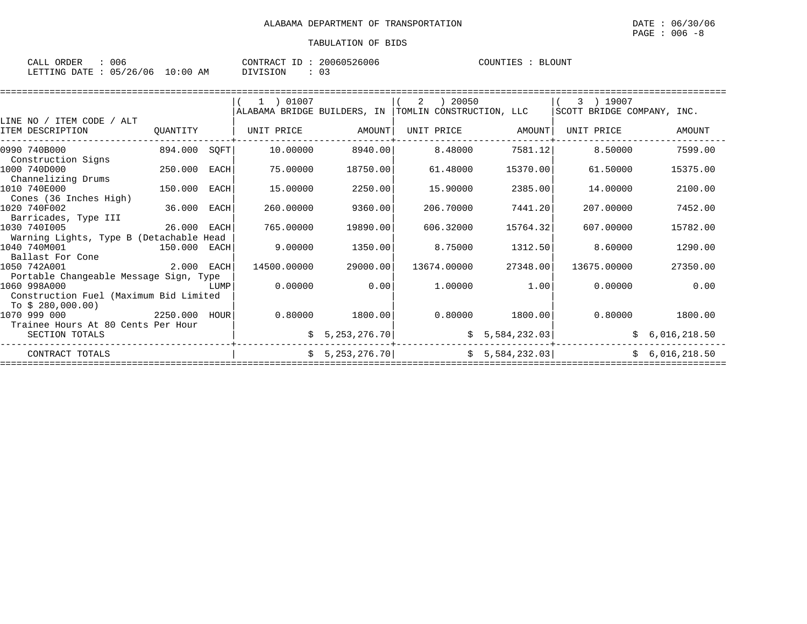| CALL<br>ORDER      | $\sim$ $\sim$ $\sim$<br>JUE |                   | CONTR<br>TD.<br>$\sqrt{2}$<br>'R A ( | 0060526006 | COUNTIES | <b>BLOUNT</b> |
|--------------------|-----------------------------|-------------------|--------------------------------------|------------|----------|---------------|
| LETTING<br>חת המרד | ∩ ⊏<br>/26<br>' 0 6         | : 00<br>L O<br>AΜ | VISION                               | ◡-         |          |               |

|          |                                    | 1 ) 01007                                                                                                                                                                                                                |                                                                                           | -2                                                                         |                                                                                                                                 | 3 ) 19007                                                      |                                                                                                                                                                                                                                                        |
|----------|------------------------------------|--------------------------------------------------------------------------------------------------------------------------------------------------------------------------------------------------------------------------|-------------------------------------------------------------------------------------------|----------------------------------------------------------------------------|---------------------------------------------------------------------------------------------------------------------------------|----------------------------------------------------------------|--------------------------------------------------------------------------------------------------------------------------------------------------------------------------------------------------------------------------------------------------------|
|          |                                    |                                                                                                                                                                                                                          |                                                                                           |                                                                            |                                                                                                                                 |                                                                |                                                                                                                                                                                                                                                        |
|          |                                    |                                                                                                                                                                                                                          |                                                                                           |                                                                            |                                                                                                                                 |                                                                |                                                                                                                                                                                                                                                        |
| QUANTITY |                                    | UNIT PRICE                                                                                                                                                                                                               | AMOUNT                                                                                    | UNIT PRICE                                                                 | AMOUNT                                                                                                                          | UNIT PRICE                                                     | AMOUNT                                                                                                                                                                                                                                                 |
|          |                                    | 10.00000                                                                                                                                                                                                                 |                                                                                           | 8.48000                                                                    |                                                                                                                                 | 8.50000                                                        | 7599.00                                                                                                                                                                                                                                                |
|          |                                    |                                                                                                                                                                                                                          |                                                                                           |                                                                            |                                                                                                                                 |                                                                |                                                                                                                                                                                                                                                        |
| 250.000  | EACH                               | 75.00000                                                                                                                                                                                                                 |                                                                                           | 61.48000                                                                   |                                                                                                                                 | 61.50000                                                       | 15375.00                                                                                                                                                                                                                                               |
|          |                                    |                                                                                                                                                                                                                          |                                                                                           |                                                                            |                                                                                                                                 |                                                                |                                                                                                                                                                                                                                                        |
|          |                                    | 15.00000                                                                                                                                                                                                                 |                                                                                           | 15.90000                                                                   |                                                                                                                                 | 14.00000                                                       | 2100.00                                                                                                                                                                                                                                                |
|          |                                    |                                                                                                                                                                                                                          |                                                                                           |                                                                            |                                                                                                                                 |                                                                |                                                                                                                                                                                                                                                        |
|          |                                    |                                                                                                                                                                                                                          |                                                                                           |                                                                            |                                                                                                                                 |                                                                | 7452.00                                                                                                                                                                                                                                                |
|          |                                    |                                                                                                                                                                                                                          |                                                                                           |                                                                            |                                                                                                                                 |                                                                |                                                                                                                                                                                                                                                        |
|          |                                    |                                                                                                                                                                                                                          |                                                                                           |                                                                            |                                                                                                                                 |                                                                | 15782.00                                                                                                                                                                                                                                               |
|          |                                    |                                                                                                                                                                                                                          |                                                                                           |                                                                            |                                                                                                                                 |                                                                |                                                                                                                                                                                                                                                        |
|          |                                    |                                                                                                                                                                                                                          |                                                                                           |                                                                            |                                                                                                                                 |                                                                | 1290.00                                                                                                                                                                                                                                                |
|          |                                    |                                                                                                                                                                                                                          |                                                                                           |                                                                            |                                                                                                                                 |                                                                |                                                                                                                                                                                                                                                        |
|          |                                    |                                                                                                                                                                                                                          |                                                                                           |                                                                            |                                                                                                                                 |                                                                | 27350.00                                                                                                                                                                                                                                               |
|          |                                    |                                                                                                                                                                                                                          |                                                                                           |                                                                            |                                                                                                                                 |                                                                |                                                                                                                                                                                                                                                        |
|          |                                    |                                                                                                                                                                                                                          |                                                                                           |                                                                            |                                                                                                                                 |                                                                | 0.00                                                                                                                                                                                                                                                   |
|          |                                    |                                                                                                                                                                                                                          |                                                                                           |                                                                            |                                                                                                                                 |                                                                |                                                                                                                                                                                                                                                        |
|          |                                    |                                                                                                                                                                                                                          |                                                                                           |                                                                            |                                                                                                                                 |                                                                |                                                                                                                                                                                                                                                        |
|          |                                    |                                                                                                                                                                                                                          |                                                                                           |                                                                            |                                                                                                                                 |                                                                | 1800.00                                                                                                                                                                                                                                                |
|          |                                    |                                                                                                                                                                                                                          |                                                                                           |                                                                            |                                                                                                                                 |                                                                |                                                                                                                                                                                                                                                        |
|          |                                    |                                                                                                                                                                                                                          |                                                                                           |                                                                            |                                                                                                                                 |                                                                | \$6,016,218.50                                                                                                                                                                                                                                         |
|          |                                    |                                                                                                                                                                                                                          |                                                                                           |                                                                            |                                                                                                                                 |                                                                | \$6,016,218.50                                                                                                                                                                                                                                         |
|          | Trainee Hours At 80 Cents Per Hour | 150.000 EACH<br>36.000<br>EACH<br>26.000<br>EACH<br>Warning Lights, Type B (Detachable Head<br>150.000 EACH<br>Portable Changeable Message Sign, Type<br>LUMP<br>Construction Fuel (Maximum Bid Limited<br>2250.000 HOUR | 894.000 SQFT<br>260,00000<br>765.00000<br>9.00000<br>2.000 EACH<br>14500.00000<br>0.00000 | 2250.00<br>9360.00<br>19890.00<br>1350.00<br>29000.00<br>$0.80000$ 1800.00 | 8940.00<br>18750.00<br>206.70000<br>606.32000<br>8.75000<br>13674.00000<br>0.00<br>1,00000<br>\$5,253,276.70<br>\$5,253,276.70] | 20050<br>ALABAMA BRIDGE BUILDERS, IN  TOMLIN CONSTRUCTION, LLC | SCOTT BRIDGE COMPANY, INC.<br>7581.12<br>15370.00<br>2385.00<br>7441.20<br>207.00000<br>15764.32<br>607.00000<br>1312.50<br>8.60000<br>27348.00<br>13675.00000<br>1.00<br>0.00000<br>$0.80000$ 1800.00<br>0.80000<br>\$5,584,232.03<br>\$5,584,232.03] |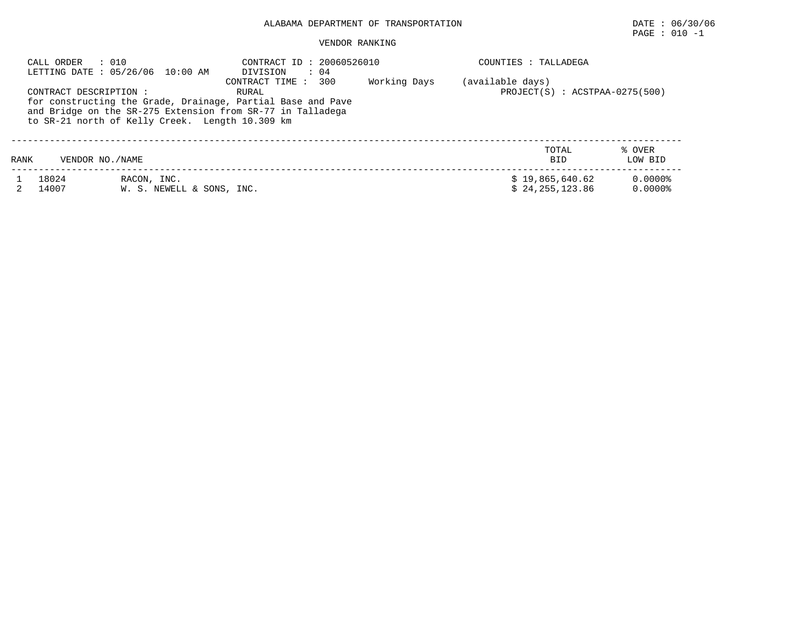# PAGE : 010 -1

#### VENDOR RANKING

| CALL ORDER             | : 010<br>LETTING DATE : 05/26/06 10:00 AM       | CONTRACT ID: 20060526010<br>DIVISION<br>$\cdot$ 04                                                                                                           |              | COUNTIES : TALLADEGA                                 |                         |
|------------------------|-------------------------------------------------|--------------------------------------------------------------------------------------------------------------------------------------------------------------|--------------|------------------------------------------------------|-------------------------|
| CONTRACT DESCRIPTION : | to SR-21 north of Kelly Creek. Length 10.309 km | 300<br>CONTRACT TIME :<br>RURAL<br>for constructing the Grade, Drainage, Partial Base and Pave<br>and Bridge on the SR-275 Extension from SR-77 in Talladega | Working Days | (available days)<br>$PROJECT(S) : ACSTPAA-0275(500)$ |                         |
| RANK                   | VENDOR NO./NAME                                 |                                                                                                                                                              |              | TOTAL<br><b>BID</b>                                  | % OVER<br>LOW BID       |
| 18024<br>14007         | RACON, INC.<br>W. S. NEWELL & SONS, INC.        |                                                                                                                                                              |              | \$19,865,640.62<br>\$24.255.123.86                   | 0.0000%<br>$0.0000$ $8$ |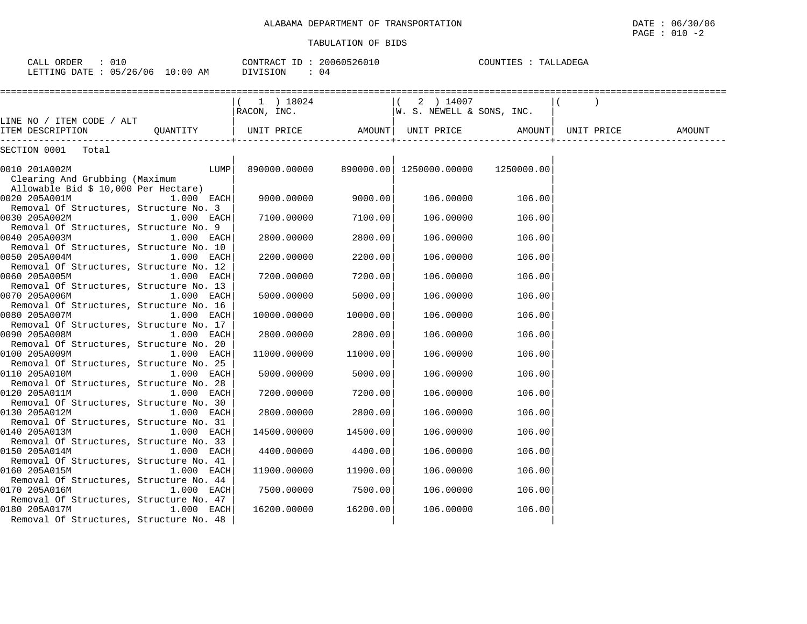| CALL ORDER : 010<br>LETTING DATE : 05/26/06 10:00 AM                                    |              | CONTRACT ID: 20060526010<br>DIVISION<br>$\therefore$ 04 |                    |                                                    | COUNTIES : TALLADEGA |        |
|-----------------------------------------------------------------------------------------|--------------|---------------------------------------------------------|--------------------|----------------------------------------------------|----------------------|--------|
| LINE NO / ITEM CODE / ALT                                                               |              | $(1)$ 18024<br>RACON, INC.                              |                    | $(2)$ 14007<br> W. S. NEWELL & SONS, INC.          |                      |        |
| -----                                                                                   |              |                                                         |                    |                                                    |                      | AMOUNT |
| SECTION 0001 Total                                                                      |              |                                                         |                    |                                                    |                      |        |
| 0010 201A002M<br>Clearing And Grubbing (Maximum<br>Allowable Bid \$ 10,000 Per Hectare) | LUMP         |                                                         |                    | 890000.00000  890000.00  1250000.00000  1250000.00 |                      |        |
| 0020 205A001M<br>Removal Of Structures, Structure No. 3                                 | $1.000$ EACH | 9000.00000                                              | 9000.00            | 106.00000                                          | 106.00               |        |
| 0030 205A002M<br>Removal Of Structures, Structure No. 9                                 | 1.000 EACH   | 7100.00000                                              | 7100.00            | 106.00000                                          | 106.00               |        |
| 0040 205A003M<br>Removal Of Structures, Structure No. 10                                | 1.000 EACH   | 2800.00000                                              | 2800.00            | 106.00000                                          | 106.00               |        |
| 0050 205A004M<br>Removal Of Structures, Structure No. 12                                | 1.000 EACH   | 2200.00000                                              | 2200.00            | 106.00000                                          | 106.00               |        |
| 0060 205A005M<br>Removal Of Structures, Structure No. 13                                | 1.000 EACH   | 7200.00000                                              | 7200.00            | 106.00000                                          | 106.00               |        |
| 0070 205A006M<br>Removal Of Structures, Structure No. 16                                | $1.000$ EACH | 5000.00000                                              | 5000.00            | 106.00000                                          | 106.00               |        |
| 0080 205A007M<br>Removal Of Structures, Structure No. 17                                | 1.000 EACH   | 10000.00000                                             | 10000.00           | 106.00000                                          | 106.00               |        |
| 0090 205A008M<br>Removal Of Structures, Structure No. 20                                | 1.000 EACH   | 2800.00000                                              | 2800.00            | 106.00000                                          | 106.00               |        |
| 0100 205A009M<br>Removal Of Structures, Structure No. 25                                | $1.000$ EACH | 11000.00000                                             | 11000.00           | 106.00000                                          | 106.00               |        |
| 0110 205A010M<br>Removal Of Structures, Structure No. 28                                | 1.000 EACH   | 5000.00000                                              | 5000.00            | 106.00000                                          | 106.00               |        |
| Removal Of Structures, Structure No. 30<br>0130 205A012M                                |              | 7200.00000                                              | 7200.00<br>2800.00 | 106.00000                                          | 106.00<br>106.00     |        |
| Removal Of Structures, Structure No. 31                                                 | 1.000 EACH   | 2800.00000<br>14500.00000                               | 14500.00           | 106.00000<br>106.00000                             | 106.00               |        |
| Removal Of Structures, Structure No. 33<br>0150 205A014M                                | 1.000 EACH   |                                                         | 4400.00000 4400.00 | 106.00000                                          | 106.00               |        |
| Removal Of Structures, Structure No. 41<br>0160 205A015M                                | 1.000 EACH   | 11900.00000                                             | 11900.00           | 106.00000                                          | 106.00               |        |
| Removal Of Structures, Structure No. 44<br>0170 205A016M                                | $1.000$ EACH |                                                         | 7500.00000 7500.00 | 106.00000                                          | 106.00               |        |
| Removal Of Structures, Structure No. 47<br>0180 205A017M                                | $1.000$ EACH | 16200.00000                                             | 16200.00           | 106.00000                                          | 106.00               |        |
| Removal Of Structures, Structure No. 48                                                 |              |                                                         |                    |                                                    |                      |        |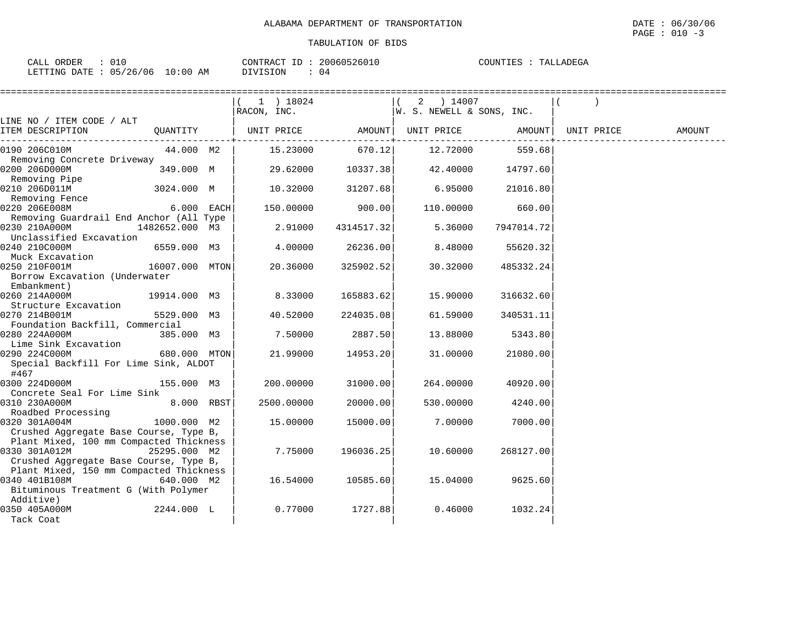| 010<br>CALL<br>ORDER                                                                                                                        |               | T <sub>0</sub><br>CONTRACT<br>⊥ມ | 20060526010 | COUNTIES<br>LADEGA<br>. A L |
|---------------------------------------------------------------------------------------------------------------------------------------------|---------------|----------------------------------|-------------|-----------------------------|
| 05/26/06<br>LETTING DATE<br>the contract of the contract of the contract of the contract of the contract of the contract of the contract of | LO : 00<br>ΆM | \/   \   \                       | U4          |                             |

|                                                        |                | 1 ) 18024<br>RACON, INC. |                 | 2 ) 14007<br> W. S. NEWELL & SONS, INC. |                   |            |        |
|--------------------------------------------------------|----------------|--------------------------|-----------------|-----------------------------------------|-------------------|------------|--------|
| LINE NO / ITEM CODE / ALT                              |                |                          |                 |                                         |                   |            |        |
| ITEM DESCRIPTION                                       | QUANTITY       | UNIT PRICE AMOUNT        | ------------+   |                                         | UNIT PRICE AMOUNT | UNIT PRICE | AMOUNT |
| 0190 206C010M                                          | 44.000 M2      |                          | 15.23000 670.12 | 12.72000                                | 559.68            |            |        |
| Removing Concrete Driveway                             |                |                          |                 |                                         |                   |            |        |
| 0200 206D000M                                          | 349.000 M      | 29.62000                 | 10337.38        | 42.40000                                | 14797.60          |            |        |
| Removing Pipe<br>0210 206D011M                         | 3024.000 M     | 10.32000                 | 31207.68        | 6.95000                                 | 21016.80          |            |        |
| Removing Fence                                         |                |                          |                 |                                         |                   |            |        |
| 0220 206E008M                                          | 6.000 EACH     | 150.00000                | 900.00          | 110.00000                               | 660.00            |            |        |
| Removing Guardrail End Anchor (All Type                |                |                          |                 |                                         |                   |            |        |
| 0230 210A000M                                          | 1482652.000 M3 | 2.91000                  | 4314517.32      | 5.36000                                 | 7947014.72        |            |        |
| Unclassified Excavation                                |                |                          |                 |                                         |                   |            |        |
| 0240 210C000M                                          | 6559.000 M3    | 4.00000                  | 26236.00        | 8.48000                                 | 55620.32          |            |        |
| Muck Excavation                                        |                |                          |                 |                                         |                   |            |        |
| 0250 210F001M                                          | 16007.000 MTON | 20.36000                 | 325902.52       | 30.32000                                | 485332.24         |            |        |
| Borrow Excavation (Underwater                          |                |                          |                 |                                         |                   |            |        |
| Embankment)                                            |                |                          |                 |                                         |                   |            |        |
| 0260 214A000M                                          | 19914.000 M3   | 8.33000                  | 165883.62       | 15.90000                                | 316632.60         |            |        |
| Structure Excavation                                   |                |                          |                 |                                         |                   |            |        |
| 0270 214B001M                                          | 5529.000 M3    | 40.52000                 | 224035.08       | 61.59000                                | 340531.11         |            |        |
| Foundation Backfill, Commercial                        |                |                          |                 |                                         |                   |            |        |
| 0280 224A000M                                          | 385.000 M3     | 7.50000                  | 2887.50         | 13.88000                                | 5343.80           |            |        |
| Lime Sink Excavation                                   |                |                          |                 |                                         |                   |            |        |
| 0290 224C000M<br>Special Backfill For Lime Sink, ALDOT | 680.000 MTON   | 21.99000                 | 14953.20        | 31.00000                                | 21080.00          |            |        |
| #467                                                   |                |                          |                 |                                         |                   |            |        |
| 0300 224D000M                                          | 155.000 M3     | 200,00000                | 31000.00        | 264.00000                               | 40920.00          |            |        |
| Concrete Seal For Lime Sink                            |                |                          |                 |                                         |                   |            |        |
| 0310 230A000M                                          | 8.000 RBST     | 2500.00000               | 20000.00        | 530.00000                               | 4240.00           |            |        |
| Roadbed Processing                                     |                |                          |                 |                                         |                   |            |        |
| 0320 301A004M                                          | 1000.000 M2    | 15.00000                 | 15000.00        | 7.00000                                 | 7000.00           |            |        |
| Crushed Aggregate Base Course, Type B,                 |                |                          |                 |                                         |                   |            |        |
| Plant Mixed, 100 mm Compacted Thickness                |                |                          |                 |                                         |                   |            |        |
| 0330 301A012M                                          | 25295.000 M2   | 7.75000                  | 196036.25       | 10.60000                                | 268127.00         |            |        |
| Crushed Aggregate Base Course, Type B,                 |                |                          |                 |                                         |                   |            |        |
| Plant Mixed, 150 mm Compacted Thickness                |                |                          |                 |                                         |                   |            |        |
| 0340 401B108M                                          | 640.000 M2     | 16.54000                 | 10585.60        | 15.04000                                | 9625.60           |            |        |
| Bituminous Treatment G (With Polymer                   |                |                          |                 |                                         |                   |            |        |
| Additive)                                              |                |                          |                 |                                         |                   |            |        |
| 0350 405A000M                                          | 2244.000 L     | 0.77000                  | 1727.88         | 0.46000                                 | 1032.24           |            |        |
| Tack Coat                                              |                |                          |                 |                                         |                   |            |        |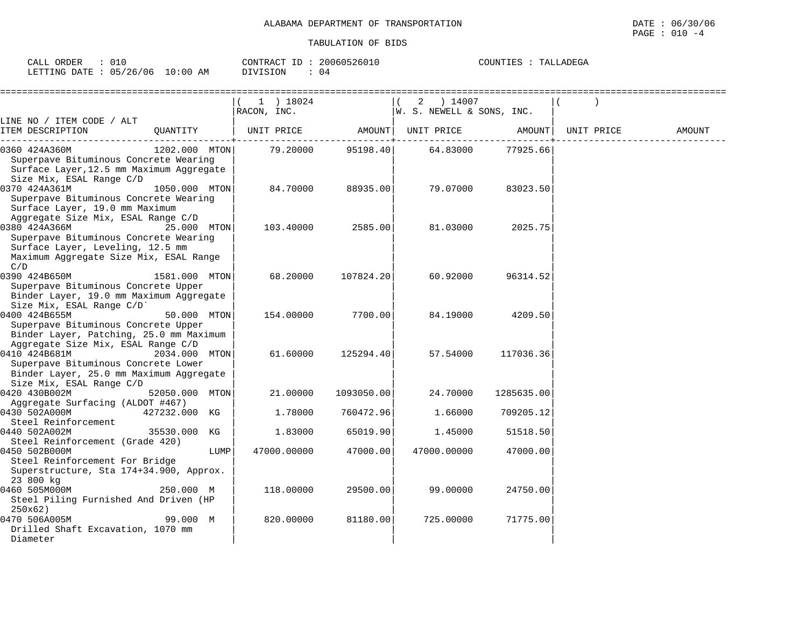| ORDER<br>CALL                          | 20060526010<br>CONTRACT<br>ID | COUNTIES<br>TALLADEGA<br>ᆂᄘ |
|----------------------------------------|-------------------------------|-----------------------------|
| $10:00$ AM<br>05/26/06<br>LETTING DATE | DIVISION<br>U 4               |                             |

|                                                                                                                                             |                | 1 ) 18024<br>RACON, INC. |            | 2 ) 14007<br>$ W.$ S. NEWELL & SONS, INC. |            |            |        |
|---------------------------------------------------------------------------------------------------------------------------------------------|----------------|--------------------------|------------|-------------------------------------------|------------|------------|--------|
| LINE NO / ITEM CODE / ALT                                                                                                                   |                |                          |            |                                           |            |            |        |
| ITEM DESCRIPTION                                                                                                                            | OUANTITY       | UNIT PRICE               | AMOUNT     | UNIT PRICE                                | AMOUNT     | UNIT PRICE | AMOUNT |
| 0360 424A360M<br>Superpave Bituminous Concrete Wearing<br>Surface Layer, 12.5 mm Maximum Aggregate<br>Size Mix, ESAL Range C/D              | 1202.000 MTON  | 79.20000                 | 95198.40   | 64.83000                                  | 77925.66   |            |        |
| 0370 424A361M<br>Superpave Bituminous Concrete Wearing<br>Surface Layer, 19.0 mm Maximum<br>Aggregate Size Mix, ESAL Range C/D              | 1050.000 MTON  | 84.70000                 | 88935.00   | 79.07000                                  | 83023.50   |            |        |
| 0380 424A366M<br>Superpave Bituminous Concrete Wearing<br>Surface Layer, Leveling, 12.5 mm<br>Maximum Aggregate Size Mix, ESAL Range<br>C/D | 25.000 MTON    | 103.40000                | 2585.00    | 81.03000                                  | 2025.75    |            |        |
| 0390 424B650M<br>Superpave Bituminous Concrete Upper<br>Binder Layer, 19.0 mm Maximum Aggregate<br>Size Mix, ESAL Range C/D'                | 1581.000 MTON  | 68,20000                 | 107824.20  | 60.92000                                  | 96314.52   |            |        |
| 0400 424B655M<br>Superpave Bituminous Concrete Upper<br>Binder Layer, Patching, 25.0 mm Maximum<br>Aggregate Size Mix, ESAL Range C/D       | 50.000 MTON    | 154.00000                | 7700.00    | 84.19000                                  | 4209.50    |            |        |
| 0410 424B681M<br>Superpave Bituminous Concrete Lower<br>Binder Layer, 25.0 mm Maximum Aggregate<br>Size Mix, ESAL Range C/D                 | 2034.000 MTON  | 61.60000                 | 125294.40  | 57.54000                                  | 117036.36  |            |        |
| 0420 430B002M<br>Aggregate Surfacing (ALDOT #467)                                                                                           | 52050.000 MTON | 21,00000                 | 1093050.00 | 24.70000                                  | 1285635.00 |            |        |
| 0430 502A000M<br>Steel Reinforcement                                                                                                        | 427232.000 KG  | 1.78000                  | 760472.96  | 1.66000                                   | 709205.12  |            |        |
| 0440 502A002M<br>Steel Reinforcement (Grade 420)                                                                                            | 35530.000 KG   | 1.83000                  | 65019.90   | 1.45000                                   | 51518.50   |            |        |
| 0450 502B000M<br>Steel Reinforcement For Bridge<br>Superstructure, Sta 174+34.900, Approx.<br>23 800 kg                                     | LUMP           | 47000.00000              | 47000.00   | 47000.00000                               | 47000.00   |            |        |
| 0460 505M000M<br>Steel Piling Furnished And Driven (HP<br>250x62)                                                                           | 250.000 M      | 118.00000                | 29500.00   | 99.00000                                  | 24750.00   |            |        |
| 0470 506A005M<br>Drilled Shaft Excavation, 1070 mm<br>Diameter                                                                              | 99.000 M       | 820.00000                | 81180.00   | 725.00000                                 | 71775.00   |            |        |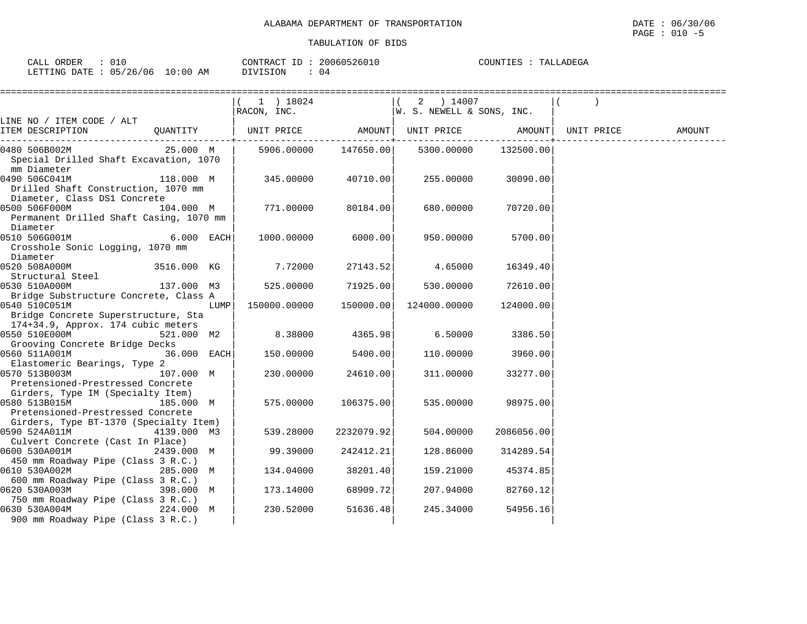| ORDER<br>CALL                   | 20060526010<br>CONTRACT ID | COUNTIES<br>TALLADEGA |
|---------------------------------|----------------------------|-----------------------|
| LETTING DATE: 05/26/06 10:00 AM | DIVISION<br>04             |                       |

|                                                                                                        | $(1)$ 18024<br>RACON, INC.                      |                    | $(2)$ 14007<br> W. S. NEWELL & SONS, INC. |            |            |        |
|--------------------------------------------------------------------------------------------------------|-------------------------------------------------|--------------------|-------------------------------------------|------------|------------|--------|
| LINE NO / ITEM CODE / ALT                                                                              |                                                 |                    |                                           |            |            |        |
| ITEM DESCRIPTION                                                                                       | QUANTITY   UNIT PRICE AMOUNT  UNIT PRICE AMOUNT |                    |                                           |            | UNIT PRICE | AMOUNT |
| 0480 506B002M<br>25.000 M<br>Special Drilled Shaft Excavation, 1070<br>mm Diameter                     |                                                 |                    | 5906.00000 147650.00 5300.00000           | 132500.00  |            |        |
| 0490 506C041M<br>118.000 M<br>Drilled Shaft Construction, 1070 mm<br>Diameter, Class DS1 Concrete      | 345.00000 40710.00                              |                    | 255.00000                                 | 30090.00   |            |        |
| 0500 506F000M 104.000 M<br>Permanent Drilled Shaft Casing, 1070 mm<br>Diameter                         | 771.00000                                       | 80184.00           | 680.00000                                 | 70720.00   |            |        |
| 0510 506G001M<br>$6.000$ EACH<br>Crosshole Sonic Logging, 1070 mm<br>Diameter                          |                                                 | 1000.00000 6000.00 | 950.00000                                 | 5700.00    |            |        |
| 0520 508A000M<br>3516.000 KG<br>Structural Steel                                                       | 7.72000                                         | 27143.52           | 4.65000                                   | 16349.40   |            |        |
| 137.000 M3<br>0530 510A000M<br>Bridge Substructure Concrete, Class A                                   |                                                 | 525.00000 71925.00 | 530.00000                                 | 72610.00   |            |        |
| 0540 510C051M<br>LUMP  <br>Bridge Concrete Superstructure, Sta<br>174+34.9, Approx. 174 cubic meters   | 150000.00000 150000.00                          |                    | 124000.00000                              | 124000.00  |            |        |
| 0550 510E000M 521.000 M2<br>Grooving Concrete Bridge Decks                                             | 8.38000                                         | 4365.98            | 6.50000                                   | 3386.50    |            |        |
| 0560 511A001M<br>36.000 EACH<br>Elastomeric Bearings, Type 2                                           | 150.00000                                       | 5400.00            | 110.00000                                 | 3960.00    |            |        |
| 0570 513B003M<br>107.000 M<br>Pretensioned-Prestressed Concrete<br>Girders, Type IM (Specialty Item)   | 230.00000                                       | 24610.00           | 311.00000                                 | 33277.00   |            |        |
| 0580 513B015M 185.000 M<br>Pretensioned-Prestressed Concrete<br>Girders, Type BT-1370 (Specialty Item) | 575.00000                                       | 106375.00          | 535.00000                                 | 98975.00   |            |        |
| 0590 524A011M<br>4139.000 M3<br>Culvert Concrete (Cast In Place)                                       | 539.28000                                       | 2232079.92         | 504.00000                                 | 2086056.00 |            |        |
| 0600 530A001M<br>2439.000 M<br>450 mm Roadway Pipe (Class 3 R.C.)                                      | 99.39000                                        | 242412.21          | 128.86000                                 | 314289.54  |            |        |
| 0610 530A002M<br>285.000 M<br>600 mm Roadway Pipe (Class 3 R.C.)                                       | 134.04000                                       | 38201.40           | 159.21000                                 | 45374.85   |            |        |
| 0620 530A003M<br>398.000 M<br>750 mm Roadway Pipe (Class 3 R.C.)                                       | 173.14000                                       | 68909.721          | 207.94000                                 | 82760.12   |            |        |
| 0630 530A004M 224.000 M<br>900 mm Roadway Pipe (Class 3 R.C.)                                          | 230.52000                                       | 51636.48           | 245.34000                                 | 54956.16   |            |        |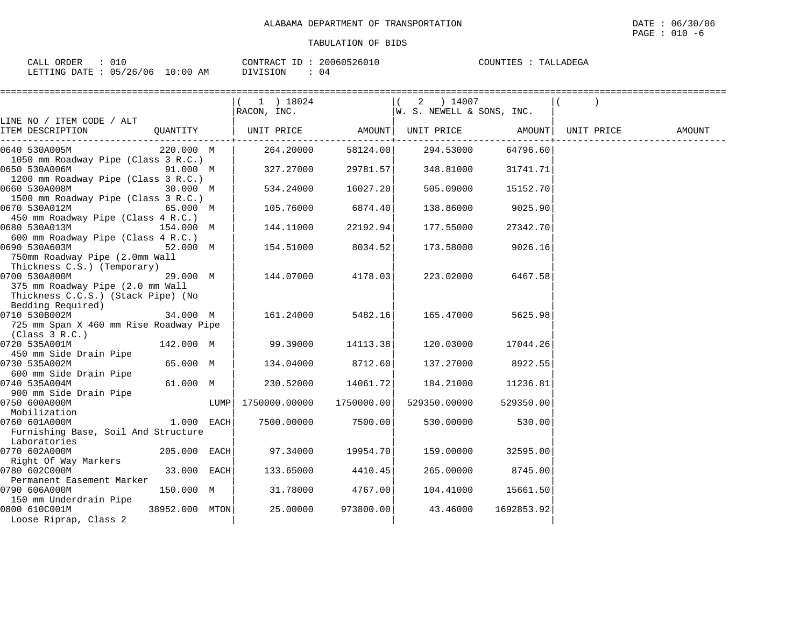| CALL ORDER                      | CONTRACT ID: 20060526010 | TALLADEGA<br>COUNTIES : |
|---------------------------------|--------------------------|-------------------------|
| LETTING DATE: 05/26/06 10:00 AM | DIVISION                 |                         |

|                                                                                                                        |                |       | 1 ) 18024     |                                            | 2 ) 14007                 |             |            |        |
|------------------------------------------------------------------------------------------------------------------------|----------------|-------|---------------|--------------------------------------------|---------------------------|-------------|------------|--------|
|                                                                                                                        |                |       | RACON, INC.   |                                            | W. S. NEWELL & SONS, INC. |             |            |        |
| LINE NO / ITEM CODE / ALT<br>ITEM DESCRIPTION                                                                          | QUANTITY       |       | UNIT PRICE    | AMOUNT<br>. - - - - - - - - <del>+</del> - | UNIT PRICE AMOUNT         | ----------- | UNIT PRICE | AMOUNT |
| 0640 530A005M<br>1050 mm Roadway Pipe (Class 3 R.C.)                                                                   | 220.000 M      |       | 264.20000     | 58124.00                                   | 294.53000                 | 64796.60    |            |        |
| 0650 530A006M<br>1200 mm Roadway Pipe (Class 3 R.C.)                                                                   | 91.000 M       |       | 327.27000     | 29781.57                                   | 348.81000                 | 31741.71    |            |        |
| 0660 530A008M<br>1500 mm Roadway Pipe (Class 3 R.C.)                                                                   | 30.000 M       |       | 534.24000     | 16027.20                                   | 505.09000                 | 15152.70    |            |        |
| 0670 530A012M<br>450 mm Roadway Pipe (Class 4 R.C.)                                                                    | 65.000 M       |       | 105.76000     | 6874.40                                    | 138.86000                 | 9025.90     |            |        |
| 0680 530A013M<br>600 mm Roadway Pipe (Class 4 R.C.)                                                                    | 154.000 M      |       | 144.11000     | 22192.94                                   | 177.55000                 | 27342.70    |            |        |
| 0690 530A603M<br>750mm Roadway Pipe (2.0mm Wall                                                                        | 52.000 M       |       | 154.51000     | 8034.52                                    | 173.58000                 | 9026.16     |            |        |
| Thickness C.S.) (Temporary)<br>0700 530A800M<br>375 mm Roadway Pipe (2.0 mm Wall<br>Thickness C.C.S.) (Stack Pipe) (No | 29.000 M       |       | 144.07000     | 4178.03                                    | 223.02000                 | 6467.58     |            |        |
| Bedding Required)<br>0710 530B002M<br>725 mm Span X 460 mm Rise Roadway Pipe                                           | 34.000 M       |       | 161.24000     | 5482.16                                    | 165.47000                 | 5625.98     |            |        |
| (Class 3 R.C.)<br>0720 535A001M                                                                                        | 142.000 M      |       | 99.39000      | 14113.38                                   | 120.03000                 | 17044.26    |            |        |
| 450 mm Side Drain Pipe<br>0730 535A002M<br>600 mm Side Drain Pipe                                                      | 65.000 M       |       | 134.04000     | 8712.60                                    | 137.27000                 | 8922.55     |            |        |
| 0740 535A004M<br>900 mm Side Drain Pipe                                                                                | 61.000 M       |       | 230.52000     | 14061.72                                   | 184.21000                 | 11236.81    |            |        |
| 0750 600A000M<br>Mobilization                                                                                          |                | LUMPI | 1750000.00000 | 1750000.00                                 | 529350.00000              | 529350.00   |            |        |
| 0760 601A000M<br>Furnishing Base, Soil And Structure                                                                   | 1.000 EACH     |       | 7500.00000    | 7500.00                                    | 530.00000                 | 530.00      |            |        |
| Laboratories<br>0770 602A000M                                                                                          | $205.000$ EACH |       | 97.34000      | 19954.70                                   | 159.00000                 | 32595.00    |            |        |
| Right Of Way Markers<br>0780 602C000M<br>Permanent Easement Marker                                                     | 33.000 EACH    |       | 133.65000     | 4410.45                                    | 265.00000                 | 8745.00     |            |        |
| 0790 606A000M<br>150 mm Underdrain Pipe                                                                                | 150.000 M      |       | 31.78000      | 4767.00                                    | 104.41000                 | 15661.50    |            |        |
| 0800 610C001M<br>Loose Riprap, Class 2                                                                                 | 38952.000 MTON |       | 25.00000      | 973800.00                                  | 43.46000                  | 1692853.92  |            |        |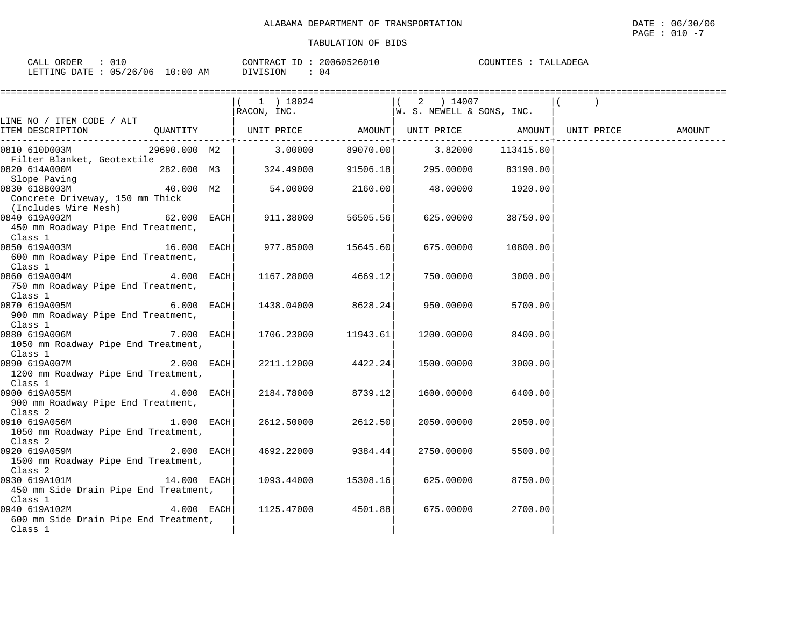| ORDER<br>CALL   | 010      |             | CONTRACT ID | 20060526010 | COUNTIES<br>TALLADEGA |
|-----------------|----------|-------------|-------------|-------------|-----------------------|
| LETTING<br>DATE | 05/26/06 | 10:00<br>ΆM | DIVISION    | 04          |                       |

|                                                                           | ==========================                                                                                                                                                                                                                                                                              |          |             |          |        |
|---------------------------------------------------------------------------|---------------------------------------------------------------------------------------------------------------------------------------------------------------------------------------------------------------------------------------------------------------------------------------------------------|----------|-------------|----------|--------|
|                                                                           | $(1)$ 18024                                                                                                                                                                                                                                                                                             |          | $(2)$ 14007 |          |        |
|                                                                           | $\begin{array}{ccccccccc}   & 1 & 1 & 10024 \\   & 1 & 0024 & 14007 \end{array}$<br>RACON, INC. $\begin{array}{ccccccccc}   & 2 & 14007 & 14007 & 12007 & 12007 & 12007 & 12007 & 12007 & 12007 & 12007 & 12007 & 12007 & 12007 & 12007 & 12007 & 12007 & 12007 & 12007 & 12007 & 12007 & 12007 & 1200$ |          |             |          |        |
| LINE NO / ITEM CODE / ALT                                                 |                                                                                                                                                                                                                                                                                                         |          |             |          |        |
| ITEM DESCRIPTION                                                          |                                                                                                                                                                                                                                                                                                         |          |             |          | AMOUNT |
| 0810 610D003M                                                             | $29690.000$ M2   3.00000 89070.00 3.82000 113415.80                                                                                                                                                                                                                                                     |          |             |          |        |
| Filter Blanket, Geotextile                                                |                                                                                                                                                                                                                                                                                                         |          |             |          |        |
| $282.000 \quad M3$ 324.49000 91506.18 295.00000 83190.00<br>0820 614A000M |                                                                                                                                                                                                                                                                                                         |          |             |          |        |
| Slope Paving<br>$0.000$ M2                                                |                                                                                                                                                                                                                                                                                                         |          |             |          |        |
| 0830 618B003M                                                             | $54.00000$ $2160.00$ $48.00000$ $1920.00$                                                                                                                                                                                                                                                               |          |             |          |        |
| Concrete Driveway, 150 mm Thick<br>(Includes Wire Mesh)                   |                                                                                                                                                                                                                                                                                                         |          |             |          |        |
| 0840 619A002M<br>$62.000$ EACH                                            | 911.38000                                                                                                                                                                                                                                                                                               | 56505.56 | 625.00000   | 38750.00 |        |
| 450 mm Roadway Pipe End Treatment,                                        |                                                                                                                                                                                                                                                                                                         |          |             |          |        |
| Class 1                                                                   |                                                                                                                                                                                                                                                                                                         |          |             |          |        |
| 0850 619A003M 16.000 EACH                                                 | 977.85000 15645.60                                                                                                                                                                                                                                                                                      |          | 675.00000   | 10800.00 |        |
| 600 mm Roadway Pipe End Treatment,                                        |                                                                                                                                                                                                                                                                                                         |          |             |          |        |
| Class 1                                                                   |                                                                                                                                                                                                                                                                                                         |          |             |          |        |
| 0860 619A004M 4.000 EACH                                                  | 1167.28000 4669.12                                                                                                                                                                                                                                                                                      |          | 750.00000   | 3000.00  |        |
| 750 mm Roadway Pipe End Treatment,<br>Class 1                             |                                                                                                                                                                                                                                                                                                         |          |             |          |        |
| 0870 619A005M 6.000 EACH                                                  | 1438.04000 8628.24                                                                                                                                                                                                                                                                                      |          | 950.00000   | 5700.00  |        |
| 900 mm Roadway Pipe End Treatment,                                        |                                                                                                                                                                                                                                                                                                         |          |             |          |        |
| Class 1                                                                   |                                                                                                                                                                                                                                                                                                         |          |             |          |        |
| 0880 619A006M 7.000 EACH                                                  | 1706.23000 11943.61                                                                                                                                                                                                                                                                                     |          | 1200.00000  | 8400.00  |        |
| 1050 mm Roadway Pipe End Treatment,                                       |                                                                                                                                                                                                                                                                                                         |          |             |          |        |
| Class 1                                                                   |                                                                                                                                                                                                                                                                                                         |          |             |          |        |
| 0890 619A007M 2.000 EACH                                                  | 2211.12000 4422.24                                                                                                                                                                                                                                                                                      |          | 1500.00000  | 3000.00  |        |
| 1200 mm Roadway Pipe End Treatment,<br>Class 1                            |                                                                                                                                                                                                                                                                                                         |          |             |          |        |
| 0900 619A055M 4.000 EACH                                                  | 2184.78000 8739.12                                                                                                                                                                                                                                                                                      |          | 1600.00000  | 6400.00  |        |
| 900 mm Roadway Pipe End Treatment,                                        |                                                                                                                                                                                                                                                                                                         |          |             |          |        |
| Class 2                                                                   |                                                                                                                                                                                                                                                                                                         |          |             |          |        |
| 0910 619A056M 1.000 EACH                                                  | 2612.50000                                                                                                                                                                                                                                                                                              | 2612.50  | 2050.00000  | 2050.00  |        |
| 1050 mm Roadway Pipe End Treatment,                                       |                                                                                                                                                                                                                                                                                                         |          |             |          |        |
| Class 2<br>$2.000$ EACH<br>0920 619A059M                                  | 4692.22000 9384.44                                                                                                                                                                                                                                                                                      |          |             |          |        |
| 1500 mm Roadway Pipe End Treatment,                                       |                                                                                                                                                                                                                                                                                                         |          | 2750.00000  | 5500.00  |        |
| Class 2                                                                   |                                                                                                                                                                                                                                                                                                         |          |             |          |        |
| 0930 619A101M 14.000 EACH                                                 | $1093.44000$ $15308.16$                                                                                                                                                                                                                                                                                 |          | 625.00000   | 8750.00  |        |
| 450 mm Side Drain Pipe End Treatment,                                     |                                                                                                                                                                                                                                                                                                         |          |             |          |        |
| Class 1                                                                   |                                                                                                                                                                                                                                                                                                         |          |             |          |        |
| $4.000$ EACH<br>0940 619A102M                                             | 1125.47000 4501.88                                                                                                                                                                                                                                                                                      |          | 675.00000   | 2700.00  |        |
| 600 mm Side Drain Pipe End Treatment,                                     |                                                                                                                                                                                                                                                                                                         |          |             |          |        |
| Class 1                                                                   |                                                                                                                                                                                                                                                                                                         |          |             |          |        |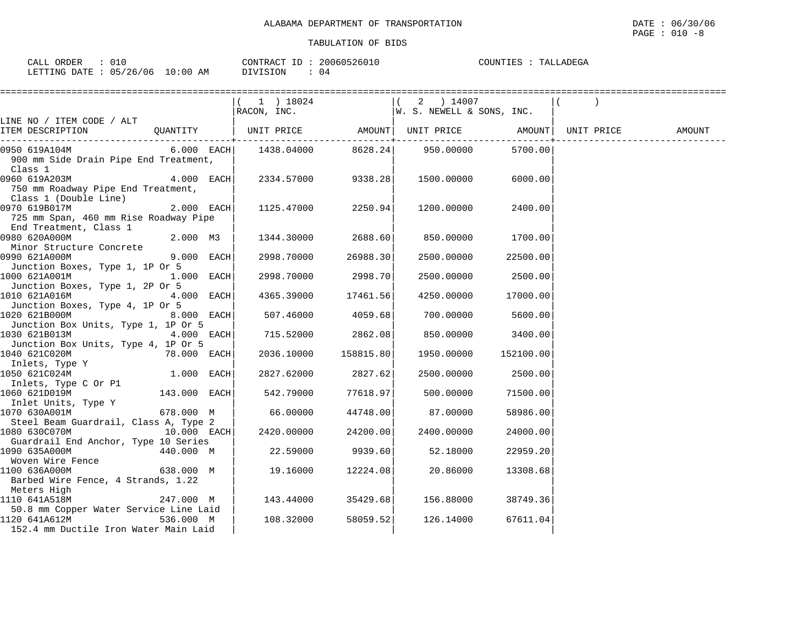| $\sim$ $\sim$ $\sim$<br>ORDER<br>$\sim$ $\sim$ $\sim$<br>0 T C<br>$\Delta$ I<br>سسدت | 20060526010<br>CONTRACT ID | COUNTIES<br>ו ∆יו<br>LADEGA<br>$\cdots$ |
|--------------------------------------------------------------------------------------|----------------------------|-----------------------------------------|
| 05/26/06<br>LO : 00<br>LETTING<br><b>RATE</b><br>ΑM<br>⊔⊥ລ⊥⊥<br>$\sim$ $\sim$        | DIVISION<br>(14)           |                                         |

|                                                                                                  |               | ==========================                                                                                                                                    |           |            |                    |        |
|--------------------------------------------------------------------------------------------------|---------------|---------------------------------------------------------------------------------------------------------------------------------------------------------------|-----------|------------|--------------------|--------|
|                                                                                                  |               | $\begin{array}{ l l l l } \hline ( & 1 & ) & 18024 & \\ \hline \texttt{RACON, INC.} & & & \texttt{[W. S. NEWELL & S \textit{SONS, INC.}]} \hline \end{array}$ |           |            |                    |        |
|                                                                                                  |               |                                                                                                                                                               |           |            |                    |        |
| LINE NO / ITEM CODE / ALT<br>ITEM DESCRIPTION                                                    |               | QUANTITY $ $ UNIT PRICE AMOUNT UNIT PRICE AMOUNT $ $ UNIT PRICE                                                                                               |           |            |                    | AMOUNT |
| 0950 619A104M<br>900 mm Side Drain Pipe End Treatment,<br>Class 1                                |               | 6.000 EACH $1438.04000$ $8628.24$ 950.00000                                                                                                                   |           |            | 5700.00            |        |
| 0960 619A203M 4.000 EACH<br>750 mm Roadway Pipe End Treatment,<br>Class 1 (Double Line)          |               | 2334.57000 9338.28                                                                                                                                            |           | 1500.00000 | 6000.00            |        |
| 0970 619B017M<br>725 mm Span, 460 mm Rise Roadway Pipe<br>End Treatment, Class 1                 | $2.000$ EACH  | 1125.47000                                                                                                                                                    | 2250.94   | 1200.00000 | 2400.00            |        |
| 0980 620A000M<br>Minor Structure Concrete                                                        | 2.000 M3      | 1344.30000                                                                                                                                                    | 2688.60   | 850.00000  | 1700.00            |        |
| 0990 621A000M<br>Junction Boxes, Type 1, 1P Or 5                                                 | $9.000$ EACH  | 2998.70000                                                                                                                                                    | 26988.30  | 2500.00000 | 22500.00           |        |
| 1000 621A001M                                                                                    | $1.000$ EACH  | 2998.70000                                                                                                                                                    | 2998.70   |            | 2500.00000 2500.00 |        |
| Junction Boxes, Type 1, 2P Or 5<br>1010 621A016M<br>Junction Boxes, Type 4, 1P Or 5              | $4.000$ EACH  | 4365.39000                                                                                                                                                    | 17461.56  | 4250.00000 | 17000.00           |        |
| 1020 621B000M 8.000 EACH<br>Junction Box Units, Type 1, 1P Or 5                                  |               | 507.46000                                                                                                                                                     | 4059.68   | 700.00000  | 5600.00            |        |
| 1030 621B013M<br>Junction Box Units, Type 4, 1P Or 5                                             | $4.000$ EACH  | 715.52000                                                                                                                                                     | 2862.08   | 850.00000  | 3400.00            |        |
| 1040 621C020M<br>Inlets, Type Y                                                                  | 78.000 EACH   | 2036.10000                                                                                                                                                    | 158815.80 | 1950.00000 | 152100.00          |        |
| 1050 621C024M<br>Inlets, Type C Or P1                                                            | $1.000$ EACH  | 2827.62000                                                                                                                                                    | 2827.62   | 2500.00000 | 2500.00            |        |
| 1060 621D019M<br>Inlet Units, Type Y                                                             | 143.000 EACH  | 542.79000                                                                                                                                                     | 77618.97  | 500.00000  | 71500.00           |        |
| 1070 630A001M <sup>-</sup> 678.000 M<br>Steel Beam Guardrail, Class A, Type 2                    |               | 66.00000                                                                                                                                                      | 44748.00  | 87.00000   | 58986.00           |        |
| 1080 630C070M                                                                                    | $10.000$ EACH | 2420.00000                                                                                                                                                    | 24200.00  | 2400.00000 | 24000.00           |        |
| Guardrail End Anchor, Type 10 Series<br>1090 635A000M                                            | 440.000 M     | 22.59000                                                                                                                                                      | 9939.60   | 52.18000   | 22959.20           |        |
| Woven Wire Fence<br>1100 636A000M<br>Barbed Wire Fence, 4 Strands, 1.22                          | 638.000 M     | 19.16000                                                                                                                                                      | 12224.08  | 20.86000   | 13308.68           |        |
| Meters High<br>1110 641A518M                                                                     | 247.000 M     | 143.44000 35429.68                                                                                                                                            |           | 156.88000  | 38749.36           |        |
| 50.8 mm Copper Water Service Line Laid<br>1120 641A612M<br>152.4 mm Ductile Iron Water Main Laid | 536.000 M     | 108.32000                                                                                                                                                     | 58059.52  | 126.14000  | 67611.04           |        |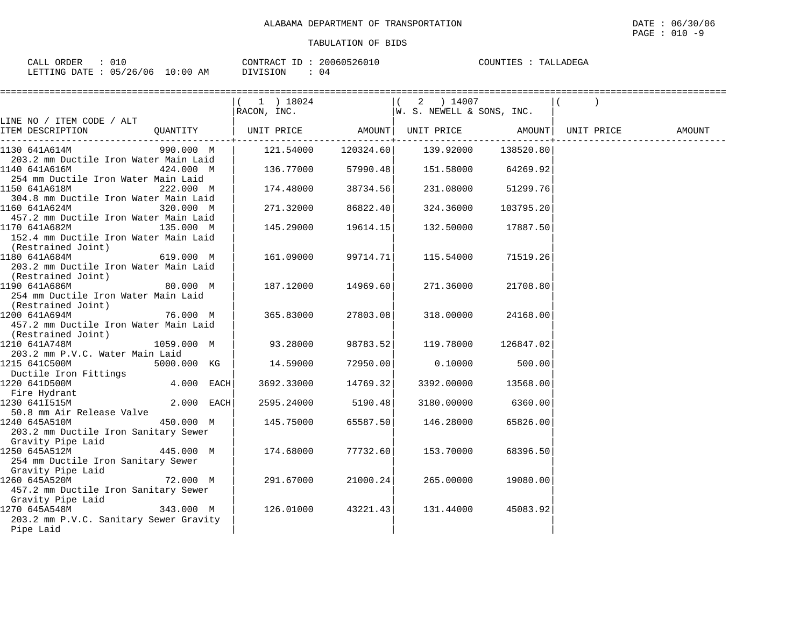| CALL ORDER                      | CONTRACT ID: 20060526010 | TALLADEGA<br>COUNTIES : |
|---------------------------------|--------------------------|-------------------------|
| LETTING DATE: 05/26/06 10:00 AM | DIVISION                 |                         |

|                                                                                           |             |                                                           |          | ============================== |                     |            |        |
|-------------------------------------------------------------------------------------------|-------------|-----------------------------------------------------------|----------|--------------------------------|---------------------|------------|--------|
|                                                                                           |             | ( 1 ) 18024<br>$ RACON, INC.$ $ W.S. NEWELL & SONS, INC.$ |          | $(2)$ 14007                    |                     |            |        |
| LINE NO / ITEM CODE / ALT                                                                 |             |                                                           |          |                                |                     |            |        |
| ITEM DESCRIPTION                                                                          |             | QUANTITY   UNIT PRICE AMOUNT  UNIT PRICE AMOUNT           |          |                                |                     | UNIT PRICE | AMOUNT |
| 1130 641A614M<br>203.2 mm Ductile Iron Water Main Laid                                    | 990.000 M l | 121.54000  120324.60  139.92000                           |          |                                | 138520.80           |            |        |
| 1140 641A616M<br>254 mm Ductile Iron Water Main Laid                                      | 424.000 M   | $136.77000$ 57990.48                                      |          | 151.58000 64269.92             |                     |            |        |
| 1150 641A618M<br>304.8 mm Ductile Iron Water Main Laid                                    | 222.000 M   | 174.48000                                                 | 38734.56 | 231.08000                      | 51299.76            |            |        |
| 1160 641A624M<br>457.2 mm Ductile Iron Water Main Laid                                    | 320.000 M   | 271.32000                                                 | 86822.40 | 324.36000                      | 103795.20           |            |        |
| 1170 641A682M<br>152.4 mm Ductile Iron Water Main Laid<br>(Restrained Joint)              | 135.000 M   | 145.29000                                                 | 19614.15 | 132.50000                      | 17887.50            |            |        |
| 1180 641A684M<br>619.000 M<br>203.2 mm Ductile Iron Water Main Laid<br>(Restrained Joint) |             | 161.09000                                                 | 99714.71 | 115.54000                      | 71519.26            |            |        |
| 1190 641A686M<br>254 mm Ductile Iron Water Main Laid<br>(Restrained Joint)                | 80.000 M    | 187.12000 14969.60                                        |          | 271.36000                      | 21708.80            |            |        |
| 1200 641A694M<br>76.000 M<br>457.2 mm Ductile Iron Water Main Laid<br>(Restrained Joint)  |             | 365.83000                                                 | 27803.08 | 318.00000                      | 24168.00            |            |        |
| 1210 641A748M<br>203.2 mm P.V.C. Water Main Laid                                          | 1059.000 M  | 93.28000                                                  | 98783.52 |                                | 119.78000 126847.02 |            |        |
| 1215 641C500M<br>Ductile Iron Fittings                                                    | 5000.000 KG | 14.59000                                                  | 72950.00 | 0.10000                        | 500.00              |            |        |
| 1220 641D500M                                                                             | 4.000 EACH  | 3692.33000 14769.32                                       |          |                                | 3392.00000 13568.00 |            |        |
| Fire Hydrant<br>1230 641I515M<br>1230 641I515M<br>50.8 mm Air Release Valve               | 2.000 EACH  | 2595.24000                                                | 5190.48  | 3180.00000                     | 6360.00             |            |        |
| 1240 645A510M<br>203.2 mm Ductile Iron Sanitary Sewer<br>Gravity Pipe Laid                | 450.000 M   | 145.75000                                                 | 65587.50 | 146.28000                      | 65826.00            |            |        |
| 1250 645A512M<br>254 mm Ductile Iron Sanitary Sewer<br>Gravity Pipe Laid                  | 445.000 M   | 174.68000                                                 | 77732.60 | 153.70000                      | 68396.50            |            |        |
| 1260 645A520M<br>457.2 mm Ductile Iron Sanitary Sewer<br>Gravity Pipe Laid                | 72.000 M    | 291.67000                                                 | 21000.24 | 265.00000                      | 19080.00            |            |        |
| 1270 645A548M<br>203.2 mm P.V.C. Sanitary Sewer Gravity<br>Pipe Laid                      | 343.000 M   | 126.01000                                                 | 43221.43 | 131.44000                      | 45083.92            |            |        |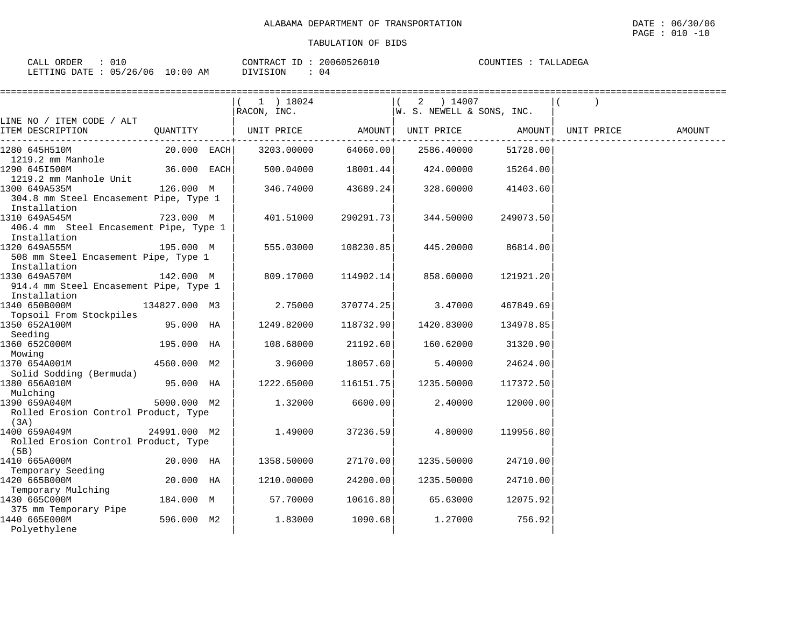| CALL | ORDER         | 010      |             | CONTRACT ID | 2006052601 | COUNTIES | TALLADEGA |
|------|---------------|----------|-------------|-------------|------------|----------|-----------|
|      |               |          |             |             |            |          |           |
|      | LETTING DATE: | 05/26/06 | 10:00<br>AΜ | DIVISION    | 04         |          |           |

|                                                                         |               | $(1)$ 18024<br>RACON, INC. |           | 2 ) 14007<br>W. S. NEWELL & SONS, INC. |                   |            |        |
|-------------------------------------------------------------------------|---------------|----------------------------|-----------|----------------------------------------|-------------------|------------|--------|
| LINE NO / ITEM CODE / ALT                                               |               |                            |           |                                        |                   |            |        |
| ITEM DESCRIPTION                                                        | QUANTITY      | UNIT PRICE                 | AMOUNT    |                                        | UNIT PRICE AMOUNT | UNIT PRICE | AMOUNT |
| 1280 645H510M<br>1219.2 mm Manhole                                      | 20.000 EACH   | 3203.00000                 | 64060.00  | 2586.40000                             | 51728.00          |            |        |
| 1290 6451500M<br>1219.2 mm Manhole Unit                                 | 36.000 EACH   | 500.04000                  | 18001.44  | 424.00000                              | 15264.00          |            |        |
| 1300 649A535M<br>304.8 mm Steel Encasement Pipe, Type 1<br>Installation | 126.000 M     | 346.74000                  | 43689.24  | 328.60000                              | 41403.60          |            |        |
| 1310 649A545M<br>406.4 mm Steel Encasement Pipe, Type 1<br>Installation | 723.000 M     | 401.51000                  | 290291.73 | 344.50000                              | 249073.50         |            |        |
| 1320 649A555M<br>508 mm Steel Encasement Pipe, Type 1<br>Installation   | 195.000 M     | 555.03000                  | 108230.85 | 445.20000                              | 86814.00          |            |        |
| 1330 649A570M<br>914.4 mm Steel Encasement Pipe, Type 1<br>Installation | 142.000 M     | 809.17000                  | 114902.14 | 858.60000                              | 121921.20         |            |        |
| 1340 650B000M<br>Topsoil From Stockpiles                                | 134827.000 M3 | 2.75000                    | 370774.25 | 3.47000                                | 467849.69         |            |        |
| 1350 652A100M<br>Seeding                                                | 95.000 HA     | 1249.82000                 | 118732.90 | 1420.83000                             | 134978.85         |            |        |
| 1360 652C000M<br>Mowing                                                 | 195.000 HA    | 108.68000                  | 21192.60  | 160.62000                              | 31320.90          |            |        |
| 1370 654A001M<br>Solid Sodding (Bermuda)                                | 4560.000 M2   | 3.96000                    | 18057.60  | 5.40000                                | 24624.00          |            |        |
| 1380 656A010M<br>Mulching                                               | 95.000 HA     | 1222.65000                 | 116151.75 | 1235.50000                             | 117372.50         |            |        |
| 1390 659A040M<br>Rolled Erosion Control Product, Type<br>(3A)           | 5000.000 M2   | 1.32000                    | 6600.00   | 2.40000                                | 12000.00          |            |        |
| 1400 659A049M<br>Rolled Erosion Control Product, Type<br>(5B)           | 24991.000 M2  | 1.49000                    | 37236.59  | 4.80000                                | 119956.80         |            |        |
| 1410 665A000M<br>Temporary Seeding                                      | 20.000 HA     | 1358.50000                 | 27170.00  | 1235.50000                             | 24710.00          |            |        |
| 1420 665B000M<br>Temporary Mulching                                     | 20.000 HA     | 1210.00000                 | 24200.00  | 1235.50000                             | 24710.00          |            |        |
| 1430 665C000M<br>375 mm Temporary Pipe                                  | 184.000 M     | 57.70000                   | 10616.80  | 65.63000                               | 12075.92          |            |        |
| 1440 665E000M<br>Polyethylene                                           | 596.000 M2    | 1.83000                    | 1090.68   | 1.27000                                | 756.92            |            |        |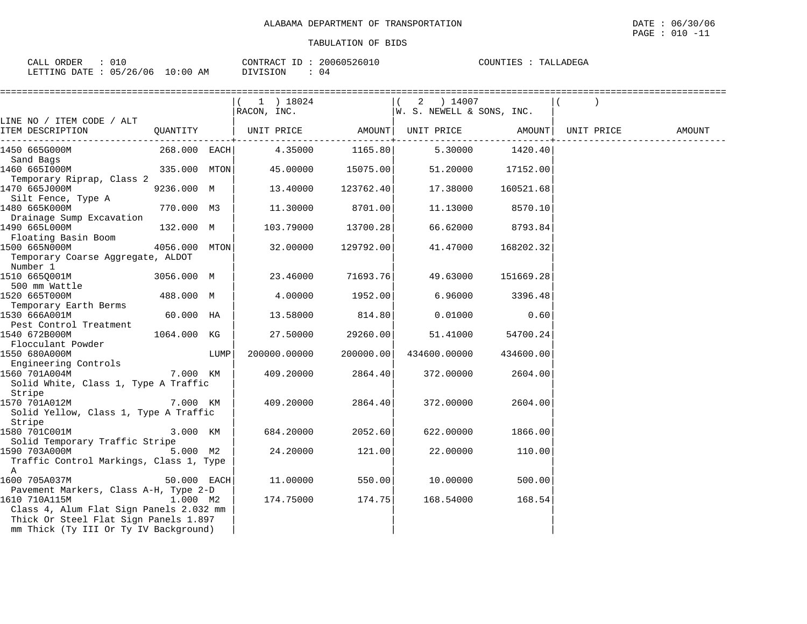| ORDER                           | 20060526010    | TALLADEGA |
|---------------------------------|----------------|-----------|
| CALL                            | CONTRACT ID:   | COUNTIES  |
| LETTING DATE: 05/26/06 10:00 AM | DIVISION<br>04 |           |

|                                                |               |      | ===========================                                                                  |           |                           |           |  |
|------------------------------------------------|---------------|------|----------------------------------------------------------------------------------------------|-----------|---------------------------|-----------|--|
|                                                |               |      | $(1)$ 18024                                                                                  |           | ( 2 ) 14007               |           |  |
|                                                |               |      | RACON, INC.                                                                                  |           | W. S. NEWELL & SONS, INC. |           |  |
| LINE NO / ITEM CODE / ALT                      |               |      |                                                                                              |           |                           |           |  |
| ITEM DESCRIPTION                               |               |      | QUANTITY   UNIT PRICE          AMOUNT  UNIT PRICE         AMOUNT  UNIT PRICE          AMOUNT |           |                           |           |  |
| 1450 665G000M                                  | 268.000 EACH  |      | 4.35000                                                                                      |           | 1165.80  5.30000  1420.40 |           |  |
| Sand Bags                                      |               |      |                                                                                              |           |                           |           |  |
| 1460 665I000M                                  | 335.000 MTON  |      | 45.00000                                                                                     | 15075.00  | 51.20000                  | 17152.00  |  |
| Temporary Riprap, Class 2                      |               |      |                                                                                              |           |                           |           |  |
| 1470 665J000M                                  | 9236.000 M    |      | 13.40000                                                                                     | 123762.40 | 17.38000                  | 160521.68 |  |
| Silt Fence, Type A                             |               |      |                                                                                              |           |                           |           |  |
| 1480 665K000M                                  | 770.000 M3    |      | 11.30000                                                                                     | 8701.00   | 11.13000                  | 8570.10   |  |
| Drainage Sump Excavation<br>1490 665L000M      | 132.000 M     |      | 103.79000                                                                                    | 13700.28  | 66.62000                  | 8793.84   |  |
| Floating Basin Boom                            |               |      |                                                                                              |           |                           |           |  |
| 1500 665N000M                                  | 4056.000 MTON |      | 32.00000                                                                                     | 129792.00 | 41.47000                  | 168202.32 |  |
| Temporary Coarse Aggregate, ALDOT              |               |      |                                                                                              |           |                           |           |  |
| Number 1                                       |               |      |                                                                                              |           |                           |           |  |
| 1510 6650001M                                  | 3056.000 M    |      | 23.46000                                                                                     | 71693.76  | 49.63000                  | 151669.28 |  |
| 500 mm Wattle                                  |               |      |                                                                                              |           |                           |           |  |
| 1520 665T000M                                  | 488.000 M     |      | 4.00000                                                                                      | 1952.00   | 6.96000                   | 3396.48   |  |
| Temporary Earth Berms                          |               |      |                                                                                              |           |                           |           |  |
| 1530 666A001M                                  | 60.000 HA     |      | 13.58000                                                                                     | 814.80    | 0.01000                   | 0.60      |  |
| Pest Control Treatment                         |               |      |                                                                                              |           |                           |           |  |
| 1540 672B000M                                  | 1064.000 KG   |      | 27.50000                                                                                     | 29260.00  | 51.41000                  | 54700.24  |  |
| Flocculant Powder                              |               |      |                                                                                              |           |                           |           |  |
| 1550 680A000M                                  |               | LUMP | 200000.00000                                                                                 | 200000.00 | 434600.00000              | 434600.00 |  |
| Engineering Controls                           |               |      |                                                                                              |           |                           |           |  |
| 1560 701A004M                                  | 7.000 KM      |      | 409.20000                                                                                    | 2864.40   | 372.00000                 | 2604.00   |  |
| Solid White, Class 1, Type A Traffic<br>Stripe |               |      |                                                                                              |           |                           |           |  |
| 1570 701A012M                                  | 7.000 KM      |      | 409.20000                                                                                    | 2864.40   | 372.00000                 | 2604.00   |  |
| Solid Yellow, Class 1, Type A Traffic          |               |      |                                                                                              |           |                           |           |  |
| Stripe                                         |               |      |                                                                                              |           |                           |           |  |
| 1580 701C001M                                  | 3.000 KM      |      | 684.20000                                                                                    | 2052.60   | 622.00000                 | 1866.00   |  |
| Solid Temporary Traffic Stripe                 |               |      |                                                                                              |           |                           |           |  |
| 1590 703A000M                                  | 5.000 M2      |      | 24,20000                                                                                     | 121.00    | 22.00000                  | 110.00    |  |
| Traffic Control Markings, Class 1, Type        |               |      |                                                                                              |           |                           |           |  |
| Α                                              |               |      |                                                                                              |           |                           |           |  |
| 1600 705A037M                                  | 50.000 EACH   |      | 11.00000                                                                                     | 550.00    | 10.00000                  | 500.00    |  |
| Pavement Markers, Class A-H, Type 2-D          |               |      |                                                                                              |           |                           |           |  |
| 1610 710A115M                                  | 1.000 M2      |      | 174.75000                                                                                    | 174.75    | 168.54000                 | 168.54    |  |
| Class 4, Alum Flat Sign Panels 2.032 mm        |               |      |                                                                                              |           |                           |           |  |
| Thick Or Steel Flat Sign Panels 1.897          |               |      |                                                                                              |           |                           |           |  |
| mm Thick (Ty III Or Ty IV Background)          |               |      |                                                                                              |           |                           |           |  |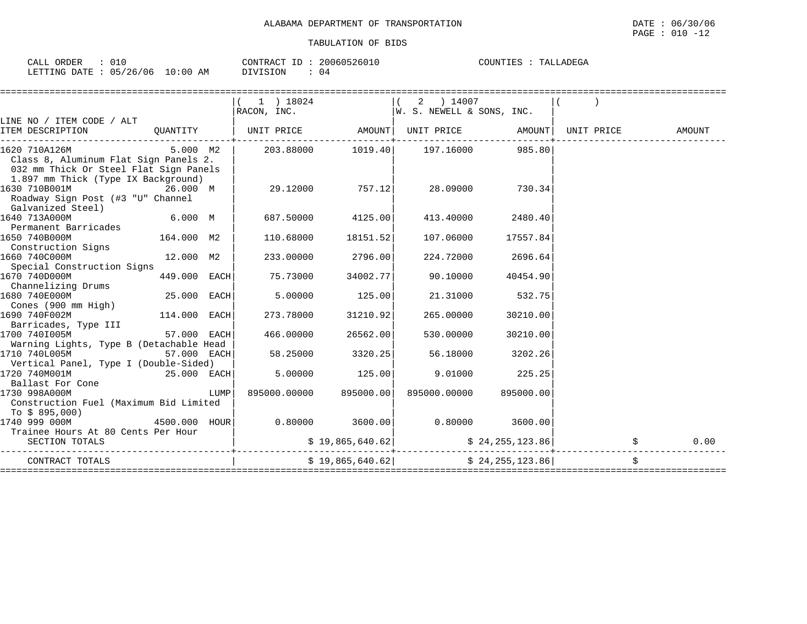| ORDER<br>$\sim$ $\sim$ $\sim$<br>لمسلمات<br>◡⊥◡                             | $\cap \cap \cap \subset \cap \subset \cap \subset \cap \cap \cap$<br>$C\cap N$ דף מ $C$ די<br>--<br>26010<br>11161<br>zuu | COUNTILL<br>$\cdots$ $\wedge$ .<br>$\Lambda$ 1 ) H $\Lambda$ $\Delta$<br>בזכר |
|-----------------------------------------------------------------------------|---------------------------------------------------------------------------------------------------------------------------|-------------------------------------------------------------------------------|
| 106<br>LETTING<br>AΜ<br><b>DATH</b><br><b>.</b><br>1:00<br>-26<br>ັບ<br>- - | "SION<br>U4                                                                                                               |                                                                               |

|                                                                                                                                         |               |       | 1 ) 18024                                |                        | 2 ) 14007<br>$\begin{array}{ccc} \texttt{RACON} & \texttt{INC.} \end{array}$ $\begin{array}{ccc} \texttt{W. S. NEWELL & SONS, INC.} \end{array}$ |                   |        |
|-----------------------------------------------------------------------------------------------------------------------------------------|---------------|-------|------------------------------------------|------------------------|--------------------------------------------------------------------------------------------------------------------------------------------------|-------------------|--------|
| LINE NO / ITEM CODE / ALT                                                                                                               |               |       |                                          |                        |                                                                                                                                                  |                   |        |
| ITEM DESCRIPTION                                                                                                                        |               |       |                                          |                        | QUANTITY   UNIT PRICE AMOUNT  UNIT PRICE AMOUNT  UNIT PRICE                                                                                      |                   | AMOUNT |
| 1620 710A126M<br>Class 8, Aluminum Flat Sign Panels 2.<br>032 mm Thick Or Steel Flat Sign Panels<br>1.897 mm Thick (Type IX Background) |               |       | $5.000 \quad M2 \quad   \quad 203.88000$ |                        | 1019.40    197.16000                                                                                                                             | 985.80            |        |
| 1630 710B001M<br>Roadway Sign Post (#3 "U" Channel<br>Galvanized Steel)                                                                 | 26.000 M      |       |                                          | 29.12000 757.12        |                                                                                                                                                  | 28.09000 730.34   |        |
| 1640 713A000M<br>Permanent Barricades                                                                                                   | 6.000 M       |       | 687.50000 4125.00                        |                        |                                                                                                                                                  | 413.40000 2480.40 |        |
| 1650 740B000M<br>Construction Signs                                                                                                     | 164.000 M2    |       | 110.68000                                | 18151.52               | 107.06000                                                                                                                                        | 17557.84          |        |
| 1660 740C000M<br>Special Construction Signs                                                                                             | 12.000 M2     |       | 233.00000                                | 2796.00                | 224.72000                                                                                                                                        | 2696.64           |        |
| 1670 740D000M<br>Channelizing Drums                                                                                                     | 449.000 EACH  |       | 75.73000                                 | 34002.77               | 90.10000                                                                                                                                         | 40454.90          |        |
| 1680 740E000M<br>Cones (900 mm High)                                                                                                    | 25.000 EACH   |       | 5.00000                                  | 125.00                 | 21.31000                                                                                                                                         | 532.75            |        |
| $114.000$ EACH<br>1690 740F002M<br>Barricades, Type III                                                                                 |               |       | 273.78000                                | 31210.92               | 265.00000                                                                                                                                        | 30210.00          |        |
| 1700 7401005M<br>Warning Lights, Type B (Detachable Head                                                                                | $57.000$ EACH |       | 466.00000                                | 26562.00               | 530.00000                                                                                                                                        | 30210.00          |        |
| 1710 740L005M<br>Vertical Panel, Type I (Double-Sided)                                                                                  | 57.000 EACH   |       | 58.25000                                 | 3320.25                | 56.18000                                                                                                                                         | 3202.26           |        |
| $25.000$ EACH<br>1720 740M001M<br>Ballast For Cone                                                                                      |               |       | 5.00000                                  | 125.00                 | 9.01000                                                                                                                                          | 225.25            |        |
| 1730 998A000M<br>Construction Fuel (Maximum Bid Limited<br>To \$ 895,000)                                                               |               | LUMPI |                                          | 895000.00000 895000.00 | 895000.00000                                                                                                                                     | 895000.00         |        |
| 1740 999 000M<br>Trainee Hours At 80 Cents Per Hour                                                                                     |               |       |                                          |                        |                                                                                                                                                  |                   |        |
| SECTION TOTALS                                                                                                                          |               |       |                                          |                        | $\sharp$ 19,865,640.62 $\sharp$ 24,255,123.86                                                                                                    |                   | 0.00   |
| CONTRACT TOTALS                                                                                                                         |               |       |                                          | \$19,865,640.62]       |                                                                                                                                                  | \$24,255,123.86   | \$     |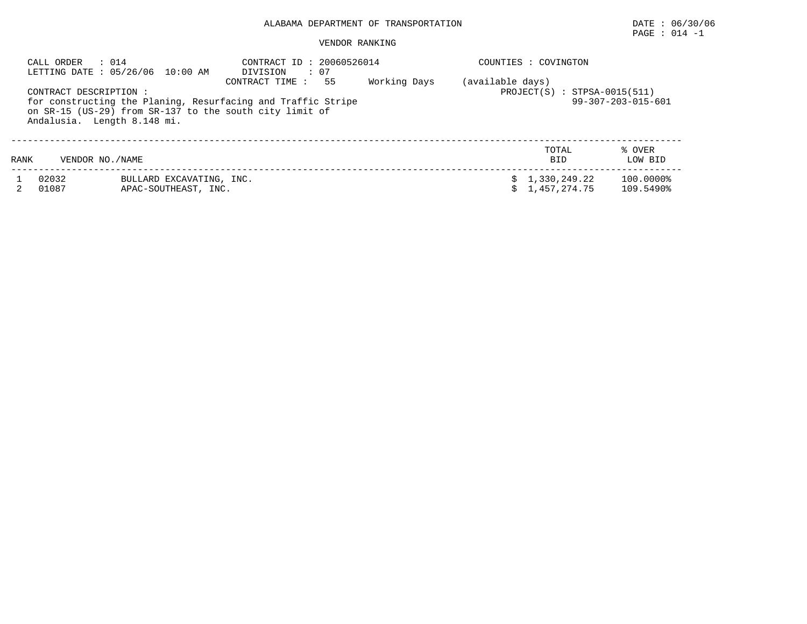PAGE : 014 -1

#### VENDOR RANKING

| : 014<br>CALL ORDER<br>LETTING DATE : 05/26/06 10:00 AM |                                                                                        | CONTRACT ID: 20060526014<br>: 07<br>DIVISION                                          |              | COUNTIES :<br>COVINGTON                                                            |                        |  |  |
|---------------------------------------------------------|----------------------------------------------------------------------------------------|---------------------------------------------------------------------------------------|--------------|------------------------------------------------------------------------------------|------------------------|--|--|
| CONTRACT DESCRIPTION :                                  | on SR-15 (US-29) from SR-137 to the south city limit of<br>Andalusia. Length 8.148 mi. | 55<br>CONTRACT TIME :<br>for constructing the Planing, Resurfacing and Traffic Stripe | Working Days | (available days)<br>$PROJECT(S)$ : STPSA-0015(511)<br>$99 - 307 - 203 - 015 - 601$ |                        |  |  |
| RANK                                                    | VENDOR NO. / NAME                                                                      |                                                                                       |              | TOTAL<br><b>BID</b>                                                                | % OVER<br>LOW BID      |  |  |
| 02032<br>01087                                          | BULLARD EXCAVATING, INC.<br>APAC-SOUTHEAST, INC.                                       |                                                                                       |              | \$1,330,249.22<br>1,457,274.75                                                     | 100.0000%<br>109.5490% |  |  |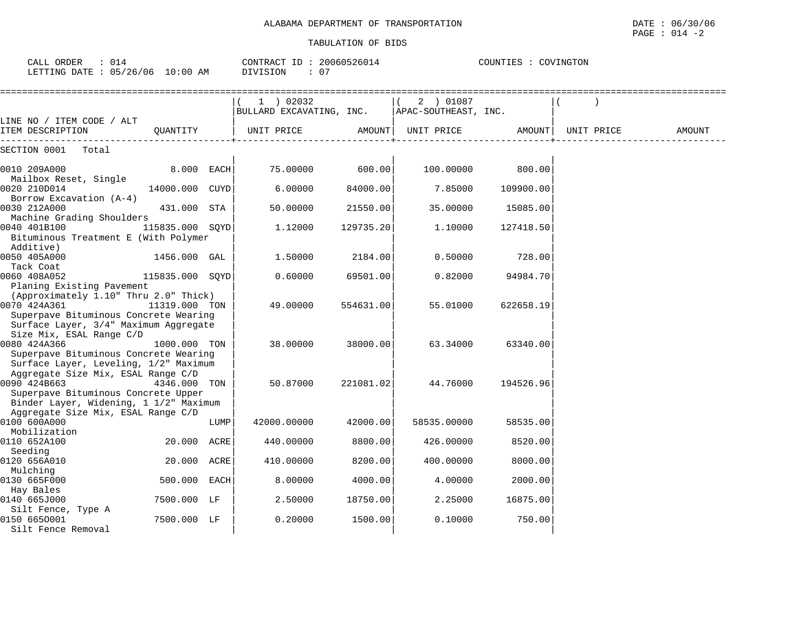CALL ORDER : 014 CONTRACT ID : 20060526014 COUNTIES : COVINGTON

| LETTING DATE : 05/26/06 10:00 AM                                            |                 |      | : 07<br>DIVISION                        |               |                                   |           |            |        |
|-----------------------------------------------------------------------------|-----------------|------|-----------------------------------------|---------------|-----------------------------------|-----------|------------|--------|
|                                                                             |                 |      | $1$ ) 02032<br>BULLARD EXCAVATING, INC. |               | 2 ) 01087<br>APAC-SOUTHEAST, INC. |           |            |        |
| LINE NO / ITEM CODE / ALT<br>ITEM DESCRIPTION                               | QUANTITY        |      | UNIT PRICE                              | <b>AMOUNT</b> | UNIT PRICE                        | AMOUNT    | UNIT PRICE | AMOUNT |
| SECTION 0001<br>Total                                                       |                 |      |                                         |               |                                   |           |            |        |
| 0010 209A000                                                                | 8.000 EACH      |      | 75.00000                                | 600.00        | 100.00000                         | 800.00    |            |        |
| Mailbox Reset, Single                                                       |                 |      |                                         |               |                                   |           |            |        |
| 0020 210D014                                                                | 14000.000       | CUYD | 6.00000                                 | 84000.00      | 7.85000                           | 109900.00 |            |        |
| Borrow Excavation (A-4)                                                     |                 |      |                                         |               |                                   |           |            |        |
| 0030 212A000                                                                | 431.000         | STA  | 50.00000                                | 21550.00      | 35.00000                          | 15085.00  |            |        |
| Machine Grading Shoulders                                                   |                 |      |                                         |               |                                   |           |            |        |
| 0040 401B100                                                                | 115835.000 SOYD |      | 1.12000                                 | 129735.20     | 1.10000                           | 127418.50 |            |        |
| Bituminous Treatment E (With Polymer                                        |                 |      |                                         |               |                                   |           |            |        |
| Additive)                                                                   |                 |      |                                         |               |                                   |           |            |        |
| 0050 405A000                                                                | 1456.000 GAL    |      | 1.50000                                 | 2184.00       | 0.50000                           | 728.00    |            |        |
| Tack Coat                                                                   |                 |      |                                         |               |                                   |           |            |        |
| 0060 408A052                                                                | 115835.000 SQYD |      | 0.60000                                 | 69501.00      | 0.82000                           | 94984.70  |            |        |
| Planing Existing Pavement                                                   |                 |      |                                         |               |                                   |           |            |        |
| (Approximately 1.10" Thru 2.0" Thick)                                       |                 |      |                                         |               |                                   |           |            |        |
| 0070 424A361                                                                | 11319.000 TON   |      | 49.00000                                | 554631.00     | 55.01000                          | 622658.19 |            |        |
| Superpave Bituminous Concrete Wearing                                       |                 |      |                                         |               |                                   |           |            |        |
| Surface Layer, 3/4" Maximum Aggregate                                       |                 |      |                                         |               |                                   |           |            |        |
| Size Mix, ESAL Range C/D                                                    |                 |      |                                         |               |                                   |           |            |        |
| 0080 424A366                                                                | 1000.000 TON    |      | 38.00000                                | 38000.00      | 63.34000                          | 63340.00  |            |        |
| Superpave Bituminous Concrete Wearing                                       |                 |      |                                         |               |                                   |           |            |        |
| Surface Layer, Leveling, 1/2" Maximum<br>Aggregate Size Mix, ESAL Range C/D |                 |      |                                         |               |                                   |           |            |        |
| 0090 424B663                                                                | 4346.000 TON    |      | 50.87000                                | 221081.02     | 44.76000                          | 194526.96 |            |        |
| Superpave Bituminous Concrete Upper                                         |                 |      |                                         |               |                                   |           |            |        |
| Binder Layer, Widening, 1 1/2" Maximum                                      |                 |      |                                         |               |                                   |           |            |        |
| Aggregate Size Mix, ESAL Range C/D                                          |                 |      |                                         |               |                                   |           |            |        |
| 0100 600A000                                                                |                 | LUMP | 42000.00000                             | 42000.00      | 58535.00000                       | 58535.00  |            |        |
| Mobilization                                                                |                 |      |                                         |               |                                   |           |            |        |
| 0110 652A100                                                                | 20.000 ACRE     |      | 440.00000                               | 8800.00       | 426.00000                         | 8520.00   |            |        |
| Seeding                                                                     |                 |      |                                         |               |                                   |           |            |        |
| 0120 656A010                                                                | 20.000 ACRE     |      | 410.00000                               | 8200.00       | 400.00000                         | 8000.00   |            |        |
| Mulching                                                                    |                 |      |                                         |               |                                   |           |            |        |
| 0130 665F000                                                                | 500.000         | EACH | 8.00000                                 | 4000.00       | 4.00000                           | 2000.00   |            |        |
| Hay Bales                                                                   |                 |      |                                         |               |                                   |           |            |        |
| 0140 665J000                                                                | 7500.000 LF     |      | 2.50000                                 | 18750.00      | 2.25000                           | 16875.00  |            |        |
| Silt Fence, Type A                                                          |                 |      |                                         |               |                                   |           |            |        |
| 0150 6650001                                                                | 7500.000 LF     |      | 0.20000                                 | 1500.00       | 0.10000                           | 750.00    |            |        |
| Silt Fence Removal                                                          |                 |      |                                         |               |                                   |           |            |        |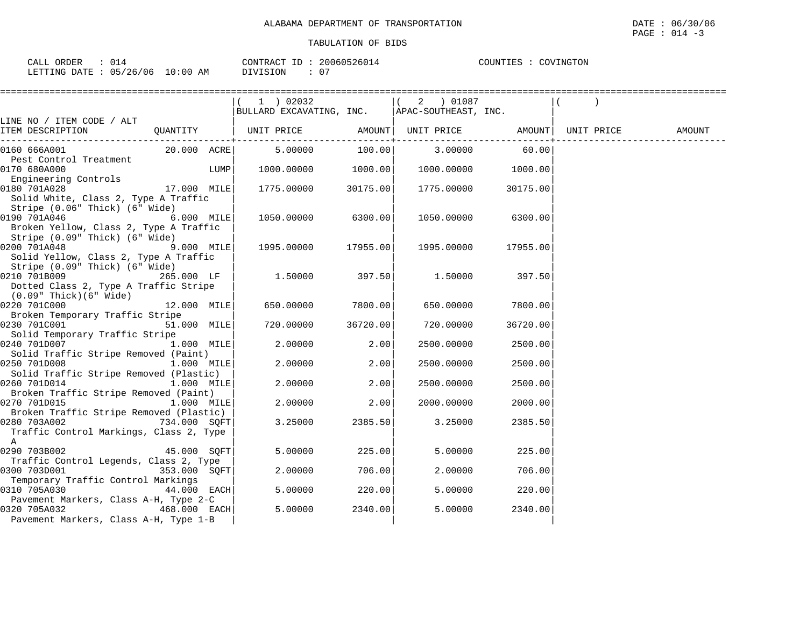|                                                                          | ==================                                                                  |                           |             |          |        |
|--------------------------------------------------------------------------|-------------------------------------------------------------------------------------|---------------------------|-------------|----------|--------|
|                                                                          | 1 02032                                                                             |                           | ( 2 ) 01087 |          |        |
|                                                                          | $ BULLARD$ EXCAVATING, $INC.$ $ APAC-SOUTHEAST, INC.$                               |                           |             |          |        |
| LINE NO / ITEM CODE / ALT<br>ITEM DESCRIPTION                            | QUANTITY   UNIT PRICE          AMOUNT   UNIT PRICE              AMOUNT   UNIT PRICE |                           |             |          | AMOUNT |
|                                                                          |                                                                                     | . _ _ _ _ _ _ _ _ _ _ _ + |             |          |        |
| 20.000 ACRE<br>0160 666A001                                              | 5.00000                                                                             | 100.00                    | 3.00000     | 60.00    |        |
| Pest Control Treatment                                                   |                                                                                     |                           |             |          |        |
| 0170 680A000<br>LUMP                                                     | 1000.00000                                                                          | 1000.00                   | 1000.00000  | 1000.00  |        |
| Engineering Controls                                                     |                                                                                     |                           |             |          |        |
| 0180 701A028<br>17.000 MILE                                              | 1775.00000                                                                          | 30175.00                  | 1775.00000  | 30175.00 |        |
| Solid White, Class 2, Type A Traffic                                     |                                                                                     |                           |             |          |        |
| Stripe (0.06" Thick) (6" Wide)                                           |                                                                                     |                           |             |          |        |
| 0190 701A046<br>6.000 MILE                                               | 1050.00000                                                                          | 6300.00                   | 1050.00000  | 6300.00  |        |
| Broken Yellow, Class 2, Type A Traffic<br>Stripe (0.09" Thick) (6" Wide) |                                                                                     |                           |             |          |        |
| 0200 701A048<br>9.000 MILE                                               | 1995.00000 17955.00                                                                 |                           | 1995.00000  | 17955.00 |        |
| Solid Yellow, Class 2, Type A Traffic                                    |                                                                                     |                           |             |          |        |
| Stripe (0.09" Thick) (6" Wide)                                           |                                                                                     |                           |             |          |        |
| 0210 701B009<br>265.000 LF                                               | 1.50000                                                                             | 397.50                    | 1.50000     | 397.50   |        |
| Dotted Class 2, Type A Traffic Stripe                                    |                                                                                     |                           |             |          |        |
| $(0.09"$ Thick $)(6"$ Wide $)$                                           |                                                                                     |                           |             |          |        |
| 0220 701C000<br>12.000 MILE                                              | 650.00000                                                                           | 7800.00                   | 650.00000   | 7800.00  |        |
| Broken Temporary Traffic Stripe                                          |                                                                                     |                           |             |          |        |
| 0230 701C001<br>51.000 MILE                                              | 720.00000                                                                           | 36720.00                  | 720.00000   | 36720.00 |        |
| Solid Temporary Traffic Stripe                                           |                                                                                     |                           |             |          |        |
| 0240 701D007<br>1.000 MILE                                               | 2.00000                                                                             | 2.00                      | 2500.00000  | 2500.00  |        |
| Solid Traffic Stripe Removed (Paint)<br>0250 701D008<br>1.000 MILE       | 2.00000                                                                             | 2.00                      | 2500.00000  | 2500.00  |        |
| Solid Traffic Stripe Removed (Plastic)                                   |                                                                                     |                           |             |          |        |
| 0260 701D014<br>1.000 MILE                                               | 2.00000                                                                             | 2.00                      | 2500.00000  | 2500.00  |        |
| Broken Traffic Stripe Removed (Paint)                                    |                                                                                     |                           |             |          |        |
| 0270 701D015<br>$1.000$ MILE                                             | 2,00000                                                                             | 2.00                      | 2000.00000  | 2000.00  |        |
| Broken Traffic Stripe Removed (Plastic)                                  |                                                                                     |                           |             |          |        |
| 0280 703A002<br>734.000 SOFT                                             | 3.25000                                                                             | 2385.50                   | 3.25000     | 2385.50  |        |
| Traffic Control Markings, Class 2, Type                                  |                                                                                     |                           |             |          |        |
| $\mathbb A$                                                              |                                                                                     |                           |             |          |        |
| 0290 703B002<br>$45.000$ SQFT                                            | 5.00000                                                                             | 225.00                    | 5.00000     | 225.00   |        |
| Traffic Control Legends, Class 2, Type                                   |                                                                                     |                           |             |          |        |
| 0300 703D001<br>353.000 SQFT                                             | 2.00000                                                                             | 706.00                    | 2.00000     | 706.00   |        |
| Temporary Traffic Control Markings<br>0310 705A030<br>44.000 EACH        | 5.00000                                                                             | 220.00                    | 5,00000     | 220.00   |        |
| Pavement Markers, Class A-H, Type 2-C                                    |                                                                                     |                           |             |          |        |
| 0320 705A032<br>468.000 EACH                                             | 5.00000                                                                             | 2340.00                   | 5.00000     | 2340.00  |        |
| Pavement Markers, Class A-H, Type 1-B                                    |                                                                                     |                           |             |          |        |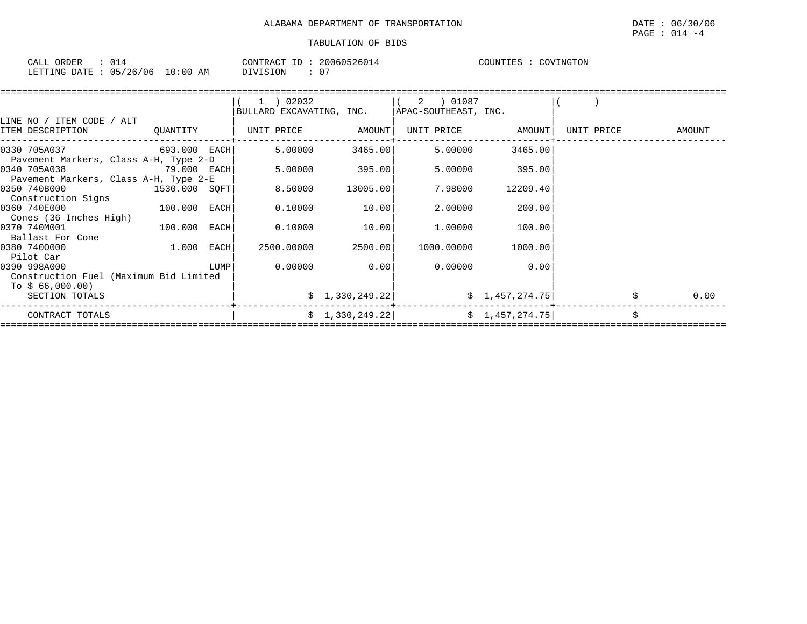| ORDER<br>$\sim$ $\sim$ $\sim$ $\sim$<br>للبلائن | CONTRACT                                                  | ID | 200605<br>12601 | COUNTIES | INGTON<br>$\cdots$ |
|-------------------------------------------------|-----------------------------------------------------------|----|-----------------|----------|--------------------|
| 05/26/06<br>LETTING<br><b>DATE</b>              | :0C<br><b>DIVISION</b><br>AΜ<br>TΩ<br>$V = L L L + L L L$ |    | $\cap$<br>U.    |          |                    |

|                                        |               |      | ( 1 ) 02032                                           |                | ( 2 ) 01087 |                                                                        |            |        |
|----------------------------------------|---------------|------|-------------------------------------------------------|----------------|-------------|------------------------------------------------------------------------|------------|--------|
|                                        |               |      | $ BULLARD$ EXCAVATING, $INC.$ $ APAC-SOUTHEAST, INC.$ |                |             |                                                                        |            |        |
| LINE NO / ITEM CODE / ALT              |               |      |                                                       |                |             |                                                                        |            |        |
| ITEM DESCRIPTION                       |               |      |                                                       |                |             | UNIT PRICE AMOUNT                                                      | UNIT PRICE | AMOUNT |
| 0330 705A037 693.000 EACH              |               |      | 5.00000                                               | 3465.00        | 5.00000     | 3465.00                                                                |            |        |
| Pavement Markers, Class A-H, Type 2-D  |               |      |                                                       |                |             |                                                                        |            |        |
| 0340 705A038                           | 79.000 EACH   |      |                                                       | 5.00000 395.00 | 5.00000     | 395.00                                                                 |            |        |
| Pavement Markers, Class A-H, Type 2-E  |               |      |                                                       |                |             |                                                                        |            |        |
| 0350 740B000                           | 1530.000 SQFT |      | 8.50000                                               | 13005.00       | 7.98000     | 12209.40                                                               |            |        |
| Construction Signs                     |               |      |                                                       |                |             |                                                                        |            |        |
| 0360 740E000                           | 100.000 EACH  |      | 0.10000                                               | 10.00          | 2.00000     | 200.00                                                                 |            |        |
| Cones (36 Inches High)                 |               |      |                                                       |                |             |                                                                        |            |        |
| 0370 740M001                           | 100.000 EACH  |      | 0.10000                                               | 10.00          | 1.00000     | 100.00                                                                 |            |        |
| Ballast For Cone                       |               |      |                                                       |                |             |                                                                        |            |        |
| 0380 7400000                           | 1.000 EACH    |      | 2500.00000                                            | 2500.00        | 1000.00000  | 1000.00                                                                |            |        |
| Pilot Car                              |               |      |                                                       |                |             |                                                                        |            |        |
| 0390 998A000                           |               | LUMP |                                                       | $0.00000$ 0.00 | 0.00000     | 0.00                                                                   |            |        |
| Construction Fuel (Maximum Bid Limited |               |      |                                                       |                |             |                                                                        |            |        |
| To \$ 66,000.00)                       |               |      |                                                       |                |             |                                                                        |            |        |
| SECTION TOTALS                         |               |      |                                                       |                |             | $\frac{1}{2}$ , 330, 249. 22 $\frac{1}{2}$ , $\frac{1}{457}$ , 274. 75 |            | 0.00   |
| CONTRACT TOTALS                        |               |      |                                                       |                |             | $\frac{1}{2}$ , 330, 249. 22 $\frac{1}{2}$ , 457, 274. 75              |            |        |
|                                        |               |      |                                                       |                |             |                                                                        |            |        |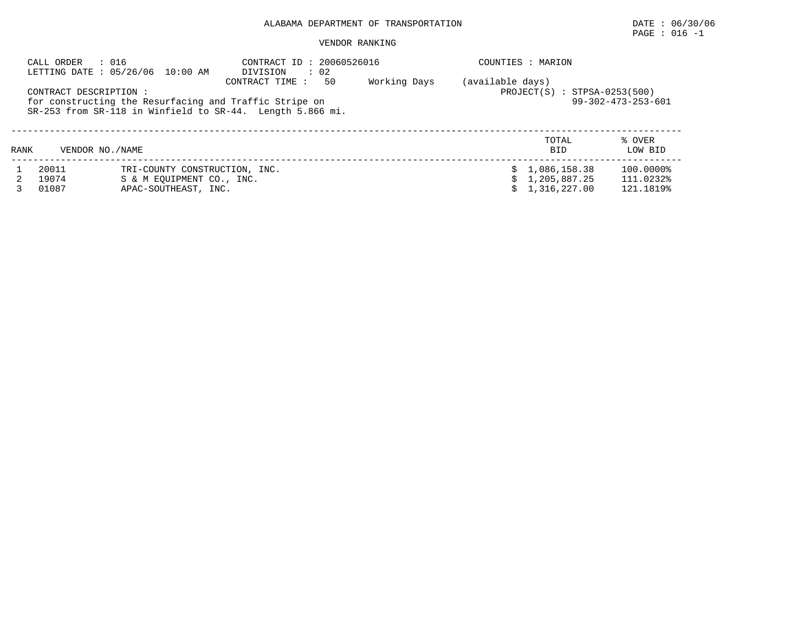# $\texttt{PAGE}$  : 016 -1

#### VENDOR RANKING

|      | CALL ORDER<br>: 016    | LETTING DATE: 05/26/06 10:00 AM                            | CONTRACT ID: 20060526016<br>DIVISION<br>$\therefore$ 02                                                                                      |              | COUNTIES : MARION |                                |                              |
|------|------------------------|------------------------------------------------------------|----------------------------------------------------------------------------------------------------------------------------------------------|--------------|-------------------|--------------------------------|------------------------------|
|      | CONTRACT DESCRIPTION : |                                                            | 50<br>CONTRACT TIME :<br>for constructing the Resurfacing and Traffic Stripe on<br>SR-253 from SR-118 in Winfield to SR-44. Length 5.866 mi. | Working Days | (available days)  | $PROJECT(S) : STPSA-0253(500)$ | $99 - 302 - 473 - 253 - 601$ |
| RANK | VENDOR NO. / NAME      |                                                            |                                                                                                                                              |              |                   | TOTAL<br><b>BID</b>            | % OVER<br>LOW BID            |
|      | 20011<br>19074         | TRI-COUNTY CONSTRUCTION, INC.<br>S & M EOUIPMENT CO., INC. |                                                                                                                                              |              |                   | \$1,086,158.38<br>1,205,887.25 | 100.0000%<br>111.0232%       |
|      | 01087                  | APAC-SOUTHEAST, INC.                                       |                                                                                                                                              |              |                   | 1,316,227.00                   | 121.1819%                    |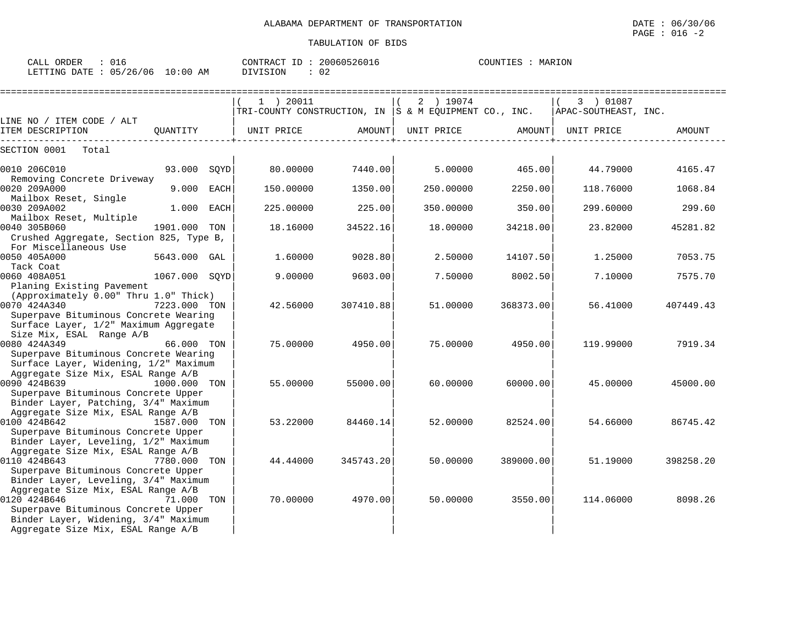CALL ORDER : 016 CONTRACT ID : 20060526016 COUNTIES : MARION

LETTING DATE : 05/26/06 10:00 AM DIVISION : 02

|                                                                                                                                                                                           | 1 ) 20011                                                 |           | 2 ) 19074  |           | 3 ) 01087            |           |
|-------------------------------------------------------------------------------------------------------------------------------------------------------------------------------------------|-----------------------------------------------------------|-----------|------------|-----------|----------------------|-----------|
| LINE NO / ITEM CODE / ALT                                                                                                                                                                 | TRI-COUNTY CONSTRUCTION, IN $ S \& M$ EQUIPMENT CO., INC. |           |            |           | APAC-SOUTHEAST, INC. |           |
| ITEM DESCRIPTION<br>QUANTITY<br>------------                                                                                                                                              | UNIT PRICE                                                | AMOUNT    | UNIT PRICE | AMOUNT    | UNIT PRICE           | AMOUNT    |
| SECTION 0001<br>Total                                                                                                                                                                     |                                                           |           |            |           |                      |           |
| 93.000 SQYD<br>0010 206C010<br>Removing Concrete Driveway                                                                                                                                 | 80.00000                                                  | 7440.00   | 5.00000    | 465.00    | 44.79000             | 4165.47   |
| 0020 209A000<br>9.000<br>EACH<br>Mailbox Reset, Single                                                                                                                                    | 150.00000                                                 | 1350.00   | 250.00000  | 2250.00   | 118.76000            | 1068.84   |
| 0030 209A002<br>1.000 EACH<br>Mailbox Reset, Multiple                                                                                                                                     | 225.00000                                                 | 225.00    | 350.00000  | 350.00    | 299.60000            | 299.60    |
| 0040 305B060<br>1901.000<br>TON<br>Crushed Aggregate, Section 825, Type B,                                                                                                                | 18.16000                                                  | 34522.16  | 18.00000   | 34218.00  | 23.82000             | 45281.82  |
| For Miscellaneous Use<br>0050 405A000<br>5643.000 GAL<br>Tack Coat                                                                                                                        | 1.60000                                                   | 9028.80   | 2.50000    | 14107.50  | 1.25000              | 7053.75   |
| 0060 408A051<br>1067.000 SOYD<br>Planing Existing Pavement                                                                                                                                | 9.00000                                                   | 9603.00   | 7.50000    | 8002.50   | 7.10000              | 7575.70   |
| (Approximately 0.00" Thru 1.0" Thick)<br>7223.000 TON<br>0070 424A340<br>Superpave Bituminous Concrete Wearing<br>Surface Layer, 1/2" Maximum Aggregate                                   | 42.56000                                                  | 307410.88 | 51.00000   | 368373.00 | 56.41000             | 407449.43 |
| Size Mix, ESAL Range A/B<br>0080 424A349<br>66.000 TON<br>Superpave Bituminous Concrete Wearing                                                                                           | 75,00000                                                  | 4950.00   | 75.00000   | 4950.00   | 119,99000            | 7919.34   |
| Surface Layer, Widening, 1/2" Maximum<br>Aggregate Size Mix, ESAL Range A/B<br>0090 424B639<br>1000.000 TON<br>Superpave Bituminous Concrete Upper                                        | 55.00000                                                  | 55000.00  | 60.00000   | 60000.00  | 45.00000             | 45000.00  |
| Binder Layer, Patching, 3/4" Maximum<br>Aggregate Size Mix, ESAL Range A/B<br>0100 424B642<br>1587.000 TON<br>Superpave Bituminous Concrete Upper<br>Binder Layer, Leveling, 1/2" Maximum | 53.22000                                                  | 84460.14  | 52.00000   | 82524.00  | 54.66000             | 86745.42  |
| Aggregate Size Mix, ESAL Range A/B<br>0110 424B643<br>7780.000 TON<br>Superpave Bituminous Concrete Upper<br>Binder Layer, Leveling, 3/4" Maximum                                         | 44.44000                                                  | 345743.20 | 50.00000   | 389000.00 | 51.19000             | 398258.20 |
| Aggregate Size Mix, ESAL Range A/B<br>0120 424B646<br>71.000 TON<br>Superpave Bituminous Concrete Upper<br>Binder Layer, Widening, 3/4" Maximum<br>Aggregate Size Mix, ESAL Range A/B     | 70.00000                                                  | 4970.00   | 50.00000   | 3550.00   | 114.06000            | 8098.26   |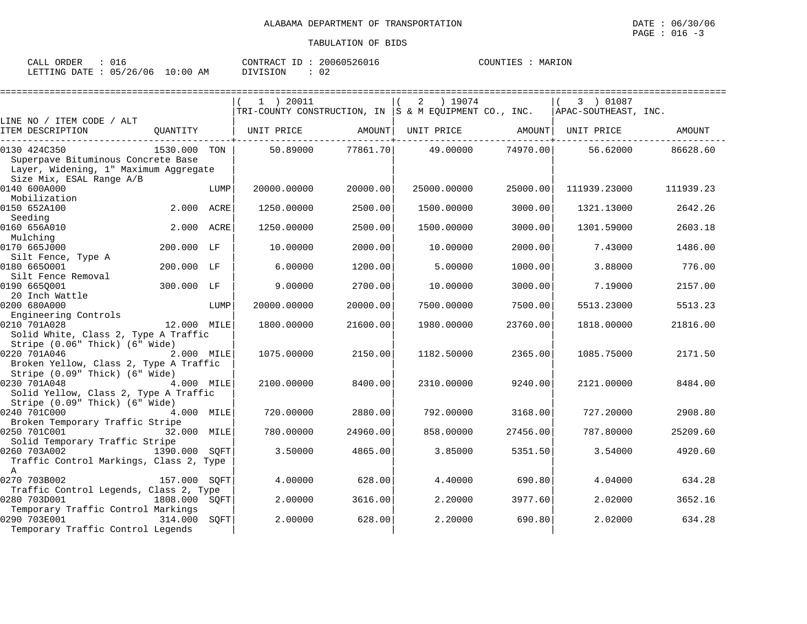| CALL ORDER                      | 016 |          | CONTRACT ID: 20060526016 | COUNTIES : MARION |  |
|---------------------------------|-----|----------|--------------------------|-------------------|--|
| LETTING DATE: 05/26/06 10:00 AM |     | DIVISION | - 02                     |                   |  |

|                                                                                                                         |               |      | 1 ) 20011<br>TRI-COUNTY CONSTRUCTION, IN  S & M EQUIPMENT CO., INC. |          | 2 ) 19074         |          | 3 ) 01087            |           |
|-------------------------------------------------------------------------------------------------------------------------|---------------|------|---------------------------------------------------------------------|----------|-------------------|----------|----------------------|-----------|
| LINE NO / ITEM CODE / ALT                                                                                               |               |      |                                                                     |          |                   |          | APAC-SOUTHEAST, INC. |           |
| ITEM DESCRIPTION                                                                                                        | OUANTITY      |      | UNIT PRICE AMOUNT                                                   |          | UNIT PRICE AMOUNT |          | UNIT PRICE           | AMOUNT    |
| 0130 424C350<br>Superpave Bituminous Concrete Base<br>Layer, Widening, 1" Maximum Aggregate<br>Size Mix, ESAL Range A/B | 1530.000 TON  |      | 50.89000                                                            | 77861.70 | 49.00000          | 74970.00 | 56.62000             | 86628.60  |
| 0140 600A000<br>Mobilization                                                                                            |               | LUMP | 20000.00000                                                         | 20000.00 | 25000.00000       | 25000.00 | 111939.23000         | 111939.23 |
| 0150 652A100<br>Seeding                                                                                                 | 2.000 ACRE    |      | 1250.00000                                                          | 2500.00  | 1500.00000        | 3000.00  | 1321.13000           | 2642.26   |
| 0160 656A010<br>Mulching                                                                                                | 2.000 ACRE    |      | 1250.00000                                                          | 2500.00  | 1500.00000        | 3000.00  | 1301.59000           | 2603.18   |
| 0170 665J000<br>Silt Fence, Type A                                                                                      | 200.000 LF    |      | 10.00000                                                            | 2000.00  | 10.00000          | 2000.00  | 7.43000              | 1486.00   |
| 0180 6650001<br>Silt Fence Removal                                                                                      | 200.000 LF    |      | 6.00000                                                             | 1200.00  | 5.00000           | 1000.00  | 3.88000              | 776.00    |
| 0190 6650001<br>20 Inch Wattle                                                                                          | 300.000 LF    |      | 9,00000                                                             | 2700.00  | 10.00000          | 3000.00  | 7.19000              | 2157.00   |
| 0200 680A000<br>Engineering Controls                                                                                    |               | LUMP | 20000.00000                                                         | 20000.00 | 7500.00000        | 7500.00  | 5513.23000           | 5513.23   |
| 0210 701A028<br>Solid White, Class 2, Type A Traffic<br>Stripe (0.06" Thick) (6" Wide)                                  | 12.000 MILE   |      | 1800.00000                                                          | 21600.00 | 1980.00000        | 23760.00 | 1818.00000           | 21816.00  |
| 0220 701A046<br>Broken Yellow, Class 2, Type A Traffic<br>Stripe (0.09" Thick) (6" Wide)                                | 2.000 MILE    |      | 1075.00000                                                          | 2150.00  | 1182.50000        | 2365.00  | 1085.75000           | 2171.50   |
| 0230 701A048<br>Solid Yellow, Class 2, Type A Traffic<br>Stripe (0.09" Thick) (6" Wide)                                 | 4.000 MILE    |      | 2100.00000                                                          | 8400.00  | 2310.00000        | 9240.00  | 2121,00000           | 8484.00   |
| 0240 701C000<br>4.000 MILE<br>Broken Temporary Traffic Stripe                                                           |               |      | 720.00000                                                           | 2880.00  | 792.00000         | 3168.00  | 727.20000            | 2908.80   |
| 0250 701C001<br>Solid Temporary Traffic Stripe                                                                          | 32.000 MILE   |      | 780.00000                                                           | 24960.00 | 858.00000         | 27456.00 | 787.80000            | 25209.60  |
| 0260 703A002<br>Traffic Control Markings, Class 2, Type<br>$\mathbf{A}$                                                 | 1390.000 SOFT |      | 3.50000                                                             | 4865.00  | 3.85000           | 5351.50  | 3.54000              | 4920.60   |
| 0270 703B002<br>Traffic Control Legends, Class 2, Type                                                                  | 157.000 SOFT  |      | 4.00000                                                             | 628.00   | 4.40000           | 690.80   | 4.04000              | 634.28    |
| 0280 703D001<br>Temporary Traffic Control Markings                                                                      | 1808.000 SOFT |      | 2.00000                                                             | 3616.00  | 2,20000           | 3977.60  | 2.02000              | 3652.16   |
| 0290 703E001<br>Temporary Traffic Control Legends                                                                       | 314.000       | SOFT | 2,00000                                                             | 628.00   | 2.20000           | 690.80   | 2.02000              | 634.28    |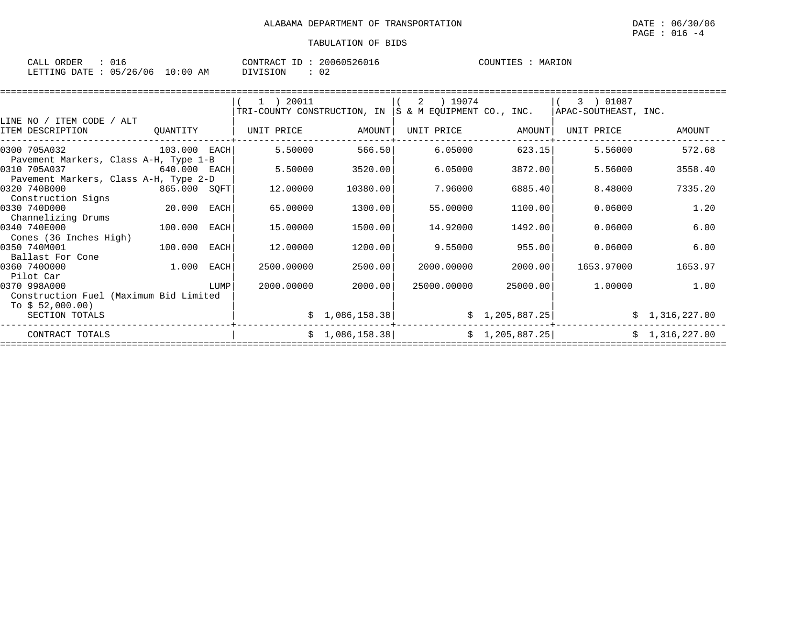| ORDER<br>CALL |          |             | 'ONTRACT |  | 20060526016 | <b>COUNTIES</b> | MARION<br>MAR 1 |
|---------------|----------|-------------|----------|--|-------------|-----------------|-----------------|
| LETTING DATE  | 05/26/06 | 10:00<br>ΆM | DIVISION |  | 02          |                 |                 |

|                                        |              |      | (1) 20011                                             |                 | ) 19074<br>2 |                 | 3 ) 01087            |                |
|----------------------------------------|--------------|------|-------------------------------------------------------|-----------------|--------------|-----------------|----------------------|----------------|
|                                        |              |      | TRI-COUNTY CONSTRUCTION, IN S & M EQUIPMENT CO., INC. |                 |              |                 | APAC-SOUTHEAST, INC. |                |
| LINE NO / ITEM CODE / ALT              |              |      |                                                       |                 |              |                 |                      |                |
| ITEM DESCRIPTION                       | QUANTITY     |      | UNIT PRICE                                            | AMOUNT          | UNIT PRICE   | AMOUNT          | UNIT PRICE           | AMOUNT         |
| 0300 705A032                           | 103.000 EACH |      | 5.50000                                               | 566.50          | 6.05000      | 623.15          | 5.56000              | 572.68         |
| Pavement Markers, Class A-H, Type 1-B  |              |      |                                                       |                 |              |                 |                      |                |
| 0310 705A037                           | 640.000 EACH |      | 5.50000                                               | 3520.00         | 6.05000      | 3872.00         | 5.56000              | 3558.40        |
| Pavement Markers, Class A-H, Type 2-D  |              |      |                                                       |                 |              |                 |                      |                |
| 0320 740B000                           | 865.000 SQFT |      | 12.00000                                              | 10380.00        | 7.96000      | 6885.40         | 8.48000              | 7335.20        |
| Construction Signs                     |              |      |                                                       |                 |              |                 |                      |                |
| 0330 740D000                           | 20.000 EACH  |      | 65.00000                                              | 1300.00         | 55.00000     | 1100.00         | 0.06000              | 1.20           |
| Channelizing Drums                     |              |      |                                                       |                 |              |                 |                      |                |
| 0340 740E000                           | 100.000      | EACH | 15.00000                                              | 1500.00         | 14.92000     | 1492.00         | 0.06000              | 6.00           |
| Cones (36 Inches High)                 |              |      |                                                       |                 |              |                 |                      |                |
| 0350 740M001                           | 100.000      | EACH | 12.00000                                              | 1200.00         | 9.55000      | 955.00          | 0.06000              | 6.00           |
| Ballast For Cone                       |              |      |                                                       |                 |              |                 |                      |                |
| 0360 7400000                           | 1.000 EACH   |      | 2500.00000                                            | 2500.00         | 2000.00000   | 2000.00         | 1653.97000           | 1653.97        |
| Pilot Car                              |              |      |                                                       |                 |              |                 |                      |                |
| 0370 998A000                           |              | LUMP | 2000.00000                                            | 2000.00         | 25000.00000  | 25000.00        | 1.00000              | 1.00           |
| Construction Fuel (Maximum Bid Limited |              |      |                                                       |                 |              |                 |                      |                |
| To $$52,000.00)$                       |              |      |                                                       |                 |              |                 |                      |                |
| SECTION TOTALS                         |              |      |                                                       | \$1,086,158.38] |              | \$1,205,887.25] |                      | \$1,316,227.00 |
| CONTRACT TOTALS                        |              |      |                                                       | \$1,086,158.38] |              | \$1,205,887.25] |                      | \$1,316,227.00 |
|                                        |              |      |                                                       |                 |              |                 |                      |                |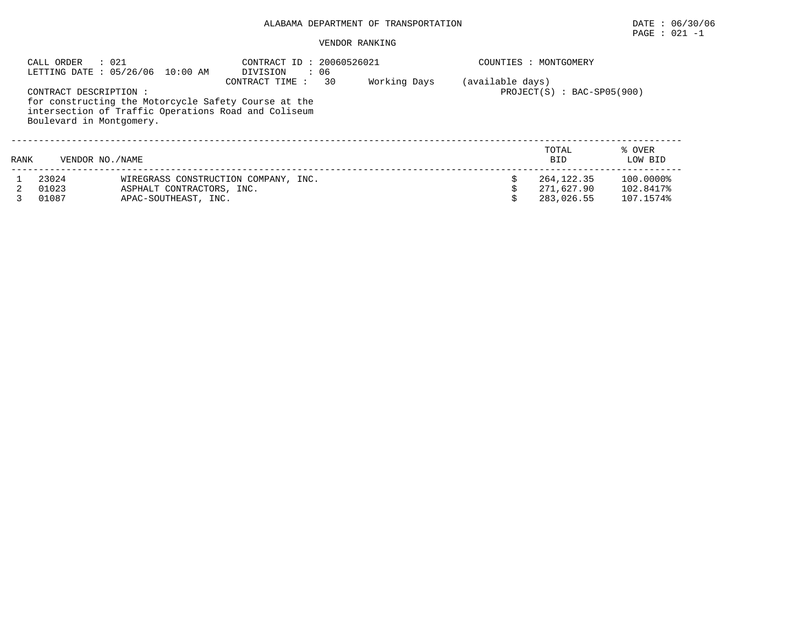#### VENDOR RANKING

|      | : 021<br>CALL ORDER                                | LETTING DATE : 05/26/06 10:00 AM                  | CONTRACT ID<br>DIVISION                                                                                                         | : 20060526021<br>: 06 | COUNTIES : MONTGOMERY |                                        |                                     |
|------|----------------------------------------------------|---------------------------------------------------|---------------------------------------------------------------------------------------------------------------------------------|-----------------------|-----------------------|----------------------------------------|-------------------------------------|
|      | CONTRACT DESCRIPTION :<br>Boulevard in Montgomery. |                                                   | CONTRACT TIME :<br>for constructing the Motorcycle Safety Course at the<br>intersection of Traffic Operations Road and Coliseum | 30<br>Working Days    | (available days)      | $PROJECT(S) : BAC-SPO5(900)$           |                                     |
| RANK | VENDOR NO. / NAME                                  |                                                   |                                                                                                                                 |                       |                       | TOTAL<br><b>BID</b>                    | % OVER<br>LOW BID                   |
|      | 23024<br>01023<br>01087                            | ASPHALT CONTRACTORS, INC.<br>APAC-SOUTHEAST, INC. | WIREGRASS CONSTRUCTION COMPANY, INC.                                                                                            |                       |                       | 264,122.35<br>271,627.90<br>283,026.55 | 100.0000%<br>102.8417%<br>107.1574% |

PAGE : 021 -1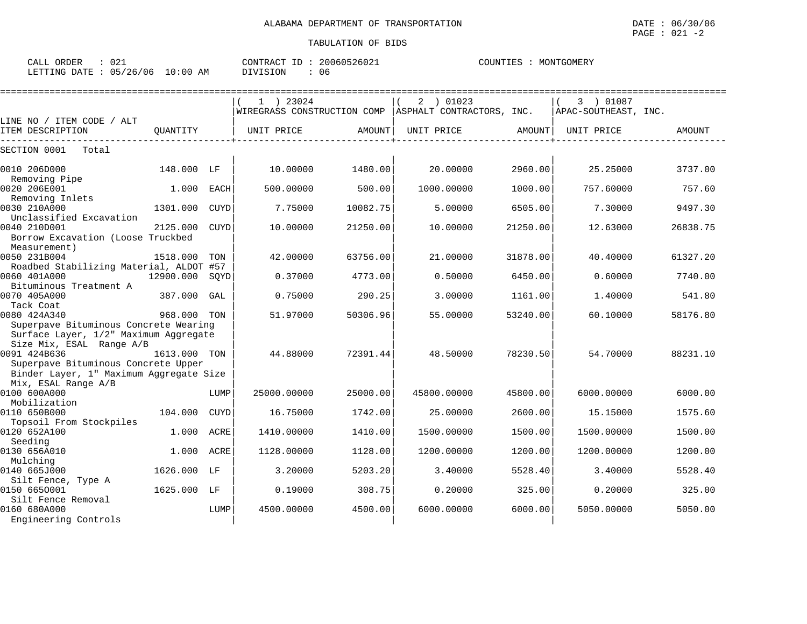| ∩ ∩ 1<br>ORDER<br>CALL<br>U 4 - |            | CONTRACT ID | 20060526021 | COUNTIES<br>MONTGOMERY |
|---------------------------------|------------|-------------|-------------|------------------------|
| 05/26/06<br>LETTING DATE :      | $10:00$ AM | DIVISION    | 06          |                        |

|                                                                                                                       |                |             | 1 ) 23024   |          | 2 ) 01023                                               |          | 3 ) 01087            |          |
|-----------------------------------------------------------------------------------------------------------------------|----------------|-------------|-------------|----------|---------------------------------------------------------|----------|----------------------|----------|
|                                                                                                                       |                |             |             |          | WIREGRASS CONSTRUCTION COMP   ASPHALT CONTRACTORS, INC. |          | APAC-SOUTHEAST, INC. |          |
| LINE NO / ITEM CODE / ALT                                                                                             |                |             |             |          |                                                         |          |                      |          |
| ITEM DESCRIPTION                                                                                                      | OUANTITY       |             | UNIT PRICE  | AMOUNT   | UNIT PRICE                                              | AMOUNT   | UNIT PRICE           | AMOUNT   |
| SECTION 0001<br>Total                                                                                                 |                |             |             |          |                                                         |          |                      |          |
| 0010 206D000<br>Removing Pipe                                                                                         | 148.000 LF     |             | 10.00000    | 1480.00  | 20,00000                                                | 2960.00  | 25.25000             | 3737.00  |
| 0020 206E001<br>Removing Inlets                                                                                       | 1.000          | EACH        | 500.00000   | 500.00   | 1000.00000                                              | 1000.00  | 757.60000            | 757.60   |
| 0030 210A000<br>Unclassified Excavation                                                                               | 1301.000       | <b>CUYD</b> | 7.75000     | 10082.75 | 5.00000                                                 | 6505.00  | 7.30000              | 9497.30  |
| 0040 210D001<br>Borrow Excavation (Loose Truckbed<br>Measurement)                                                     | 2125.000       | CUYD        | 10.00000    | 21250.00 | 10.00000                                                | 21250.00 | 12.63000             | 26838.75 |
| 0050 231B004<br>Roadbed Stabilizing Material, ALDOT #57                                                               | 1518.000       | TON         | 42.00000    | 63756.00 | 21,00000                                                | 31878.00 | 40.40000             | 61327.20 |
| 0060 401A000<br>Bituminous Treatment A                                                                                | 12900.000 SOYD |             | 0.37000     | 4773.00  | 0.50000                                                 | 6450.00  | 0.60000              | 7740.00  |
| 0070 405A000                                                                                                          | 387.000        | GAL         | 0.75000     | 290.25   | 3.00000                                                 | 1161.00  | 1.40000              | 541.80   |
| Tack Coat<br>0080 424A340<br>Superpave Bituminous Concrete Wearing                                                    | 968.000        | TON         | 51.97000    | 50306.96 | 55.00000                                                | 53240.00 | 60.10000             | 58176.80 |
| Surface Layer, 1/2" Maximum Aggregate<br>Size Mix, ESAL Range A/B                                                     |                |             |             |          |                                                         |          |                      |          |
| 0091 424B636<br>Superpave Bituminous Concrete Upper<br>Binder Layer, 1" Maximum Aggregate Size<br>Mix, ESAL Range A/B | 1613.000 TON   |             | 44.88000    | 72391.44 | 48.50000                                                | 78230.50 | 54.70000             | 88231.10 |
| 0100 600A000<br>Mobilization                                                                                          |                | LUMP        | 25000.00000 | 25000.00 | 45800.00000                                             | 45800.00 | 6000.00000           | 6000.00  |
| 0110 650B000                                                                                                          | 104.000 CUYD   |             | 16.75000    | 1742.00  | 25,00000                                                | 2600.00  | 15.15000             | 1575.60  |
| Topsoil From Stockpiles<br>0120 652A100                                                                               | 1.000          | ACRE        | 1410.00000  | 1410.00  | 1500.00000                                              | 1500.00  | 1500.00000           | 1500.00  |
| Seeding<br>0130 656A010                                                                                               | 1.000          | ACRE        | 1128.00000  | 1128.00  | 1200.00000                                              | 1200.00  | 1200.00000           | 1200.00  |
| Mulching<br>0140 665J000<br>Silt Fence, Type A                                                                        | 1626.000 LF    |             | 3.20000     | 5203.20  | 3.40000                                                 | 5528.40  | 3.40000              | 5528.40  |
| 0150 6650001                                                                                                          | 1625.000 LF    |             | 0.19000     | 308.75   | 0.20000                                                 | 325.00   | 0.20000              | 325.00   |
| Silt Fence Removal<br>0160 680A000<br>Engineering Controls                                                            |                | LUMP        | 4500.00000  | 4500.00  | 6000.00000                                              | 6000.00  | 5050.00000           | 5050.00  |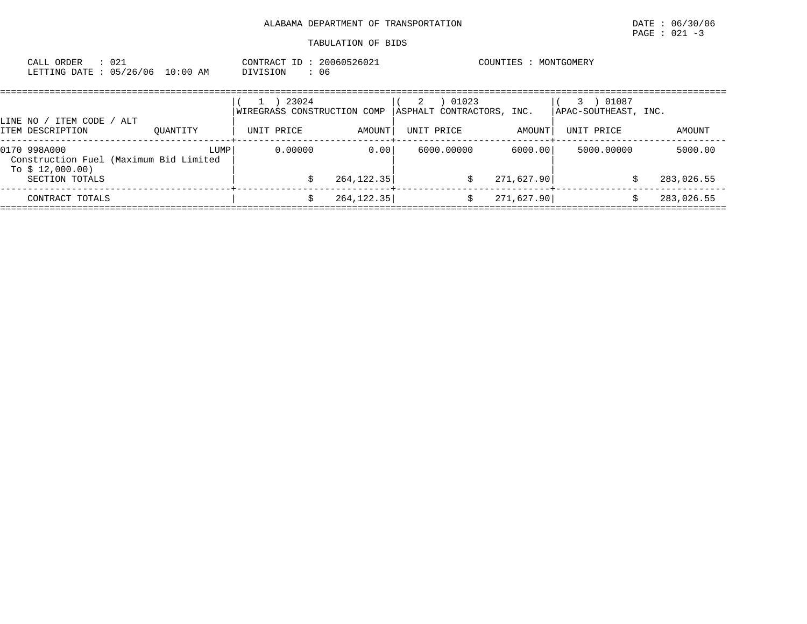| : 021<br>CALL ORDER<br>LETTING DATE: 05/26/06 10:00 AM                                       |          | CONTRACT ID: 20060526021<br>DIVISION<br>: 06       |                      | COUNTIES : MONTGOMERY                                 |                       |                                                   |                       |  |
|----------------------------------------------------------------------------------------------|----------|----------------------------------------------------|----------------------|-------------------------------------------------------|-----------------------|---------------------------------------------------|-----------------------|--|
| LINE NO / ITEM CODE / ALT<br>ITEM DESCRIPTION                                                | OUANTITY | 23024<br>WIREGRASS CONSTRUCTION COMP<br>UNIT PRICE | AMOUNT               | 01023<br>2<br>ASPHALT CONTRACTORS, INC.<br>UNIT PRICE | AMOUNT                | 01087<br>3.<br>APAC-SOUTHEAST, INC.<br>UNIT PRICE | AMOUNT                |  |
| 0170 998A000<br>Construction Fuel (Maximum Bid Limited<br>To $$12,000.00)$<br>SECTION TOTALS | LUMP     | 0.00000                                            | 0.00<br>264, 122. 35 | 6000.00000<br>\$                                      | 6000.00<br>271,627.90 | 5000.00000<br>S                                   | 5000.00<br>283,026.55 |  |
| CONTRACT TOTALS                                                                              |          | S                                                  | 264, 122.35          | \$                                                    | 271,627.90            | Ŝ                                                 | 283,026.55            |  |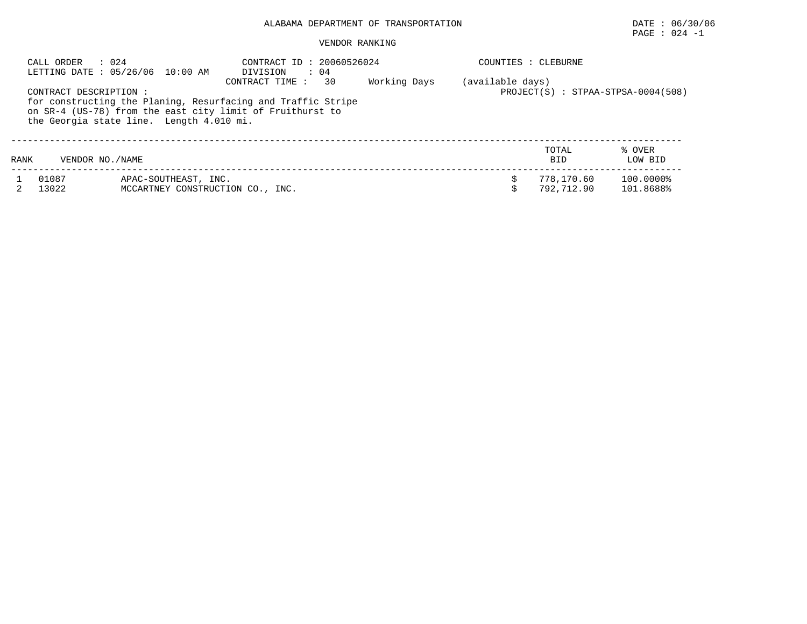# PAGE : 024 -1

#### VENDOR RANKING

| CALL ORDER<br>: 024<br>LETTING DATE : 05/26/06 10:00 AM |                       |                                                          | DIVISION                                                                                                                                    | CONTRACT ID: 20060526024<br>$\therefore$ 04 |              |                  | COUNTIES : CLEBURNE      |                                    |  |  |
|---------------------------------------------------------|-----------------------|----------------------------------------------------------|---------------------------------------------------------------------------------------------------------------------------------------------|---------------------------------------------|--------------|------------------|--------------------------|------------------------------------|--|--|
|                                                         | CONTRACT DESCRIPTION: | the Georgia state line. Length 4.010 mi.                 | CONTRACT TIME:<br>for constructing the Planing, Resurfacing and Traffic Stripe<br>on SR-4 (US-78) from the east city limit of Fruithurst to | 30                                          | Working Days | (available days) |                          | PROJECT(S) : STPAA-STPSA-0004(508) |  |  |
| RANK                                                    | VENDOR NO. / NAME     |                                                          |                                                                                                                                             |                                             |              |                  | TOTAL<br><b>BID</b>      | % OVER<br>LOW BID                  |  |  |
|                                                         | 01087<br>13022        | APAC-SOUTHEAST, INC.<br>MCCARTNEY CONSTRUCTION CO., INC. |                                                                                                                                             |                                             |              |                  | 778,170.60<br>792,712.90 | 100.0000%<br>101.8688%             |  |  |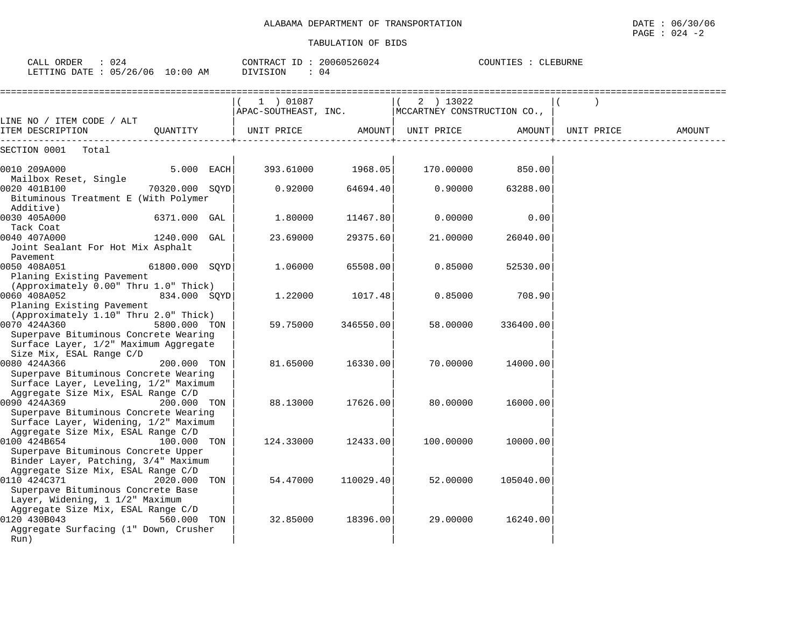| CALL ORDER : 024<br>LETTING DATE : 05/26/06 10:00 AM                                                                                                                |                |  | CONTRACT ID: 20060526024<br>DIVISION<br>: 04 |                   | COUNTIES : CLEBURNE                                                     |           |            |        |
|---------------------------------------------------------------------------------------------------------------------------------------------------------------------|----------------|--|----------------------------------------------|-------------------|-------------------------------------------------------------------------|-----------|------------|--------|
|                                                                                                                                                                     |                |  | $(1)$ 01087                                  |                   | $(2)$ 13022<br>$ $ APAC-SOUTHEAST, INC. $ $ MCCARTNEY CONSTRUCTION CO., |           |            |        |
| LINE NO / ITEM CODE / ALT<br>ITEM DESCRIPTION                                                                                                                       |                |  |                                              |                   |                                                                         |           | UNIT PRICE | AMOUNT |
| SECTION 0001 Total                                                                                                                                                  |                |  |                                              |                   |                                                                         |           |            |        |
| 0010 209A000                                                                                                                                                        | $5.000$ EACH   |  |                                              | 393.61000 1968.05 | 170.00000 850.00                                                        |           |            |        |
| Mailbox Reset, Single<br>0020 401B100<br>Bituminous Treatment E (With Polymer                                                                                       | 70320.000 SOYD |  | 0.92000                                      | 64694.40          | 0.90000                                                                 | 63288.00  |            |        |
| Additive)<br>0030 405A000<br>Tack Coat                                                                                                                              | 6371.000 GAL   |  | 1.80000                                      | 11467.80          | 0.00000                                                                 | 0.00      |            |        |
| 0040 407A000<br>Joint Sealant For Hot Mix Asphalt<br>Pavement                                                                                                       | 1240.000 GAL   |  | 23.69000                                     | 29375.60          | 21,00000                                                                | 26040.00  |            |        |
| 0050 408A051<br>Planing Existing Pavement                                                                                                                           | 61800.000 SOYD |  | 1.06000                                      | 65508.00          | 0.85000                                                                 | 52530.00  |            |        |
| (Approximately 0.00" Thru 1.0" Thick)<br>a series and the series of the<br>0060 408A052<br>Planing Existing Pavement                                                | 834.000 SOYD   |  | 1.22000                                      | 1017.48           | 0.85000                                                                 | 708.90    |            |        |
| (Approximately 1.10" Thru 2.0" Thick)<br>0070 424A360<br>Superpave Bituminous Concrete Wearing<br>Surface Layer, 1/2" Maximum Aggregate                             | 5800.000 TON   |  | 59.75000                                     | 346550.00         | 58.00000                                                                | 336400.00 |            |        |
| Size Mix, ESAL Range C/D<br>0080 424A366<br>Superpave Bituminous Concrete Wearing<br>Surface Layer, Leveling, 1/2" Maximum                                          | 200.000 TON    |  | 81.65000                                     | 16330.00          | 70.00000                                                                | 14000.00  |            |        |
| Aggregate Size Mix, ESAL Range C/D<br>0090 424A369<br>Superpave Bituminous Concrete Wearing<br>Surface Layer, Widening, 1/2" Maximum                                | 200.000 TON    |  | 88.13000                                     | 17626.00          | 80.00000                                                                | 16000.00  |            |        |
| Aggregate Size Mix, ESAL Range C/D<br>0100 424B654<br>Superpave Bituminous Concrete Upper                                                                           | 100.000 TON    |  | 124.33000                                    | 12433.00          | 100.00000                                                               | 10000.00  |            |        |
| Binder Layer, Patching, 3/4" Maximum<br>Aggregate Size Mix, ESAL Range C/D<br>0110 424C371<br>Superpave Bituminous Concrete Base<br>Layer, Widening, 1 1/2" Maximum | 2020.000 TON   |  | 54.47000                                     | 110029.40         | 52.00000                                                                | 105040.00 |            |        |
| Aggregate Size Mix, ESAL Range C/D<br>0120 430B043<br>Aggregate Surfacing (1" Down, Crusher<br>Run)                                                                 | 560.000 TON    |  | 32.85000                                     | 18396.00          | 29.00000                                                                | 16240.00  |            |        |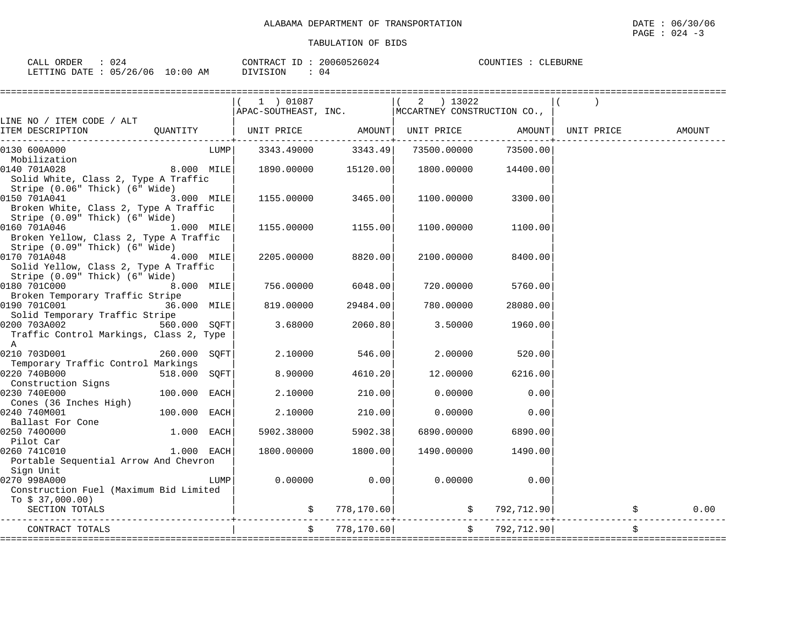| CALL<br>ORDER   | 024      |             | CONTRACT<br>ID | 20060526024<br>526024 | COUNTIES | '.EBURNE |
|-----------------|----------|-------------|----------------|-----------------------|----------|----------|
| LETTING<br>DATE | 05/26/06 | 10:00<br>ΆM | DIVISION       | 04                    |          |          |

|                                                                                                                                          | $(1)$ 01087                                                      |                     | $(2)$ 13022                                      |                |        |
|------------------------------------------------------------------------------------------------------------------------------------------|------------------------------------------------------------------|---------------------|--------------------------------------------------|----------------|--------|
| LINE NO / ITEM CODE / ALT                                                                                                                |                                                                  |                     | APAC-SOUTHEAST, INC. MCCARTNEY CONSTRUCTION CO., |                |        |
| ITEM DESCRIPTION QUANTITY                                                                                                                | UNIT PRICE         AMOUNT  UNIT PRICE         AMOUNT  UNIT PRICE |                     | . - - - - - + - - - - - - - - - - - -            |                | AMOUNT |
| 0130 600A000<br>LUMPI<br>Mobilization                                                                                                    | 3343.49000                                                       | 3343.49             | 73500.00000                                      | 73500.00       |        |
| 8.000 MILE<br>0140 701A028<br>Solid White, Class 2, Type A Traffic<br>Stripe (0.06" Thick) (6" Wide)                                     |                                                                  | 1890.00000 15120.00 | 1800.00000 14400.00                              |                |        |
| 0150 701A041<br>3.000 MILE<br>Broken White, Class 2, Type A Traffic                                                                      | 1155.00000                                                       | 3465.00             | 1100.00000                                       | 3300.00        |        |
| Stripe (0.09" Thick) (6" Wide)<br>0160 701A046<br>1.000 MILE<br>Broken Yellow, Class 2, Type A Traffic<br>Stripe (0.09" Thick) (6" Wide) |                                                                  | 1155.00000 1155.00  | 1100.00000                                       | 1100.00        |        |
| 4.000 MILE<br>0170 701A048<br>Solid Yellow, Class 2, Type A Traffic<br>Stripe (0.09" Thick) (6" Wide)                                    | 2205.00000                                                       | 8820.00             | 2100.00000                                       | 8400.00        |        |
| 8.000 MILE<br>Broken Temporary Traffic Stripe                                                                                            | 756.00000                                                        | 6048.00             | 720.00000                                        | 5760.00        |        |
| 0190 701C001 36.000 MILE<br>Solid Temporary Traffic Stripe                                                                               | 819.00000                                                        | 29484.00            | 780.00000                                        | 28080.00       |        |
| 560.000 SOFT<br>0200 703A002<br>Traffic Control Markings, Class 2, Type<br>A                                                             | 3.68000                                                          | 2060.80             | 3.50000                                          | 1960.00        |        |
| 0210 703D001<br>260.000 SOFT<br>Temporary Traffic Control Markings                                                                       | 2.10000                                                          | 546.00              | 2.00000                                          | 520.00         |        |
| 0220 740B000<br>518.000 SQFT<br>Construction Signs                                                                                       | 8.90000                                                          | 4610.20             | 12.00000                                         | 6216.00        |        |
| 0230 740E000<br>100.000 EACH<br>Cones (36 Inches High)                                                                                   | 2.10000                                                          | 210.00              | 0.00000                                          | 0.00           |        |
| $100.000$ EACH<br>0240 740M001                                                                                                           | 2.10000                                                          | 210.00              | 0.00000                                          | 0.00           |        |
| $1.000$ EACH<br>0250 7400000<br>Pilot Car                                                                                                | 5902.38000                                                       | 5902.38             | 6890.00000                                       | 6890.00        |        |
| 0260 741C010<br>$1.000$ EACH                                                                                                             | 1800.00000                                                       | 1800.00             | 1490.00000                                       | 1490.00        |        |
| Portable Sequential Arrow And Chevron<br>Sign Unit                                                                                       |                                                                  |                     |                                                  |                |        |
| 0270 998A000<br>LUMP  <br>Construction Fuel (Maximum Bid Limited                                                                         | 0.00000                                                          | 0.00                | 0.00000                                          | 0.00           |        |
| To $$37,000.00)$<br>SECTION TOTALS                                                                                                       |                                                                  |                     | $\zeta$ 778,170.60 $\zeta$ 792,712.90            |                | 0.00   |
| CONTRACT TOTALS                                                                                                                          |                                                                  | \$778,170.60]       |                                                  | \$792, 712.90] | \$     |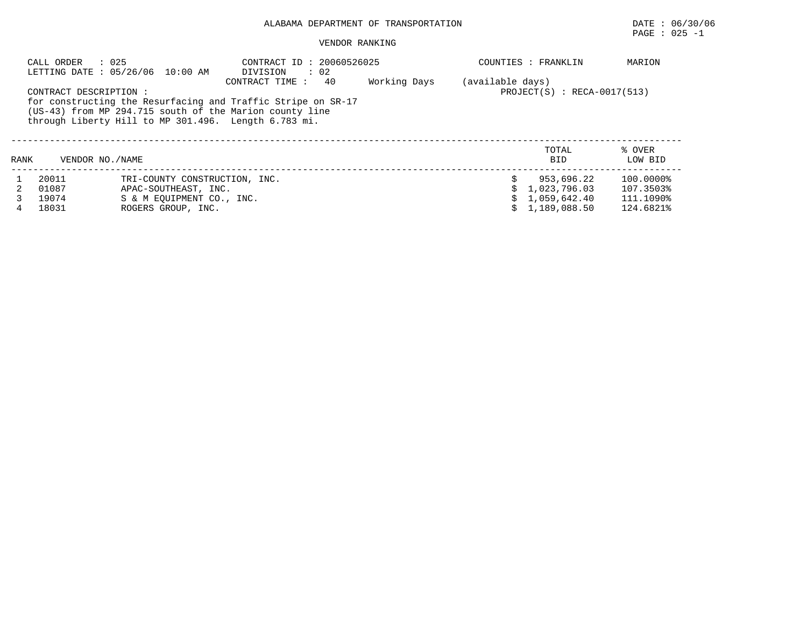## ALABAMA DEPARTMENT OF TRANSPORTATION DATE: 06/30/06<br>PAGE : 025 -1

|                                                                                                                                                  | VENDOR RANKING                               | PAGE : 025 -1                 |
|--------------------------------------------------------------------------------------------------------------------------------------------------|----------------------------------------------|-------------------------------|
| : 025<br>CALL ORDER<br>LETTING DATE : 05/26/06 10:00 AM                                                                                          | CONTRACT ID: 20060526025<br>: 02<br>DIVISION | MARION<br>COUNTIES : FRANKLIN |
|                                                                                                                                                  | Working Days<br>CONTRACT TIME: 40            | (available days)              |
| CONTRACT DESCRIPTION:<br>for constructing the Resurfacing and Traffic Stripe on SR-17<br>(US-43) from MP 294.715 south of the Marion county line |                                              | $PROJECT(S)$ : RECA-0017(513) |

through Liberty Hill to MP 301.496. Length 6.783 mi.

| RANK | VENDOR NO./NAME                  |                                                                                                          | TOTAL<br><b>BID</b>                                              | % OVER<br>LOW BID                                |
|------|----------------------------------|----------------------------------------------------------------------------------------------------------|------------------------------------------------------------------|--------------------------------------------------|
|      | 20011<br>01087<br>19074<br>18031 | TRI-COUNTY CONSTRUCTION, INC.<br>APAC-SOUTHEAST, INC.<br>S & M EOUIPMENT CO., INC.<br>ROGERS GROUP, INC. | 953,696.22<br>\$1,023,796.03<br>\$1,059,642.40<br>\$1,189,088.50 | 100.0000%<br>107.3503%<br>111.1090%<br>124.6821% |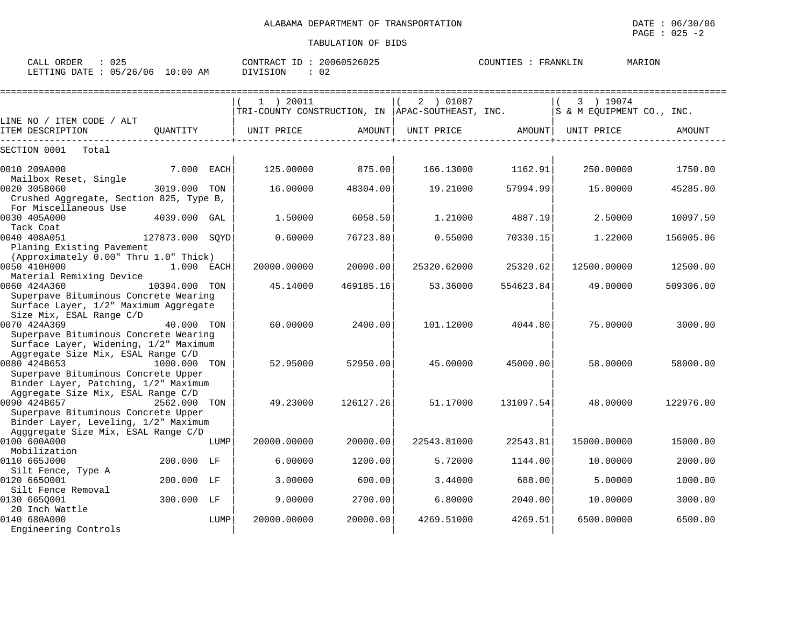| CALL ORDER<br>: 025<br>LETTING DATE : 05/26/06 10:00 AM                     |                 |      | CONTRACT ID: 20060526025<br>: 02<br>DIVISION                    |           |             | COUNTIES : FRANKLIN |                                        | MARION    |
|-----------------------------------------------------------------------------|-----------------|------|-----------------------------------------------------------------|-----------|-------------|---------------------|----------------------------------------|-----------|
|                                                                             |                 |      | $1$ ) 20011<br>TRI-COUNTY CONSTRUCTION, IN APAC-SOUTHEAST, INC. |           | 2 ) 01087   |                     | 3 ) 19074<br>S & M EQUIPMENT CO., INC. |           |
| LINE NO / ITEM CODE / ALT<br>ITEM DESCRIPTION                               | OUANTITY        |      | UNIT PRICE                                                      | AMOUNT    | UNIT PRICE  | AMOUNT              | UNIT PRICE                             | AMOUNT    |
| SECTION 0001<br>Total                                                       |                 |      |                                                                 |           |             |                     |                                        |           |
| 0010 209A000<br>Mailbox Reset, Single                                       | 7.000 EACH      |      | 125.00000                                                       | 875.00    | 166.13000   | 1162.91             | 250.00000                              | 1750.00   |
| 0020 305B060                                                                | 3019.000        | TON  | 16.00000                                                        | 48304.00  | 19.21000    | 57994.99            | 15,00000                               | 45285.00  |
| Crushed Aggregate, Section 825, Type B,                                     |                 |      |                                                                 |           |             |                     |                                        |           |
| For Miscellaneous Use<br>0030 405A000                                       | 4039.000        |      | 1.50000                                                         | 6058.50   | 1.21000     | 4887.19             | 2.50000                                | 10097.50  |
| Tack Coat                                                                   |                 | GAL  |                                                                 |           |             |                     |                                        |           |
| 0040 408A051                                                                | 127873.000 SQYD |      | 0.60000                                                         | 76723.80  | 0.55000     | 70330.15            | 1.22000                                | 156005.06 |
| Planing Existing Pavement                                                   |                 |      |                                                                 |           |             |                     |                                        |           |
| (Approximately 0.00" Thru 1.0" Thick)                                       |                 |      |                                                                 |           |             |                     |                                        |           |
| 0050 410H000                                                                | 1.000 EACH      |      | 20000.00000                                                     | 20000.00  | 25320.62000 | 25320.62            | 12500.00000                            | 12500.00  |
| Material Remixing Device<br>0060 424A360                                    | 10394.000       | TON  | 45.14000                                                        | 469185.16 | 53.36000    | 554623.84           | 49.00000                               | 509306.00 |
| Superpave Bituminous Concrete Wearing                                       |                 |      |                                                                 |           |             |                     |                                        |           |
| Surface Layer, 1/2" Maximum Aggregate                                       |                 |      |                                                                 |           |             |                     |                                        |           |
| Size Mix, ESAL Range C/D                                                    |                 |      |                                                                 |           |             |                     |                                        |           |
| 0070 424A369                                                                | 40.000 TON      |      | 60.00000                                                        | 2400.00   | 101.12000   | 4044.80             | 75.00000                               | 3000.00   |
| Superpave Bituminous Concrete Wearing                                       |                 |      |                                                                 |           |             |                     |                                        |           |
| Surface Layer, Widening, 1/2" Maximum<br>Aggregate Size Mix, ESAL Range C/D |                 |      |                                                                 |           |             |                     |                                        |           |
| 0080 424B653                                                                | 1000.000        | TON  | 52.95000                                                        | 52950.00  | 45.00000    | 45000.00            | 58.00000                               | 58000.00  |
| Superpave Bituminous Concrete Upper                                         |                 |      |                                                                 |           |             |                     |                                        |           |
| Binder Layer, Patching, 1/2" Maximum                                        |                 |      |                                                                 |           |             |                     |                                        |           |
| Aggregate Size Mix, ESAL Range C/D                                          |                 |      |                                                                 |           |             |                     |                                        |           |
| 0090 424B657                                                                | 2562.000        | TON  | 49.23000                                                        | 126127.26 | 51.17000    | 131097.54           | 48.00000                               | 122976.00 |
| Superpave Bituminous Concrete Upper<br>Binder Layer, Leveling, 1/2" Maximum |                 |      |                                                                 |           |             |                     |                                        |           |
| Agggregate Size Mix, ESAL Range C/D                                         |                 |      |                                                                 |           |             |                     |                                        |           |
| 0100 600A000                                                                |                 | LUMP | 20000.00000                                                     | 20000.00  | 22543.81000 | 22543.81            | 15000.00000                            | 15000.00  |
| Mobilization                                                                |                 |      |                                                                 |           |             |                     |                                        |           |
| 0110 665J000                                                                | 200.000 LF      |      | 6.00000                                                         | 1200.00   | 5.72000     | 1144.00             | 10.00000                               | 2000.00   |
| Silt Fence, Type A                                                          |                 |      |                                                                 |           |             |                     |                                        |           |
| 0120 6650001                                                                | 200.000 LF      |      | 3.00000                                                         | 600.00    | 3.44000     | 688.00              | 5.00000                                | 1000.00   |
| Silt Fence Removal<br>0130 6650001                                          | 300.000 LF      |      | 9.00000                                                         | 2700.00   | 6.80000     | 2040.00             | 10.00000                               | 3000.00   |
| 20 Inch Wattle                                                              |                 |      |                                                                 |           |             |                     |                                        |           |
| 0140 680A000                                                                |                 | LUMP | 20000.00000                                                     | 20000.00  | 4269.51000  | 4269.51             | 6500.00000                             | 6500.00   |
| Engineering Controls                                                        |                 |      |                                                                 |           |             |                     |                                        |           |
|                                                                             |                 |      |                                                                 |           |             |                     |                                        |           |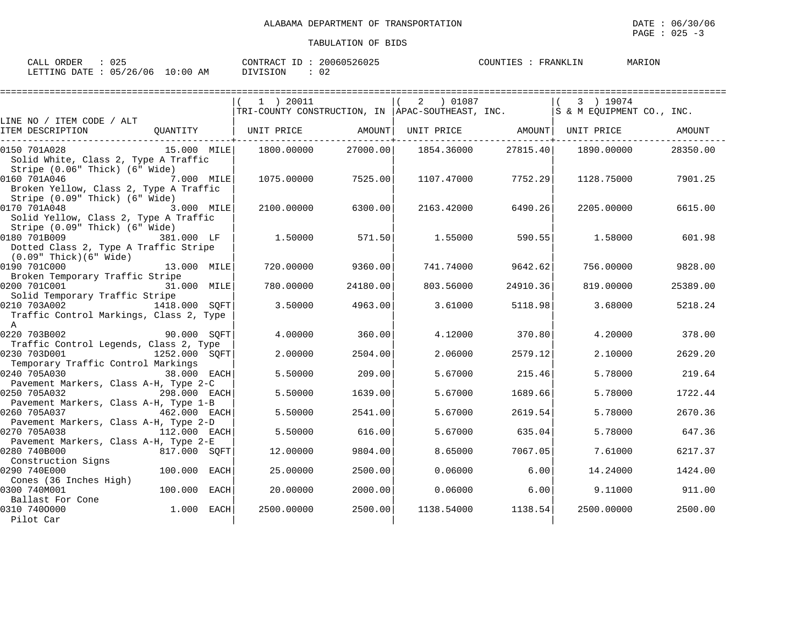$\texttt{PAGE}$  : 025 -3

| 025<br>ORDER<br>$\bigcap$ $\bigcap$ $\bigcap$<br>للبلائر                                                                                                                                                               | 2006.<br>CONTRAC<br>$\pi$ $\sim$<br>26025 | COUNTIE<br>\NKLIN<br>∆ ש | MARION |
|------------------------------------------------------------------------------------------------------------------------------------------------------------------------------------------------------------------------|-------------------------------------------|--------------------------|--------|
| ∩ҕ<br>$\sim$<br>ΑM<br>DATE<br>$' \cap 6$<br><b>DEEPTAT</b><br>) : 00<br>ノト<br>.⊥NG<br>. н<br>$\sim$<br>the contract of the contract of the contract of the contract of the contract of the contract of the contract of | $\cap$<br>◡∠<br>---                       |                          |        |

|                                                                         |                | $1$ ) 20011                  |          | 2 ) 01087                                                                           |          | 3 ) 19074                    |          |
|-------------------------------------------------------------------------|----------------|------------------------------|----------|-------------------------------------------------------------------------------------|----------|------------------------------|----------|
|                                                                         |                |                              |          | TRI-COUNTY CONSTRUCTION, IN APAC-SOUTHEAST, INC. $ \dot{s}$ & M EQUIPMENT CO., INC. |          |                              |          |
| LINE NO / ITEM CODE / ALT                                               |                |                              |          |                                                                                     |          |                              |          |
| ITEM DESCRIPTION                                                        |                | QUANTITY   UNIT PRICE AMOUNT |          |                                                                                     |          | UNIT PRICE AMOUNT UNIT PRICE | AMOUNT   |
| 0150 701A028                                                            | 15.000 MILE    | 1800.00000                   | 27000.00 | 1854.36000                                                                          | 27815.40 | 1890.00000                   | 28350.00 |
| Solid White, Class 2, Type A Traffic                                    |                |                              |          |                                                                                     |          |                              |          |
| Stripe (0.06" Thick) (6" Wide)                                          |                |                              |          |                                                                                     |          |                              |          |
| 0160 701A046                                                            | $7.000$ $MILE$ | 1075.00000                   | 7525.00  | 1107.47000                                                                          | 7752.29  | 1128.75000                   | 7901.25  |
| Broken Yellow, Class 2, Type A Traffic                                  |                |                              |          |                                                                                     |          |                              |          |
| Stripe (0.09" Thick) (6" Wide)                                          |                |                              |          |                                                                                     |          |                              |          |
| 0170 701A048                                                            | $3.000$ MILE   | 2100.00000                   | 6300.00  | 2163.42000                                                                          | 6490.26  | 2205.00000                   | 6615.00  |
| Solid Yellow, Class 2, Type A Traffic                                   |                |                              |          |                                                                                     |          |                              |          |
| Stripe (0.09" Thick) (6" Wide)                                          |                |                              |          |                                                                                     |          |                              |          |
| 0180 701B009                                                            | 381.000 LF     | 1.50000                      | 571.50   | 1.55000                                                                             | 590.55   | 1.58000                      | 601.98   |
| Dotted Class 2, Type A Traffic Stripe<br>$(0.09"$ Thick $)(6"$ Wide $)$ |                |                              |          |                                                                                     |          |                              |          |
| 0190 701C000                                                            | 13.000 MILE    | 720.00000                    | 9360.00  | 741.74000                                                                           | 9642.62  | 756.00000                    | 9828.00  |
| Broken Temporary Traffic Stripe                                         |                |                              |          |                                                                                     |          |                              |          |
| 0200 701C001                                                            | 31.000 MILE    | 780.00000                    | 24180.00 | 803.56000                                                                           | 24910.36 | 819.00000                    | 25389.00 |
| Solid Temporary Traffic Stripe                                          |                |                              |          |                                                                                     |          |                              |          |
| 0210 703A002                                                            | 1418,000 SOFT  | 3.50000                      | 4963.00  | 3.61000                                                                             | 5118.98  | 3.68000                      | 5218.24  |
| Traffic Control Markings, Class 2, Type                                 |                |                              |          |                                                                                     |          |                              |          |
| A                                                                       |                |                              |          |                                                                                     |          |                              |          |
| 0220 703B002                                                            | 90.000 SOFT    | 4.00000                      | 360.00   | 4.12000                                                                             | 370.80   | 4.20000                      | 378.00   |
| Traffic Control Legends, Class 2, Type                                  |                |                              |          |                                                                                     |          |                              |          |
| 0230 703D001                                                            | 1252.000 SOFT  | 2.00000                      | 2504.00  | 2.06000                                                                             | 2579.12  | 2.10000                      | 2629.20  |
| Temporary Traffic Control Markings<br>0240 705A030                      | 38.000 EACH    | 5.50000                      | 209.00   | 5.67000                                                                             | 215.46   | 5.78000                      | 219.64   |
| Pavement Markers, Class A-H, Type 2-C                                   |                |                              |          |                                                                                     |          |                              |          |
| 0250 705A032                                                            | 298.000 EACH   | 5.50000                      | 1639.00  | 5.67000                                                                             | 1689.66  | 5.78000                      | 1722.44  |
| Pavement Markers, Class A-H, Type 1-B                                   |                |                              |          |                                                                                     |          |                              |          |
| 0260 705A037                                                            | 462.000 EACH   | 5.50000                      | 2541.00  | 5.67000                                                                             | 2619.54  | 5.78000                      | 2670.36  |
| Pavement Markers, Class A-H, Type 2-D                                   |                |                              |          |                                                                                     |          |                              |          |
| 0270 705A038                                                            | 112.000 EACH   | 5.50000                      | 616.00   | 5.67000                                                                             | 635.04   | 5,78000                      | 647.36   |
| Pavement Markers, Class A-H, Type 2-E                                   |                |                              |          |                                                                                     |          |                              |          |
| 0280 740B000                                                            | 817.000 SQFT   | 12.00000                     | 9804.00  | 8.65000                                                                             | 7067.05  | 7.61000                      | 6217.37  |
| Construction Signs                                                      |                |                              |          |                                                                                     |          |                              |          |
| 0290 740E000                                                            | 100.000 EACH   | 25.00000                     | 2500.00  | 0.06000                                                                             | 6.00     | 14.24000                     | 1424.00  |
| Cones (36 Inches High)<br>0300 740M001                                  | 100.000 EACH   | 20,00000                     | 2000.00  | 0.06000                                                                             | 6.00     | 9.11000                      | 911.00   |
| Ballast For Cone                                                        |                |                              |          |                                                                                     |          |                              |          |
| 0310 7400000                                                            | $1.000$ EACH   | 2500.00000                   | 2500.00  | 1138.54000                                                                          | 1138.54  | 2500.00000                   | 2500.00  |
| Pilot Car                                                               |                |                              |          |                                                                                     |          |                              |          |
|                                                                         |                |                              |          |                                                                                     |          |                              |          |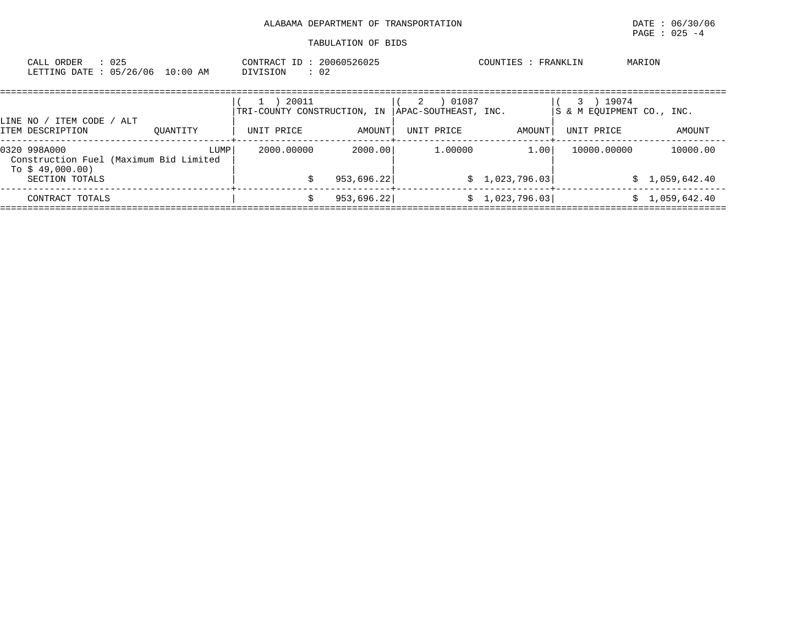| : 025<br>CALL ORDER<br>LETTING DATE: 05/26/06 10:00 AM                     |          | CONTRACT ID: 20060526025<br>DIVISION<br>: 02 |               |                                    | COUNTIES : FRANKLIN | MARION                                    |                |
|----------------------------------------------------------------------------|----------|----------------------------------------------|---------------|------------------------------------|---------------------|-------------------------------------------|----------------|
| LINE NO / ITEM CODE / ALT                                                  |          | 20011<br>TRI-COUNTY CONSTRUCTION, IN         |               | 01087<br>2<br>APAC-SOUTHEAST, INC. |                     | 19074<br>3 -<br>S & M EOUIPMENT CO., INC. |                |
| ITEM DESCRIPTION                                                           | OUANTITY | UNIT PRICE                                   | <b>AMOUNT</b> | UNIT PRICE                         | AMOUNT              | UNIT PRICE                                | AMOUNT         |
| 0320 998A000<br>Construction Fuel (Maximum Bid Limited<br>To \$ 49,000.00) | LUMP     | 2000.00000                                   | 2000.00       | 1,00000                            | 1.00                | 10000.00000                               | 10000.00       |
| SECTION TOTALS                                                             |          |                                              | 953,696.22    |                                    | \$1,023,796.03      |                                           | \$1,059,642.40 |
| CONTRACT TOTALS                                                            |          | Ŝ.                                           | 953,696.22    |                                    | \$1,023,796.03      |                                           | \$1,059,642.40 |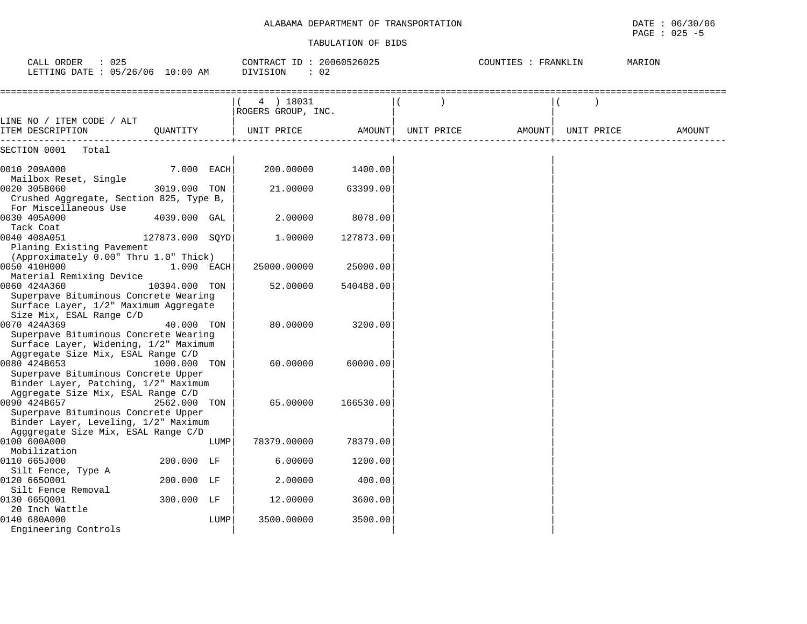| : 025<br>CALL ORDER<br>LETTING DATE : 05/26/06 10:00 AM                                                                            |                 |      | CONTRACT ID: 20060526025<br>DIVISION<br>: 02 |           |            | COUNTIES : FRANKLIN<br>MARION |  |            |        |
|------------------------------------------------------------------------------------------------------------------------------------|-----------------|------|----------------------------------------------|-----------|------------|-------------------------------|--|------------|--------|
|                                                                                                                                    |                 |      | 4 ) 18031<br>ROGERS GROUP, INC.              |           |            |                               |  |            |        |
| LINE NO / ITEM CODE / ALT<br>ITEM DESCRIPTION                                                                                      | OUANTITY        |      | UNIT PRICE                                   | AMOUNT    | UNIT PRICE | AMOUNT                        |  | UNIT PRICE | AMOUNT |
| SECTION 0001<br>Total                                                                                                              |                 |      |                                              |           |            |                               |  |            |        |
| 0010 209A000                                                                                                                       | 7.000 EACH      |      | 200.00000                                    | 1400.00   |            |                               |  |            |        |
| Mailbox Reset, Single<br>0020 305B060<br>Crushed Aggregate, Section 825, Type B,                                                   | 3019.000        | TON  | 21.00000                                     | 63399.00  |            |                               |  |            |        |
| For Miscellaneous Use<br>0030 405A000<br>Tack Coat                                                                                 | 4039.000        | GAL  | 2.00000                                      | 8078.00   |            |                               |  |            |        |
| 0040 408A051<br>Planing Existing Pavement                                                                                          | 127873.000 SQYD |      | 1.00000                                      | 127873.00 |            |                               |  |            |        |
| (Approximately 0.00" Thru 1.0" Thick)<br>0050 410H000<br>Material Remixing Device                                                  | 1.000 EACH      |      | 25000.00000                                  | 25000.00  |            |                               |  |            |        |
| 0060 424A360<br>Superpave Bituminous Concrete Wearing<br>Surface Layer, 1/2" Maximum Aggregate<br>Size Mix, ESAL Range C/D         | 10394.000       | TON  | 52.00000                                     | 540488.00 |            |                               |  |            |        |
| 0070 424A369<br>Superpave Bituminous Concrete Wearing<br>Surface Layer, Widening, 1/2" Maximum                                     | 40.000 TON      |      | 80,00000                                     | 3200.00   |            |                               |  |            |        |
| Aggregate Size Mix, ESAL Range C/D<br>0080 424B653<br>Superpave Bituminous Concrete Upper                                          | 1000.000 TON    |      | 60.00000                                     | 60000.00  |            |                               |  |            |        |
| Binder Layer, Patching, 1/2" Maximum<br>Aggregate Size Mix, ESAL Range C/D                                                         |                 |      |                                              |           |            |                               |  |            |        |
| 0090 424B657<br>Superpave Bituminous Concrete Upper<br>Binder Layer, Leveling, 1/2" Maximum<br>Agggregate Size Mix, ESAL Range C/D | 2562.000 TON    |      | 65.00000                                     | 166530.00 |            |                               |  |            |        |
| 0100 600A000<br>Mobilization                                                                                                       |                 | LUMP | 78379.00000                                  | 78379.00  |            |                               |  |            |        |
| 0110 665J000<br>Silt Fence, Type A                                                                                                 | 200.000 LF      |      | 6.00000                                      | 1200.00   |            |                               |  |            |        |
| 0120 6650001<br>Silt Fence Removal                                                                                                 | 200.000 LF      |      | 2.00000                                      | 400.00    |            |                               |  |            |        |
| 0130 665Q001<br>20 Inch Wattle                                                                                                     | 300.000 LF      |      | 12.00000                                     | 3600.00   |            |                               |  |            |        |
| 0140 680A000<br>Engineering Controls                                                                                               |                 | LUMP | 3500.00000                                   | 3500.00   |            |                               |  |            |        |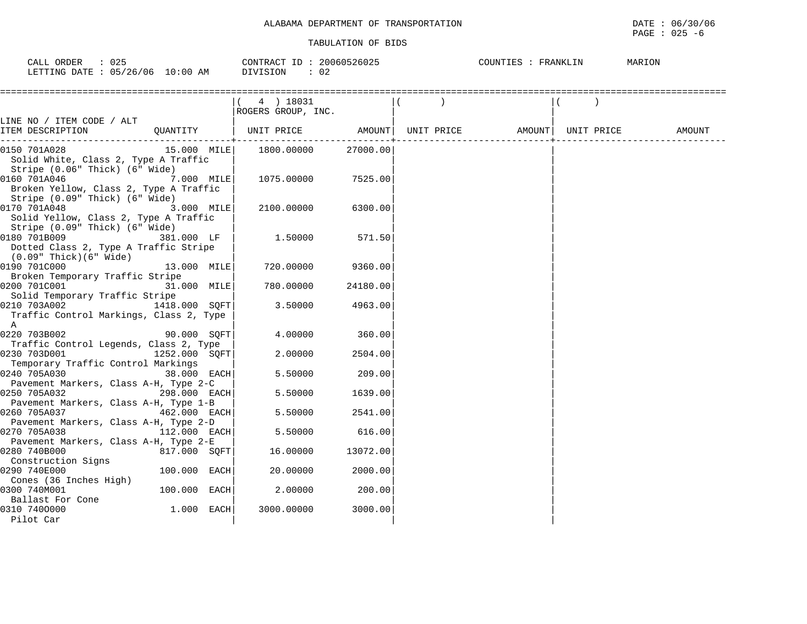| 025<br>CALL<br>ORDER                                                                                                                                    | 20060526025<br>CONTRACT ID | COUNTIES<br>FRANKLIN | MARION |
|---------------------------------------------------------------------------------------------------------------------------------------------------------|----------------------------|----------------------|--------|
| 05/26/06<br>10:00 AM<br>LETTING DATE<br>the contract of the contract of the contract of the contract of the contract of the contract of the contract of | – ∪ ∠<br>, ± ∪ ± ∪ ±       |                      |        |

|                                                       |                | 4 ) 18031          |          |            |                     |        |
|-------------------------------------------------------|----------------|--------------------|----------|------------|---------------------|--------|
|                                                       |                | ROGERS GROUP, INC. |          |            |                     |        |
| LINE NO / ITEM CODE / ALT                             |                |                    |          |            |                     |        |
| ITEM DESCRIPTION                                      | QUANTITY       | UNIT PRICE         | AMOUNT   | UNIT PRICE | AMOUNT   UNIT PRICE | AMOUNT |
| 0150 701A028                                          | 15.000 MILE    | 1800.00000         | 27000.00 |            |                     |        |
| Solid White, Class 2, Type A Traffic                  |                |                    |          |            |                     |        |
| Stripe (0.06" Thick) (6" Wide)                        |                |                    |          |            |                     |        |
| 0160 701A046                                          | $7.000$ MILE   | 1075.00000         | 7525.00  |            |                     |        |
| Broken Yellow, Class 2, Type A Traffic                |                |                    |          |            |                     |        |
| Stripe (0.09" Thick) (6" Wide)                        |                |                    |          |            |                     |        |
| 0170 701A048                                          | 3.000 MILE     | 2100.00000         | 6300.00  |            |                     |        |
| Solid Yellow, Class 2, Type A Traffic                 |                |                    |          |            |                     |        |
| Stripe (0.09" Thick) (6" Wide)                        |                |                    |          |            |                     |        |
| 0180 701B009                                          | 381.000 LF     | 1.50000            | 571.50   |            |                     |        |
| Dotted Class 2, Type A Traffic Stripe                 |                |                    |          |            |                     |        |
| (0.09" Thick)(6" Wide)                                |                |                    |          |            |                     |        |
| 0190 701C000                                          | 13.000 MILE    | 720.00000          | 9360.00  |            |                     |        |
| Broken Temporary Traffic Stripe                       |                |                    |          |            |                     |        |
| 0200 701C001                                          | 31.000 MILE    | 780.00000          | 24180.00 |            |                     |        |
| Solid Temporary Traffic Stripe                        |                |                    |          |            |                     |        |
| 0210 703A002                                          | 1418.000 SOFT  | 3.50000            | 4963.00  |            |                     |        |
| Traffic Control Markings, Class 2, Type               |                |                    |          |            |                     |        |
| A                                                     |                |                    |          |            |                     |        |
| 0220 703B002                                          | 90.000 SOFT    | 4.00000            | 360.00   |            |                     |        |
| Traffic Control Legends, Class 2, Type                |                |                    |          |            |                     |        |
| 0230 703D001                                          | 1252.000 SQFT  | 2.00000            | 2504.00  |            |                     |        |
| Temporary Traffic Control Markings                    |                |                    |          |            |                     |        |
| 0240 705A030                                          | 38.000 EACH    | 5.50000            | 209.00   |            |                     |        |
| Pavement Markers, Class A-H, Type 2-C                 |                |                    |          |            |                     |        |
| 0250 705A032                                          | 298.000 EACH   | 5.50000            | 1639.00  |            |                     |        |
| Pavement Markers, Class A-H, Type 1-B                 |                |                    |          |            |                     |        |
| 0260 705A037                                          | $462.000$ EACH | 5.50000            | 2541.00  |            |                     |        |
| Pavement Markers, Class A-H, Type 2-D                 |                |                    |          |            |                     |        |
| 0270 705A038                                          | 112.000 EACH   | 5.50000            | 616.00   |            |                     |        |
| Pavement Markers, Class A-H, Type 2-E<br>0280 740B000 | 817.000 SQFT   | 16.00000           | 13072.00 |            |                     |        |
| Construction Signs                                    |                |                    |          |            |                     |        |
| 0290 740E000                                          | $100.000$ EACH | 20.00000           | 2000.00  |            |                     |        |
| Cones (36 Inches High)                                |                |                    |          |            |                     |        |
| 0300 740M001                                          | $100.000$ EACH | 2.00000            | 200.00   |            |                     |        |
| Ballast For Cone                                      |                |                    |          |            |                     |        |
| 0310 7400000                                          | $1.000$ EACH   | 3000.00000         | 3000.00  |            |                     |        |
| Pilot Car                                             |                |                    |          |            |                     |        |
|                                                       |                |                    |          |            |                     |        |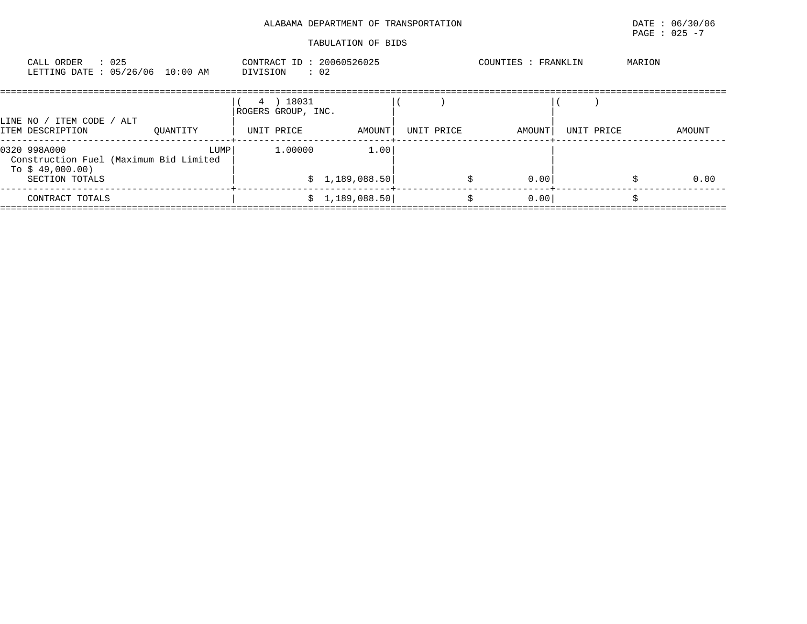|                                                                                              |          |                                               | ALABAMA DEPARTMENT OF TRANSPORTATION |            |                     |            | PAGE : $025 - 7$ | DATE : 06/30/06 |
|----------------------------------------------------------------------------------------------|----------|-----------------------------------------------|--------------------------------------|------------|---------------------|------------|------------------|-----------------|
|                                                                                              |          |                                               | TABULATION OF BIDS                   |            |                     |            |                  |                 |
| CALL ORDER : 025<br>LETTING DATE : 05/26/06 10:00 AM                                         |          | CONTRACT ID: 20060526025<br>DIVISION : 02     |                                      |            | COUNTIES : FRANKLIN |            | MARION           |                 |
| LINE NO / ITEM CODE / ALT<br>ITEM DESCRIPTION                                                | OUANTITY | 4 ) 18031<br>ROGERS GROUP, INC.<br>UNIT PRICE | AMOUNT                               | UNIT PRICE | AMOUNT              | UNIT PRICE |                  | AMOUNT          |
| 0320 998A000<br>Construction Fuel (Maximum Bid Limited<br>To $$49,000.00)$<br>SECTION TOTALS | LUMP     | 1,00000                                       | 1.00<br>\$1,189,088.50               |            | 0.00                |            |                  | 0.00            |
| CONTRACT TOTALS                                                                              |          |                                               | \$1,189,088.50                       |            | 0.00<br>Ŝ.          |            |                  |                 |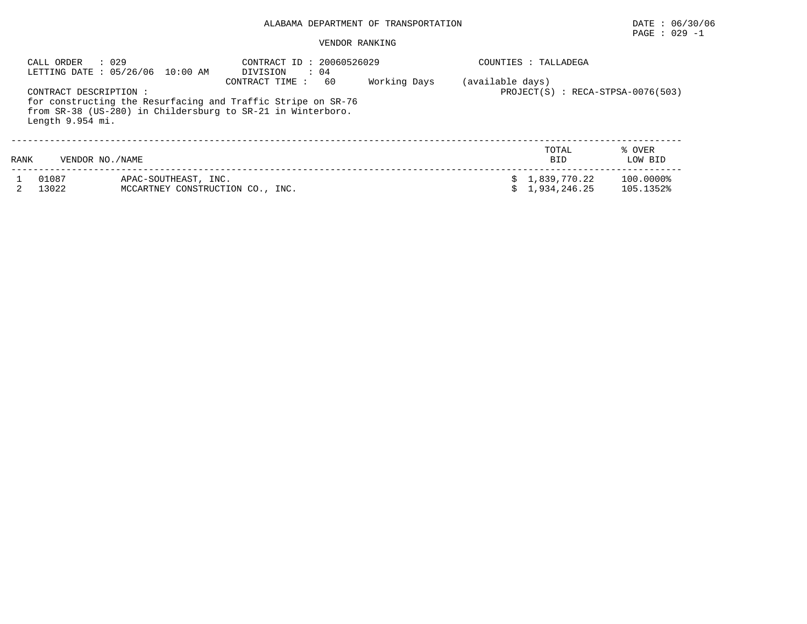# PAGE : 029 -1

#### VENDOR RANKING

|      | : 029<br>CALL ORDER                       | LETTING DATE: 05/26/06 10:00 AM                          | CONTRACT ID: 20060526029<br>DIVISION<br>$\therefore$ 04                                                                                             |              | COUNTIES : TALLADEGA           |                                     |
|------|-------------------------------------------|----------------------------------------------------------|-----------------------------------------------------------------------------------------------------------------------------------------------------|--------------|--------------------------------|-------------------------------------|
|      | CONTRACT DESCRIPTION:<br>Length 9.954 mi. |                                                          | CONTRACT TIME:<br>60<br>for constructing the Resurfacing and Traffic Stripe on SR-76<br>from SR-38 (US-280) in Childersburg to SR-21 in Winterboro. | Working Days | (available days)               | $PROJECT(S)$ : RECA-STPSA-0076(503) |
| RANK | VENDOR NO. / NAME                         |                                                          |                                                                                                                                                     |              | TOTAL<br><b>BID</b>            | % OVER<br>LOW BID                   |
|      | 01087<br>13022                            | APAC-SOUTHEAST, INC.<br>MCCARTNEY CONSTRUCTION CO., INC. |                                                                                                                                                     |              | \$1,839,770.22<br>1,934,246.25 | 100.0000%<br>105.1352%              |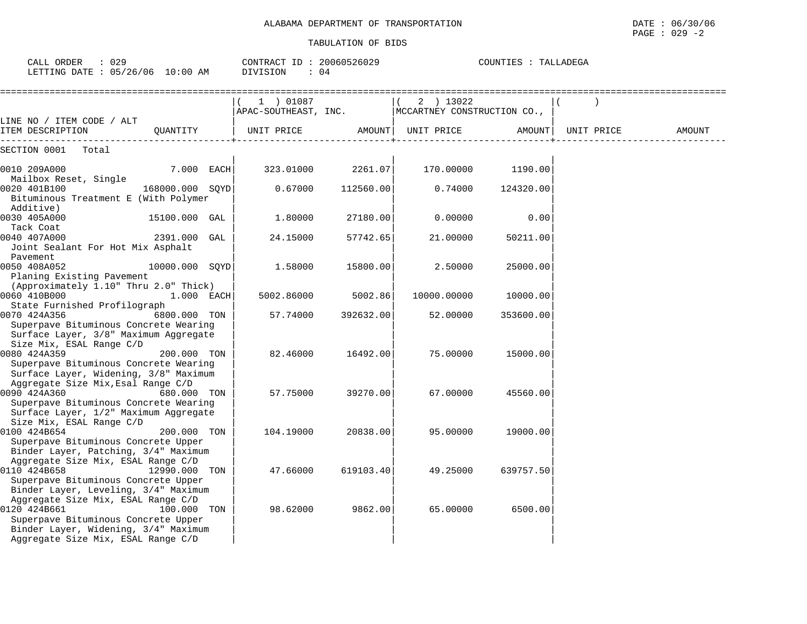| CALL ORDER : 029<br>LETTING DATE : 05/26/06 10:00 AM                                                                                 |                 | CONTRACT ID: 20060526029<br>DIVISION<br>$\colon$ 04           |           |             | COUNTIES : TALLADEGA |            |        |
|--------------------------------------------------------------------------------------------------------------------------------------|-----------------|---------------------------------------------------------------|-----------|-------------|----------------------|------------|--------|
|                                                                                                                                      |                 | 1 ) 01087<br>APAC-SOUTHEAST, INC. MCCARTNEY CONSTRUCTION CO., |           | 2 ) 13022   |                      |            |        |
| LINE NO / ITEM CODE / ALT<br>ITEM DESCRIPTION                                                                                        |                 | OUANTITY   UNIT PRICE AMOUNT  UNIT PRICE AMOUNT               |           |             |                      | UNIT PRICE | AMOUNT |
| SECTION 0001 Total                                                                                                                   |                 |                                                               |           |             |                      |            |        |
| 0010 209A000<br>Mailbox Reset, Single                                                                                                | 7.000 EACH      | 323.01000                                                     | 2261.07   | 170.00000   | 1190.00              |            |        |
| 0020 401B100<br>Bituminous Treatment E (With Polymer<br>Additive)                                                                    | 168000.000 SQYD | 0.67000                                                       | 112560.00 | 0.74000     | 124320.00            |            |        |
| 0030 405A000<br>Tack Coat                                                                                                            | 15100.000 GAL   | 1.80000                                                       | 27180.00  | 0.00000     | 0.00                 |            |        |
| 0040 407A000<br>Joint Sealant For Hot Mix Asphalt<br>Pavement                                                                        | 2391.000 GAL    | 24.15000                                                      | 57742.65  | 21.00000    | 50211.00             |            |        |
| 0050 408A052<br>Planing Existing Pavement<br>(Approximately 1.10" Thru 2.0" Thick)                                                   | 10000.000 SOYD  | 1.58000                                                       | 15800.00  | 2.50000     | 25000.00             |            |        |
| 0060 410B000<br>State Furnished Profilograph                                                                                         | 1.000 EACH      | 5002.86000                                                    | 5002.86   | 10000.00000 | 10000.00             |            |        |
| 0070 424A356<br>Superpave Bituminous Concrete Wearing<br>Surface Layer, 3/8" Maximum Aggregate<br>Size Mix, ESAL Range C/D           | 6800.000 TON    | 57.74000                                                      | 392632.00 | 52.00000    | 353600.00            |            |        |
| 0080 424A359<br>Superpave Bituminous Concrete Wearing<br>Surface Layer, Widening, 3/8" Maximum<br>Aggregate Size Mix, Esal Range C/D | 200.000 TON     | 82.46000                                                      | 16492.00  | 75.00000    | 15000.00             |            |        |
| 0090 424A360<br>Superpave Bituminous Concrete Wearing<br>Surface Layer, 1/2" Maximum Aggregate<br>Size Mix, ESAL Range C/D           | 680.000 TON     | 57.75000                                                      | 39270.00  | 67.00000    | 45560.00             |            |        |
| 0100 424B654<br>Superpave Bituminous Concrete Upper<br>Binder Layer, Patching, 3/4" Maximum<br>Aggregate Size Mix, ESAL Range C/D    | 200.000 TON     | 104.19000                                                     | 20838.00  | 95.00000    | 19000.00             |            |        |
| 0110 424B658<br>Superpave Bituminous Concrete Upper<br>Binder Layer, Leveling, 3/4" Maximum<br>Aggregate Size Mix, ESAL Range C/D    | 12990.000 TON   | 47.66000                                                      | 619103.40 | 49.25000    | 639757.50            |            |        |
| 0120 424B661<br>Superpave Bituminous Concrete Upper<br>Binder Layer, Widening, 3/4" Maximum<br>Aggregate Size Mix, ESAL Range C/D    | 100.000 TON     | 98.62000                                                      | 9862.00   | 65.00000    | 6500.00              |            |        |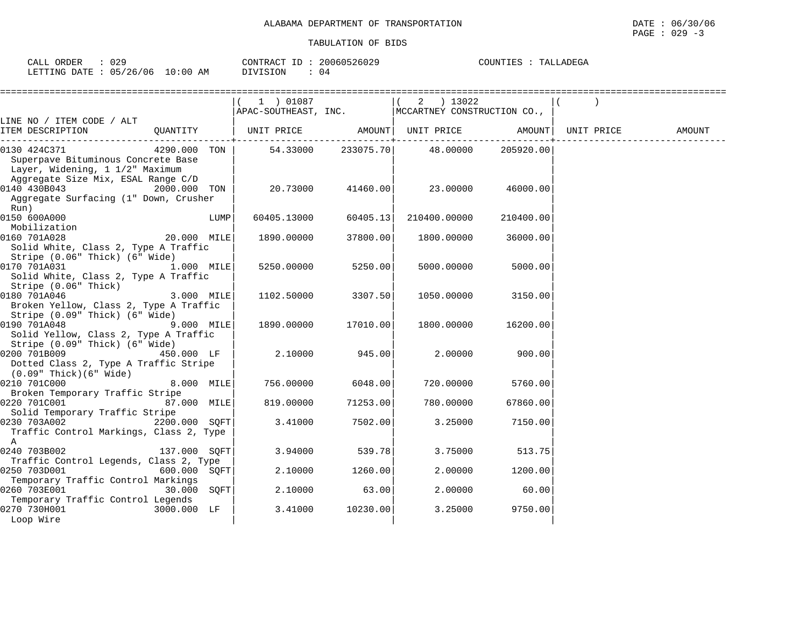|                                                                                                                  |            |      | $(1)$ 01087       |                     | $(2)$ 13022<br>$APAC-SOUTHEAST$ , $INC.$ $ MCCARTNEY$ $CONSTRUCTION CO.$ |           |            |        |
|------------------------------------------------------------------------------------------------------------------|------------|------|-------------------|---------------------|--------------------------------------------------------------------------|-----------|------------|--------|
| LINE NO / ITEM CODE / ALT<br>ITEM DESCRIPTION                                                                    | OUANTITY   |      | UNIT PRICE AMOUNT |                     | UNIT PRICE AMOUNT                                                        |           | UNIT PRICE | AMOUNT |
| 0130 424C371  4290.000 TON<br>Superpave Bituminous Concrete Base<br>Layer, Widening, 1 1/2" Maximum              |            |      |                   |                     | $54.33000$ 233075.70 48.00000                                            | 205920.00 |            |        |
| Aggregate Size Mix, ESAL Range C/D<br>0140 430B043 2000.000 TON<br>Aggregate Surfacing (1" Down, Crusher<br>Run) |            |      | 20.73000          | 41460.00            | 23.00000                                                                 | 46000.00  |            |        |
| 0150 600A000<br>Mobilization                                                                                     |            | LUMP | 60405.13000       | 60405.13            | 210400.00000                                                             | 210400.00 |            |        |
| 0160 701A028 20.000 MILE<br>Solid White, Class 2, Type A Traffic<br>Stripe (0.06" Thick) (6" Wide)               |            |      | 1890.00000        | 37800.00            | 1800.00000                                                               | 36000.00  |            |        |
| Solid White, Class 2, Type A Traffic<br>Stripe (0.06" Thick)                                                     |            |      | 5250.00000        | 5250.00             | 5000.00000                                                               | 5000.00   |            |        |
| 0180 701A046 3.000 MILE<br>Broken Yellow, Class 2, Type A Traffic<br>Stripe (0.09" Thick) (6" Wide)              |            |      | 1102.50000        | 3307.50             | 1050.00000                                                               | 3150.00   |            |        |
| Solid Yellow, Class 2, Type A Traffic<br>Stripe (0.09" Thick) (6" Wide)                                          |            |      |                   | 1890.00000 17010.00 | 1800.00000                                                               | 16200.00  |            |        |
|                                                                                                                  | 450.000 LF |      |                   | 2.10000 945.00      | 2.00000                                                                  | 900.00    |            |        |

| 029<br>ORDER<br>لىلەك                |                              | ΙD<br>CONTRA<br>$\pi \cap m$<br>. RAC | 10526029<br>20060  | LADEGA<br>COUNTIF<br>. ו ב |
|--------------------------------------|------------------------------|---------------------------------------|--------------------|----------------------------|
| 706<br>'26.<br>05<br>LETTING<br>חימת | : 00<br>$\sim$<br>AΜ<br>- 92 | OIVISION                              | ۱4<br>$\mathbf{u}$ |                            |

0210 701C000 8.000 MILE| 756.00000 6048.00| 720.00000 5760.00| Broken Temporary Traffic Stripe | | |

Solid Temporary Traffic Stripe | | |

 $\mathbf A$   $\qquad$ 0240 703B002 137.000 SQFT| 3.94000 539.78| 3.75000 513.75| Traffic Control Legends, Class 2, Type | | |

 Temporary Traffic Control Markings | | | 0260 703E001 30.000 SQFT| 2.10000 63.00| 2.00000 60.00| Temporary Traffic Control Legends<br>0270 730H001 3000.000 LF d 3.41000 10230.00 3.25000 9750.00

Loop Wire **in the set of the set of the set of the set of the set of the set of the set of the set of the set of the set of the set of the set of the set of the set of the set of the set of the set of the set of the set of** 

87.000 MILE

600.000 SQFT

3000.000 LF

0230 703A002 2200.000 SQFT| 3.41000 7502.00| 3.25000 7150.00|

Dotted Class 2, Type A Traffic Stripe

Traffic Control Markings, Class 2, Type

(0.09" Thick)(6" Wide) | | |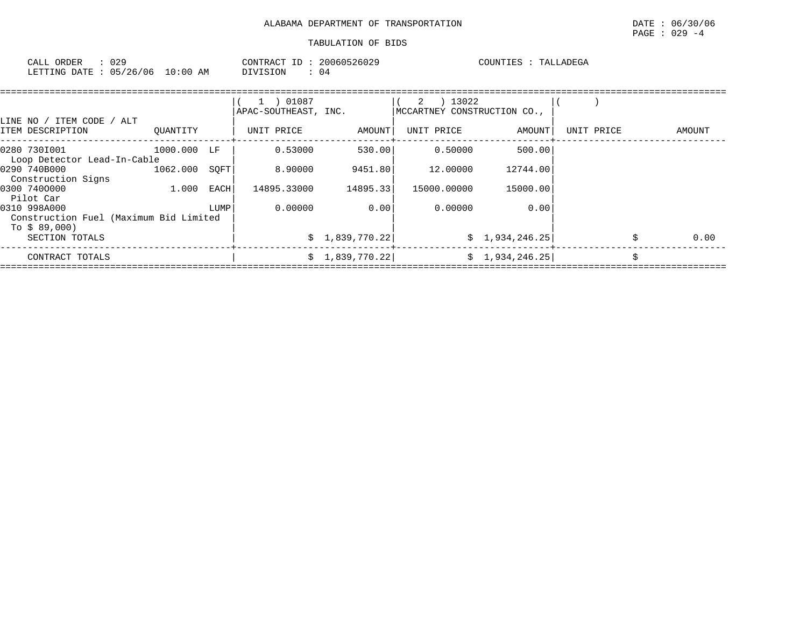| 029<br>CALL ORDER               | CONTRACT ID: 20060526029 | COUNTIES : TALLADEGA |
|---------------------------------|--------------------------|----------------------|
| LETTING DATE: 05/26/06 10:00 AM | DIVISION<br>-04          |                      |

| ' ITEM CODE / ALT<br>LINE NO /                                         |             |      | 1 ) 01087<br>APAC-SOUTHEAST, INC. |                 | 13022<br>2<br>MCCARTNEY CONSTRUCTION CO., |                 |            |    |        |
|------------------------------------------------------------------------|-------------|------|-----------------------------------|-----------------|-------------------------------------------|-----------------|------------|----|--------|
| ITEM DESCRIPTION                                                       | OUANTITY    |      | UNIT PRICE                        | AMOUNT          | UNIT PRICE                                | AMOUNT          | UNIT PRICE |    | AMOUNT |
| 0280 7301001                                                           | 1000.000 LF |      | 0.53000                           | 530.00          | 0.50000                                   | 500.00          |            |    |        |
| Loop Detector Lead-In-Cable<br>0290 740B000<br>Construction Signs      | 1062.000    | SOFT | 8.90000                           | 9451.80         | 12,00000                                  | 12744.00        |            |    |        |
| 0300 7400000<br>Pilot Car                                              | 1.000       | EACH | 14895.33000                       | 14895.33        | 15000.00000                               | 15000.00        |            |    |        |
| 0310 998A000<br>Construction Fuel (Maximum Bid Limited<br>To $$89,000$ |             | LUMP | 0.00000                           | 0.00            | 0.00000                                   | 0.00            |            |    |        |
| SECTION TOTALS                                                         |             |      |                                   | \$1,839,770.22] |                                           | \$1,934,246.25] |            |    | 0.00   |
| CONTRACT TOTALS                                                        |             |      |                                   | \$1,839,770.22] |                                           | \$1,934,246.25] |            | Ś. |        |
|                                                                        |             |      |                                   |                 |                                           |                 |            |    |        |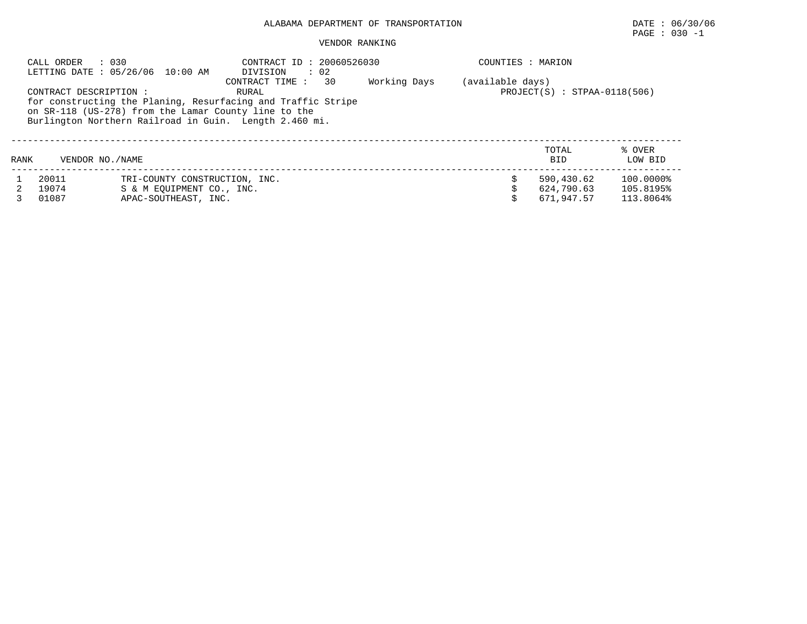## PAGE : 030 -1

#### VENDOR RANKING

|      | : 030<br>CALL ORDER    | LETTING DATE : 05/26/06 10:00 AM | CONTRACT ID: 20060526030<br>DIVISION<br>$\therefore$ 02      |              | COUNTIES : MARION |                                |           |
|------|------------------------|----------------------------------|--------------------------------------------------------------|--------------|-------------------|--------------------------------|-----------|
|      |                        |                                  | 30<br>CONTRACT TIME:                                         | Working Days | (available days)  |                                |           |
|      | CONTRACT DESCRIPTION : |                                  | RURAL                                                        |              |                   | $PROJECT(S) : STPAA-0118(506)$ |           |
|      |                        |                                  | for constructing the Planing, Resurfacing and Traffic Stripe |              |                   |                                |           |
|      |                        |                                  | on SR-118 (US-278) from the Lamar County line to the         |              |                   |                                |           |
|      |                        |                                  | Burlington Northern Railroad in Guin. Length 2.460 mi.       |              |                   |                                |           |
|      |                        |                                  |                                                              |              |                   |                                |           |
|      |                        |                                  |                                                              |              |                   | TOTAL                          | % OVER    |
| RANK | VENDOR NO. / NAME      |                                  |                                                              |              |                   | <b>BID</b>                     | LOW BID   |
|      | 20011                  | TRI-COUNTY CONSTRUCTION, INC.    |                                                              |              |                   | 590,430.62                     | 100.0000% |
|      | 19074                  | S & M EOUIPMENT CO., INC.        |                                                              |              |                   | 624,790.63                     | 105.8195% |
|      | 01087                  | APAC-SOUTHEAST, INC.             |                                                              |              |                   | 671,947.57                     | 113.8064% |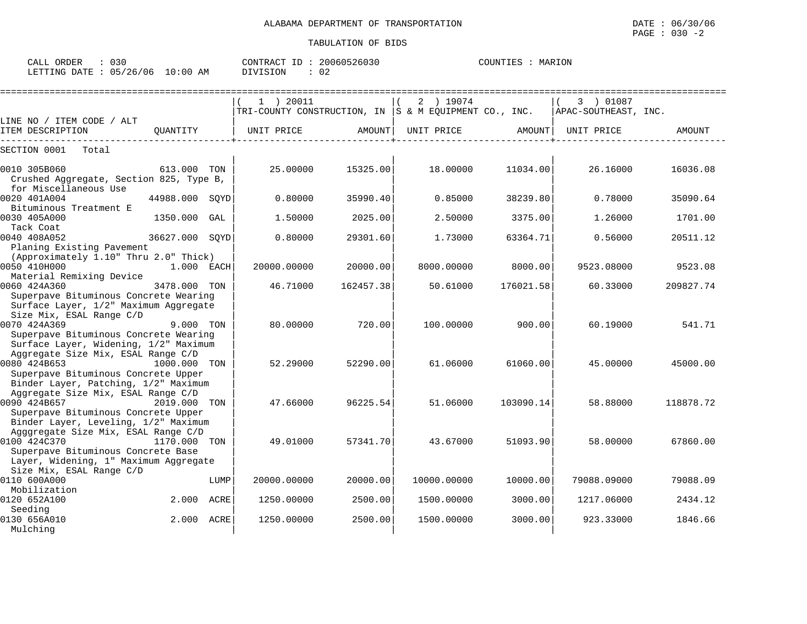CALL ORDER : 030 CONTRACT ID : 20060526030 COUNTIES : MARION

LETTING DATE : 05/26/06 10:00 AM DIVISION : 02

|                                                                                                                      |                |      | $1$ ) 20011<br>TRI-COUNTY CONSTRUCTION, IN $ S \& M$ EQUIPMENT CO., INC. |           | 2 ) 19074   |           | 3 ) 01087<br>APAC-SOUTHEAST, INC. |           |
|----------------------------------------------------------------------------------------------------------------------|----------------|------|--------------------------------------------------------------------------|-----------|-------------|-----------|-----------------------------------|-----------|
| LINE NO / ITEM CODE / ALT                                                                                            |                |      |                                                                          |           |             |           |                                   |           |
| ITEM DESCRIPTION                                                                                                     | OUANTITY       |      | UNIT PRICE                                                               | AMOUNT    | UNIT PRICE  | AMOUNT    | UNIT PRICE                        | AMOUNT    |
| SECTION 0001<br>Total                                                                                                |                |      |                                                                          |           |             |           |                                   |           |
| 0010 305B060<br>Crushed Aggregate, Section 825, Type B,<br>for Miscellaneous Use                                     | 613,000 TON    |      | 25,00000                                                                 | 15325.00  | 18,00000    | 11034.00  | 26.16000                          | 16036.08  |
| 0020 401A004<br>Bituminous Treatment E                                                                               | 44988.000      | SOYD | 0.80000                                                                  | 35990.40  | 0.85000     | 38239.80  | 0.78000                           | 35090.64  |
| 0030 405A000<br>Tack Coat                                                                                            | 1350.000       | GAL  | 1.50000                                                                  | 2025.00   | 2.50000     | 3375.00   | 1.26000                           | 1701.00   |
| 0040 408A052<br>Planing Existing Pavement                                                                            | 36627.000 SOYD |      | 0.80000                                                                  | 29301.60  | 1.73000     | 63364.71  | 0.56000                           | 20511.12  |
| (Approximately 1.10" Thru 2.0" Thick)<br>0050 410H000<br>Material Remixing Device                                    | 1.000 EACH     |      | 20000.00000                                                              | 20000.001 | 8000.00000  | 8000.00   | 9523.08000                        | 9523.08   |
| 0060 424A360<br>Superpave Bituminous Concrete Wearing<br>Surface Layer, 1/2" Maximum Aggregate                       | 3478.000 TON   |      | 46.71000                                                                 | 162457.38 | 50.61000    | 176021.58 | 60.33000                          | 209827.74 |
| Size Mix, ESAL Range C/D<br>0070 424A369                                                                             | 9.000 TON      |      | 80,00000                                                                 | 720.00    | 100.00000   | 900.00    | 60.19000                          | 541.71    |
| Superpave Bituminous Concrete Wearing<br>Surface Layer, Widening, 1/2" Maximum<br>Aggregate Size Mix, ESAL Range C/D |                |      |                                                                          |           |             |           |                                   |           |
| 0080 424B653<br>$1000.000$ TON<br>Superpave Bituminous Concrete Upper                                                |                |      | 52.29000                                                                 | 52290.00  | 61.06000    | 61060.00  | 45.00000                          | 45000.00  |
| Binder Layer, Patching, 1/2" Maximum<br>Aggregate Size Mix, ESAL Range C/D                                           |                |      |                                                                          |           |             |           |                                   |           |
| 0090 424B657<br>Superpave Bituminous Concrete Upper<br>Binder Layer, Leveling, 1/2" Maximum                          | 2019.000 TON   |      | 47.66000                                                                 | 96225.54  | 51.06000    | 103090.14 | 58.88000                          | 118878.72 |
| Agggregate Size Mix, ESAL Range C/D<br>0100 424C370<br>Superpave Bituminous Concrete Base                            | 1170.000 TON   |      | 49.01000                                                                 | 57341.70  | 43.67000    | 51093.90  | 58.00000                          | 67860.00  |
| Layer, Widening, 1" Maximum Aggregate<br>Size Mix, ESAL Range C/D<br>0110 600A000                                    |                | LUMP | 20000.00000                                                              | 20000.00  | 10000.00000 | 10000.00  | 79088.09000                       | 79088.09  |
| Mobilization<br>0120 652A100                                                                                         | 2.000 ACRE     |      | 1250.00000                                                               | 2500.00   | 1500.00000  | 3000.00   | 1217.06000                        | 2434.12   |
| Seeding<br>0130 656A010<br>Mulching                                                                                  | 2.000 ACRE     |      | 1250.00000                                                               | 2500.00   | 1500.00000  | 3000.00   | 923.33000                         | 1846.66   |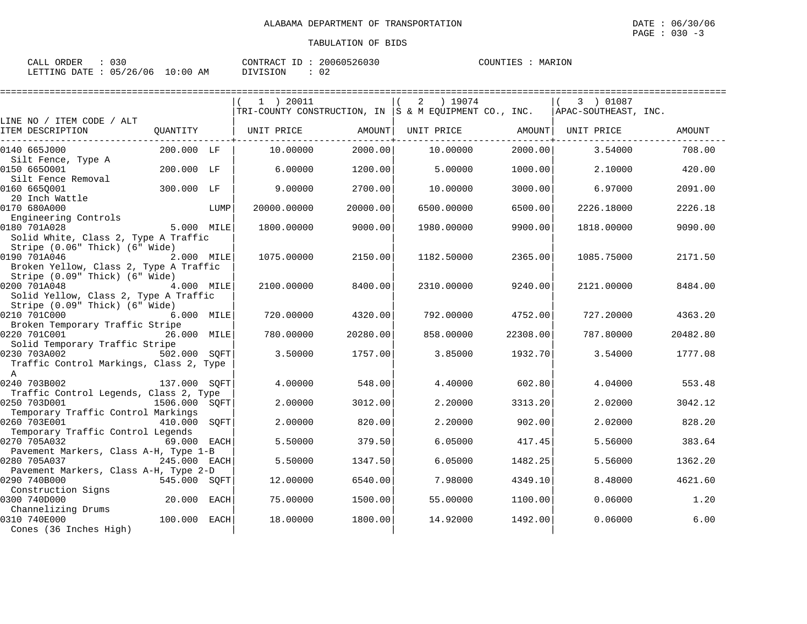| CALL ORDER                       | $\therefore$ 030 |          | CONTRACT ID: 20060526030 | COUNTIES : MARION |  |
|----------------------------------|------------------|----------|--------------------------|-------------------|--|
| LETTING DATE : 05/26/06 10:00 AM |                  | DIVISION | $\therefore$ 02          |                   |  |

|                                                                                          |               |      | 1 ) 20011                                                    |          | 2<br>) 19074 |          | 3 ) 01087            |          |
|------------------------------------------------------------------------------------------|---------------|------|--------------------------------------------------------------|----------|--------------|----------|----------------------|----------|
|                                                                                          |               |      | $ TRI-COUNTY$ CONSTRUCTION, IN $ S \& M$ EQUIPMENT CO., INC. |          |              |          | APAC-SOUTHEAST, INC. |          |
| LINE NO / ITEM CODE / ALT<br>ITEM DESCRIPTION                                            | QUANTITY      |      | UNIT PRICE                                                   | AMOUNT   | UNIT PRICE   | AMOUNT   | UNIT PRICE           | AMOUNT   |
| 0140 665J000<br>Silt Fence, Type A                                                       | 200.000 LF    |      | 10.00000                                                     | 2000.00  | 10.00000     | 2000.00  | 3.54000              | 708.00   |
| 0150 6650001<br>Silt Fence Removal                                                       | 200.000 LF    |      | 6.00000                                                      | 1200.00  | 5.00000      | 1000.00  | 2.10000              | 420.00   |
| 0160 665Q001<br>20 Inch Wattle                                                           | 300.000 LF    |      | 9,00000                                                      | 2700.00  | 10.00000     | 3000.00  | 6.97000              | 2091.00  |
| 0170 680A000<br>Engineering Controls                                                     |               | LUMP | 20000.00000                                                  | 20000.00 | 6500.00000   | 6500.00  | 2226.18000           | 2226.18  |
| 0180 701A028<br>Solid White, Class 2, Type A Traffic                                     | 5.000 MILE    |      | 1800.00000                                                   | 9000.00  | 1980.00000   | 9900.00  | 1818.00000           | 9090.00  |
| Stripe (0.06" Thick) (6" Wide)<br>0190 701A046<br>Broken Yellow, Class 2, Type A Traffic | 2.000 MILE    |      | 1075.00000                                                   | 2150.00  | 1182.50000   | 2365.00  | 1085.75000           | 2171.50  |
| Stripe (0.09" Thick) (6" Wide)<br>0200 701A048<br>Solid Yellow, Class 2, Type A Traffic  | 4.000 MILE    |      | 2100.00000                                                   | 8400.00  | 2310.00000   | 9240.00  | 2121.00000           | 8484.00  |
| Stripe (0.09" Thick) (6" Wide)<br>0210 701C000<br>Broken Temporary Traffic Stripe        | 6.000 MILE    |      | 720.00000                                                    | 4320.00  | 792.00000    | 4752.00  | 727.20000            | 4363.20  |
| 0220 701C001<br>Solid Temporary Traffic Stripe                                           | 26.000 MILE   |      | 780.00000                                                    | 20280.00 | 858.00000    | 22308.00 | 787.80000            | 20482.80 |
| 0230 703A002<br>Traffic Control Markings, Class 2, Type<br>$\mathbb A$                   | 502.000 SOFT  |      | 3.50000                                                      | 1757.00  | 3.85000      | 1932.70  | 3.54000              | 1777.08  |
| 0240 703B002<br>Traffic Control Legends, Class 2, Type                                   | 137.000 SOFT  |      | 4.00000                                                      | 548.00   | 4.40000      | 602.80   | 4.04000              | 553.48   |
| 0250 703D001<br>Temporary Traffic Control Markings                                       | 1506.000 SQFT |      | 2.00000                                                      | 3012.00  | 2.20000      | 3313.20  | 2.02000              | 3042.12  |
| 0260 703E001<br>Temporary Traffic Control Legends                                        | 410.000       | SOFT | 2.00000                                                      | 820.00   | 2.20000      | 902.00   | 2.02000              | 828.20   |
| 0270 705A032<br>Pavement Markers, Class A-H, Type 1-B                                    | 69.000 EACH   |      | 5.50000                                                      | 379.50   | 6.05000      | 417.45   | 5.56000              | 383.64   |
| 0280 705A037<br>Pavement Markers, Class A-H, Type 2-D                                    | 245.000 EACH  |      | 5.50000                                                      | 1347.50  | 6.05000      | 1482.25  | 5.56000              | 1362.20  |
| 0290 740B000<br>Construction Signs                                                       | 545.000 SQFT  |      | 12,00000                                                     | 6540.00  | 7.98000      | 4349.10  | 8.48000              | 4621.60  |
| 0300 740D000<br>Channelizing Drums                                                       | 20.000 EACH   |      | 75.00000                                                     | 1500.00  | 55.00000     | 1100.00  | 0.06000              | 1.20     |
| 0310 740E000<br>Cones (36 Inches High)                                                   | 100.000 EACH  |      | 18,00000                                                     | 1800.00  | 14.92000     | 1492.00  | 0.06000              | 6.00     |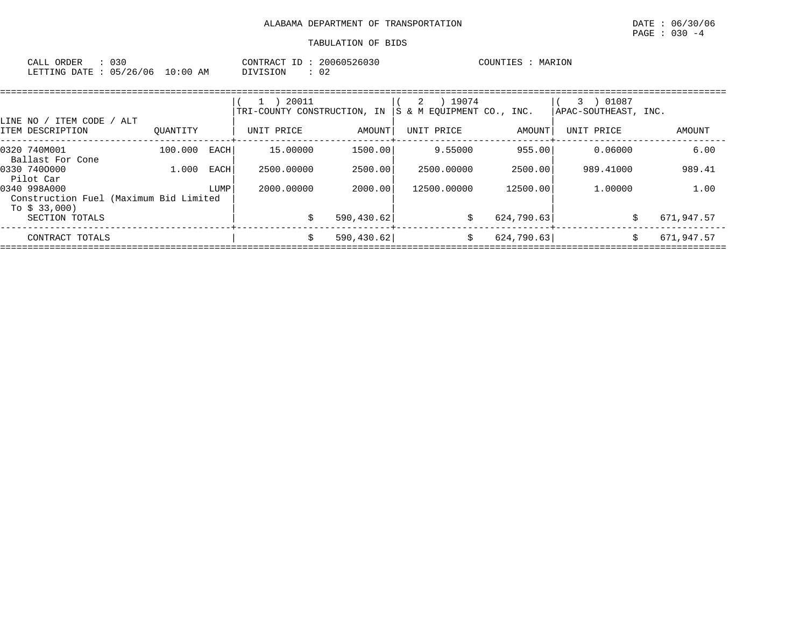| CALL ORDER                       |          | CONTRACT ID: 20060526030 | COUNTIES : MARION |
|----------------------------------|----------|--------------------------|-------------------|
| LETTING DATE : 05/26/06 10:00 AM | DIVISION |                          |                   |

|                                                        |          |      | 20011<br>$\perp$<br>TRI-COUNTY CONSTRUCTION, IN |             | 19074<br>2<br>IS & M EOUIPMENT CO., INC. |            | 3 ) 01087<br>APAC-SOUTHEAST, INC. |            |
|--------------------------------------------------------|----------|------|-------------------------------------------------|-------------|------------------------------------------|------------|-----------------------------------|------------|
| LINE NO / ITEM CODE / ALT<br>ITEM DESCRIPTION          | OUANTITY |      | UNIT PRICE                                      | AMOUNT      | UNIT PRICE                               | AMOUNT     | UNIT PRICE                        | AMOUNT     |
| 0320 740M001<br>Ballast For Cone                       | 100.000  | EACH | 15.00000                                        | 1500.00     | 9.55000                                  | 955.00     | 0.06000                           | 6.00       |
| 0330 7400000<br>Pilot Car                              | 1.000    | EACH | 2500.00000                                      | 2500.00     | 2500.00000                               | 2500.00    | 989.41000                         | 989.41     |
| 0340 998A000<br>Construction Fuel (Maximum Bid Limited |          | LUMP | 2000,00000                                      | 2000.00     | 12500.00000                              | 12500.00   | 1,00000                           | 1.00       |
| To \$ 33,000)<br>SECTION TOTALS                        |          |      |                                                 | 590, 430.62 | S.                                       | 624,790.63 |                                   | 671,947.57 |
| CONTRACT TOTALS                                        |          |      | S                                               | 590, 430.62 | \$                                       | 624,790.63 |                                   | 671,947.57 |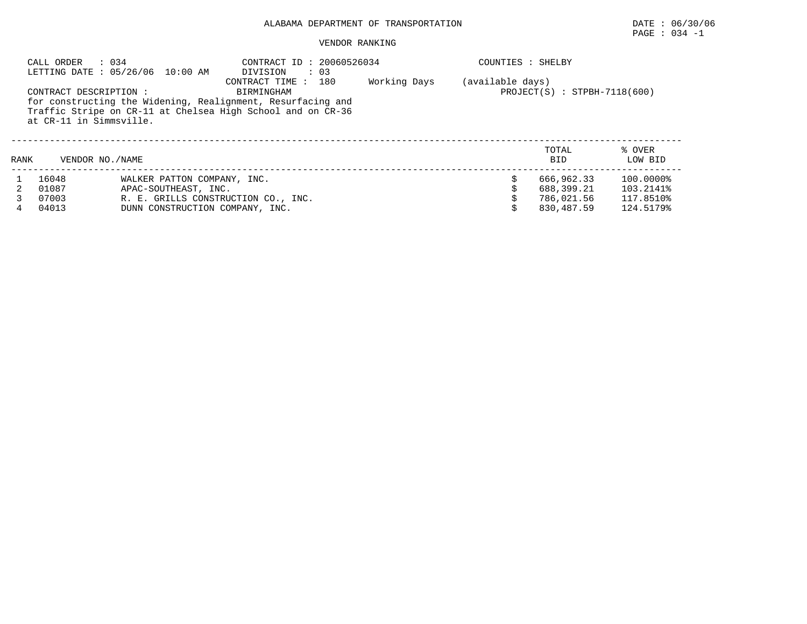## PAGE : 034 -1

#### VENDOR RANKING

|      | CALL ORDER<br>: 034                               | LETTING DATE: 05/26/06 10:00 AM                                                                                            | CONTRACT ID: 20060526034<br>DIVISION<br>$\therefore$ 03 |     |              | COUNTIES : SHELBY |                                |                   |
|------|---------------------------------------------------|----------------------------------------------------------------------------------------------------------------------------|---------------------------------------------------------|-----|--------------|-------------------|--------------------------------|-------------------|
|      | CONTRACT DESCRIPTION :<br>at CR-11 in Simmsville. | for constructing the Widening, Realignment, Resurfacing and<br>Traffic Stripe on CR-11 at Chelsea High School and on CR-36 | CONTRACT TIME :<br>BIRMINGHAM                           | 180 | Working Days | (available days)  | $PROJECT(S) : STPBH-7118(600)$ |                   |
| RANK | VENDOR NO. / NAME                                 |                                                                                                                            |                                                         |     |              |                   | TOTAL<br><b>BID</b>            | % OVER<br>LOW BID |
|      | 16048                                             | WALKER PATTON COMPANY, INC.                                                                                                |                                                         |     |              |                   | 666,962.33                     | $100.0000\%$      |
|      | 01087                                             | APAC-SOUTHEAST, INC.                                                                                                       |                                                         |     |              |                   | 688,399.21                     | 103.2141%         |
|      | 07003                                             | R. E. GRILLS CONSTRUCTION CO., INC.                                                                                        |                                                         |     |              |                   | 786,021.56                     | 117.8510%         |
|      | 04013                                             | DUNN CONSTRUCTION COMPANY, INC.                                                                                            |                                                         |     |              |                   | 830,487.59                     | 124.5179%         |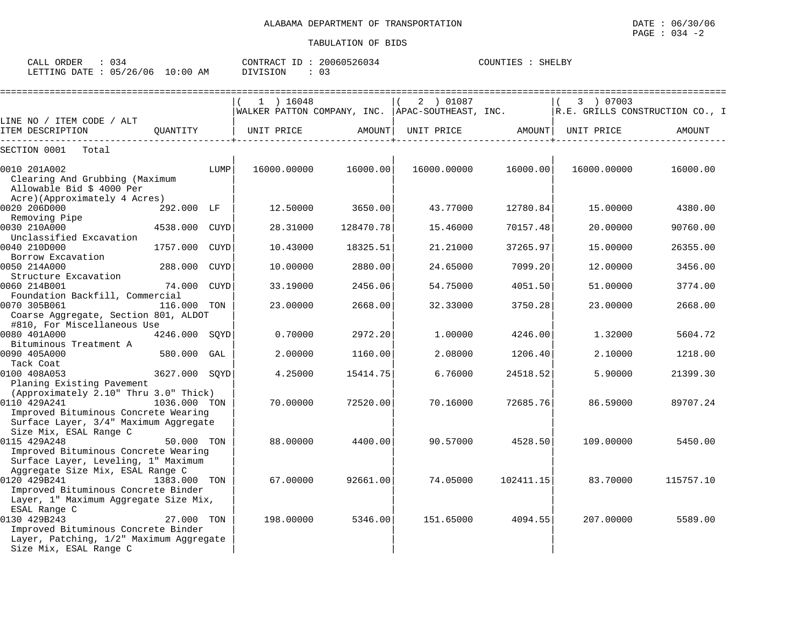| CALL (<br>ORDER           |            | CONTRACT<br>ID . | 20060526034 | COUNTIES | SHELBY |
|---------------------------|------------|------------------|-------------|----------|--------|
| LETTING DATE : 05/26/06 1 | $10:00$ AM | DIVISION         | 03          |          |        |

|                                                                                                                          |               |             | $1$ ) 16048                                       |           | 2 ) 01087   |           | 3 ) 07003                       |           |
|--------------------------------------------------------------------------------------------------------------------------|---------------|-------------|---------------------------------------------------|-----------|-------------|-----------|---------------------------------|-----------|
| LINE NO / ITEM CODE / ALT                                                                                                |               |             | WALKER PATTON COMPANY, INC.  APAC-SOUTHEAST, INC. |           |             |           | R.E. GRILLS CONSTRUCTION CO., I |           |
| ITEM DESCRIPTION                                                                                                         | QUANTITY      |             | UNIT PRICE                                        | AMOUNT    | UNIT PRICE  | AMOUNT    | UNIT PRICE                      | AMOUNT    |
| Total<br>SECTION 0001                                                                                                    |               |             |                                                   |           |             |           |                                 |           |
| 0010 201A002<br>Clearing And Grubbing (Maximum<br>Allowable Bid \$ 4000 Per                                              |               | LUMP        | 16000.00000                                       | 16000.00  | 16000.00000 | 16000.00  | 16000.00000                     | 16000.00  |
| Acre)(Approximately 4 Acres)<br>0020 206D000<br>Removing Pipe                                                            | 292.000 LF    |             | 12.50000                                          | 3650.00   | 43.77000    | 12780.84  | 15.00000                        | 4380.00   |
| 0030 210A000<br>Unclassified Excavation                                                                                  | 4538.000      | CUYD        | 28.31000                                          | 128470.78 | 15.46000    | 70157.48  | 20.00000                        | 90760.00  |
| 0040 210D000<br>Borrow Excavation                                                                                        | 1757.000      | <b>CUYD</b> | 10.43000                                          | 18325.51  | 21.21000    | 37265.97  | 15,00000                        | 26355.00  |
| 0050 214A000<br>Structure Excavation                                                                                     | 288.000       | <b>CUYD</b> | 10.00000                                          | 2880.00   | 24.65000    | 7099.20   | 12,00000                        | 3456.00   |
| 0060 214B001<br>Foundation Backfill, Commercial                                                                          | 74.000        | <b>CUYD</b> | 33.19000                                          | 2456.06   | 54.75000    | 4051.50   | 51.00000                        | 3774.00   |
| 0070 305B061<br>Coarse Aggregate, Section 801, ALDOT<br>#810, For Miscellaneous Use                                      | 116.000 TON   |             | 23.00000                                          | 2668.00   | 32.33000    | 3750.28   | 23,00000                        | 2668.00   |
| 0080 401A000<br>Bituminous Treatment A                                                                                   | 4246.000 SOYD |             | 0.70000                                           | 2972.20   | 1,00000     | 4246.00   | 1.32000                         | 5604.72   |
| 0090 405A000<br>Tack Coat                                                                                                | 580.000 GAL   |             | 2.00000                                           | 1160.00   | 2.08000     | 1206.40   | 2.10000                         | 1218.00   |
| 0100 408A053<br>Planing Existing Pavement                                                                                | 3627.000 SOYD |             | 4.25000                                           | 15414.75  | 6.76000     | 24518.52  | 5.90000                         | 21399.30  |
| (Approximately 2.10" Thru 3.0" Thick)<br>0110 429A241<br>Improved Bituminous Concrete Wearing                            | 1036.000 TON  |             | 70.00000                                          | 72520.00  | 70.16000    | 72685.76  | 86.59000                        | 89707.24  |
| Surface Layer, 3/4" Maximum Aggregate<br>Size Mix, ESAL Range C<br>0115 429A248                                          | 50.000 TON    |             | 88.00000                                          | 4400.00   | 90.57000    | 4528.50   | 109,00000                       | 5450.00   |
| Improved Bituminous Concrete Wearing<br>Surface Layer, Leveling, 1" Maximum<br>Aggregate Size Mix, ESAL Range C          |               |             |                                                   |           |             |           |                                 |           |
| 0120 429B241<br>Improved Bituminous Concrete Binder<br>Layer, 1" Maximum Aggregate Size Mix,<br>ESAL Range C             | 1383.000 TON  |             | 67.00000                                          | 92661.00  | 74.05000    | 102411.15 | 83.70000                        | 115757.10 |
| 0130 429B243<br>Improved Bituminous Concrete Binder<br>Layer, Patching, 1/2" Maximum Aggregate<br>Size Mix, ESAL Range C | 27.000 TON    |             | 198.00000                                         | 5346.00   | 151.65000   | 4094.55   | 207.00000                       | 5589.00   |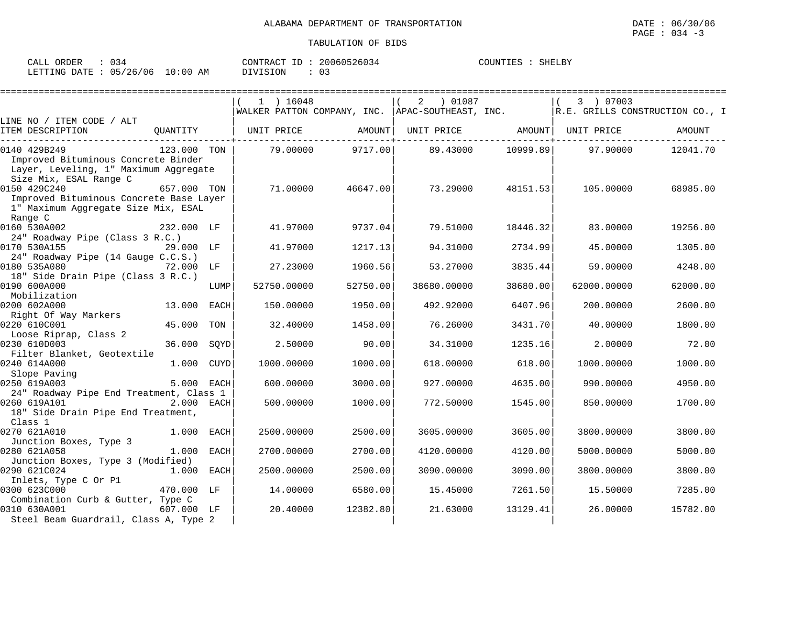| CALL ORDER                       | $\therefore$ 034 |          | CONTRACT ID: 20060526034 | COUNTIES : SHELBY |  |
|----------------------------------|------------------|----------|--------------------------|-------------------|--|
| LETTING DATE : 05/26/06 10:00 AM |                  | DIVISION |                          |                   |  |

|                                                                                                                        |              |      | $1$ ) 16048<br>WALKER PATTON COMPANY, INC. APAC-SOUTHEAST, INC. |          | 2<br>01087 (      |                   | 3 ) 07003   | R.E. GRILLS CONSTRUCTION CO., I |
|------------------------------------------------------------------------------------------------------------------------|--------------|------|-----------------------------------------------------------------|----------|-------------------|-------------------|-------------|---------------------------------|
| LINE NO / ITEM CODE / ALT                                                                                              |              |      |                                                                 |          |                   |                   |             |                                 |
| ITEM DESCRIPTION                                                                                                       |              |      | QUANTITY   UNIT PRICE AMOUNT                                    |          | UNIT PRICE AMOUNT |                   | UNIT PRICE  | AMOUNT                          |
| 0140 429B249<br>Improved Bituminous Concrete Binder<br>Layer, Leveling, 1" Maximum Aggregate<br>Size Mix, ESAL Range C | 123.000 TON  |      | 79.00000                                                        | 9717.00  |                   | 89.43000 10999.89 | 97.90000    | 12041.70                        |
| 0150 429C240<br>Improved Bituminous Concrete Base Layer<br>1" Maximum Aggregate Size Mix, ESAL<br>Range C              | 657.000 TON  |      | 71.00000                                                        | 46647.00 | 73.29000          | 48151.53          | 105.00000   | 68985.00                        |
| 0160 530A002<br>24" Roadway Pipe (Class 3 R.C.)                                                                        | 232.000 LF   |      | 41.97000                                                        | 9737.04  | 79.51000          | 18446.32          | 83.00000    | 19256.00                        |
| 0170 530A155<br>24" Roadway Pipe (14 Gauge C.C.S.)                                                                     | 29.000 LF    |      | 41.97000                                                        | 1217.13  | 94.31000          | 2734.99           | 45.00000    | 1305.00                         |
| 0180 535A080<br>18" Side Drain Pipe (Class 3 R.C.)                                                                     | 72.000 LF    |      | 27.23000                                                        | 1960.56  | 53.27000          | 3835.44           | 59.00000    | 4248.00                         |
| 0190 600A000<br>Mobilization                                                                                           |              | LUMP | 52750.00000                                                     | 52750.00 | 38680.00000       | 38680.00          | 62000.00000 | 62000.00                        |
| 0200 602A000<br>Right Of Way Markers                                                                                   | 13.000 EACH  |      | 150.00000                                                       | 1950.00  | 492.92000         | 6407.96           | 200,00000   | 2600.00                         |
| 0220 610C001<br>Loose Riprap, Class 2                                                                                  | 45.000       | TON  | 32.40000                                                        | 1458.00  | 76.26000          | 3431.70           | 40.00000    | 1800.00                         |
| 0230 610D003<br>Filter Blanket, Geotextile                                                                             | 36.000       | SOYD | 2.50000                                                         | 90.00    | 34.31000          | 1235.16           | 2.00000     | 72.00                           |
| 0240 614A000<br>Slope Paving                                                                                           | 1.000 CUYD   |      | 1000.00000                                                      | 1000.00  | 618,00000         | 618.00            | 1000.00000  | 1000.00                         |
| 0250 619A003<br>24" Roadway Pipe End Treatment, Class 1                                                                | 5.000 EACH   |      | 600.00000                                                       | 3000.00  | 927.00000         | 4635.00           | 990.00000   | 4950.00                         |
| 0260 619A101<br>18" Side Drain Pipe End Treatment,<br>Class 1                                                          | 2.000 EACH   |      | 500.00000                                                       | 1000.00  | 772.50000         | 1545.00           | 850.00000   | 1700.00                         |
| 0270 621A010<br>Junction Boxes, Type 3                                                                                 | 1.000 EACH   |      | 2500.00000                                                      | 2500.00  | 3605,00000        | 3605.00           | 3800.00000  | 3800.00                         |
| 0280 621A058<br>Junction Boxes, Type 3 (Modified)                                                                      | 1.000 EACH   |      | 2700.00000                                                      | 2700.00  | 4120.00000        | 4120.00           | 5000.00000  | 5000.00                         |
| 0290 621C024<br>Inlets, Type C Or P1                                                                                   | $1.000$ EACH |      | 2500.00000                                                      | 2500.00  | 3090.00000        | 3090.00           | 3800.00000  | 3800.00                         |
| 0300 623C000<br>Combination Curb & Gutter, Type C                                                                      | 470.000 LF   |      | 14.00000                                                        | 6580.00  | 15.45000          | 7261.50           | 15.50000    | 7285.00                         |
| 0310 630A001<br>Steel Beam Guardrail, Class A, Type 2                                                                  | 607.000 LF   |      | 20.40000                                                        | 12382.80 | 21.63000          | 13129.41          | 26.00000    | 15782.00                        |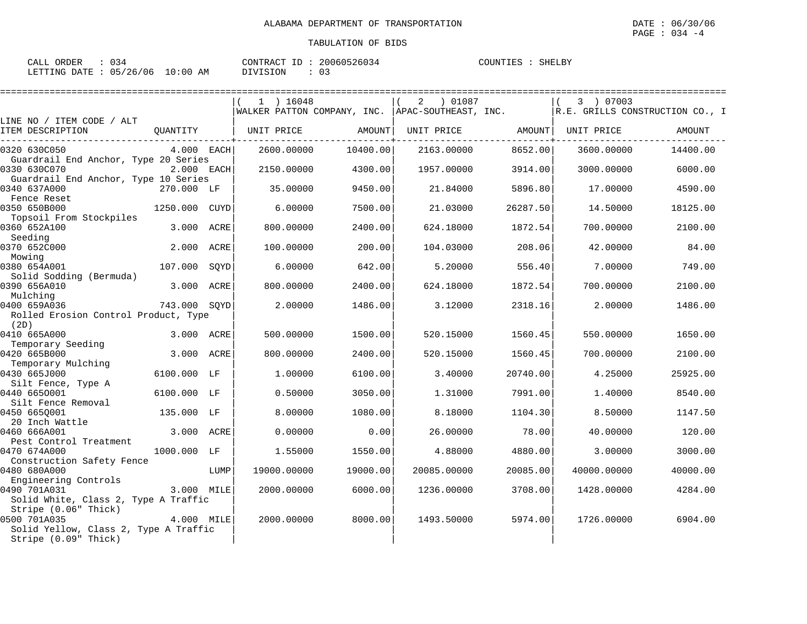| CALL ORDER | : 034                           |          | CONTRACT ID: 20060526034 | COUNTIES : SHELBY |  |
|------------|---------------------------------|----------|--------------------------|-------------------|--|
|            | LETTING DATE: 05/26/06 10:00 AM | DIVISION |                          |                   |  |

|                                                                                                       |              |      | =========                                          |          |                           |          |             |                                 |
|-------------------------------------------------------------------------------------------------------|--------------|------|----------------------------------------------------|----------|---------------------------|----------|-------------|---------------------------------|
|                                                                                                       |              |      | $1$ ) 16048                                        |          | $\overline{a}$<br>01087 ( |          | 3 ) 07003   |                                 |
|                                                                                                       |              |      | WALKER PATTON COMPANY, INC.   APAC-SOUTHEAST, INC. |          |                           |          |             | R.E. GRILLS CONSTRUCTION CO., I |
| LINE NO / ITEM CODE / ALT<br>ITEM DESCRIPTION                                                         | QUANTITY     |      | UNIT PRICE                                         | AMOUNT   | UNIT PRICE                | AMOUNT   | UNIT PRICE  | AMOUNT                          |
| 0320 630C050<br>Guardrail End Anchor, Type 20 Series                                                  | $4.000$ EACH |      | 2600.00000                                         | 10400.00 | 2163.00000                | 8652.00  | 3600.00000  | 14400.00                        |
| 0330 630C070<br>Guardrail End Anchor, Type 10 Series                                                  | 2.000 EACH   |      | 2150.00000                                         | 4300.00  | 1957.00000                | 3914.00  | 3000.00000  | 6000.00                         |
| 0340 637A000                                                                                          | 270.000 LF   |      | 35.00000                                           | 9450.00  | 21.84000                  | 5896.80  | 17.00000    | 4590.00                         |
| Fence Reset<br>0350 650B000                                                                           | 1250.000     | CUYD | 6.00000                                            | 7500.00  | 21.03000                  | 26287.50 | 14.50000    | 18125.00                        |
| Topsoil From Stockpiles<br>0360 652A100                                                               | 3.000 ACRE   |      | 800.00000                                          | 2400.00  | 624.18000                 | 1872.54  | 700.00000   | 2100.00                         |
| Seeding<br>0370 652C000<br>Mowing                                                                     | 2.000        | ACRE | 100.00000                                          | 200.00   | 104.03000                 | 208.06   | 42.00000    | 84.00                           |
| 0380 654A001<br>Solid Sodding (Bermuda)                                                               | 107.000      | SOYD | 6.00000                                            | 642.00   | 5.20000                   | 556.40   | 7.00000     | 749.00                          |
| 0390 656A010<br>Mulching                                                                              | 3.000 ACRE   |      | 800,00000                                          | 2400.00  | 624.18000                 | 1872.54  | 700.00000   | 2100.00                         |
| 0400 659A036<br>Rolled Erosion Control Product, Type<br>(2D)                                          | 743.000 SQYD |      | 2.00000                                            | 1486.00  | 3.12000                   | 2318.16  | 2.00000     | 1486.00                         |
| 0410 665A000<br>Temporary Seeding                                                                     | 3.000 ACRE   |      | 500.00000                                          | 1500.00  | 520.15000                 | 1560.45  | 550.00000   | 1650.00                         |
| 0420 665B000                                                                                          | 3.000 ACRE   |      | 800.00000                                          | 2400.00  | 520.15000                 | 1560.45  | 700.00000   | 2100.00                         |
| Temporary Mulching<br>0430 665J000                                                                    | 6100.000 LF  |      | 1,00000                                            | 6100.00  | 3.40000                   | 20740.00 | 4.25000     | 25925.00                        |
| Silt Fence, Type A<br>0440 6650001                                                                    | 6100.000 LF  |      | 0.50000                                            | 3050.00  | 1.31000                   | 7991.00  | 1,40000     | 8540.00                         |
| Silt Fence Removal<br>0450 6650001                                                                    | 135.000 LF   |      | 8,00000                                            | 1080.00  | 8.18000                   | 1104.30  | 8.50000     | 1147.50                         |
| 20 Inch Wattle<br>0460 666A001                                                                        | 3.000 ACRE   |      | 0.00000                                            | 0.00     | 26.00000                  | 78.00    | 40.00000    | 120.00                          |
| Pest Control Treatment<br>0470 674A000                                                                | 1000.000 LF  |      | 1.55000                                            | 1550.00  | 4.88000                   | 4880.00  | 3.00000     | 3000.00                         |
| Construction Safety Fence<br>0480 680A000                                                             |              | LUMP | 19000.00000                                        | 19000.00 | 20085.00000               | 20085.00 | 40000.00000 | 40000.00                        |
| Engineering Controls<br>0490 701A031<br>Solid White, Class 2, Type A Traffic                          | 3.000 MILE   |      | 2000.00000                                         | 6000.00  | 1236.00000                | 3708.00  | 1428.00000  | 4284.00                         |
| Stripe (0.06" Thick)<br>0500 701A035<br>Solid Yellow, Class 2, Type A Traffic<br>Stripe (0.09" Thick) | 4.000 MILE   |      | 2000.00000                                         | 8000.00  | 1493.50000                | 5974.00  | 1726.00000  | 6904.00                         |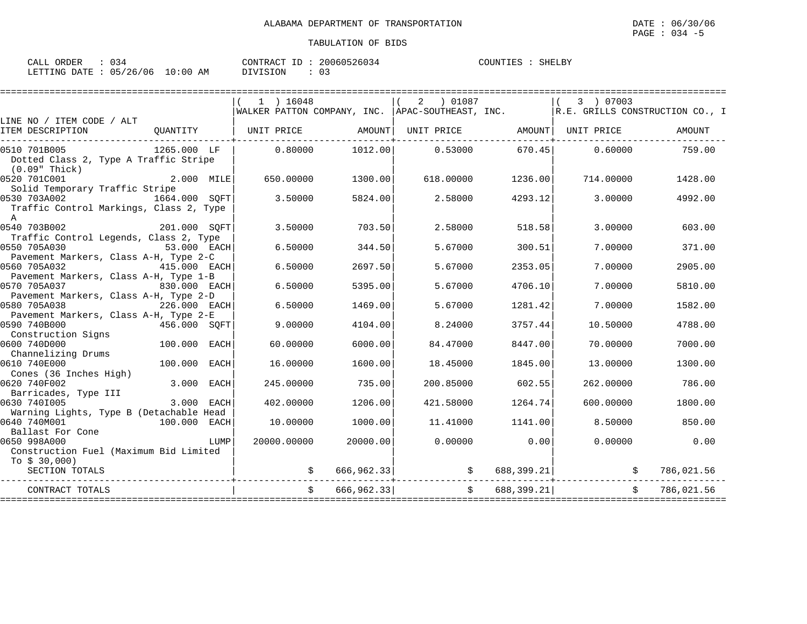| CALL ORDER                       | $\therefore$ 034 |          | CONTRACT ID: 20060526034 | COUNTIES : SHELBY |  |
|----------------------------------|------------------|----------|--------------------------|-------------------|--|
| LETTING DATE : 05/26/06 10:00 AM |                  | DIVISION |                          |                   |  |

|                                                                                         |              | $1$ ) 16048                   |            | 2 ) 01087                               |            | 3 ) 07003         |                                                                                      |
|-----------------------------------------------------------------------------------------|--------------|-------------------------------|------------|-----------------------------------------|------------|-------------------|--------------------------------------------------------------------------------------|
|                                                                                         |              |                               |            |                                         |            |                   | WALKER PATTON COMPANY, INC.   APAC-SOUTHEAST, INC.   R.E. GRILLS CONSTRUCTION CO., I |
| LINE NO / ITEM CODE / ALT                                                               |              |                               |            |                                         |            |                   |                                                                                      |
| ITEM DESCRIPTION                                                                        | QUANTITY     | UNIT PRICE AMOUNT  UNIT PRICE |            |                                         |            | AMOUNT UNIT PRICE | AMOUNT                                                                               |
| 0510 701B005<br>Dotted Class 2, Type A Traffic Stripe<br>(0.09" Thick)                  | 1265.000 LF  | 0.80000                       |            | 1012.00 0.53000                         | 670.45     | 0.60000           | 759.00                                                                               |
| 0520 701C001<br>Solid Temporary Traffic Stripe                                          | 2.000 MILE   | 650.00000                     | 1300.00    | 618.00000                               | 1236.00    | 714.00000         | 1428.00                                                                              |
| 0530 703A002 1664.000 SOFT<br>Traffic Control Markings, Class 2, Type<br>$\overline{A}$ |              | 3.50000                       | 5824.00    | 2.58000                                 | 4293.12    | 3.00000           | 4992.00                                                                              |
| 0540 703B002<br>Traffic Control Legends, Class 2, Type                                  | 201.000 SQFT | 3.50000                       | 703.50     | 2.58000                                 | 518.58     | 3.00000           | 603.00                                                                               |
| 0550 705A030<br>Pavement Markers, Class A-H, Type 2-C                                   | 53.000 EACH  | 6.50000                       | 344.50     | 5.67000                                 | 300.51     | 7.00000           | 371.00                                                                               |
| 0560 705A032<br>Pavement Markers, Class A-H, Type 1-B                                   | 415.000 EACH | 6.50000                       | 2697.50    | 5.67000                                 | 2353.05    | 7.00000           | 2905.00                                                                              |
| 0570 705A037<br>Pavement Markers, Class A-H, Type 2-D                                   | 830.000 EACH | 6.50000                       | 5395.00    | 5.67000                                 | 4706.10    | 7,00000           | 5810.00                                                                              |
| 0580 705A038<br>Pavement Markers, Class A-H, Type 2-E                                   | 226.000 EACH | 6.50000                       | 1469.00    | 5.67000                                 | 1281.42    | 7.00000           | 1582.00                                                                              |
| 0590 740B000<br>Construction Signs                                                      | 456.000 SOFT | 9,00000                       | 4104.00    | 8.24000                                 | 3757.44    | 10.50000          | 4788.00                                                                              |
| 0600 740D000<br>Channelizing Drums                                                      | 100.000 EACH | 60.00000                      | 6000.00    | 84.47000                                | 8447.00    | 70.00000          | 7000.00                                                                              |
| 0610 740E000<br>Cones (36 Inches High)                                                  | 100.000 EACH | 16.00000                      | 1600.00    | 18,45000                                | 1845.00    | 13.00000          | 1300.00                                                                              |
| 0620 740F002<br>Barricades, Type III                                                    | 3.000 EACH   | 245.00000                     | 735.00     | 200.85000                               | 602.55     | 262,00000         | 786.00                                                                               |
| 0630 7401005<br>Warning Lights, Type B (Detachable Head                                 | 3.000 EACH   | 402.00000                     | 1206.00    | 421.58000                               | 1264.74    | 600.00000         | 1800.00                                                                              |
| 0640 740M001<br>Ballast For Cone                                                        | 100.000 EACH | 10.00000                      | 1000.00    | 11.41000                                | 1141.00    | 8.50000           | 850.00                                                                               |
| 0650 998A000<br>Construction Fuel (Maximum Bid Limited<br>To $$30,000$ )                | LUMP         | 20000.00000                   | 20000.00   | 0.00000                                 | 0.00       | 0.00000           | 0.00                                                                                 |
| SECTION TOTALS                                                                          |              |                               |            | $\sharp$ 666,962.33 $\sharp$ 588,399.21 |            | $\mathcal{S}$     | 786,021.56                                                                           |
| CONTRACT TOTALS                                                                         |              | $\ddot{S}$                    | 666,962.33 | $\ddot{\mathcal{S}}$                    | 688,399.21 | Ŝ.                | 786,021.56                                                                           |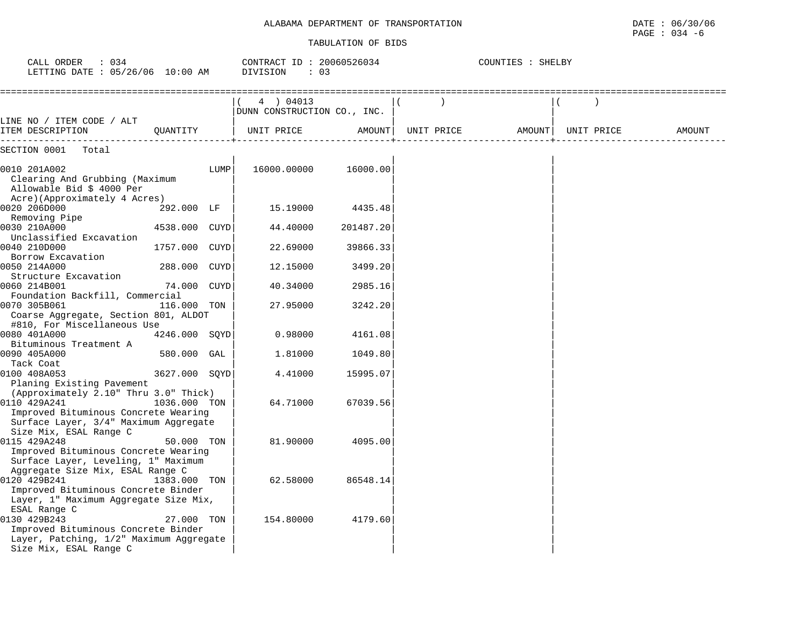| DEPARTMENT OF TRANSPORTATION<br>ALABAMA | 30/06<br>DATE<br>06/<br>the contract of the contract of the contract of the contract of the contract of the contract of the contract of |
|-----------------------------------------|-----------------------------------------------------------------------------------------------------------------------------------------|
|                                         | $: \cap 34$<br>PAGE<br>$- r$                                                                                                            |

| CALL ORDER<br>$\therefore$ 034<br>LETTING DATE : 05/26/06 10:00 AM                                                                       |               |      | CONTRACT ID: 20060526034<br>DIVISION<br>: 03 |           |               | COUNTIES : SHELBY |            |        |
|------------------------------------------------------------------------------------------------------------------------------------------|---------------|------|----------------------------------------------|-----------|---------------|-------------------|------------|--------|
|                                                                                                                                          |               |      | 4 ) 04013<br>DUNN CONSTRUCTION CO., INC.     |           | $\rightarrow$ |                   |            |        |
| LINE NO / ITEM CODE / ALT<br>ITEM DESCRIPTION                                                                                            | OUANTITY      |      | UNIT PRICE                                   | AMOUNT    | UNIT PRICE    | AMOUNT            | UNIT PRICE | AMOUNT |
| SECTION 0001<br>Total                                                                                                                    |               |      |                                              |           |               |                   |            |        |
| 0010 201A002<br>Clearing And Grubbing (Maximum<br>Allowable Bid \$ 4000 Per<br>Acre)(Approximately 4 Acres)                              |               | LUMP | 16000.00000                                  | 16000.00  |               |                   |            |        |
| 0020 206D000<br>Removing Pipe                                                                                                            | 292.000 LF    |      | 15.19000                                     | 4435.48   |               |                   |            |        |
| 0030 210A000<br>Unclassified Excavation                                                                                                  | 4538.000 CUYD |      | 44.40000                                     | 201487.20 |               |                   |            |        |
| 0040 210D000<br>Borrow Excavation                                                                                                        | 1757.000 CUYD |      | 22.69000                                     | 39866.33  |               |                   |            |        |
| 0050 214A000<br>Structure Excavation                                                                                                     | 288.000 CUYD  |      | 12.15000                                     | 3499.20   |               |                   |            |        |
| 0060 214B001<br>Foundation Backfill, Commercial                                                                                          | 74.000 CUYD   |      | 40.34000                                     | 2985.16   |               |                   |            |        |
| 0070 305B061<br>Coarse Aggregate, Section 801, ALDOT<br>#810, For Miscellaneous Use                                                      | 116.000 TON   |      | 27.95000                                     | 3242.20   |               |                   |            |        |
| 0080 401A000<br>Bituminous Treatment A                                                                                                   | 4246.000 SOYD |      | 0.98000                                      | 4161.08   |               |                   |            |        |
| 0090 405A000<br>Tack Coat                                                                                                                | 580.000 GAL   |      | 1,81000                                      | 1049.80   |               |                   |            |        |
| 0100 408A053<br>Planing Existing Pavement                                                                                                | 3627.000 SQYD |      | 4.41000                                      | 15995.07  |               |                   |            |        |
| (Approximately 2.10" Thru 3.0" Thick)<br>0110 429A241                                                                                    | 1036.000 TON  |      | 64.71000                                     | 67039.56  |               |                   |            |        |
| Improved Bituminous Concrete Wearing<br>Surface Layer, 3/4" Maximum Aggregate<br>Size Mix, ESAL Range C                                  |               |      |                                              |           |               |                   |            |        |
| 0115 429A248<br>Improved Bituminous Concrete Wearing<br>Surface Layer, Leveling, 1" Maximum                                              | 50.000 TON    |      | 81,90000                                     | 4095.00   |               |                   |            |        |
| Aggregate Size Mix, ESAL Range C<br>0120 429B241<br>Improved Bituminous Concrete Binder<br>Layer, 1" Maximum Aggregate Size Mix,         | 1383.000 TON  |      | 62.58000                                     | 86548.14  |               |                   |            |        |
| ESAL Range C<br>0130 429B243<br>Improved Bituminous Concrete Binder<br>Layer, Patching, 1/2" Maximum Aggregate<br>Size Mix, ESAL Range C | 27.000 TON    |      | 154.80000                                    | 4179.60   |               |                   |            |        |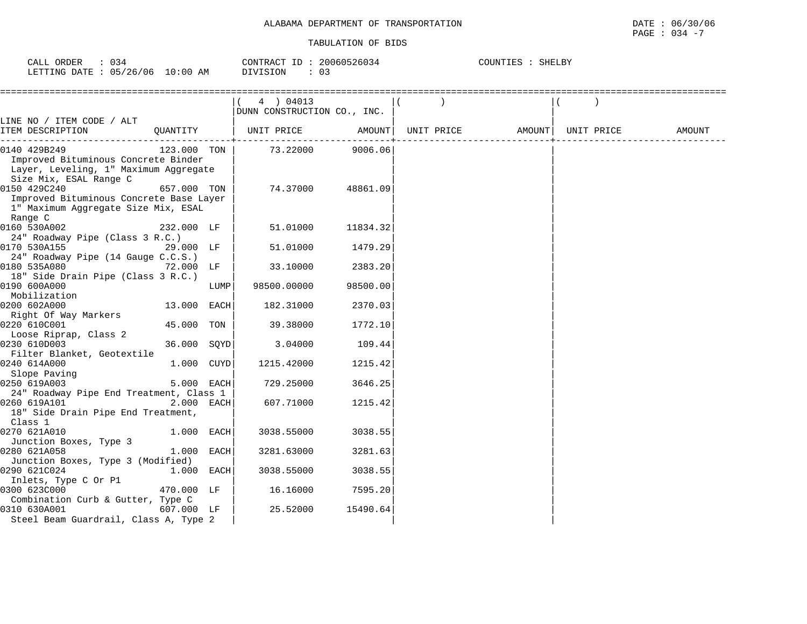| ORDER<br>$\sim$ $ -$<br>CALL | ັບ                    |               | ID<br>CONTRACT | 20060526034         | COUNTIES | SHELBY |  |
|------------------------------|-----------------------|---------------|----------------|---------------------|----------|--------|--|
| LETTING DATE                 | 05/<br>/26/06<br>ັບ ບ | LO : 00<br>AΜ | DIVISION       | $\sim$ $\sim$<br>U. |          |        |  |

|                                                                                                                        |             |      | 4 ) 04013<br>DUNN CONSTRUCTION CO., INC. |                  |                              |  |        |
|------------------------------------------------------------------------------------------------------------------------|-------------|------|------------------------------------------|------------------|------------------------------|--|--------|
| LINE NO / ITEM CODE / ALT                                                                                              |             |      |                                          |                  |                              |  |        |
| ITEM DESCRIPTION                                                                                                       | OUANTITY    |      | UNIT PRICE                               | AMOUNT           | UNIT PRICE AMOUNT UNIT PRICE |  | AMOUNT |
| 0140 429B249<br>Improved Bituminous Concrete Binder<br>Layer, Leveling, 1" Maximum Aggregate<br>Size Mix, ESAL Range C | 123.000 TON |      |                                          | 73.22000 9006.06 |                              |  |        |
| 0150 429C240<br>Improved Bituminous Concrete Base Layer<br>1" Maximum Aggregate Size Mix, ESAL<br>Range C              | 657.000 TON |      | 74.37000                                 | 48861.09         |                              |  |        |
| 0160 530A002<br>24" Roadway Pipe (Class 3 R.C.)                                                                        | 232.000 LF  |      | 51.01000                                 | 11834.32         |                              |  |        |
| 0170 530A155                                                                                                           | 29.000 LF   |      | 51.01000                                 | 1479.29          |                              |  |        |
| 24" Roadway Pipe (14 Gauge C.C.S.)<br>0180 535A080<br>18" Side Drain Pipe (Class 3 R.C.)                               | 72.000 LF   |      | 33.10000                                 | 2383.20          |                              |  |        |
| 0190 600A000<br>Mobilization                                                                                           |             | LUMP | 98500.00000                              | 98500.00         |                              |  |        |
| 0200 602A000<br>Right Of Way Markers                                                                                   | 13.000 EACH |      | 182.31000                                | 2370.03          |                              |  |        |
| 0220 610C001<br>Loose Riprap, Class 2                                                                                  | 45.000 TON  |      | 39.38000                                 | 1772.10          |                              |  |        |
| 0230 610D003<br>Filter Blanket, Geotextile                                                                             | 36.000 SQYD |      | 3.04000                                  | 109.44           |                              |  |        |
| 0240 614A000<br>Slope Paving                                                                                           | 1.000 CUYD  |      | 1215.42000                               | 1215.42          |                              |  |        |
| 0250 619A003<br>24" Roadway Pipe End Treatment, Class 1                                                                | 5.000 EACH  |      | 729.25000                                | 3646.25          |                              |  |        |
| 0260 619A101<br>18" Side Drain Pipe End Treatment,<br>Class 1                                                          | 2.000 EACH  |      | 607.71000                                | 1215.42          |                              |  |        |
| 0270 621A010<br>Junction Boxes, Type 3                                                                                 | 1.000 EACH  |      | 3038.55000                               | 3038.55          |                              |  |        |
| 0280 621A058<br>Junction Boxes, Type 3 (Modified)                                                                      | 1.000 EACH  |      | 3281.63000                               | 3281.63          |                              |  |        |
| 0290 621C024<br>Inlets, Type C Or P1                                                                                   | 1.000 EACH  |      | 3038.55000                               | 3038.55          |                              |  |        |
| 0300 623C000<br>Combination Curb & Gutter, Type C                                                                      | 470.000 LF  |      | 16.16000                                 | 7595.20          |                              |  |        |
| 0310 630A001<br>Steel Beam Guardrail, Class A, Type 2                                                                  | 607.000 LF  |      | 25.52000                                 | 15490.64         |                              |  |        |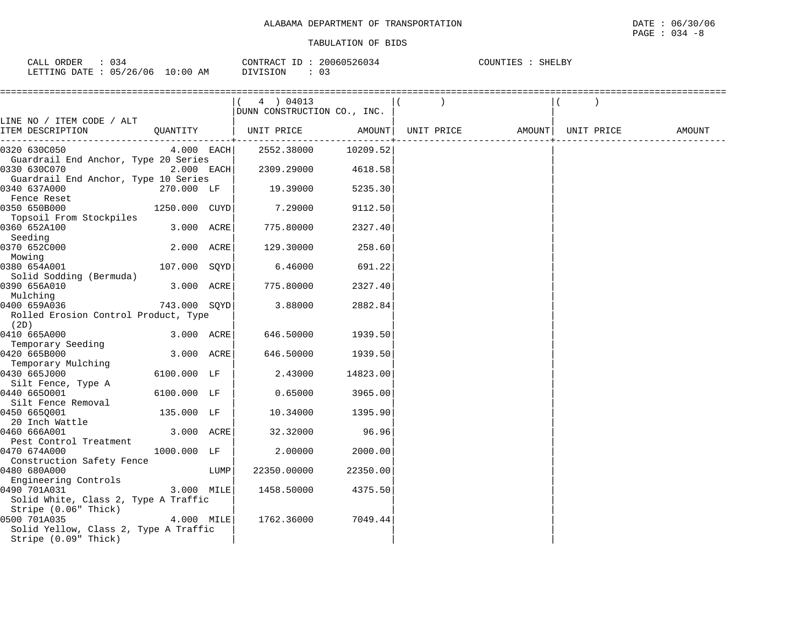| ORDER<br>$\sim$ $\sim$ $\sim$<br>1 A I<br>∪A⊔⊥ | $\sim$ $\sim$<br>∼ ∼<br>. |                    | CONTRACT<br>---   | 2006052603<br>526034 | COUNTIES | $\alpha$<br>SHELB) |
|------------------------------------------------|---------------------------|--------------------|-------------------|----------------------|----------|--------------------|
| LETTING<br>DATE                                | /06<br>05/26              | :00<br>AΜ<br>- ( ) | ⊥ON -<br>$\cdots$ | 03                   |          |                    |

|                                                      |               |      | (4) 04013<br>DUNN CONSTRUCTION CO., INC.                                                                                        |          |  |                              |  |        |
|------------------------------------------------------|---------------|------|---------------------------------------------------------------------------------------------------------------------------------|----------|--|------------------------------|--|--------|
| LINE NO / ITEM CODE / ALT                            |               |      |                                                                                                                                 |          |  |                              |  |        |
| ITEM DESCRIPTION                                     |               |      | $\begin{array}{ccc} \texttt{QUANTITY} & & \begin{array}{ccc} \end{array} & \texttt{UNIT PRICE} & & \texttt{AMOUNT} \end{array}$ |          |  | UNIT PRICE AMOUNT UNIT PRICE |  | AMOUNT |
| 0320 630C050                                         |               |      | $4.000$ EACH $2552.38000$ 10209.52                                                                                              |          |  |                              |  |        |
| Guardrail End Anchor, Type 20 Series<br>0330 630C070 | 2.000 EACH    |      | 2309.29000 4618.58                                                                                                              |          |  |                              |  |        |
| Guardrail End Anchor, Type 10 Series                 |               |      |                                                                                                                                 |          |  |                              |  |        |
| 0340 637A000                                         | 270.000 LF    |      | 19.39000                                                                                                                        | 5235.30  |  |                              |  |        |
| Fence Reset<br>0350 650B000                          | 1250.000 CUYD |      | 7.29000                                                                                                                         | 9112.50  |  |                              |  |        |
| Topsoil From Stockpiles                              |               |      |                                                                                                                                 |          |  |                              |  |        |
| 0360 652A100                                         | 3.000 ACRE    |      | 775.80000                                                                                                                       | 2327.40  |  |                              |  |        |
| Seeding                                              |               |      |                                                                                                                                 |          |  |                              |  |        |
| 0370 652C000<br>Mowing                               | 2.000 ACRE    |      | 129.30000                                                                                                                       | 258.60   |  |                              |  |        |
| 0380 654A001                                         | 107.000 SOYD  |      | 6.46000                                                                                                                         | 691.22   |  |                              |  |        |
| Solid Sodding (Bermuda)                              |               |      |                                                                                                                                 |          |  |                              |  |        |
| 0390 656A010                                         | 3.000 ACRE    |      | 775.80000                                                                                                                       | 2327.40  |  |                              |  |        |
| Mulching                                             |               |      |                                                                                                                                 |          |  |                              |  |        |
| 0400 659A036                                         | 743.000 SOYD  |      | 3.88000                                                                                                                         | 2882.84  |  |                              |  |        |
| Rolled Erosion Control Product, Type<br>(2D)         |               |      |                                                                                                                                 |          |  |                              |  |        |
| 0410 665A000                                         | 3.000 ACRE    |      | 646.50000                                                                                                                       | 1939.50  |  |                              |  |        |
| Temporary Seeding                                    |               |      |                                                                                                                                 |          |  |                              |  |        |
| 0420 665B000                                         | 3.000 ACRE    |      | 646.50000                                                                                                                       | 1939.50  |  |                              |  |        |
| Temporary Mulching                                   |               |      |                                                                                                                                 |          |  |                              |  |        |
| 0430 665J000                                         | 6100.000 LF   |      | 2.43000                                                                                                                         | 14823.00 |  |                              |  |        |
| Silt Fence, Type A                                   |               |      |                                                                                                                                 |          |  |                              |  |        |
| 0440 6650001                                         | 6100.000 LF   |      | 0.65000                                                                                                                         | 3965.00  |  |                              |  |        |
| Silt Fence Removal                                   |               |      |                                                                                                                                 |          |  |                              |  |        |
| 0450 6650001                                         | 135.000 LF    |      | 10.34000                                                                                                                        | 1395.90  |  |                              |  |        |
| 20 Inch Wattle<br>160 666A001<br>0460 666A001        | 3.000 ACRE    |      | 32.32000                                                                                                                        | 96.96    |  |                              |  |        |
| Pest Control Treatment                               |               |      |                                                                                                                                 |          |  |                              |  |        |
| 0470 674A000                                         | 1000.000 LF   |      | 2.00000                                                                                                                         | 2000.00  |  |                              |  |        |
| Construction Safety Fence                            |               |      |                                                                                                                                 |          |  |                              |  |        |
| 0480 680A000                                         |               | LUMP | 22350.00000                                                                                                                     | 22350.00 |  |                              |  |        |
| Engineering Controls                                 |               |      |                                                                                                                                 |          |  |                              |  |        |
| 0490 701A031                                         | 3.000 MILE    |      | 1458.50000                                                                                                                      | 4375.50  |  |                              |  |        |
| Solid White, Class 2, Type A Traffic                 |               |      |                                                                                                                                 |          |  |                              |  |        |
| Stripe (0.06" Thick)                                 |               |      |                                                                                                                                 |          |  |                              |  |        |
| 0500 701A035                                         | 4.000 MILE    |      | 1762.36000                                                                                                                      | 7049.44  |  |                              |  |        |
| Solid Yellow, Class 2, Type A Traffic                |               |      |                                                                                                                                 |          |  |                              |  |        |
| Stripe (0.09" Thick)                                 |               |      |                                                                                                                                 |          |  |                              |  |        |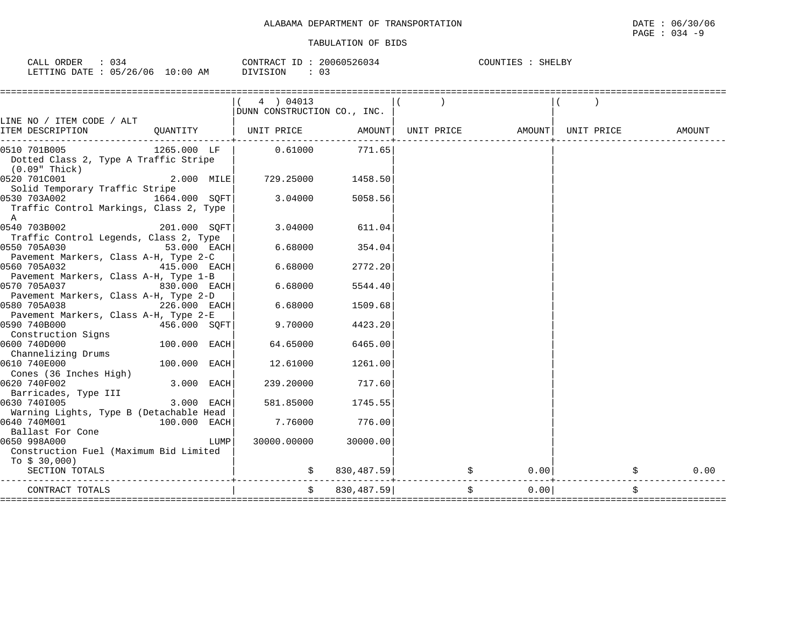| CALL ORDER                      | 034 |          | CONTRACT ID: 20060526034 | COUNTIES : | SHELBY |
|---------------------------------|-----|----------|--------------------------|------------|--------|
| LETTING DATE: 05/26/06 10:00 AM |     | DIVISION | -02                      |            |        |

|                                                                                      |                | 4 ) 04013                    |                      |                             |       |            |
|--------------------------------------------------------------------------------------|----------------|------------------------------|----------------------|-----------------------------|-------|------------|
|                                                                                      |                | DUNN CONSTRUCTION CO., INC.  |                      |                             |       |            |
| LINE NO / ITEM CODE / ALT<br>ITEM DESCRIPTION                                        |                | QUANTITY   UNIT PRICE AMOUNT |                      |                             |       | AMOUNT     |
| 0510 701B005<br>Dotted Class 2, Type A Traffic Stripe<br>$(0.09"$ Thick)             | 1265.000 LF    | 0.61000                      | 771.65               |                             |       |            |
| 0520 701C001<br>Solid Temporary Traffic Stripe                                       | $2.000$ MILE   | 729.25000                    | 1458.50              |                             |       |            |
| 0530 703A002 1664.000 SQFT<br>Traffic Control Markings, Class 2, Type<br>$\mathbb A$ |                | 3.04000                      | 5058.56              |                             |       |            |
| 0540 703B002<br>Traffic Control Legends, Class 2, Type                               | 201.000 SQFT   | 3.04000                      | 611.04               |                             |       |            |
| 0550 705A030<br>Pavement Markers, Class A-H, Type 2-C                                | $53.000$ EACH  | 6.68000                      | 354.04               |                             |       |            |
| 0560 705A032<br>Pavement Markers, Class A-H, Type 1-B                                | $415.000$ EACH | 6.68000                      | 2772.20              |                             |       |            |
| 0570 705A037<br>Pavement Markers, Class A-H, Type 2-D                                | 830.000 EACH   | 6.68000                      | 5544.40              |                             |       |            |
| 0580 705A038<br>Pavement Markers, Class A-H, Type 2-E                                | $226.000$ EACH | 6.68000                      | 1509.68              |                             |       |            |
| 0590 740B000<br>Construction Signs                                                   | $456.000$ SQFT | 9.70000                      | 4423.20              |                             |       |            |
| 0600 740D000<br>Channelizing Drums                                                   | $100.000$ EACH | 64.65000                     | 6465.00              |                             |       |            |
| 0610 740E000<br>Cones (36 Inches High)                                               | 100.000 EACH   | 12.61000                     | 1261.00              |                             |       |            |
| 0620 740F002<br>Barricades, Type III                                                 | 3.000 EACH     | 239.20000                    | 717.60               |                             |       |            |
| 0630 7401005<br>Warning Lights, Type B (Detachable Head                              | $3.000$ EACH   | 581.85000                    | 1745.55              |                             |       |            |
| 0640 740M001<br>Ballast For Cone                                                     | 100.000 EACH   | 7.76000                      | 776.00               |                             |       |            |
| 0650 998A000<br>Construction Fuel (Maximum Bid Limited<br>To $$30,000$ )             | LUMP           |                              | 30000.00000 30000.00 |                             |       |            |
| SECTION TOTALS                                                                       |                |                              |                      | $\sin 830, 487.59$ $\sin 9$ | 0.00  | \$<br>0.00 |
| CONTRACT TOTALS                                                                      |                |                              | \$830,487.59]        |                             | 0.001 | \$         |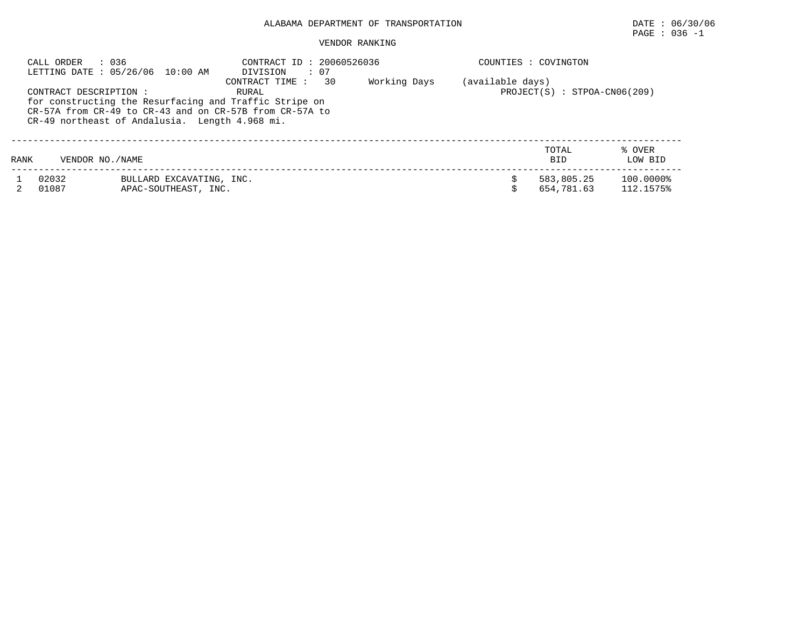## $\texttt{PAGE}$  : 036 -1

#### VENDOR RANKING

|      | : 036<br>CALL ORDER    | LETTING DATE: 05/26/06 10:00 AM                  | CONTRACT ID: 20060526036<br>: 07<br>DIVISION                                                                                                                 |              |                  | COUNTIES : COVINGTON           |                        |
|------|------------------------|--------------------------------------------------|--------------------------------------------------------------------------------------------------------------------------------------------------------------|--------------|------------------|--------------------------------|------------------------|
|      | CONTRACT DESCRIPTION : | CR-49 northeast of Andalusia. Length 4.968 mi.   | 30<br>CONTRACT TIME:<br>RURAL<br>for constructing the Resurfacing and Traffic Stripe on<br>$CR-57A$ from $CR-49$ to $CR-43$ and on $CR-57B$ from $CR-57A$ to | Working Days | (available days) | $PROJECT(S) : STPOA-CN06(209)$ |                        |
| RANK | VENDOR NO. / NAME      |                                                  |                                                                                                                                                              |              |                  | TOTAL<br><b>BID</b>            | % OVER<br>LOW BID      |
|      | 02032<br>01087         | BULLARD EXCAVATING, INC.<br>APAC-SOUTHEAST, INC. |                                                                                                                                                              |              |                  | 583,805.25<br>654,781.63       | 100.0000%<br>112.1575% |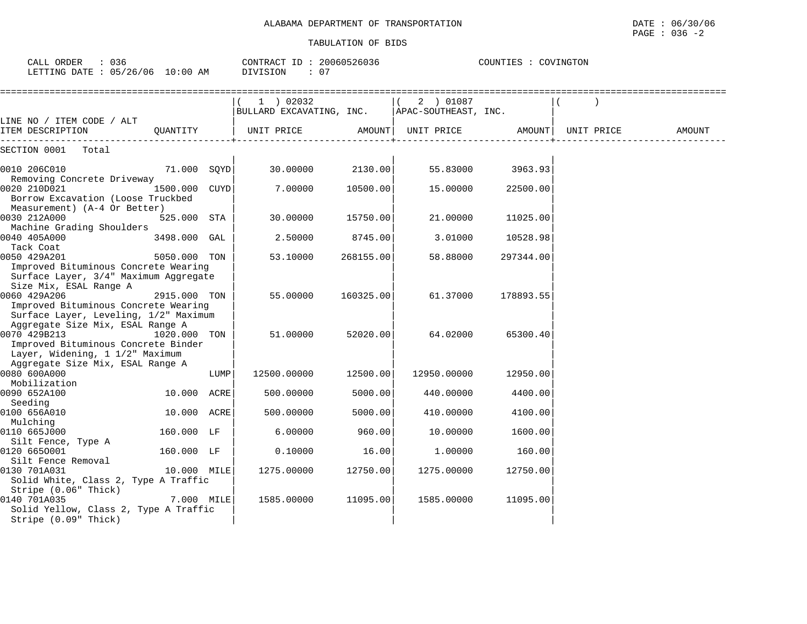CALL ORDER : 036 CONTRACT ID : 20060526036 COUNTIES : COVINGTON

| LETTING DATE : 05/26/06 10:00 AM                                                                                           |               |      | : 07<br>DIVISION                                             |           |                                           |                  |        |
|----------------------------------------------------------------------------------------------------------------------------|---------------|------|--------------------------------------------------------------|-----------|-------------------------------------------|------------------|--------|
|                                                                                                                            |               |      | 1 ) 02032<br>BULLARD EXCAVATING, INC.   APAC-SOUTHEAST, INC. |           | ( 2 ) 01087                               |                  |        |
| LINE NO / ITEM CODE / ALT<br>ITEM DESCRIPTION QUANTITY   UNIT PRICE                                                        |               |      |                                                              |           | AMOUNT   UNIT PRICE   AMOUNT   UNIT PRICE |                  | AMOUNT |
| SECTION 0001 Total                                                                                                         |               |      |                                                              |           |                                           |                  |        |
| 0010 206C010 71.000 SOYD<br>Removing Concrete Driveway                                                                     |               |      | 30.00000 2130.00                                             |           |                                           | 55.83000 3963.93 |        |
| 0020 210D021<br>Borrow Excavation (Loose Truckbed<br>Measurement) (A-4 Or Better)                                          | 1500.000 CUYD |      | 7.00000                                                      | 10500.00  | 15.00000                                  | 22500.00         |        |
| 0030 212A000<br>Machine Grading Shoulders                                                                                  | 525.000 STA   |      | 30.00000                                                     | 15750.00  | 21.00000                                  | 11025.00         |        |
| 0040 405A000<br>Tack Coat                                                                                                  | 3498.000 GAL  |      | 2.50000                                                      | 8745.00   | 3.01000                                   | 10528.98         |        |
| 0050 429A201<br>Improved Bituminous Concrete Wearing<br>Surface Layer, 3/4" Maximum Aggregate                              | 5050.000 TON  |      | 53.10000                                                     | 268155.00 | 58.88000                                  | 297344.00        |        |
| Size Mix, ESAL Range A<br>0060 429A206<br>Improved Bituminous Concrete Wearing<br>Surface Layer, Leveling, 1/2" Maximum    | 2915.000 TON  |      | 55.00000                                                     | 160325.00 | 61.37000                                  | 178893.55        |        |
| Aggregate Size Mix, ESAL Range A<br>0070 429B213<br>Improved Bituminous Concrete Binder<br>Layer, Widening, 1 1/2" Maximum | 1020.000 TON  |      | 51.00000                                                     | 52020.00  | 64.02000                                  | 65300.40         |        |
| Aggregate Size Mix, ESAL Range A<br>0080 600A000                                                                           |               | LUMP | 12500.00000                                                  | 12500.00  | 12950.00000                               | 12950.00         |        |
| Mobilization<br>0090 652A100                                                                                               | 10.000 ACRE   |      | 500.00000                                                    | 5000.00   | 440.00000                                 | 4400.00          |        |
| Seeding<br>0100 656A010                                                                                                    | 10.000 ACRE   |      | 500.00000                                                    | 5000.00   | 410.00000                                 | 4100.00          |        |
| Mulching<br>0110 665J000                                                                                                   | 160.000 LF    |      | 6.00000                                                      | 960.00    | 10.00000                                  | 1600.00          |        |
| Silt Fence, Type A<br>0120 6650001                                                                                         | 160.000 LF    |      | 0.10000                                                      | 16.00     | 1,00000                                   | 160.00           |        |
| Silt Fence Removal<br>0130 701A031<br>Solid White, Class 2, Type A Traffic                                                 | $10.000$ MILE |      | 1275.00000                                                   | 12750.00  | 1275.00000                                | 12750.00         |        |
| Stripe (0.06" Thick)<br>0140 701A035<br>Solid Yellow, Class 2, Type A Traffic<br>Stripe (0.09" Thick)                      | 7.000 MILE    |      | 1585.00000                                                   | 11095.00  | 1585.00000                                | 11095.00         |        |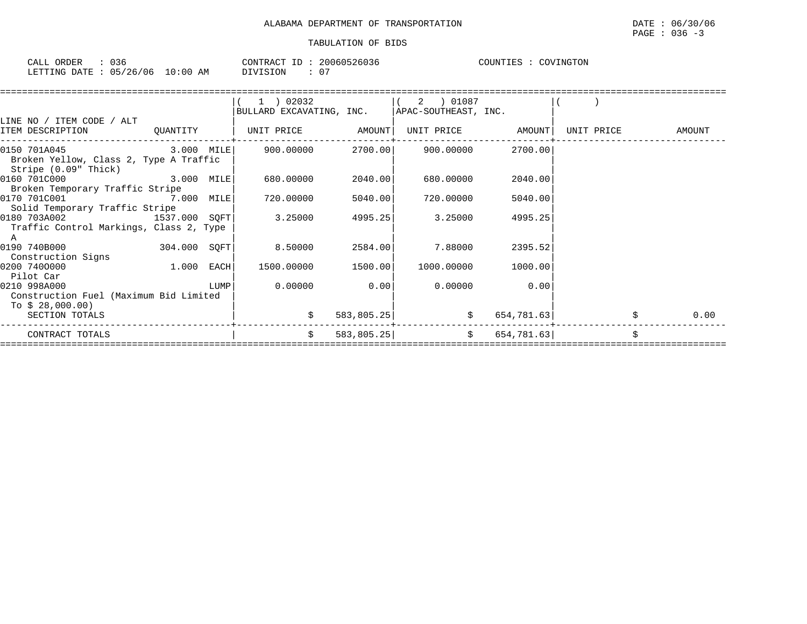| 036<br>CALL ORDER                |          | CONTRACT ID: 20060526036 | COUNTIES :<br>COVINGTON |
|----------------------------------|----------|--------------------------|-------------------------|
| LETTING DATE : 05/26/06 10:00 AM | DIVISION | $\cap$                   |                         |

|                                 |                                | (1) 02032                                                                                                                                                |                                                                                                                                                                             |                        |                                                                                                                                                              |                                                                                                                                                                                 |                                                             |
|---------------------------------|--------------------------------|----------------------------------------------------------------------------------------------------------------------------------------------------------|-----------------------------------------------------------------------------------------------------------------------------------------------------------------------------|------------------------|--------------------------------------------------------------------------------------------------------------------------------------------------------------|---------------------------------------------------------------------------------------------------------------------------------------------------------------------------------|-------------------------------------------------------------|
|                                 |                                |                                                                                                                                                          |                                                                                                                                                                             |                        |                                                                                                                                                              |                                                                                                                                                                                 |                                                             |
|                                 |                                |                                                                                                                                                          |                                                                                                                                                                             |                        |                                                                                                                                                              |                                                                                                                                                                                 |                                                             |
|                                 |                                |                                                                                                                                                          |                                                                                                                                                                             |                        |                                                                                                                                                              |                                                                                                                                                                                 | <b>AMOUNT</b>                                               |
|                                 |                                |                                                                                                                                                          |                                                                                                                                                                             |                        | 2700.00                                                                                                                                                      |                                                                                                                                                                                 |                                                             |
|                                 |                                |                                                                                                                                                          |                                                                                                                                                                             |                        |                                                                                                                                                              |                                                                                                                                                                                 |                                                             |
|                                 |                                | 680.00000                                                                                                                                                |                                                                                                                                                                             | 680.00000              | 2040.00                                                                                                                                                      |                                                                                                                                                                                 |                                                             |
| Broken Temporary Traffic Stripe |                                |                                                                                                                                                          |                                                                                                                                                                             |                        |                                                                                                                                                              |                                                                                                                                                                                 |                                                             |
|                                 |                                |                                                                                                                                                          |                                                                                                                                                                             |                        |                                                                                                                                                              |                                                                                                                                                                                 |                                                             |
|                                 |                                |                                                                                                                                                          |                                                                                                                                                                             |                        |                                                                                                                                                              |                                                                                                                                                                                 |                                                             |
|                                 |                                |                                                                                                                                                          |                                                                                                                                                                             |                        |                                                                                                                                                              |                                                                                                                                                                                 |                                                             |
|                                 |                                |                                                                                                                                                          |                                                                                                                                                                             |                        |                                                                                                                                                              |                                                                                                                                                                                 |                                                             |
|                                 |                                | 8.50000                                                                                                                                                  |                                                                                                                                                                             | 7.88000                | 2395.52                                                                                                                                                      |                                                                                                                                                                                 |                                                             |
|                                 |                                |                                                                                                                                                          |                                                                                                                                                                             |                        |                                                                                                                                                              |                                                                                                                                                                                 |                                                             |
|                                 |                                |                                                                                                                                                          |                                                                                                                                                                             |                        |                                                                                                                                                              |                                                                                                                                                                                 |                                                             |
|                                 |                                |                                                                                                                                                          |                                                                                                                                                                             |                        |                                                                                                                                                              |                                                                                                                                                                                 |                                                             |
|                                 |                                |                                                                                                                                                          |                                                                                                                                                                             |                        |                                                                                                                                                              |                                                                                                                                                                                 |                                                             |
|                                 |                                |                                                                                                                                                          |                                                                                                                                                                             |                        |                                                                                                                                                              |                                                                                                                                                                                 |                                                             |
|                                 |                                |                                                                                                                                                          |                                                                                                                                                                             |                        |                                                                                                                                                              |                                                                                                                                                                                 | 0.00                                                        |
|                                 |                                |                                                                                                                                                          |                                                                                                                                                                             |                        |                                                                                                                                                              |                                                                                                                                                                                 |                                                             |
|                                 |                                | \$                                                                                                                                                       |                                                                                                                                                                             |                        |                                                                                                                                                              |                                                                                                                                                                                 |                                                             |
|                                 | Solid Temporary Traffic Stripe | ITEM DESCRIPTION QUANTITY<br>Broken Yellow, Class 2, Type A Traffic<br>Traffic Control Markings, Class 2, Type<br>Construction Fuel (Maximum Bid Limited | 0150 701A045 3.000 MILE<br>0160 701C000 3.000 MILE<br>0170 701C001 7.000 MILE<br>0180 703A002 1537.000 SQFT<br>3.25000<br>$304.000$ SQFT<br>$1.000$ EACH<br>0.00000<br>LUMP | 900.00000<br>720.00000 | UNIT PRICE AMOUNT <br>2040.00<br>5040.00<br>720.00000<br>4995.25<br>3.25000<br>2584.00<br>1500.00000 1500.00<br>0.00<br>0.00000<br>583, 805.25<br>583,805.25 | $(2)$ 01087<br>BULLARD EXCAVATING, INC.   APAC-SOUTHEAST, INC.<br>2700.00 900.00000<br>5040.00<br>4995.25<br>1000.00000<br>1000.00<br>0.00<br>$\ddot{\mathbf{S}}$<br>$\ddot{s}$ | UNIT PRICE AMOUNT<br>UNIT PRICE<br>654,781.63<br>654,781.63 |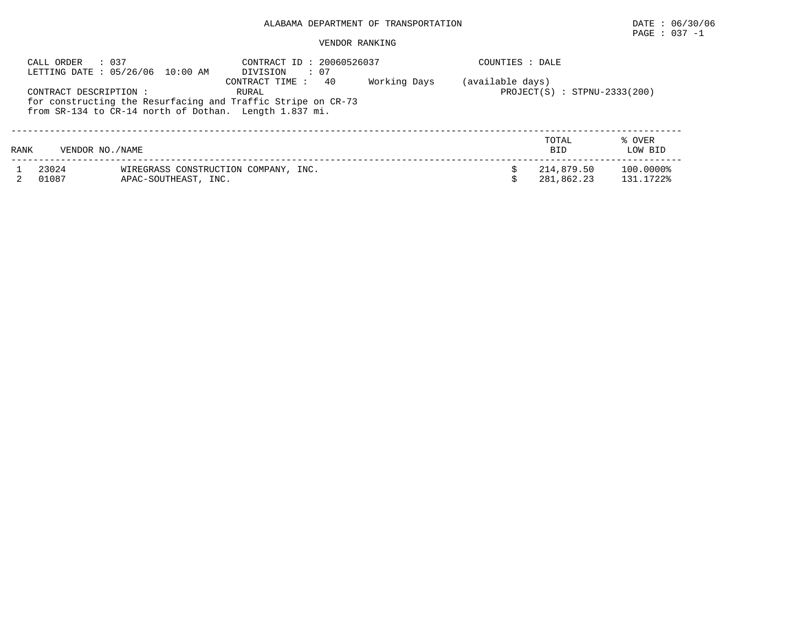## PAGE : 037 -1

#### VENDOR RANKING

|      | : 037<br>CALL ORDER    | LETTING DATE: 05/26/06 10:00 AM | CONTRACT ID: 20060526037<br>: 07<br>DIVISION                                                                                                            |              | COUNTIES : DALE  |                                |                   |
|------|------------------------|---------------------------------|---------------------------------------------------------------------------------------------------------------------------------------------------------|--------------|------------------|--------------------------------|-------------------|
|      | CONTRACT DESCRIPTION : |                                 | 40<br>CONTRACT TIME:<br>RURAL<br>for constructing the Resurfacing and Traffic Stripe on CR-73<br>from SR-134 to CR-14 north of Dothan. Length 1.837 mi. | Working Days | (available days) | $PROJECT(S) : STPNU-2333(200)$ |                   |
| RANK | VENDOR NO. / NAME      |                                 |                                                                                                                                                         |              |                  | TOTAL<br><b>BID</b>            | % OVER<br>LOW BID |
|      | 23024                  |                                 | WIREGRASS CONSTRUCTION COMPANY, INC.                                                                                                                    |              |                  | 214,879.50                     | 100.0000%         |
|      | 01087                  | APAC-SOUTHEAST, INC.            |                                                                                                                                                         |              |                  | 281,862.23                     | 131.1722%         |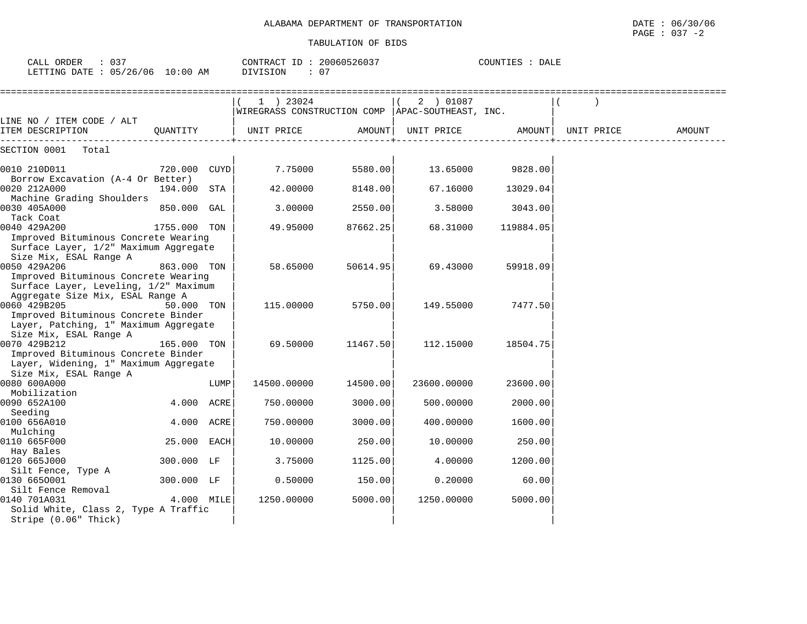| ORDER<br>$\sim$ $\sim$ $\sim$<br>CALL | .<br>ັ   |                 | CONTRACT. | ````````\\\60526∪J | <b>DALE</b><br>ਾ ਦਾ ਦਾ ਸਾਮਾ ਸ |
|---------------------------------------|----------|-----------------|-----------|--------------------|-------------------------------|
| LETTING DATE                          | 05/26/06 | :00<br>ΆM<br>10 | OIVISION  | 0 <sub>7</sub>     |                               |

|                                                                 |              |      | 1 ) 23024                                          |          | 2 ) 01087   |           |            |        |
|-----------------------------------------------------------------|--------------|------|----------------------------------------------------|----------|-------------|-----------|------------|--------|
|                                                                 |              |      | WIREGRASS CONSTRUCTION COMP   APAC-SOUTHEAST, INC. |          |             |           |            |        |
| LINE NO / ITEM CODE / ALT                                       |              |      |                                                    |          |             |           |            |        |
| ITEM DESCRIPTION                                                | OUANTITY     |      | UNIT PRICE                                         | AMOUNT   | UNIT PRICE  | AMOUNT    | UNIT PRICE | AMOUNT |
| SECTION 0001<br>Total                                           |              |      |                                                    |          |             |           |            |        |
|                                                                 |              |      |                                                    |          |             |           |            |        |
| 0010 210D011                                                    | 720.000 CUYD |      | 7.75000                                            | 5580.00  | 13.65000    | 9828.00   |            |        |
| Borrow Excavation (A-4 Or Better)                               |              |      |                                                    |          |             |           |            |        |
| 0020 212A000                                                    | 194.000 STA  |      | 42,00000                                           | 8148.00  | 67.16000    | 13029.04  |            |        |
| Machine Grading Shoulders                                       |              |      |                                                    |          |             |           |            |        |
| 0030 405A000                                                    | 850.000 GAL  |      | 3.00000                                            | 2550.00  | 3.58000     | 3043.00   |            |        |
| Tack Coat                                                       |              |      |                                                    |          |             |           |            |        |
| 0040 429A200<br>Improved Bituminous Concrete Wearing            | 1755.000 TON |      | 49.95000                                           | 87662.25 | 68.31000    | 119884.05 |            |        |
| Surface Layer, 1/2" Maximum Aggregate                           |              |      |                                                    |          |             |           |            |        |
| Size Mix, ESAL Range A                                          |              |      |                                                    |          |             |           |            |        |
| 0050 429A206                                                    | 863.000 TON  |      | 58.65000                                           | 50614.95 | 69.43000    | 59918.09  |            |        |
| Improved Bituminous Concrete Wearing                            |              |      |                                                    |          |             |           |            |        |
| Surface Layer, Leveling, 1/2" Maximum                           |              |      |                                                    |          |             |           |            |        |
| Aggregate Size Mix, ESAL Range A                                |              |      |                                                    |          |             |           |            |        |
| 0060 429B205                                                    | 50.000 TON   |      | 115.00000                                          | 5750.00  | 149.55000   | 7477.50   |            |        |
| Improved Bituminous Concrete Binder                             |              |      |                                                    |          |             |           |            |        |
| Layer, Patching, 1" Maximum Aggregate                           |              |      |                                                    |          |             |           |            |        |
| Size Mix, ESAL Range A                                          |              |      |                                                    |          |             |           |            |        |
| 0070 429B212                                                    | 165.000 TON  |      | 69.50000                                           | 11467.50 | 112.15000   | 18504.75  |            |        |
| Improved Bituminous Concrete Binder                             |              |      |                                                    |          |             |           |            |        |
| Layer, Widening, 1" Maximum Aggregate<br>Size Mix, ESAL Range A |              |      |                                                    |          |             |           |            |        |
| 0080 600A000                                                    |              | LUMP | 14500.00000                                        | 14500.00 | 23600.00000 | 23600.00  |            |        |
| Mobilization                                                    |              |      |                                                    |          |             |           |            |        |
| 0090 652A100                                                    | 4.000 ACRE   |      | 750.00000                                          | 3000.00  | 500.00000   | 2000.00   |            |        |
| Seeding                                                         |              |      |                                                    |          |             |           |            |        |
| 0100 656A010                                                    | 4.000 ACRE   |      | 750.00000                                          | 3000.00  | 400.00000   | 1600.00   |            |        |
| Mulching                                                        |              |      |                                                    |          |             |           |            |        |
| 0110 665F000                                                    | 25.000 EACH  |      | 10.00000                                           | 250.00   | 10.00000    | 250.00    |            |        |
| Hay Bales                                                       |              |      |                                                    |          |             |           |            |        |
| 0120 665J000                                                    | 300.000 LF   |      | 3.75000                                            | 1125.00  | 4.00000     | 1200.00   |            |        |
| Silt Fence, Type A                                              |              |      |                                                    |          |             |           |            |        |
| 0130 6650001                                                    | 300.000 LF   |      | 0.50000                                            | 150.00   | 0.20000     | 60.00     |            |        |
| Silt Fence Removal<br>0140 701A031                              | 4.000 MILE   |      | 1250.00000                                         | 5000.00  | 1250.00000  | 5000.00   |            |        |
| Solid White, Class 2, Type A Traffic                            |              |      |                                                    |          |             |           |            |        |
| Stripe (0.06" Thick)                                            |              |      |                                                    |          |             |           |            |        |
|                                                                 |              |      |                                                    |          |             |           |            |        |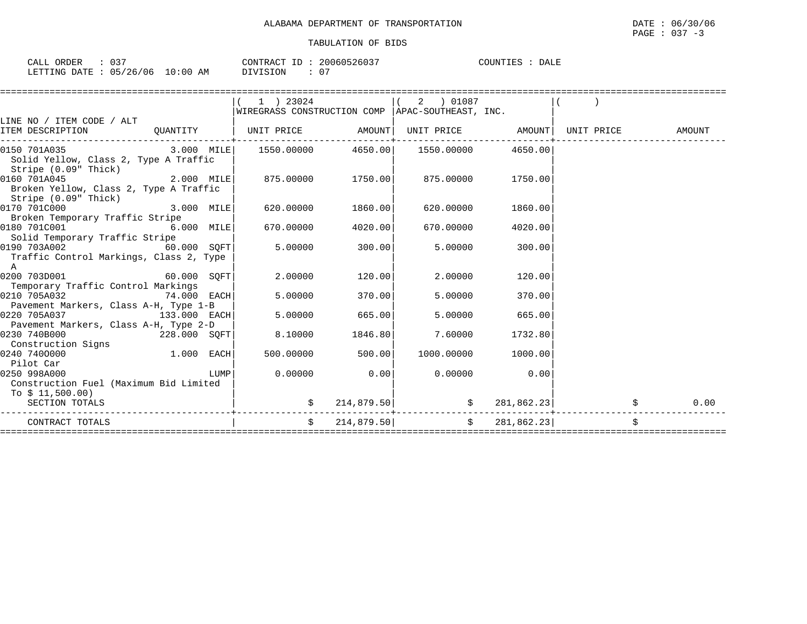| CALL ORDER                      | 037 | CONTRACT ID: 20060526037 | COUNTIES : DALE |  |
|---------------------------------|-----|--------------------------|-----------------|--|
| LETTING DATE: 05/26/06 10:00 AM |     | - 05<br>DIVISION         |                 |  |

|                                                                                                                                                                                                                                                                                                                                                                      |      | $1$ ) 23024                                             |                   | $\left(\begin{array}{ccc} 2 & 0.1087 \end{array}\right)$ |         |            |            |
|----------------------------------------------------------------------------------------------------------------------------------------------------------------------------------------------------------------------------------------------------------------------------------------------------------------------------------------------------------------------|------|---------------------------------------------------------|-------------------|----------------------------------------------------------|---------|------------|------------|
|                                                                                                                                                                                                                                                                                                                                                                      |      | $ WIREGRASS$ CONSTRUCTION COMP $ APAC-SOUTHEAST$ , INC. |                   |                                                          |         |            |            |
| LINE NO / ITEM CODE / ALT                                                                                                                                                                                                                                                                                                                                            |      |                                                         |                   |                                                          |         |            |            |
| ITEM DESCRIPTION                                                                                                                                                                                                                                                                                                                                                     |      | QUANTITY   UNIT PRICE AMOUNT                            |                   | UNIT PRICE AMOUNT   UNIT PRICE AMOUNT                    |         |            |            |
|                                                                                                                                                                                                                                                                                                                                                                      |      |                                                         |                   |                                                          |         |            |            |
| $\begin{array}{cccccccc} \texttt{0150} & \texttt{701A035} & \texttt{0100} & \texttt{0100} & \texttt{0100} & \texttt{01000} & \texttt{01000} & \texttt{01000} & \texttt{01000} & \texttt{01000} & \texttt{01000} & \texttt{01000} & \texttt{01000} & \texttt{01000} & \texttt{01000} & \texttt{01000} & \texttt{01000} & \texttt{01000} & \texttt{010000} & \texttt{$ |      |                                                         |                   |                                                          |         |            |            |
| Solid Yellow, Class 2, Type A Traffic                                                                                                                                                                                                                                                                                                                                |      |                                                         |                   |                                                          |         |            |            |
| Stripe (0.09" Thick)                                                                                                                                                                                                                                                                                                                                                 |      |                                                         |                   |                                                          |         |            |            |
| 2.000 MILE<br>0160 701A045                                                                                                                                                                                                                                                                                                                                           |      | 875.00000 1750.00 875.00000                             |                   |                                                          | 1750.00 |            |            |
| Broken Yellow, Class 2, Type A Traffic                                                                                                                                                                                                                                                                                                                               |      |                                                         |                   |                                                          |         |            |            |
| Stripe (0.09" Thick)                                                                                                                                                                                                                                                                                                                                                 |      |                                                         |                   |                                                          |         |            |            |
| $0170$ 701C000 $3.000$ MILE                                                                                                                                                                                                                                                                                                                                          |      |                                                         | 620.00000 1860.00 | 620.00000                                                | 1860.00 |            |            |
| Broken Temporary Traffic Stripe                                                                                                                                                                                                                                                                                                                                      |      |                                                         |                   |                                                          |         |            |            |
| 0180 701C001 6.000 MILE                                                                                                                                                                                                                                                                                                                                              |      | 670.00000                                               | 4020.00           | 670.00000                                                | 4020.00 |            |            |
| Solid Temporary Traffic Stripe                                                                                                                                                                                                                                                                                                                                       |      |                                                         |                   |                                                          |         |            |            |
| 0190 703A002<br>$60.000$ SQFT                                                                                                                                                                                                                                                                                                                                        |      | 5.00000                                                 | 300.00            | 5.00000                                                  | 300.00  |            |            |
| Traffic Control Markings, Class 2, Type                                                                                                                                                                                                                                                                                                                              |      |                                                         |                   |                                                          |         |            |            |
| A                                                                                                                                                                                                                                                                                                                                                                    |      |                                                         |                   |                                                          |         |            |            |
| $60.000$ SQFT<br>0200 703D001                                                                                                                                                                                                                                                                                                                                        |      | 2,00000                                                 | 120.00            | 2.00000                                                  | 120.00  |            |            |
| Temporary Traffic Control Markings                                                                                                                                                                                                                                                                                                                                   |      |                                                         |                   |                                                          |         |            |            |
| 74.000 EACH<br>0210 705A032                                                                                                                                                                                                                                                                                                                                          |      | 5,00000                                                 | 370.00            | 5.00000                                                  | 370.00  |            |            |
| Pavement Markers, Class A-H, Type 1-B                                                                                                                                                                                                                                                                                                                                |      |                                                         |                   |                                                          |         |            |            |
| 0220 705A037<br>133.000 EACH                                                                                                                                                                                                                                                                                                                                         |      | 5.00000                                                 | 665.00            | 5.00000                                                  | 665.00  |            |            |
| Pavement Markers, Class A-H, Type 2-D                                                                                                                                                                                                                                                                                                                                |      |                                                         |                   |                                                          |         |            |            |
| 0230 740B000<br>228.000 SOFT                                                                                                                                                                                                                                                                                                                                         |      | 8.10000                                                 | 1846.80           | 7.60000                                                  | 1732.80 |            |            |
| Construction Signs                                                                                                                                                                                                                                                                                                                                                   |      |                                                         |                   |                                                          |         |            |            |
| $1.000$ EACH<br>0240 7400000                                                                                                                                                                                                                                                                                                                                         |      | 500.00000                                               | 500.00            | 1000.00000 1000.00                                       |         |            |            |
| Pilot Car                                                                                                                                                                                                                                                                                                                                                            |      |                                                         |                   |                                                          |         |            |            |
| 0250 998A000                                                                                                                                                                                                                                                                                                                                                         | LUMP | $0.00000$ 0.00                                          |                   | $0.00000$ 0.00                                           |         |            |            |
| Construction Fuel (Maximum Bid Limited                                                                                                                                                                                                                                                                                                                               |      |                                                         |                   |                                                          |         |            |            |
| To $$11,500.00)$                                                                                                                                                                                                                                                                                                                                                     |      |                                                         |                   |                                                          |         |            |            |
| SECTION TOTALS                                                                                                                                                                                                                                                                                                                                                       |      | \$                                                      |                   | $214,879.50$ \$<br>----------------                      |         | 281,862.23 | \$<br>0.00 |
| CONTRACT TOTALS                                                                                                                                                                                                                                                                                                                                                      |      |                                                         |                   | $\sharp$ 214,879.50 $\sharp$ 281,862.23                  |         |            |            |
|                                                                                                                                                                                                                                                                                                                                                                      |      |                                                         |                   |                                                          |         |            |            |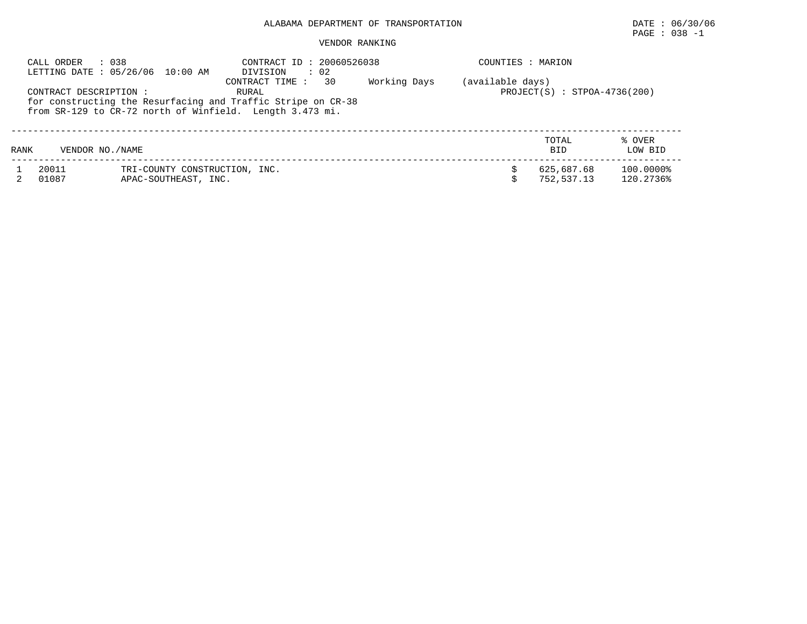## $\texttt{PAGE}$  : 038 -1

### VENDOR RANKING

|      | : 038<br>CALL ORDER<br>LETTING DATE: 05/26/06 10:00 AM |                                                       | CONTRACT ID: 20060526038<br>$\therefore$ 02<br>DIVISION                                                                                                    |              | COUNTIES : MARION |                                |                        |
|------|--------------------------------------------------------|-------------------------------------------------------|------------------------------------------------------------------------------------------------------------------------------------------------------------|--------------|-------------------|--------------------------------|------------------------|
|      | CONTRACT DESCRIPTION :                                 |                                                       | 30<br>CONTRACT TIME :<br>RURAL<br>for constructing the Resurfacing and Traffic Stripe on CR-38<br>from SR-129 to CR-72 north of Winfield. Length 3.473 mi. | Working Days | (available days)  | $PROJECT(S) : STPOA-4736(200)$ |                        |
| RANK | VENDOR NO. / NAME                                      |                                                       |                                                                                                                                                            |              |                   | TOTAL<br><b>BID</b>            | % OVER<br>LOW BID      |
|      | 20011<br>01087                                         | TRI-COUNTY CONSTRUCTION, INC.<br>APAC-SOUTHEAST, INC. |                                                                                                                                                            |              |                   | 625,687.68<br>752,537.13       | 100.0000%<br>120.2736% |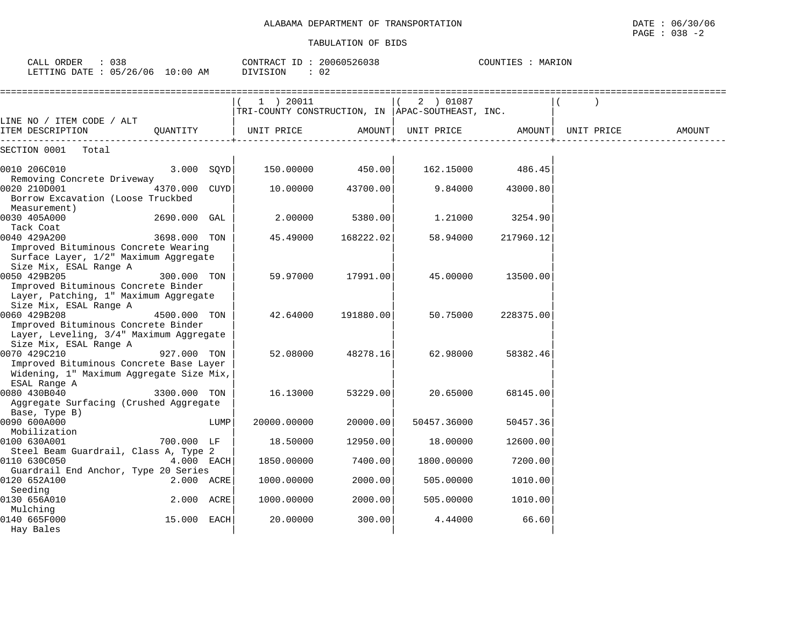| CALL ORDER<br>: 038<br>LETTING DATE : 05/26/06 10:00 AM                                                                                       |               |      | CONTRACT ID: 20060526038<br>DIVISION<br>: 02                  |           |             | COUNTIES : MARION |            |        |
|-----------------------------------------------------------------------------------------------------------------------------------------------|---------------|------|---------------------------------------------------------------|-----------|-------------|-------------------|------------|--------|
| LINE NO / ITEM CODE / ALT                                                                                                                     |               |      | 1 ) 20011<br>TRI-COUNTY CONSTRUCTION, IN APAC-SOUTHEAST, INC. |           | 2 ) 01087   |                   |            |        |
| ITEM DESCRIPTION                                                                                                                              | OUANTITY      |      | UNIT PRICE                                                    | AMOUNT    | UNIT PRICE  | AMOUNT            | UNIT PRICE | AMOUNT |
| SECTION 0001 Total                                                                                                                            |               |      |                                                               |           |             |                   |            |        |
| 0010 206C010<br>Removing Concrete Driveway                                                                                                    | $3.000$ SQYD  |      | 150.00000                                                     | 450.00    | 162.15000   | 486.45            |            |        |
| 0020 210D001<br>Borrow Excavation (Loose Truckbed                                                                                             | 4370.000 CUYD |      | 10.00000                                                      | 43700.00  | 9.84000     | 43000.80          |            |        |
| Measurement)<br>0030 405A000                                                                                                                  | 2690.000 GAL  |      | 2.00000                                                       | 5380.00   | 1,21000     | 3254.90           |            |        |
| Tack Coat<br>0040 429A200<br>Improved Bituminous Concrete Wearing<br>Surface Layer, 1/2" Maximum Aggregate                                    | 3698.000 TON  |      | 45.49000                                                      | 168222.02 | 58.94000    | 217960.12         |            |        |
| Size Mix, ESAL Range A<br>0050 429B205<br>Improved Bituminous Concrete Binder<br>Layer, Patching, 1" Maximum Aggregate                        | 300.000 TON   |      | 59.97000                                                      | 17991.00  | 45.00000    | 13500.00          |            |        |
| Size Mix, ESAL Range A<br>0060 429B208<br>Improved Bituminous Concrete Binder<br>Layer, Leveling, 3/4" Maximum Aggregate                      | 4500.000 TON  |      | 42.64000                                                      | 191880.00 | 50.75000    | 228375.00         |            |        |
| Size Mix, ESAL Range A<br>0070 429C210<br>Improved Bituminous Concrete Base Layer<br>Widening, 1" Maximum Aggregate Size Mix,<br>ESAL Range A | 927.000 TON   |      | 52.08000                                                      | 48278.16  | 62.98000    | 58382.46          |            |        |
| 0080 430B040<br>Aggregate Surfacing (Crushed Aggregate                                                                                        | 3300.000 TON  |      | 16.13000                                                      | 53229.00  | 20.65000    | 68145.00          |            |        |
| Base, Type B)<br>0090 600A000<br>Mobilization                                                                                                 |               | LUMP | 20000.00000                                                   | 20000.00  | 50457.36000 | 50457.36          |            |        |
| 0100 630A001<br>Steel Beam Guardrail, Class A, Type 2                                                                                         | 700.000 LF    |      | 18.50000                                                      | 12950.00  | 18.00000    | 12600.00          |            |        |
| 0110 630C050<br>Guardrail End Anchor, Type 20 Series                                                                                          | 4.000 EACH    |      | 1850.00000                                                    | 7400.00   | 1800.00000  | 7200.00           |            |        |
| 0120 652A100<br>Seeding                                                                                                                       | 2.000 ACRE    |      | 1000.00000                                                    | 2000.00   | 505.00000   | 1010.00           |            |        |
| 0130 656A010<br>Mulching                                                                                                                      | 2.000 ACRE    |      | 1000.00000                                                    | 2000.00   | 505.00000   | 1010.00           |            |        |

0140 665F000 15.000 EACH| 20.00000 300.00| 4.44000 66.60| Hay Bales | | |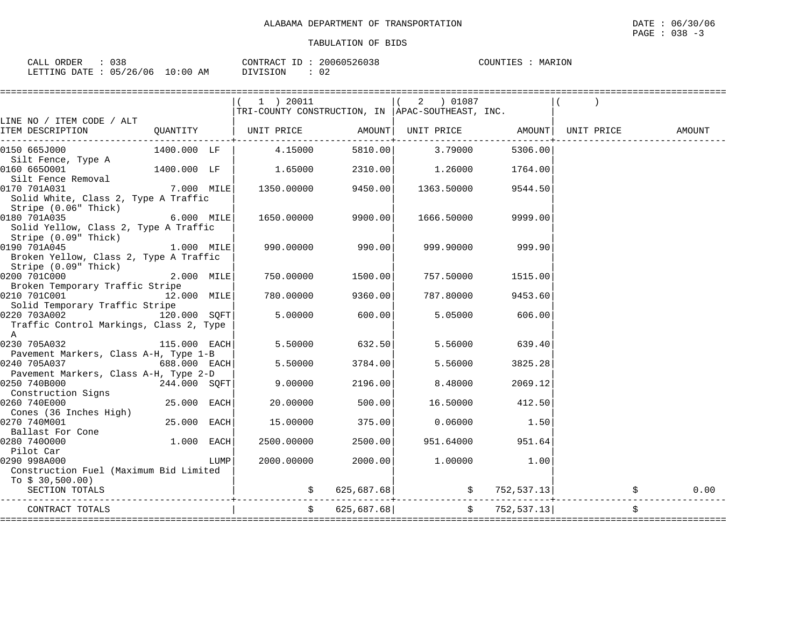| CALL ORDER                       | 038 | 20060526038<br>CONTRACT ID: | MARION<br>COUNTIES |
|----------------------------------|-----|-----------------------------|--------------------|
| LETTING DATE : 05/26/06 10:00 AM |     | DIVISION<br>02              |                    |

|                                                               |               |      | 1 ) 20011                                        |                  | 2 ) 01087                                                                |         |                                |        |
|---------------------------------------------------------------|---------------|------|--------------------------------------------------|------------------|--------------------------------------------------------------------------|---------|--------------------------------|--------|
|                                                               |               |      | TRI-COUNTY CONSTRUCTION, IN APAC-SOUTHEAST, INC. |                  |                                                                          |         |                                |        |
| LINE NO / ITEM CODE / ALT                                     |               |      |                                                  |                  |                                                                          |         |                                |        |
| ITEM DESCRIPTION                                              |               |      | QUANTITY   UNIT PRICE                            | AMOUNT           | UNIT PRICE                                                               | AMOUNT  | UNIT PRICE                     | AMOUNT |
| 0150 665J000                                                  | 1400.000 LF   |      | 4.15000                                          | 5810.00          | 3.79000                                                                  | 5306.00 |                                |        |
| Silt Fence, Type A                                            |               |      |                                                  |                  |                                                                          |         |                                |        |
| 0160 6650001                                                  | 1400.000 LF   |      | 1.65000                                          | 2310.00          | 1.26000                                                                  | 1764.00 |                                |        |
| Silt Fence Removal                                            |               |      |                                                  |                  |                                                                          |         |                                |        |
| 0170 701A031                                                  | $7.000$ MILE  |      | 1350.00000 9450.00                               |                  | 1363.50000                                                               | 9544.50 |                                |        |
| Solid White, Class 2, Type A Traffic                          |               |      |                                                  |                  |                                                                          |         |                                |        |
| Stripe (0.06" Thick)                                          |               |      |                                                  |                  |                                                                          |         |                                |        |
| 0180 701A035                                                  | $6.000$ MILE  |      | 1650.00000                                       | 9900.00          | 1666.50000                                                               | 9999.00 |                                |        |
| Solid Yellow, Class 2, Type A Traffic<br>Stripe (0.09" Thick) |               |      |                                                  |                  |                                                                          |         |                                |        |
| 0190 701A045                                                  | $1.000$ MILE  |      |                                                  | 990.00000 990.00 | 999.90000                                                                | 999.90  |                                |        |
| Broken Yellow, Class 2, Type A Traffic                        |               |      |                                                  |                  |                                                                          |         |                                |        |
| Stripe (0.09" Thick)                                          |               |      |                                                  |                  |                                                                          |         |                                |        |
| 0200 701C000                                                  | $2.000$ MILE  |      | 750.00000                                        | 1500.00          | 757.50000                                                                | 1515.00 |                                |        |
| Broken Temporary Traffic Stripe                               |               |      |                                                  |                  |                                                                          |         |                                |        |
| 0210 701C001 12.000 MILE                                      |               |      | 780.00000                                        | 9360.00          | 787.80000                                                                | 9453.60 |                                |        |
| Solid Temporary Traffic Stripe                                |               |      |                                                  |                  |                                                                          |         |                                |        |
| 0220 703A002                                                  | 120.000 SOFT  |      | 5.00000                                          | 600.00           | 5.05000                                                                  | 606.00  |                                |        |
| Traffic Control Markings, Class 2, Type                       |               |      |                                                  |                  |                                                                          |         |                                |        |
| $\mathbb A$                                                   |               |      |                                                  |                  |                                                                          |         |                                |        |
| 0230 705A032                                                  | 115.000 EACH  |      | 5.50000                                          | 632.50           | 5.56000                                                                  | 639.40  |                                |        |
| Pavement Markers, Class A-H, Type 1-B                         |               |      |                                                  |                  |                                                                          |         |                                |        |
| 0240 705A037                                                  | 688.000 EACH  |      | 5.50000                                          | 3784.00          | 5.56000                                                                  | 3825.28 |                                |        |
| Pavement Markers, Class A-H, Type 2-D                         |               |      |                                                  |                  |                                                                          |         |                                |        |
| 0250 740B000                                                  | 244.000 SOFT  |      | 9.00000                                          | 2196.00          | 8,48000                                                                  | 2069.12 |                                |        |
| Construction Signs                                            |               |      |                                                  |                  |                                                                          |         |                                |        |
| 0260 740E000<br>Cones (36 Inches High)                        | $25.000$ EACH |      | 20.00000                                         | 500.00           | 16.50000                                                                 | 412.50  |                                |        |
| 0270 740M001                                                  | 25.000 EACH   |      | 15.00000                                         | 375.00           | 0.06000                                                                  | 1.50    |                                |        |
| Ballast For Cone                                              |               |      |                                                  |                  |                                                                          |         |                                |        |
| 0280 7400000                                                  | $1.000$ EACH  |      | 2500.00000                                       | 2500.00          | 951.64000                                                                | 951.64  |                                |        |
| Pilot Car                                                     |               |      |                                                  |                  |                                                                          |         |                                |        |
| 0290 998A000                                                  |               | LUMP | 2000.00000                                       | 2000.00          | 1.00000                                                                  | 1.00    |                                |        |
| Construction Fuel (Maximum Bid Limited                        |               |      |                                                  |                  |                                                                          |         |                                |        |
| To $$30,500.00)$                                              |               |      |                                                  |                  |                                                                          |         |                                |        |
| SECTION TOTALS                                                |               |      |                                                  | \$625,687.68]    | $\sin 752,537.13$                                                        |         |                                | 0.00   |
|                                                               |               |      |                                                  |                  |                                                                          |         |                                |        |
| CONTRACT TOTALS                                               |               |      | $\ddot{\mathbf{S}}$                              |                  | $625,687.68$ $\uparrow$ $\qquad$ $\qquad$ $\qquad$ $\qquad$ $752,537.13$ |         |                                | \$     |
|                                                               |               |      |                                                  |                  | ===================================                                      |         | ============================== |        |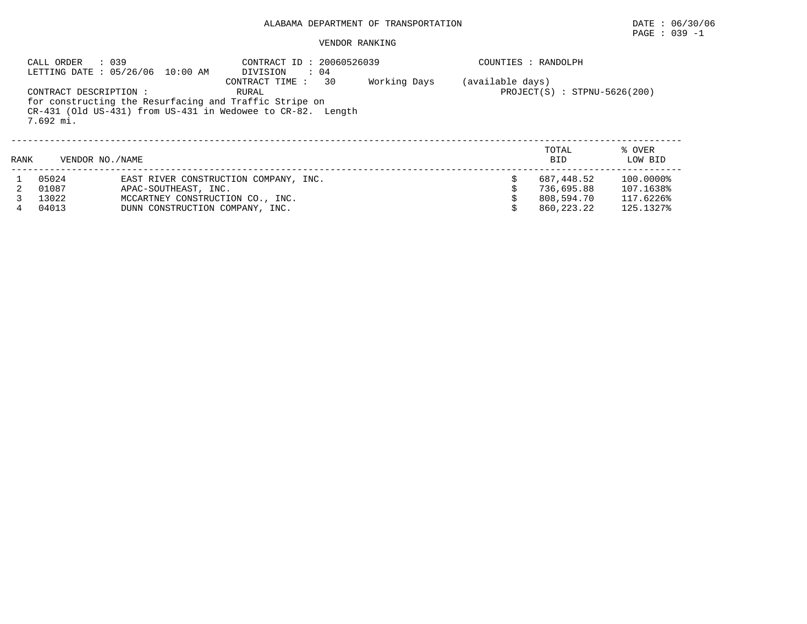## PAGE : 039 -1

#### VENDOR RANKING

|      | : 039<br>CALL ORDER                 | LETTING DATE : 05/26/06 10:00 AM                                                            | CONTRACT ID: 20060526039<br>DIVISION<br>$\therefore$ 04<br>30<br>CONTRACT TIME:                                                | Working Days | (available days) | COUNTIES : RANDOLPH                                    |                                                  |
|------|-------------------------------------|---------------------------------------------------------------------------------------------|--------------------------------------------------------------------------------------------------------------------------------|--------------|------------------|--------------------------------------------------------|--------------------------------------------------|
|      | CONTRACT DESCRIPTION :<br>7.692 mi. |                                                                                             | RURAL<br>for constructing the Resurfacing and Traffic Stripe on<br>CR-431 (Old US-431) from US-431 in Wedowee to CR-82. Length |              |                  | $PROJECT(S)$ : STPNU-5626(200)                         |                                                  |
| RANK | VENDOR NO. / NAME                   |                                                                                             |                                                                                                                                |              |                  | TOTAL<br><b>BID</b>                                    | % OVER<br>LOW BID                                |
| 2    | 05024<br>01087<br>13022<br>04013    | APAC-SOUTHEAST, INC.<br>MCCARTNEY CONSTRUCTION CO., INC.<br>DUNN CONSTRUCTION COMPANY, INC. | EAST RIVER CONSTRUCTION COMPANY, INC.                                                                                          |              |                  | 687,448.52<br>736,695.88<br>808,594.70<br>860, 223. 22 | 100.0000%<br>107.1638%<br>117.6226%<br>125.1327% |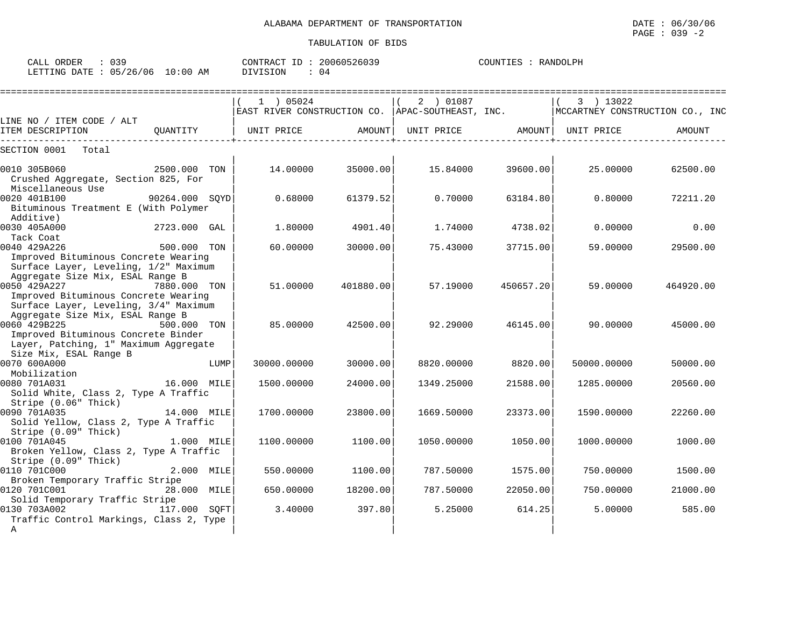| CALI<br>ORDER<br><u>. ب</u> |                         | CONTRACT<br>--- | 20060526039 | COUNTIES<br><b>RANDOLPH</b> |
|-----------------------------|-------------------------|-----------------|-------------|-----------------------------|
| LETTING DATE                | 05/26/06<br>10:00<br>ΆM | DIVISION        | 04          |                             |

|                                                                                                                                                            |              |      | 1 ) 05024                                        |           | 2 ) 01087         |           | 3 ) 13022                       |           |
|------------------------------------------------------------------------------------------------------------------------------------------------------------|--------------|------|--------------------------------------------------|-----------|-------------------|-----------|---------------------------------|-----------|
|                                                                                                                                                            |              |      | EAST RIVER CONSTRUCTION CO. APAC-SOUTHEAST, INC. |           |                   |           | MCCARTNEY CONSTRUCTION CO., INC |           |
| LINE NO / ITEM CODE / ALT<br>ITEM DESCRIPTION                                                                                                              | OUANTITY     |      | UNIT PRICE                                       | AMOUNT    | UNIT PRICE AMOUNT |           | UNIT PRICE                      | AMOUNT    |
| SECTION 0001<br>Total                                                                                                                                      |              |      |                                                  |           |                   |           |                                 |           |
| 0010 305B060<br>Crushed Aggregate, Section 825, For<br>Miscellaneous Use                                                                                   | 2500.000 TON |      | 14.00000                                         | 35000.00  | 15.84000          | 39600.00  | 25.00000                        | 62500.00  |
| 0020 401B100<br>90264.000 SQYD<br>Bituminous Treatment E (With Polymer<br>Additive)                                                                        |              |      | 0.68000                                          | 61379.52  | 0.70000           | 63184.80  | 0.80000                         | 72211.20  |
| 0030 405A000<br>Tack Coat                                                                                                                                  | 2723.000 GAL |      | 1,80000                                          | 4901.40   | 1.74000           | 4738.02   | 0.00000                         | 0.00      |
| 0040 429A226<br>Improved Bituminous Concrete Wearing<br>Surface Layer, Leveling, 1/2" Maximum<br>Aggregate Size Mix, ESAL Range B                          | 500.000 TON  |      | 60,00000                                         | 30000.00  | 75.43000          | 37715.00  | 59.00000                        | 29500.00  |
| 0050 429A227<br>Improved Bituminous Concrete Wearing<br>Surface Layer, Leveling, 3/4" Maximum                                                              | 7880.000 TON |      | 51.00000                                         | 401880.00 | 57.19000          | 450657.20 | 59.00000                        | 464920.00 |
| Aggregate Size Mix, ESAL Range B<br>0060 429B225<br>Improved Bituminous Concrete Binder<br>Layer, Patching, 1" Maximum Aggregate<br>Size Mix, ESAL Range B | 500.000 TON  |      | 85.00000                                         | 42500.00  | 92.29000          | 46145.00  | 90.00000                        | 45000.00  |
| 0070 600A000<br>Mobilization                                                                                                                               |              | LUMP | 30000.00000                                      | 30000.00  | 8820.00000        | 8820.00   | 50000.00000                     | 50000.00  |
| 0080 701A031<br>Solid White, Class 2, Type A Traffic<br>Stripe (0.06" Thick)                                                                               | 16.000 MILE  |      | 1500.00000                                       | 24000.00  | 1349.25000        | 21588.00  | 1285.00000                      | 20560.00  |
| 0090 701A035<br>14.000 MILE<br>Solid Yellow, Class 2, Type A Traffic<br>Stripe (0.09" Thick)                                                               |              |      | 1700.00000                                       | 23800.00  | 1669.50000        | 23373.00  | 1590.00000                      | 22260.00  |
| 0100 701A045<br>Broken Yellow, Class 2, Type A Traffic<br>Stripe (0.09" Thick)                                                                             | 1.000 MILE   |      | 1100.00000                                       | 1100.00   | 1050.00000        | 1050.00   | 1000.00000                      | 1000.00   |
| 0110 701C000<br>Broken Temporary Traffic Stripe                                                                                                            | 2.000 MILE   |      | 550.00000                                        | 1100.00   | 787.50000         | 1575.00   | 750.00000                       | 1500.00   |
| 0120 701C001<br>Solid Temporary Traffic Stripe                                                                                                             | 28.000 MILE  |      | 650.00000                                        | 18200.00  | 787.50000         | 22050.00  | 750.00000                       | 21000.00  |
| 0130 703A002<br>Traffic Control Markings, Class 2, Type<br>Α                                                                                               | 117.000 SQFT |      | 3.40000                                          | 397.80    | 5.25000           | 614.25    | 5,00000                         | 585.00    |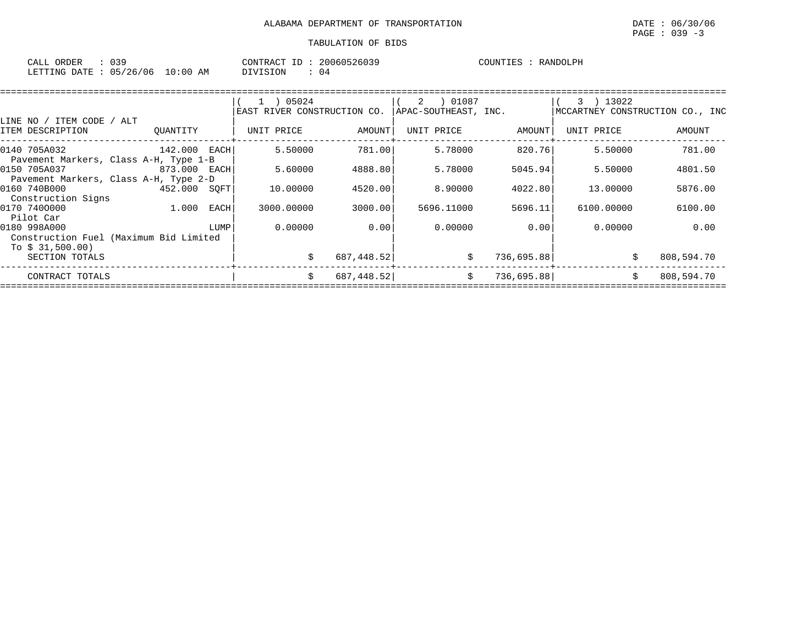| CALL ORDER                      | : 039 |          | CONTRACT ID: 20060526039 |  | COUNTIES : RANDOLPH |
|---------------------------------|-------|----------|--------------------------|--|---------------------|
| LETTING DATE: 05/26/06 10:00 AM |       | DIVISION | 04                       |  |                     |

|                                                            |              |      | 1 ) 05024                   |            | 01087 (<br>2         |            | 13022<br>3) |                                 |
|------------------------------------------------------------|--------------|------|-----------------------------|------------|----------------------|------------|-------------|---------------------------------|
| LINE NO / ITEM CODE<br>/ ALT                               |              |      | EAST RIVER CONSTRUCTION CO. |            | APAC-SOUTHEAST, INC. |            |             | MCCARTNEY CONSTRUCTION CO., INC |
| ITEM DESCRIPTION                                           | OUANTITY     |      | UNIT PRICE                  | AMOUNT     | UNIT PRICE           | AMOUNT     | UNIT PRICE  | AMOUNT                          |
| 0140 705A032                                               | 142.000 EACH |      | 5.50000                     | 781.00     | 5.78000              | 820.76     | 5.50000     | 781.00                          |
| Pavement Markers, Class A-H, Type 1-B<br>0150 705A037      | 873.000      | EACH | 5.60000                     | 4888.80    | 5.78000              | 5045.94    | 5.50000     | 4801.50                         |
| Pavement Markers, Class A-H, Type 2-D<br>0160 740B000      | 452.000      | SOFT | 10.00000                    | 4520.00    | 8,90000              | 4022.80    | 13.00000    | 5876.00                         |
| Construction Signs<br>0170 7400000                         | 1.000        | EACH | 3000.00000                  | 3000.00    | 5696.11000           | 5696.11    | 6100.00000  | 6100.00                         |
| Pilot Car<br>0180 998A000                                  |              | LUMP | 0.00000                     | 0.00       | 0.00000              | 0.001      | 0.00000     | 0.00                            |
| Construction Fuel (Maximum Bid Limited<br>To $$31,500.00)$ |              |      |                             |            |                      |            |             |                                 |
| SECTION TOTALS                                             |              |      |                             | 687,448.52 | \$                   | 736,695.88 |             | 808,594.70                      |
| CONTRACT TOTALS                                            |              |      | S                           | 687,448.52 | \$                   | 736,695.88 |             | 808,594.70                      |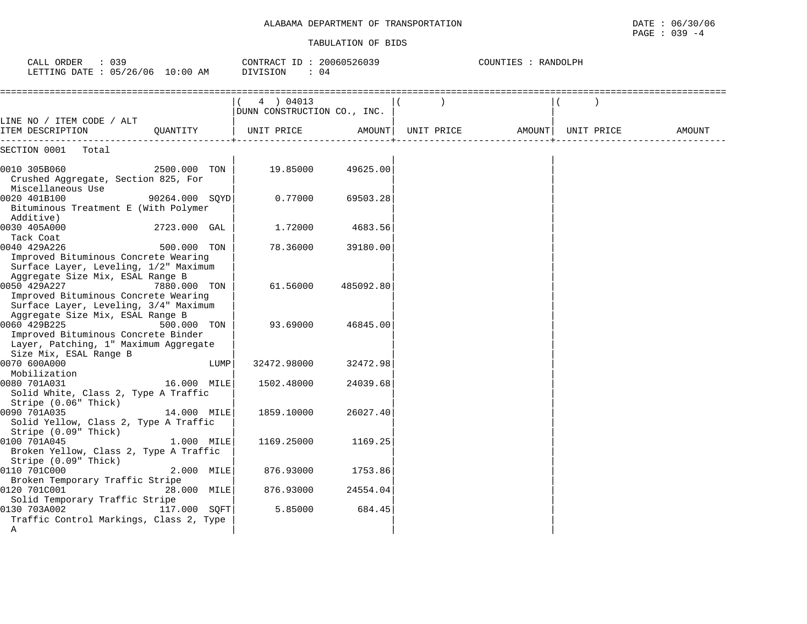| CALL ORDER<br>: 039<br>LETTING DATE : 05/26/06 10:00 AM                                                                                                    |                | CONTRACT ID: 20060526039<br>DIVISION<br>$\therefore$ 04 |           |                            | COUNTIES : RANDOLPH |            |        |
|------------------------------------------------------------------------------------------------------------------------------------------------------------|----------------|---------------------------------------------------------|-----------|----------------------------|---------------------|------------|--------|
|                                                                                                                                                            |                | 4 ) 04013<br>DUNN CONSTRUCTION CO., INC.                |           |                            |                     |            |        |
| LINE NO / ITEM CODE / ALT<br>ITEM DESCRIPTION                                                                                                              | OUANTITY       | UNIT PRICE                                              |           | AMOUNT   UNIT PRICE AMOUNT |                     | UNIT PRICE | AMOUNT |
| SECTION 0001<br>Total                                                                                                                                      |                |                                                         |           |                            |                     |            |        |
| 0010 305B060<br>Crushed Aggregate, Section 825, For<br>Miscellaneous Use                                                                                   | 2500.000 TON   | 19.85000                                                | 49625.00  |                            |                     |            |        |
| 0020 401B100<br>Bituminous Treatment E (With Polymer<br>Additive)                                                                                          | 90264.000 SOYD | 0.77000                                                 | 69503.28  |                            |                     |            |        |
| 0030 405A000<br>Tack Coat                                                                                                                                  | 2723.000 GAL   | 1.72000                                                 | 4683.56   |                            |                     |            |        |
| 0040 429A226<br>Improved Bituminous Concrete Wearing<br>Surface Layer, Leveling, 1/2" Maximum<br>Aggregate Size Mix, ESAL Range B                          | 500.000 TON    | 78.36000                                                | 39180.00  |                            |                     |            |        |
| 0050 429A227<br>Improved Bituminous Concrete Wearing<br>Surface Layer, Leveling, 3/4" Maximum                                                              | 7880.000 TON   | 61.56000                                                | 485092.80 |                            |                     |            |        |
| Aggregate Size Mix, ESAL Range B<br>0060 429B225<br>Improved Bituminous Concrete Binder<br>Layer, Patching, 1" Maximum Aggregate<br>Size Mix, ESAL Range B | 500.000 TON    | 93.69000                                                | 46845.00  |                            |                     |            |        |
| 0070 600A000<br>Mobilization                                                                                                                               | LUMP           | 32472.98000                                             | 32472.98  |                            |                     |            |        |
| 0080 701A031<br>Solid White, Class 2, Type A Traffic<br>Stripe (0.06" Thick)                                                                               | 16.000 MILE    | 1502.48000                                              | 24039.68  |                            |                     |            |        |
| 0090 701A035<br>Solid Yellow, Class 2, Type A Traffic<br>Stripe (0.09" Thick)                                                                              | 14.000 MILE    | 1859.10000                                              | 26027.40  |                            |                     |            |        |
| 0100 701A045<br>Broken Yellow, Class 2, Type A Traffic<br>Stripe (0.09" Thick)                                                                             | 1.000 MILE     | 1169.25000                                              | 1169.25   |                            |                     |            |        |
| 0110 701C000<br>Broken Temporary Traffic Stripe                                                                                                            | 2.000 MILE     | 876.93000                                               | 1753.86   |                            |                     |            |        |
| 0120 701C001<br>Solid Temporary Traffic Stripe                                                                                                             | 28.000 MILE    | 876.93000                                               | 24554.04  |                            |                     |            |        |
| 0130 703A002<br>Traffic Control Markings, Class 2, Type<br>Α                                                                                               | 117.000 SOFT   | 5.85000                                                 | 684.45    |                            |                     |            |        |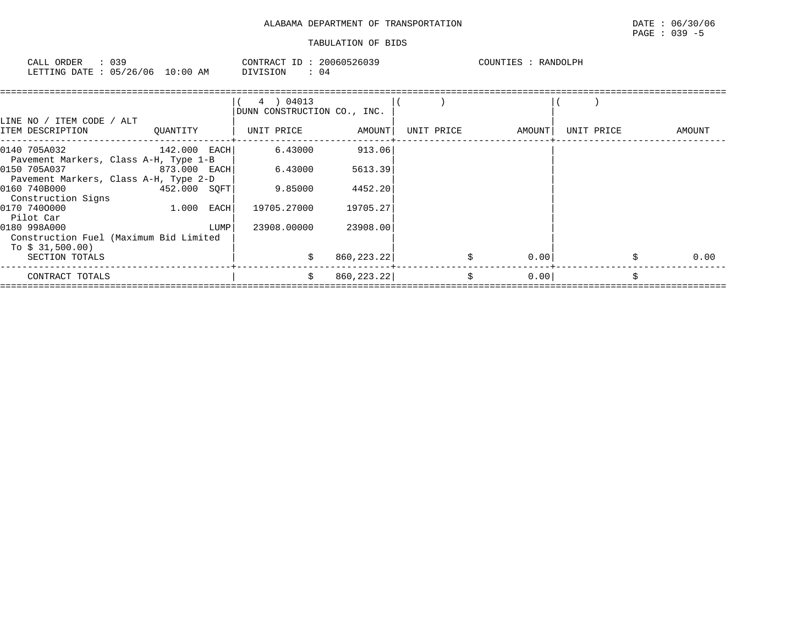| 039<br>ORDER<br>CALL   | CONTRACT ID:                  | 20060526039 | COUNTIES<br>RANDOLPH |
|------------------------|-------------------------------|-------------|----------------------|
| LETTING DATE: 05/26/06 | $10:00$ AM<br><b>DIVISION</b> | 04          |                      |

| LINE NO / ITEM CODE / ALT<br>ITEM DESCRIPTION                              | OUANTITY       |      | 4 ) 04013<br>DUNN CONSTRUCTION CO., INC.<br>UNIT PRICE | AMOUNT      | UNIT PRICE | AMOUNT | UNIT PRICE | AMOUNT |
|----------------------------------------------------------------------------|----------------|------|--------------------------------------------------------|-------------|------------|--------|------------|--------|
| 0140 705A032<br>Pavement Markers, Class A-H, Type 1-B                      | $142.000$ EACH |      | 6.43000                                                | 913.06      |            |        |            |        |
| 0150 705A037 873.000 EACH<br>Pavement Markers, Class A-H, Type 2-D         |                |      | 6.43000                                                | 5613.39     |            |        |            |        |
| 0160 740B000<br>Construction Signs                                         | 452.000 SOFT   |      | 9.85000                                                | 4452.20     |            |        |            |        |
| 0170 7400000<br>Pilot Car                                                  | $1.000$ EACH   |      | 19705.27000                                            | 19705.27    |            |        |            |        |
| 0180 998A000<br>Construction Fuel (Maximum Bid Limited<br>To $$31,500.00)$ |                | LUMP | 23908,00000                                            | 23908.00    |            |        |            |        |
| SECTION TOTALS                                                             |                |      | Ŝ.                                                     | 860, 223.22 |            | 0.00   |            | 0.00   |
| CONTRACT TOTALS                                                            |                |      | Ŝ.                                                     | 860, 223.22 | Ŝ.         | 0.001  |            | Ŝ.     |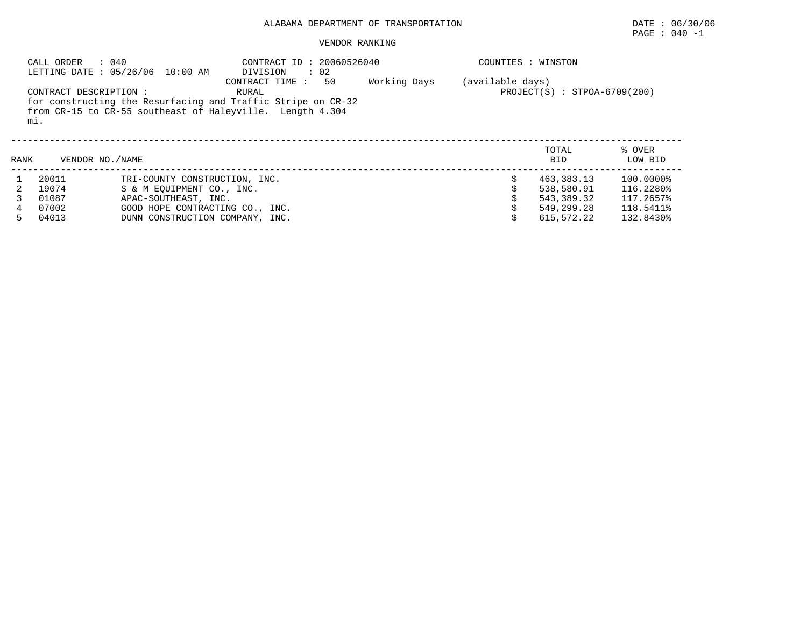# ALABAMA DEPARTMENT OF TRANSPORTATION **DATE** : 06/30/06

#### VENDOR RANKING

|      | CALL ORDER                    | : 040<br>LETTING DATE : 05/26/06 10:00 AM | CONTRACT ID: 20060526040<br>$\therefore$ 02<br>DIVISION                                                                                                    |              |                  | COUNTIES : WINSTON             |                   |
|------|-------------------------------|-------------------------------------------|------------------------------------------------------------------------------------------------------------------------------------------------------------|--------------|------------------|--------------------------------|-------------------|
|      | CONTRACT DESCRIPTION :<br>mi. |                                           | 50<br>CONTRACT TIME:<br>RURAL<br>for constructing the Resurfacing and Traffic Stripe on CR-32<br>from CR-15 to CR-55 southeast of Haleyville. Length 4.304 | Working Days | (available days) | $PROJECT(S) : STPOA-6709(200)$ |                   |
| RANK |                               | VENDOR NO. / NAME                         |                                                                                                                                                            |              |                  | TOTAL<br><b>BID</b>            | % OVER<br>LOW BID |
|      | 20011                         | TRI-COUNTY CONSTRUCTION, INC.             |                                                                                                                                                            |              |                  | 463,383.13                     | 100.0000%         |
| 2    | 19074                         | S & M EOUIPMENT CO., INC.                 |                                                                                                                                                            |              |                  | 538,580.91                     | 116.2280%         |
|      | 01087                         | APAC-SOUTHEAST, INC.                      |                                                                                                                                                            |              |                  | 543,389.32                     | 117.2657%         |
|      | 07002                         | GOOD HOPE CONTRACTING CO., INC.           |                                                                                                                                                            |              |                  | 549,299.28                     | 118.5411%         |
| 5.   | 04013                         | DUNN CONSTRUCTION COMPANY, INC.           |                                                                                                                                                            |              |                  | 615,572.22                     | 132.8430%         |

PAGE : 040 -1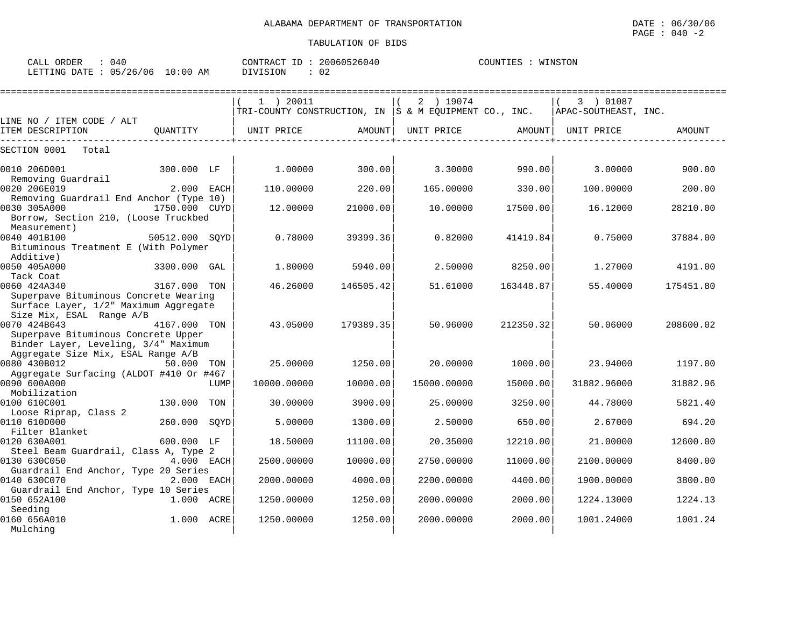| 040<br>CALL ORDER      |            |          | CONTRACT ID: 20060526040 | COUNTIES : WINSTON |
|------------------------|------------|----------|--------------------------|--------------------|
| LETTING DATE: 05/26/06 | $10:00$ AM | DIVISION | 02                       |                    |

|                                                                                                                                   |                |      | 1 ) 20011<br>TRI-COUNTY CONSTRUCTION, IN $ S \& M$ EQUIPMENT CO., INC. |           | 2 ) 19074   |           | 3 ) 01087<br>  APAC-SOUTHEAST, INC. |           |
|-----------------------------------------------------------------------------------------------------------------------------------|----------------|------|------------------------------------------------------------------------|-----------|-------------|-----------|-------------------------------------|-----------|
| LINE NO / ITEM CODE / ALT<br>ITEM DESCRIPTION                                                                                     | OUANTITY       |      | UNIT PRICE                                                             | AMOUNT    | UNIT PRICE  | AMOUNT    | UNIT PRICE                          | AMOUNT    |
| SECTION 0001<br>Total                                                                                                             |                |      |                                                                        |           |             |           |                                     |           |
| 0010 206D001<br>Removing Guardrail                                                                                                | 300.000 LF     |      | 1,00000                                                                | 300.00    | 3.30000     | 990.00    | 3.00000                             | 900.00    |
| 0020 206E019                                                                                                                      | 2.000 EACH     |      | 110.00000                                                              | 220.00    | 165.00000   | 330.00    | 100.00000                           | 200.00    |
| Removing Guardrail End Anchor (Type 10)<br>0030 305A000<br>Borrow, Section 210, (Loose Truckbed                                   | 1750.000 CUYD  |      | 12.00000                                                               | 21000.00  | 10,00000    | 17500.00  | 16.12000                            | 28210.00  |
| Measurement)<br>0040 401B100<br>Bituminous Treatment E (With Polymer                                                              | 50512.000 SOYD |      | 0.78000                                                                | 39399.36  | 0.82000     | 41419.84  | 0.75000                             | 37884.00  |
| Additive)<br>0050 405A000<br>Tack Coat                                                                                            | 3300.000 GAL   |      | 1,80000                                                                | 5940.00   | 2.50000     | 8250.00   | 1,27000                             | 4191.00   |
| 0060 424A340<br>Superpave Bituminous Concrete Wearing<br>Surface Layer, 1/2" Maximum Aggregate<br>Size Mix, ESAL Range A/B        | 3167.000 TON   |      | 46.26000                                                               | 146505.42 | 51.61000    | 163448.87 | 55.40000                            | 175451.80 |
| 0070 424B643<br>Superpave Bituminous Concrete Upper<br>Binder Layer, Leveling, 3/4" Maximum<br>Aggregate Size Mix, ESAL Range A/B | 4167.000 TON   |      | 43.05000                                                               | 179389.35 | 50.96000    | 212350.32 | 50.06000                            | 208600.02 |
| 0080 430B012                                                                                                                      | 50.000         | TON  | 25.00000                                                               | 1250.00   | 20,00000    | 1000.00   | 23.94000                            | 1197.00   |
| Aggregate Surfacing (ALDOT #410 Or #467<br>0090 600A000<br>Mobilization                                                           |                | LUMP | 10000.00000                                                            | 10000.00  | 15000.00000 | 15000.00  | 31882.96000                         | 31882.96  |
| 0100 610C001                                                                                                                      | 130.000        | TON  | 30.00000                                                               | 3900.00   | 25.00000    | 3250.00   | 44.78000                            | 5821.40   |
| Loose Riprap, Class 2<br>0110 610D000<br>Filter Blanket                                                                           | 260.000        | SQYD | 5.00000                                                                | 1300.00   | 2.50000     | 650.00    | 2.67000                             | 694.20    |
| 0120 630A001                                                                                                                      | 600.000 LF     |      | 18.50000                                                               | 11100.00  | 20.35000    | 12210.00  | 21,00000                            | 12600.00  |
| Steel Beam Guardrail, Class A, Type 2<br>0130 630C050<br>Guardrail End Anchor, Type 20 Series                                     | 4.000 EACH     |      | 2500.00000                                                             | 10000.00  | 2750.00000  | 11000.00  | 2100.00000                          | 8400.00   |
| 0140 630C070                                                                                                                      | 2.000 EACH     |      | 2000.00000                                                             | 4000.00   | 2200.00000  | 4400.00   | 1900.00000                          | 3800.00   |
| Guardrail End Anchor, Type 10 Series<br>0150 652A100<br>Seeding                                                                   | 1.000 ACRE     |      | 1250.00000                                                             | 1250.00   | 2000.00000  | 2000.00   | 1224.13000                          | 1224.13   |
| 0160 656A010<br>Mulching                                                                                                          | 1.000          | ACRE | 1250.00000                                                             | 1250.00   | 2000.00000  | 2000.00   | 1001.24000                          | 1001.24   |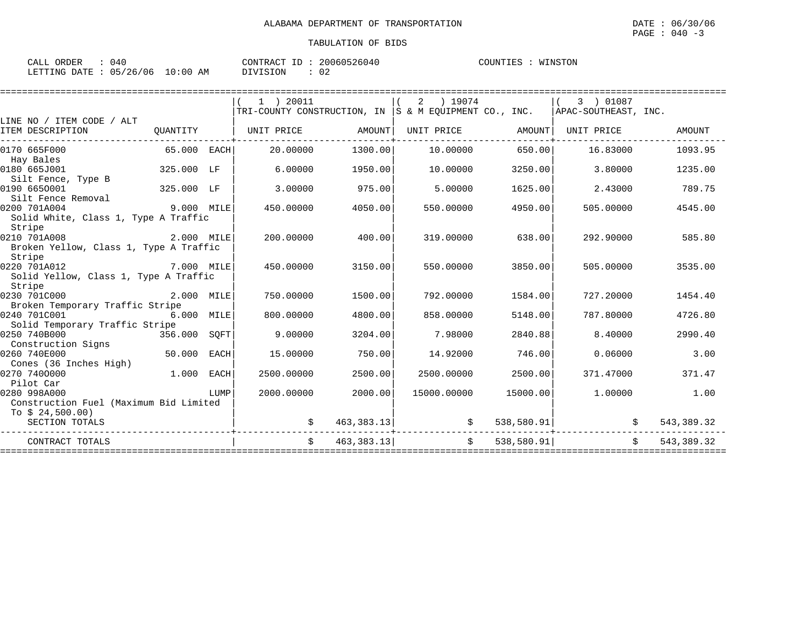| CALL ORDER                      | 040 | CONTRACT ID: 20060526040 |    | COUNTIES | WINSTON |
|---------------------------------|-----|--------------------------|----|----------|---------|
| LETTING DATE: 05/26/06 10:00 AM |     | DIVISION                 | 02 |          |         |

| LINE NO / ITEM CODE / ALT                                                      |                             |      | $1$ ) 20011<br>$ {\tt TRI-COUNTY}$ CONSTRUCTION, IN $ S \& M$ EOUIPMENT CO., INC. $ {\tt APAC-SOUTHEAST}$ , INC. |            | 2 ) 19074         |            | $(3)$ 01087 |              |
|--------------------------------------------------------------------------------|-----------------------------|------|------------------------------------------------------------------------------------------------------------------|------------|-------------------|------------|-------------|--------------|
| ITEM DESCRIPTION                                                               |                             |      | QUANTITY   UNIT PRICE                                                                                            | AMOUNT     | UNIT PRICE AMOUNT |            | UNIT PRICE  | AMOUNT       |
| 0170 665F000<br>Hay Bales                                                      | $65.000$ EACH               |      | 20.00000                                                                                                         | 1300.00    | 10.00000          | 650.00     | 16.83000    | 1093.95      |
| 0180 665J001<br>Silt Fence, Type B                                             | 325.000 LF                  |      | 6,00000                                                                                                          | 1950.00    | 10,00000          | 3250.00    | 3.80000     | 1235.00      |
| <sup>11</sup> 325.000 LF<br>0190 6650001<br>Silt Fence Removal                 |                             |      | 3.00000                                                                                                          | 975.00     | 5.00000           | 1625.00    | 2.43000     | 789.75       |
| 0200 701A004<br>Solid White, Class 1, Type A Traffic<br>Stripe                 | 9.000 MILE                  |      | 450.00000                                                                                                        | 4050.00    | 550.00000         | 4950.00    | 505.00000   | 4545.00      |
| 0210 701A008<br>2.000 MILE<br>Broken Yellow, Class 1, Type A Traffic<br>Stripe |                             |      | 200.00000                                                                                                        | 400.00     | 319.00000         | 638.00     | 292.90000   | 585.80       |
| 0220 701A012<br>Solid Yellow, Class 1, Type A Traffic<br>Stripe                | 7.000 MILE                  |      | 450.00000                                                                                                        | 3150.00    | 550.00000         | 3850.00    | 505.00000   | 3535.00      |
| 0230 701C000<br>Broken Temporary Traffic Stripe                                | 2.000 MILE                  |      | 750.00000                                                                                                        | 1500.00    | 792.00000         | 1584.00    | 727.20000   | 1454.40      |
| 0240 701C001<br><b>6.000 MILE</b><br>Solid Temporary Traffic Stripe            |                             |      | 800,00000                                                                                                        | 4800.00    | 858,00000         | 5148.00    | 787.80000   | 4726.80      |
| 0250 740B000<br>356.000 SQFT<br>Construction Signs                             |                             |      | 9,00000                                                                                                          | 3204.00    | 7.98000           | 2840.88    | 8.40000     | 2990.40      |
| 0260 740E000<br>50.000 EACH<br>Cones (36 Inches High)                          |                             |      | 15,00000                                                                                                         | 750.00     | 14.92000          | 746.00     | 0.06000     | 3.00         |
| 0270 7400000<br>Pilot Car                                                      | 1.000 EACH                  |      | 2500.00000                                                                                                       | 2500.00    | 2500.00000        | 2500.00    | 371.47000   | 371.47       |
| 0280 998A000<br>Construction Fuel (Maximum Bid Limited<br>To $$24,500.00)$     |                             | LUMP | 2000.00000                                                                                                       | 2000.00    | 15000.00000       | 15000.00   | 1.00000     | 1.00         |
| SECTION TOTALS                                                                 | --------------------------- |      | Ŝ.                                                                                                               | 463,383.13 | $\ddot{s}$        | 538,580.91 | \$          | 543,389.32   |
| CONTRACT TOTALS                                                                |                             |      | $\ddot{S}$                                                                                                       | 463,383.13 | $\ddot{s}$        | 538,580.91 | Ŝ.          | 543, 389. 32 |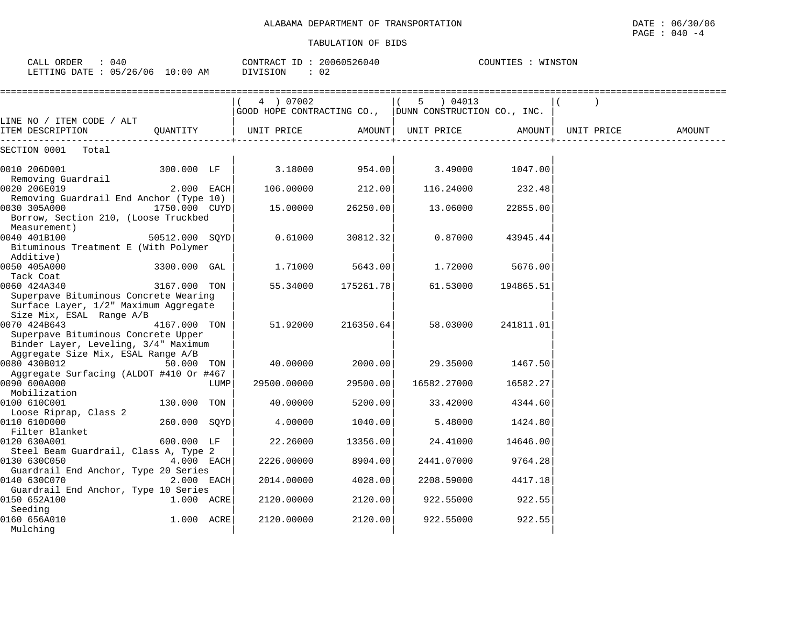| CALL ORDER<br>: 040<br>LETTING DATE : 05/26/06 10:00 AM                                                                 |                |      | CONTRACT ID: 20060526040<br>DIVISION<br>$\therefore$ 02             |           | COUNTIES : WINSTON |           |            |        |  |
|-------------------------------------------------------------------------------------------------------------------------|----------------|------|---------------------------------------------------------------------|-----------|--------------------|-----------|------------|--------|--|
|                                                                                                                         |                |      | 4 ) 07002<br>GOOD HOPE CONTRACTING CO., DUNN CONSTRUCTION CO., INC. |           | 5 ) 04013          |           |            |        |  |
| LINE NO / ITEM CODE / ALT<br>ITEM DESCRIPTION                                                                           | OUANTITY       |      | UNIT PRICE                                                          | AMOUNT    | UNIT PRICE         | AMOUNT    | UNIT PRICE | AMOUNT |  |
| SECTION 0001<br>Total                                                                                                   |                |      |                                                                     |           |                    |           |            |        |  |
| 0010 206D001<br>Removing Guardrail                                                                                      | 300.000 LF     |      | 3.18000                                                             | 954.00    | 3.49000            | 1047.00   |            |        |  |
| 0020 206E019                                                                                                            | 2.000 EACH     |      | 106.00000                                                           | 212.00    | 116.24000          | 232.48    |            |        |  |
| Removing Guardrail End Anchor (Type 10)<br>0030 305A000<br>Borrow, Section 210, (Loose Truckbed<br>Measurement)         | 1750.000 CUYD  |      | 15.00000                                                            | 26250.00  | 13.06000           | 22855.00  |            |        |  |
| 0040 401B100<br>Bituminous Treatment E (With Polymer                                                                    | 50512.000 SOYD |      | 0.61000                                                             | 30812.32  | 0.87000            | 43945.44  |            |        |  |
| Additive)<br>0050 405A000                                                                                               | 3300.000 GAL   |      | 1.71000                                                             | 5643.00   | 1.72000            | 5676.00   |            |        |  |
| Tack Coat<br>0060 424A340<br>Superpave Bituminous Concrete Wearing<br>Surface Layer, 1/2" Maximum Aggregate             | 3167.000 TON   |      | 55.34000                                                            | 175261.78 | 61.53000           | 194865.51 |            |        |  |
| Size Mix, ESAL Range A/B<br>0070 424B643<br>Superpave Bituminous Concrete Upper<br>Binder Layer, Leveling, 3/4" Maximum | 4167.000 TON   |      | 51.92000                                                            | 216350.64 | 58.03000           | 241811.01 |            |        |  |
| Aggregate Size Mix, ESAL Range A/B<br>0080 430B012                                                                      | 50.000 TON     |      | 40.00000                                                            | 2000.00   | 29.35000           | 1467.50   |            |        |  |
| Aggregate Surfacing (ALDOT #410 Or #467<br>0090 600A000<br>Mobilization                                                 |                | LUMP | 29500.00000                                                         | 29500.00  | 16582.27000        | 16582.27  |            |        |  |
| 0100 610C001<br>Loose Riprap, Class 2                                                                                   | 130.000 TON    |      | 40.00000                                                            | 5200.00   | 33.42000           | 4344.60   |            |        |  |
| 0110 610D000<br>Filter Blanket                                                                                          | 260.000 SOYD   |      | 4.00000                                                             | 1040.00   | 5.48000            | 1424.80   |            |        |  |
| 0120 630A001<br>Steel Beam Guardrail, Class A, Type 2                                                                   | 600.000 LF     |      | 22.26000                                                            | 13356.00  | 24.41000           | 14646.00  |            |        |  |
| 0130 630C050<br>Guardrail End Anchor, Type 20 Series                                                                    | 4.000 EACH     |      | 2226.00000                                                          | 8904.00   | 2441.07000         | 9764.28   |            |        |  |
| 0140 630C070<br>Guardrail End Anchor, Type 10 Series                                                                    | 2.000 EACH     |      | 2014.00000                                                          | 4028.00   | 2208.59000         | 4417.18   |            |        |  |
| 0150 652A100<br>Seeding                                                                                                 | 1.000 ACRE     |      | 2120.00000                                                          | 2120.00   | 922.55000          | 922.55    |            |        |  |
| 0160 656A010<br>Mulching                                                                                                | 1.000 ACRE     |      | 2120.00000                                                          | 2120.00   | 922.55000          | 922.55    |            |        |  |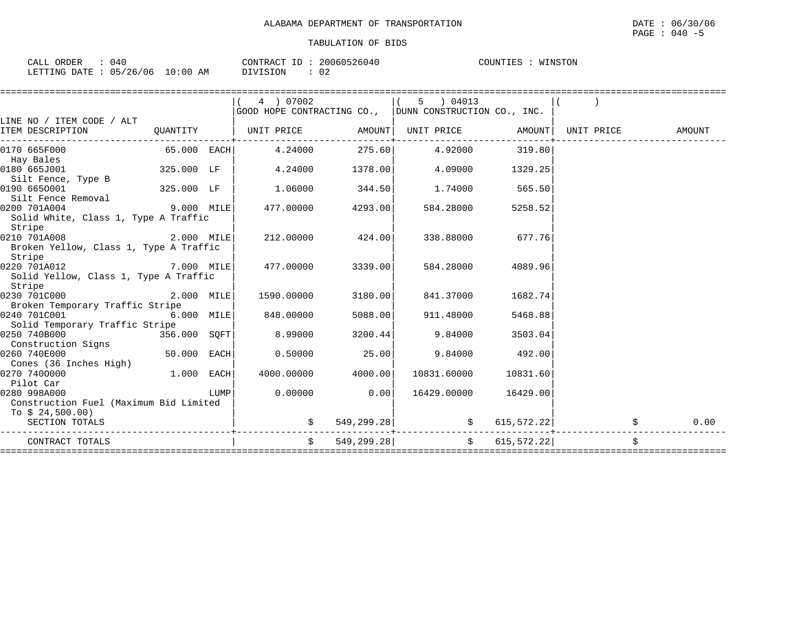| 040<br>CALL ORDER               | CONTRACT ID: | 20060526040  | COUNTIES :<br>WINSTON |
|---------------------------------|--------------|--------------|-----------------------|
| LETTING DATE: 05/26/06 10:00 AM | DIVISION     | $\cap$<br>◡∠ |                       |

|                                                  |              |      | 4 ) 07002                                                          |                     | 5 ) 04013                                     |          |    |            |
|--------------------------------------------------|--------------|------|--------------------------------------------------------------------|---------------------|-----------------------------------------------|----------|----|------------|
|                                                  |              |      | GOOD HOPE CONTRACTING CO., DUNN CONSTRUCTION CO., INC.             |                     |                                               |          |    |            |
| LINE NO / ITEM CODE / ALT                        |              |      |                                                                    |                     |                                               |          |    |            |
| ITEM DESCRIPTION                                 |              |      | QUANTITY   UNIT PRICE AMOUNT  UNIT PRICE AMOUNT  UNIT PRICE AMOUNT | ------------+------ |                                               |          |    |            |
| 0170 665F000                                     |              |      | 65.000 EACH 4.24000 275.60 4.92000 319.80                          |                     |                                               |          |    |            |
| Hay Bales                                        |              |      |                                                                    |                     |                                               |          |    |            |
| 0180 665J001                                     | 325.000 LF   |      | 4.24000                                                            | 1378.00             | 4.09000                                       | 1329.25  |    |            |
| Silt Fence, Type B                               |              |      |                                                                    |                     |                                               |          |    |            |
| <sup>11</sup> 325.000 LF<br>0190 6650001         |              |      | 1.06000                                                            | 344.50              | 1.74000                                       | 565.50   |    |            |
| Silt Fence Removal                               |              |      |                                                                    |                     |                                               |          |    |            |
| $9.000$ MILE<br>0200 701A004                     |              |      |                                                                    | 477.00000 4293.00   | 584.28000                                     | 5258.52  |    |            |
| Solid White, Class 1, Type A Traffic<br>Stripe   |              |      |                                                                    |                     |                                               |          |    |            |
| $2.000$ MILE<br>0210 701A008                     |              |      |                                                                    | 212.00000 424.00    | 338.88000                                     | 677.76   |    |            |
| Broken Yellow, Class 1, Type A Traffic<br>Stripe |              |      |                                                                    |                     |                                               |          |    |            |
| $7.000$ MILE<br>0220 701A012                     |              |      | 477.00000 3339.00                                                  |                     | 584.28000                                     | 4089.96  |    |            |
| Solid Yellow, Class 1, Type A Traffic            |              |      |                                                                    |                     |                                               |          |    |            |
| Stripe                                           |              |      |                                                                    |                     |                                               |          |    |            |
| 0230 701C000                                     | 2.000 MILE   |      | 1590.00000                                                         | 3180.00             | 841.37000                                     | 1682.74  |    |            |
| Broken Temporary Traffic Stripe                  |              |      |                                                                    |                     |                                               |          |    |            |
| 0240 701C001                                     | $6.000$ MILE |      | 848.00000                                                          | 5088.00             | 911.48000                                     | 5468.88  |    |            |
| Solid Temporary Traffic Stripe                   |              |      |                                                                    |                     |                                               |          |    |            |
| 0250 740B000<br>356.000 SOFT                     |              |      | 8.99000                                                            | 3200.44             | 9.84000                                       | 3503.04  |    |            |
| Construction Signs                               |              |      |                                                                    |                     |                                               |          |    |            |
| $50.000$ EACH<br>0260 740E000                    |              |      | 0.50000                                                            | 25.00               | 9.84000                                       | 492.00   |    |            |
| Cones (36 Inches High)                           |              |      |                                                                    |                     |                                               |          |    |            |
| $1.000$ EACH<br>0270 7400000                     |              |      | 4000.00000                                                         | 4000.00             | 10831.60000                                   | 10831.60 |    |            |
| Pilot Car                                        |              |      |                                                                    |                     |                                               |          |    |            |
| 0280 998A000                                     |              | LUMP | 0.00000                                                            | 0.001               | 16429.00000                                   | 16429.00 |    |            |
| Construction Fuel (Maximum Bid Limited           |              |      |                                                                    |                     |                                               |          |    |            |
| To \$ 24,500.00)                                 |              |      |                                                                    |                     |                                               |          |    |            |
| SECTION TOTALS                                   |              |      |                                                                    |                     | 549,299.28 \$615,572.22                       |          |    | \$<br>0.00 |
| CONTRACT TOTALS                                  |              |      | $\ddot{S}$                                                         |                     | $549,299.28$ $\uparrow$ $\uparrow$ 615,572.22 |          | Ŝ. |            |
|                                                  |              |      |                                                                    |                     |                                               |          |    |            |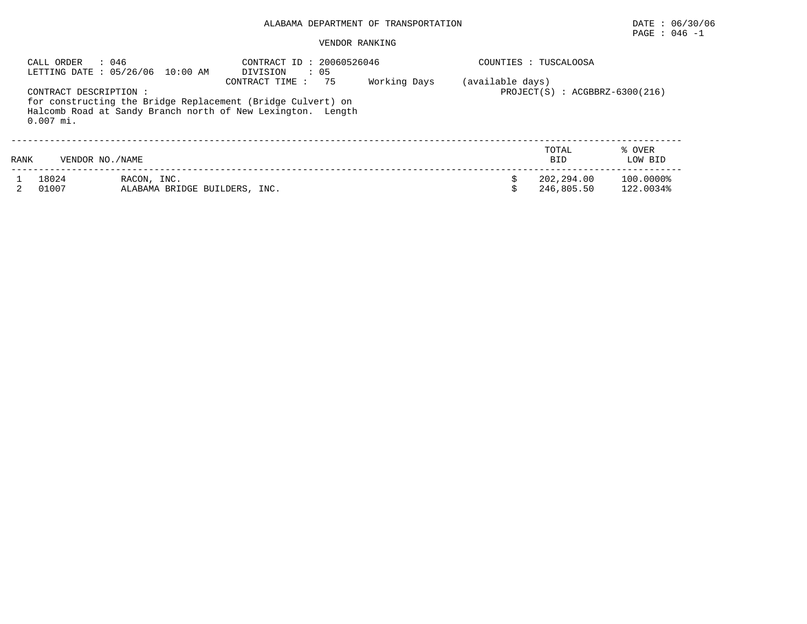# ALABAMA DEPARTMENT OF TRANSPORTATION DATE : 06/30/06

# PAGE : 046 -1

#### VENDOR RANKING

| CALL ORDER<br>CONTRACT DESCRIPTION :<br>$0.007$ mi. | : 046<br>LETTING DATE: 05/26/06 10:00 AM     | CONTRACT ID: 20060526046<br>: 05<br>DIVISION<br>-75<br>CONTRACT TIME:<br>for constructing the Bridge Replacement (Bridge Culvert) on<br>Halcomb Road at Sandy Branch north of New Lexington. Length | Working Days | (available days) | COUNTIES : TUSCALOOSA<br>$PROJECT(S) : ACGBBRZ-6300(216)$ |                        |
|-----------------------------------------------------|----------------------------------------------|-----------------------------------------------------------------------------------------------------------------------------------------------------------------------------------------------------|--------------|------------------|-----------------------------------------------------------|------------------------|
| RANK                                                | VENDOR NO./NAME                              |                                                                                                                                                                                                     |              |                  | TOTAL<br><b>BID</b>                                       | % OVER<br>LOW BID      |
| 18024<br>01007                                      | RACON, INC.<br>ALABAMA BRIDGE BUILDERS, INC. |                                                                                                                                                                                                     |              |                  | 202,294.00<br>246,805.50                                  | 100.0000%<br>122.0034% |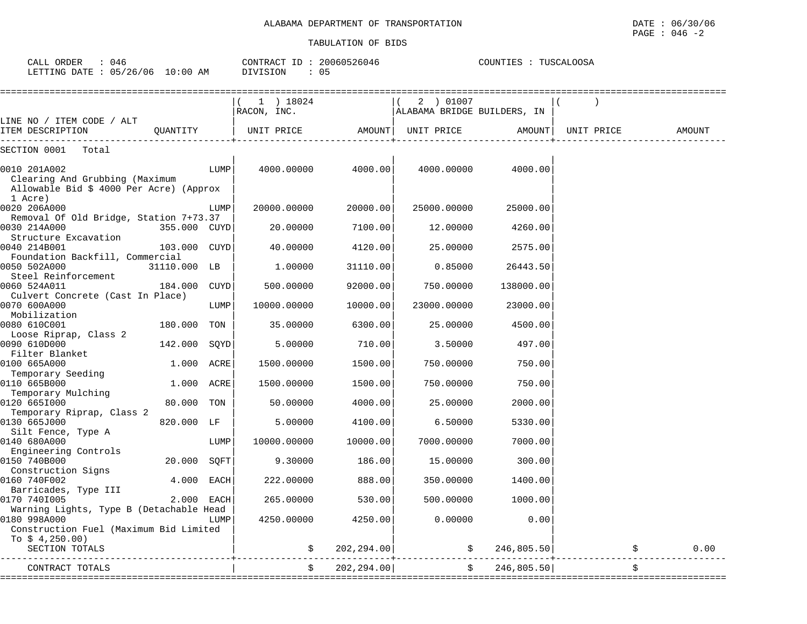| CALL ORDER<br>: 046<br>LETTING DATE : 05/26/06 10:00 AM                                              |              |      | CONTRACT ID: 20060526046<br>: 05<br>DIVISION |             |                                          | COUNTIES : TUSCALOOSA |            |               |  |  |
|------------------------------------------------------------------------------------------------------|--------------|------|----------------------------------------------|-------------|------------------------------------------|-----------------------|------------|---------------|--|--|
|                                                                                                      |              |      |                                              |             |                                          |                       |            |               |  |  |
|                                                                                                      |              |      | 1 ) 18024<br>RACON, INC.                     |             | 2 ) 01007<br>ALABAMA BRIDGE BUILDERS, IN |                       |            |               |  |  |
| LINE NO / ITEM CODE / ALT<br>ITEM DESCRIPTION                                                        | QUANTITY     |      | UNIT PRICE                                   |             | AMOUNT  UNIT PRICE                       | AMOUNT                | UNIT PRICE | <b>AMOUNT</b> |  |  |
| SECTION 0001<br>Total                                                                                |              |      |                                              |             |                                          |                       |            |               |  |  |
| 0010 201A002<br>Clearing And Grubbing (Maximum<br>Allowable Bid \$ 4000 Per Acre) (Approx<br>1 Acre) |              | LUMP | 4000.00000                                   | 4000.00     | 4000.00000                               | 4000.00               |            |               |  |  |
| 0020 206A000                                                                                         |              | LUMP | 20000.00000                                  | 20000.00    | 25000.00000                              | 25000.00              |            |               |  |  |
| Removal Of Old Bridge, Station 7+73.37<br>0030 214A000<br>Structure Excavation                       | 355.000 CUYD |      | 20.00000                                     | 7100.00     | 12.00000                                 | 4260.00               |            |               |  |  |
| 0040 214B001<br>Foundation Backfill, Commercial                                                      | 103.000 CUYD |      | 40.00000                                     | 4120.00     | 25.00000                                 | 2575.00               |            |               |  |  |
| 0050 502A000<br>Steel Reinforcement                                                                  | 31110.000 LB |      | 1,00000                                      | 31110.00    | 0.85000                                  | 26443.50              |            |               |  |  |
| 0060 524A011<br>Culvert Concrete (Cast In Place)                                                     | 184.000 CUYD |      | 500.00000                                    | 92000.00    | 750.00000                                | 138000.00             |            |               |  |  |
| 0070 600A000<br>Mobilization                                                                         |              | LUMP | 10000.00000                                  | 10000.00    | 23000.00000                              | 23000.00              |            |               |  |  |
| 0080 610C001<br>Loose Riprap, Class 2                                                                | 180.000 TON  |      | 35.00000                                     | 6300.00     | 25.00000                                 | 4500.00               |            |               |  |  |
| 0090 610D000<br>Filter Blanket                                                                       | 142.000      | SQYD | 5.00000                                      | 710.00      | 3.50000                                  | 497.00                |            |               |  |  |
| 0100 665A000<br>Temporary Seeding                                                                    | 1.000 ACRE   |      | 1500.00000                                   | 1500.00     | 750.00000                                | 750.00                |            |               |  |  |
| 0110 665B000<br>Temporary Mulching                                                                   | 1.000 ACRE   |      | 1500.00000                                   | 1500.00     | 750.00000                                | 750.00                |            |               |  |  |
| 0120 6651000<br>Temporary Riprap, Class 2                                                            | 80.000       | TON  | 50.00000                                     | 4000.00     | 25.00000                                 | 2000.00               |            |               |  |  |
| 0130 665J000<br>Silt Fence, Type A                                                                   | 820.000 LF   |      | 5.00000                                      | 4100.00     | 6.50000                                  | 5330.00               |            |               |  |  |
| 0140 680A000<br>Engineering Controls                                                                 |              | LUMP | 10000.00000                                  | 10000.00    | 7000.00000                               | 7000.00               |            |               |  |  |
| 0150 740B000<br>Construction Signs                                                                   | 20.000 SOFT  |      | 9.30000                                      | 186.00      | 15.00000                                 | 300.00                |            |               |  |  |
| 0160 740F002<br>Barricades, Type III                                                                 | 4.000 EACH   |      | 222.00000                                    | 888.00      | 350.00000                                | 1400.00               |            |               |  |  |
| 0170 7401005<br>Warning Lights, Type B (Detachable Head                                              | 2.000 EACH   |      | 265.00000                                    | 530.00      | 500.00000                                | 1000.00               |            |               |  |  |
| 0180 998A000<br>Construction Fuel (Maximum Bid Limited                                               |              | LUMP | 4250.00000                                   | 4250.00     | 0.00000                                  | 0.00                  |            |               |  |  |
| To $$4,250.00)$<br>SECTION TOTALS                                                                    |              |      |                                              | 202, 294.00 |                                          | \$246,805.50]         | \$         | 0.00          |  |  |
| CONTRACT TOTALS                                                                                      |              |      | \$                                           | 202, 294.00 | Ŝ.                                       | 246,805.50            | Ŝ.         |               |  |  |

====================================================================================================================================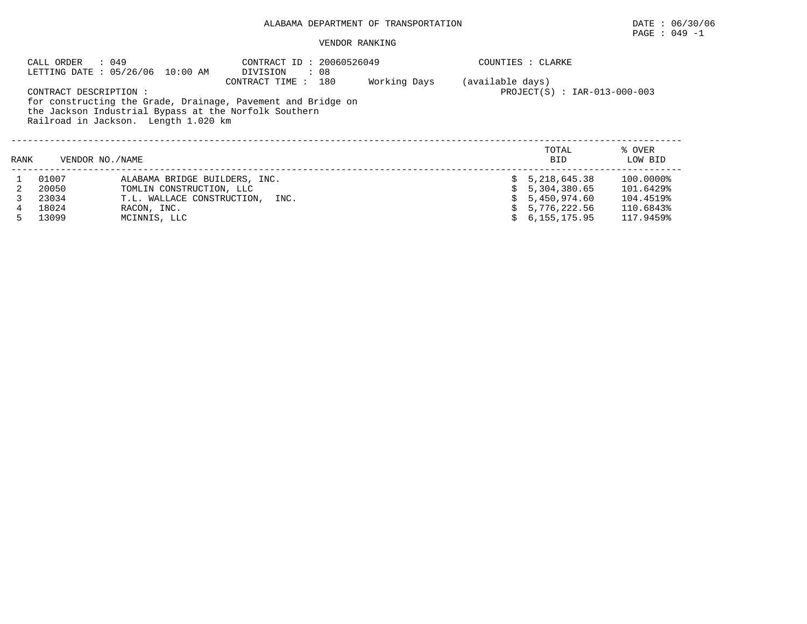# ALABAMA DEPARTMENT OF TRANSPORTATION DATE : 06/30/06

# PAGE : 049 -1

#### VENDOR RANKING

|      | CALL ORDER            | : 049<br>LETTING DATE : 05/26/06 10:00 AM                                                     | CONTRACT ID: 20060526049<br>DIVISION<br>$\therefore$ 08                               |              |                  | COUNTIES : CLARKE            |                   |
|------|-----------------------|-----------------------------------------------------------------------------------------------|---------------------------------------------------------------------------------------|--------------|------------------|------------------------------|-------------------|
|      | CONTRACT DESCRIPTION: | the Jackson Industrial Bypass at the Norfolk Southern<br>Railroad in Jackson. Length 1.020 km | CONTRACT TIME:<br>180<br>for constructing the Grade, Drainage, Pavement and Bridge on | Working Days | (available days) | PROJECT(S) : IAR-013-000-003 |                   |
| RANK | VENDOR NO./NAME       |                                                                                               |                                                                                       |              |                  | TOTAL<br><b>BID</b>          | % OVER<br>LOW BID |
|      | 01007                 | ALABAMA BRIDGE BUILDERS, INC.                                                                 |                                                                                       |              |                  | 5, 218, 645. 38              | 100.0000%         |
|      | 20050                 | TOMLIN CONSTRUCTION, LLC                                                                      |                                                                                       |              |                  | 5,304,380.65                 | 101.6429%         |
|      | 23034                 | T.L. WALLACE CONSTRUCTION, INC.                                                               |                                                                                       |              |                  | 5,450,974.60                 | 104.4519%         |
|      | 18024                 | RACON, INC.                                                                                   |                                                                                       |              |                  | 5,776,222.56                 | 110.6843%         |
|      | 13099                 | MCINNIS, LLC                                                                                  |                                                                                       |              |                  | 6.155.175.95                 | 117.9459%         |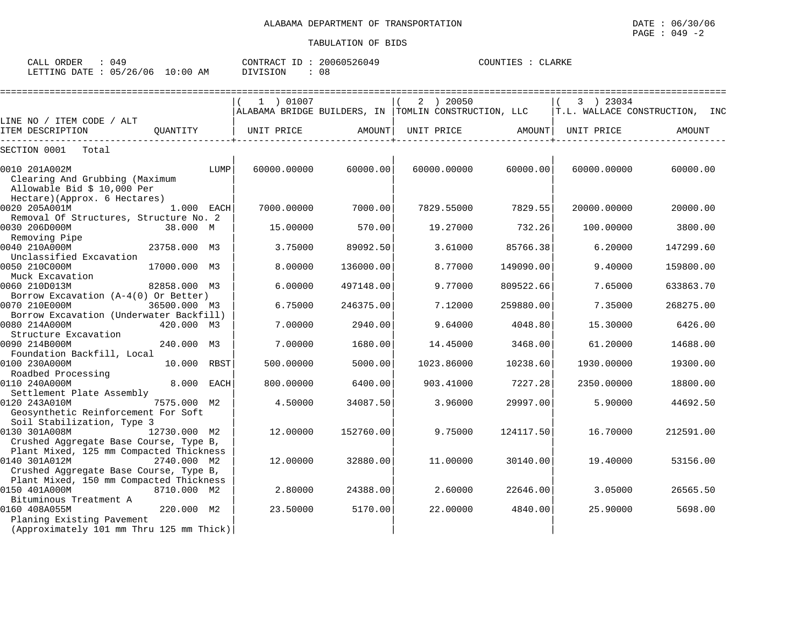| : 049<br>CALL ORDER |                                 | CONTRACT ID: 20060526049 | COUNTIES : CLARKE |
|---------------------|---------------------------------|--------------------------|-------------------|
|                     | LETTING DATE: 05/26/06 10:00 AM | . 68<br>DIVISION         |                   |

|                                                                                                    |              |      | 1 ) 01007   |           | 2 ) 20050<br>ALABAMA BRIDGE BUILDERS, IN TOMLIN CONSTRUCTION, LLC |           | 3 ) 23034   | T.L. WALLACE CONSTRUCTION, INC |
|----------------------------------------------------------------------------------------------------|--------------|------|-------------|-----------|-------------------------------------------------------------------|-----------|-------------|--------------------------------|
| LINE NO / ITEM CODE / ALT                                                                          |              |      |             |           |                                                                   |           |             |                                |
| ITEM DESCRIPTION                                                                                   | OUANTITY     |      | UNIT PRICE  | AMOUNT    | UNIT PRICE                                                        | AMOUNT    | UNIT PRICE  | AMOUNT                         |
| SECTION 0001<br>Total                                                                              |              |      |             |           |                                                                   |           |             |                                |
| 0010 201A002M<br>Clearing And Grubbing (Maximum<br>Allowable Bid \$ 10,000 Per                     |              | LUMP | 60000.00000 | 60000.00  | 60000.00000                                                       | 60000.00  | 60000.00000 | 60000.00                       |
| Hectare) (Approx. 6 Hectares)<br>0020 205A001M                                                     | 1.000 EACH   |      | 7000.00000  | 7000.00   | 7829.55000                                                        | 7829.55   | 20000.00000 | 20000.00                       |
| Removal Of Structures, Structure No. 2<br>0030 206D000M<br>Removing Pipe                           | 38.000 M     |      | 15.00000    | 570.00    | 19.27000                                                          | 732.26    | 100.00000   | 3800.00                        |
| 0040 210A000M<br>Unclassified Excavation                                                           | 23758.000 M3 |      | 3.75000     | 89092.50  | 3.61000                                                           | 85766.38  | 6.20000     | 147299.60                      |
| 0050 210C000M<br>Muck Excavation                                                                   | 17000.000 M3 |      | 8.00000     | 136000.00 | 8.77000                                                           | 149090.00 | 9.40000     | 159800.00                      |
| 0060 210D013M<br>Borrow Excavation (A-4(0) Or Better)                                              | 82858.000 M3 |      | 6.00000     | 497148.00 | 9.77000                                                           | 809522.66 | 7.65000     | 633863.70                      |
| 0070 210E000M<br>Borrow Excavation (Underwater Backfill)                                           | 36500.000 M3 |      | 6.75000     | 246375.00 | 7.12000                                                           | 259880.00 | 7.35000     | 268275.00                      |
| 0080 214A000M<br>Structure Excavation                                                              | 420.000 M3   |      | 7.00000     | 2940.00   | 9.64000                                                           | 4048.80   | 15.30000    | 6426.00                        |
| 0090 214B000M<br>Foundation Backfill, Local                                                        | 240.000 M3   |      | 7.00000     | 1680.00   | 14.45000                                                          | 3468.00   | 61,20000    | 14688.00                       |
| 0100 230A000M<br>Roadbed Processing                                                                | 10.000       | RBST | 500.00000   | 5000.00   | 1023.86000                                                        | 10238.60  | 1930.00000  | 19300.00                       |
| 0110 240A000M<br>Settlement Plate Assembly                                                         | 8.000        | EACH | 800.00000   | 6400.00   | 903.41000                                                         | 7227.28   | 2350.00000  | 18800.00                       |
| 0120 243A010M<br>Geosynthetic Reinforcement For Soft<br>Soil Stabilization, Type 3                 | 7575.000 M2  |      | 4.50000     | 34087.50  | 3.96000                                                           | 29997.00  | 5.90000     | 44692.50                       |
| 0130 301A008M<br>Crushed Aggregate Base Course, Type B,<br>Plant Mixed, 125 mm Compacted Thickness | 12730.000 M2 |      | 12.00000    | 152760.00 | 9.75000                                                           | 124117.50 | 16.70000    | 212591.00                      |
| 0140 301A012M<br>Crushed Aggregate Base Course, Type B,<br>Plant Mixed, 150 mm Compacted Thickness | 2740.000 M2  |      | 12.00000    | 32880.00  | 11,00000                                                          | 30140.00  | 19,40000    | 53156.00                       |
| 0150 401A000M<br>Bituminous Treatment A                                                            | 8710.000 M2  |      | 2.80000     | 24388.00  | 2.60000                                                           | 22646.00  | 3.05000     | 26565.50                       |
| 0160 408A055M<br>Planing Existing Pavement<br>(Approximately 101 mm Thru 125 mm Thick)             | 220.000 M2   |      | 23.50000    | 5170.00   | 22.00000                                                          | 4840.00   | 25.90000    | 5698.00                        |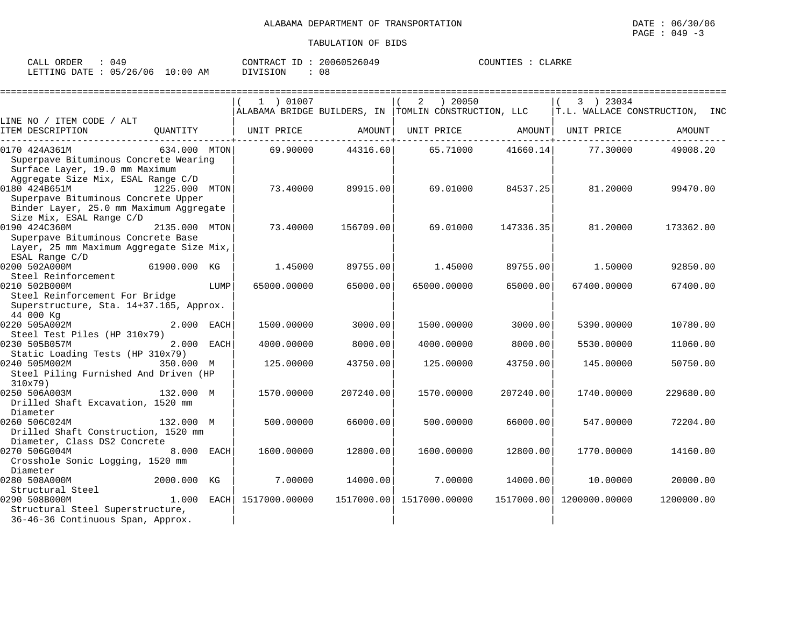| CALL ORDER : 049                |  |          |      | CONTRACT ID: 20060526049 | COUNTIES : CLARKE |  |
|---------------------------------|--|----------|------|--------------------------|-------------------|--|
| LETTING DATE: 05/26/06 10:00 AM |  | DIVISION | : 08 |                          |                   |  |

|                                                                                                                                                                   |               |                   | ================================ |            |                                                                       |                   |                   |                                |
|-------------------------------------------------------------------------------------------------------------------------------------------------------------------|---------------|-------------------|----------------------------------|------------|-----------------------------------------------------------------------|-------------------|-------------------|--------------------------------|
|                                                                                                                                                                   |               |                   | 1 ) 01007                        |            | 2<br>) 20050<br>ALABAMA BRIDGE BUILDERS, IN  TOMLIN CONSTRUCTION, LLC |                   | 3 ) 23034         | T.L. WALLACE CONSTRUCTION, INC |
| LINE NO / ITEM CODE / ALT                                                                                                                                         |               |                   |                                  |            |                                                                       |                   |                   |                                |
| ITEM DESCRIPTION                                                                                                                                                  | OUANTITY      |                   | UNIT PRICE                       | AMOUNT     |                                                                       | UNIT PRICE AMOUNT | UNIT PRICE        | AMOUNT                         |
| 0170 424A361M<br>Superpave Bituminous Concrete Wearing<br>Surface Layer, 19.0 mm Maximum                                                                          | 634.000 MTON  |                   | 69.90000                         | 44316.60   | 65.71000                                                              |                   | 41660.14 77.30000 | 49008.20                       |
| Aggregate Size Mix, ESAL Range C/D<br>0180 424B651M<br>Superpave Bituminous Concrete Upper<br>Binder Layer, 25.0 mm Maximum Aggregate<br>Size Mix, ESAL Range C/D | 1225.000 MTON |                   | 73.40000                         | 89915.00   | 69.01000                                                              | 84537.25          | 81.20000          | 99470.00                       |
| 0190 424C360M<br>Superpave Bituminous Concrete Base<br>Layer, 25 mm Maximum Aggregate Size Mix,                                                                   | 2135.000 MTON |                   | 73.40000                         | 156709.00  | 69.01000                                                              | 147336.35         | 81.20000          | 173362.00                      |
| ESAL Range C/D<br>0200 502A000M<br>61900.000 KG<br>Steel Reinforcement                                                                                            |               |                   | 1.45000                          | 89755.00   | 1.45000                                                               | 89755.00          | 1,50000           | 92850.00                       |
| 0210 502B000M<br>Steel Reinforcement For Bridge                                                                                                                   |               | LUMP              | 65000.00000                      | 65000.00   | 65000.00000                                                           | 65000.00          | 67400.00000       | 67400.00                       |
| Superstructure, Sta. 14+37.165, Approx.<br>44 000 Kg                                                                                                              |               |                   |                                  |            |                                                                       |                   |                   |                                |
| 0220 505A002M<br>Steel Test Piles (HP 310x79)                                                                                                                     | 2.000         | EACH              | 1500.00000                       | 3000.00    | 1500.00000                                                            | 3000.00           | 5390.00000        | 10780.00                       |
| 0230 505B057M<br>Static Loading Tests (HP 310x79)                                                                                                                 | 2.000         | EACH              | 4000.00000                       | 8000.00    | 4000.00000                                                            | 8000.00           | 5530.00000        | 11060.00                       |
| 0240 505M002M<br>Steel Piling Furnished And Driven (HP                                                                                                            | 350.000 M     |                   | 125.00000                        | 43750.00   | 125.00000                                                             | 43750.00          | 145.00000         | 50750.00                       |
| 310x79)<br>0250 506A003M<br>Drilled Shaft Excavation, 1520 mm<br>Diameter                                                                                         | 132.000 M     |                   | 1570.00000                       | 207240.00  | 1570.00000                                                            | 207240.00         | 1740.00000        | 229680.00                      |
| 0260 506C024M<br>Drilled Shaft Construction, 1520 mm<br>Diameter, Class DS2 Concrete                                                                              | 132.000 M     |                   | 500.00000                        | 66000.00   | 500.00000                                                             | 66000.00          | 547.00000         | 72204.00                       |
| 0270 506G004M<br>Crosshole Sonic Logging, 1520 mm<br>Diameter                                                                                                     | 8.000         | EACH              | 1600.00000                       | 12800.00   | 1600.00000                                                            | 12800.00          | 1770.00000        | 14160.00                       |
| 0280 508A000M<br>Structural Steel                                                                                                                                 | 2000.000 KG   |                   | 7.00000                          | 14000.00   | 7.00000                                                               | 14000.00          | 10.00000          | 20000.00                       |
| 0290 508B000M<br>Structural Steel Superstructure,<br>36-46-36 Continuous Span, Approx.                                                                            | 1,000         | EACH <sup>1</sup> | 1517000.00000                    | 1517000.00 | 1517000.00000                                                         | 1517000.00        | 1200000.00000     | 1200000.00                     |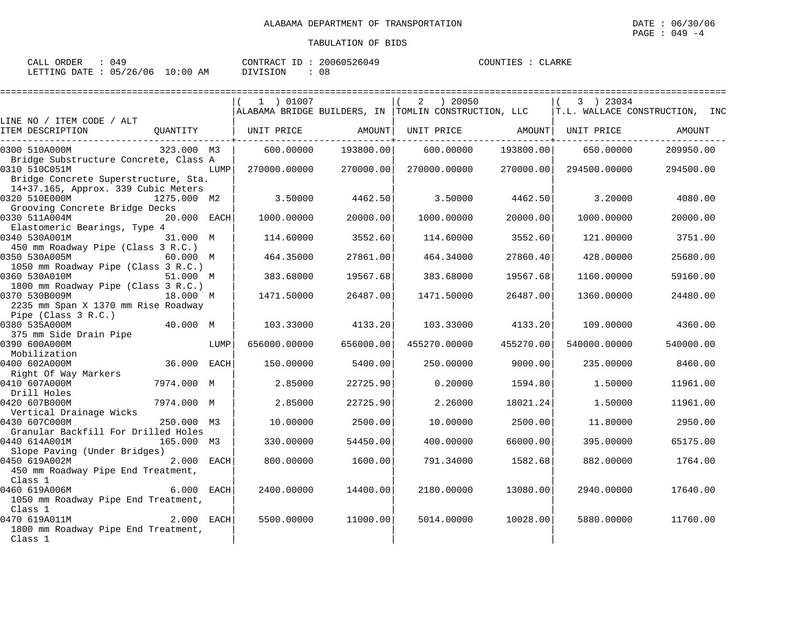| CALL ORDER : 049                |  |               | CONTRACT ID: 20060526049 | COUNTIES : CLARKE |  |
|---------------------------------|--|---------------|--------------------------|-------------------|--|
| LETTING DATE: 05/26/06 10:00 AM |  | DIVISION : 08 |                          |                   |  |

|                                                                                                         |                              |                        |                                                      |           |              | ======================         |
|---------------------------------------------------------------------------------------------------------|------------------------------|------------------------|------------------------------------------------------|-----------|--------------|--------------------------------|
|                                                                                                         | 1 ) 01007                    |                        | ) 20050<br>2                                         |           | 3 ) 23034    |                                |
| LINE NO / ITEM CODE / ALT                                                                               |                              |                        | ALABAMA BRIDGE BUILDERS, IN TOMLIN CONSTRUCTION, LLC |           |              | T.L. WALLACE CONSTRUCTION, INC |
| ITEM DESCRIPTION                                                                                        | QUANTITY   UNIT PRICE AMOUNT |                        | UNIT PRICE AMOUNT   UNIT PRICE                       |           |              | AMOUNT                         |
| 323.000 M3<br>0300 510A000M                                                                             | 600.00000                    | 193800.00              | 600.00000                                            | 193800.00 | 650.00000    | 209950.00                      |
| Bridge Substructure Concrete, Class A<br>0310 510C051M<br>LUMP<br>Bridge Concrete Superstructure, Sta.  |                              | 270000.00000 270000.00 | 270000.00000                                         | 270000.00 | 294500.00000 | 294500.00                      |
| 14+37.165, Approx. 339 Cubic Meters                                                                     |                              |                        |                                                      |           |              |                                |
| 0320 510E000M<br>1275.000 M2<br>Grooving Concrete Bridge Decks                                          | 3.50000                      | 4462.50                | 3.50000                                              | 4462.50   | 3.20000      | 4080.00                        |
| 0330 511A004M<br>20.000 EACH                                                                            | 1000.00000                   | 20000.00               | 1000.00000                                           | 20000.00  | 1000.00000   | 20000.00                       |
| Elastomeric Bearings, Type 4<br>0340 530A001M<br>31.000 M                                               | 114.60000                    | 3552.60                | 114.60000                                            | 3552.60   | 121.00000    | 3751.00                        |
| 450 mm Roadway Pipe (Class 3 R.C.)<br>0350 530A005M<br>60.000 M                                         | 464.35000                    | 27861.00               | 464.34000                                            | 27860.40  | 428.00000    | 25680.00                       |
| 1050 mm Roadway Pipe (Class 3 R.C.)<br>0360 530A010M<br>51.000 M                                        | 383.68000                    | 19567.68               | 383.68000                                            | 19567.68  | 1160.00000   | 59160.00                       |
| 1800 mm Roadway Pipe (Class 3 R.C.)<br>0370 530B009M<br>18.000 M<br>2235 mm Span X 1370 mm Rise Roadway | 1471.50000                   | 26487.00               | 1471.50000                                           | 26487.00  | 1360.00000   | 24480.00                       |
| Pipe (Class 3 R.C.)<br>40.000 M<br>0380 535A000M                                                        | 103.33000                    | 4133.20                | 103.33000                                            | 4133.20   | 109.00000    | 4360.00                        |
| 375 mm Side Drain Pipe                                                                                  |                              |                        |                                                      |           |              |                                |
| 0390 600A000M<br>LUMP<br>Mobilization                                                                   | 656000.00000                 | 656000.00              | 455270.00000                                         | 455270.00 | 540000.00000 | 540000.00                      |
| 36.000 EACH<br>0400 602A000M                                                                            | 150.00000                    | 5400.00                | 250.00000                                            | 9000.00   | 235.00000    | 8460.00                        |
| Right Of Way Markers<br>0410 607A000M<br>7974.000 M                                                     | 2.85000                      | 22725.90               | 0.20000                                              | 1594.80   | 1.50000      | 11961.00                       |
| Drill Holes<br>0420 607B000M<br>7974.000 M                                                              | 2.85000                      | 22725.90               | 2.26000                                              | 18021.24  | 1.50000      | 11961.00                       |
| Vertical Drainage Wicks<br>0430 607C000M<br>250.000 M3                                                  | 10.00000                     | 2500.00                | 10.00000                                             | 2500.00   | 11,80000     | 2950.00                        |
| Granular Backfill For Drilled Holes<br>0440 614A001M<br>165.000 M3                                      | 330.00000                    | 54450.00               | 400.00000                                            | 66000.00  | 395.00000    | 65175.00                       |
| Slope Paving (Under Bridges)<br>0450 619A002M<br>2.000 EACH<br>450 mm Roadway Pipe End Treatment,       | 800.00000                    | 1600.00                | 791.34000                                            | 1582.68   | 882.00000    | 1764.00                        |
| Class 1<br>0460 619A006M<br>6.000 EACH<br>1050 mm Roadway Pipe End Treatment,                           | 2400.00000                   | 14400.00               | 2180.00000                                           | 13080.00  | 2940.00000   | 17640.00                       |
| Class 1<br>0470 619A011M<br>2.000 EACH<br>1800 mm Roadway Pipe End Treatment,<br>Class 1                | 5500.00000                   | 11000.00               | 5014.00000                                           | 10028.00  | 5880.00000   | 11760.00                       |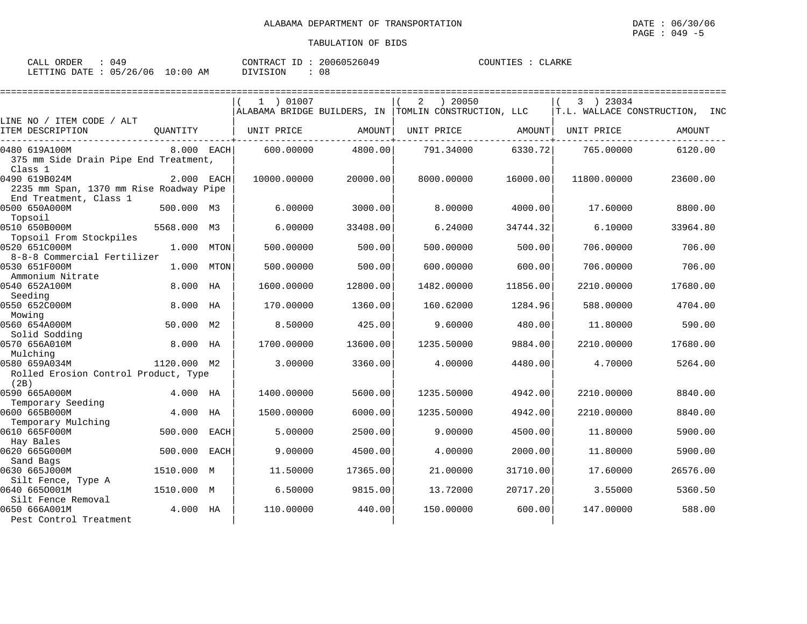| CALL ORDER<br>በ49               |          | CONTRACT ID: 20060526049 | COUNTIES : CLARKE |
|---------------------------------|----------|--------------------------|-------------------|
| LETTING DATE: 05/26/06 10:00 AM | DIVISION | 08                       |                   |

|                                                                                    |             |             | 1 ) 01007   |          | ) 20050<br>2<br>ALABAMA BRIDGE BUILDERS, IN TOMLIN CONSTRUCTION, LLC |          | 3 ) 23034   | T.L. WALLACE CONSTRUCTION, INC |
|------------------------------------------------------------------------------------|-------------|-------------|-------------|----------|----------------------------------------------------------------------|----------|-------------|--------------------------------|
| LINE NO / ITEM CODE / ALT                                                          |             |             |             |          |                                                                      |          |             |                                |
| ITEM DESCRIPTION                                                                   | OUANTITY    |             | UNIT PRICE  | AMOUNT   | UNIT PRICE                                                           | AMOUNT   | UNIT PRICE  | AMOUNT                         |
| 0480 619A100M<br>375 mm Side Drain Pipe End Treatment,<br>Class 1                  |             | 8.000 EACH  | 600.00000   | 4800.00  | 791.34000                                                            | 6330.72  | 765.00000   | 6120.00                        |
| 0490 619B024M<br>2235 mm Span, 1370 mm Rise Roadway Pipe<br>End Treatment, Class 1 |             | 2.000 EACH  | 10000.00000 | 20000.00 | 8000.00000                                                           | 16000.00 | 11800.00000 | 23600.00                       |
| 0500 650A000M<br>Topsoil                                                           | 500.000 M3  |             | 6.00000     | 3000.00  | 8.00000                                                              | 4000.00  | 17.60000    | 8800.00                        |
| 0510 650B000M<br>Topsoil From Stockpiles                                           | 5568.000    | M3          | 6.00000     | 33408.00 | 6.24000                                                              | 34744.32 | 6.10000     | 33964.80                       |
| 0520 651C000M<br>8-8-8 Commercial Fertilizer                                       | 1,000       | MTON        | 500.00000   | 500.00   | 500.00000                                                            | 500.00   | 706.00000   | 706.00                         |
| 0530 651F000M<br>Ammonium Nitrate                                                  | 1.000       | <b>MTON</b> | 500.00000   | 500.00   | 600.00000                                                            | 600.00   | 706.00000   | 706.00                         |
| 0540 652A100M<br>Seeding                                                           | 8.000       | HA          | 1600.00000  | 12800.00 | 1482.00000                                                           | 11856.00 | 2210.00000  | 17680.00                       |
| 0550 652C000M<br>Mowing                                                            | 8.000       | HA          | 170.00000   | 1360.00  | 160.62000                                                            | 1284.96  | 588.00000   | 4704.00                        |
| 0560 654A000M<br>Solid Sodding                                                     | 50.000      | M2          | 8.50000     | 425.00   | 9.60000                                                              | 480.00   | 11.80000    | 590.00                         |
| 0570 656A010M<br>Mulching                                                          | 8,000       | HA          | 1700.00000  | 13600.00 | 1235.50000                                                           | 9884.00  | 2210.00000  | 17680.00                       |
| 0580 659A034M<br>Rolled Erosion Control Product, Type<br>(2B)                      | 1120.000 M2 |             | 3.00000     | 3360.00  | 4.00000                                                              | 4480.00  | 4.70000     | 5264.00                        |
| 0590 665A000M<br>Temporary Seeding                                                 | 4.000 HA    |             | 1400.00000  | 5600.00  | 1235.50000                                                           | 4942.00  | 2210.00000  | 8840.00                        |
| 0600 665B000M<br>Temporary Mulching                                                | 4.000       | HA          | 1500.00000  | 6000.00  | 1235.50000                                                           | 4942.00  | 2210.00000  | 8840.00                        |
| 0610 665F000M<br>Hay Bales                                                         | 500.000     | <b>EACH</b> | 5.00000     | 2500.00  | 9.00000                                                              | 4500.00  | 11,80000    | 5900.00                        |
| 0620 665G000M<br>Sand Bags                                                         | 500.000     | <b>EACH</b> | 9.00000     | 4500.00  | 4.00000                                                              | 2000.00  | 11.80000    | 5900.00                        |
| 0630 665J000M<br>Silt Fence, Type A                                                | 1510.000    | M           | 11.50000    | 17365.00 | 21.00000                                                             | 31710.00 | 17.60000    | 26576.00                       |
| 0640 6650001M<br>Silt Fence Removal                                                | 1510.000 M  |             | 6.50000     | 9815.00  | 13.72000                                                             | 20717.20 | 3.55000     | 5360.50                        |
| 0650 666A001M<br>Pest Control Treatment                                            | 4.000       | НA          | 110.00000   | 440.00   | 150.00000                                                            | 600.00   | 147.00000   | 588.00                         |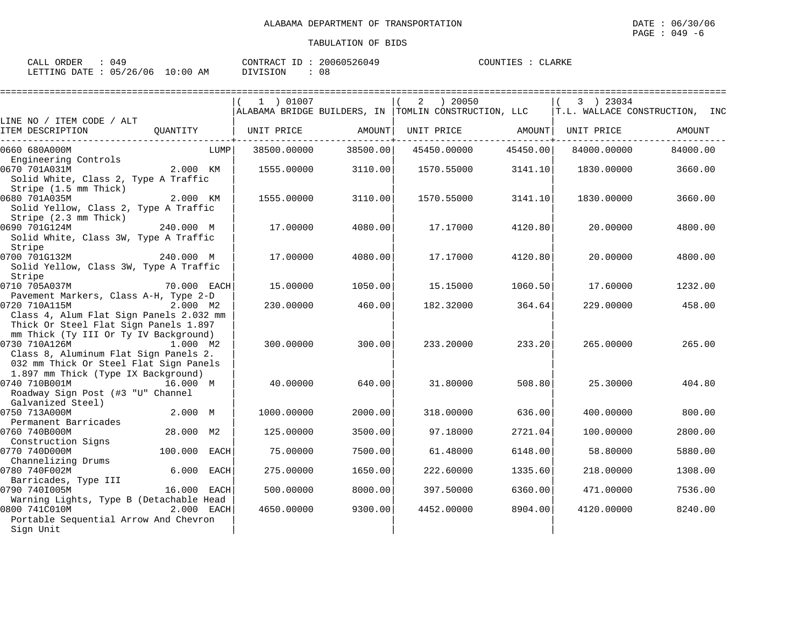| CALL ORDER : 049                |  | CONTRACT ID: 20060526049 |  | COUNTIES : CLARKE |
|---------------------------------|--|--------------------------|--|-------------------|
| LETTING DATE: 05/26/06 10:00 AM |  | DIVISION : 08            |  |                   |

|                                                                                                                                           |                        | 1 ) 01007   |          | ) 20050<br>2                                           |          | 3 ) 23034   |                                |
|-------------------------------------------------------------------------------------------------------------------------------------------|------------------------|-------------|----------|--------------------------------------------------------|----------|-------------|--------------------------------|
|                                                                                                                                           |                        |             |          | ALABAMA BRIDGE BUILDERS, IN   TOMLIN CONSTRUCTION, LLC |          |             | T.L. WALLACE CONSTRUCTION, INC |
| LINE NO / ITEM CODE / ALT<br>ITEM DESCRIPTION                                                                                             | OUANTITY               | UNIT PRICE  | AMOUNT   | UNIT PRICE                                             | AMOUNT   | UNIT PRICE  | AMOUNT                         |
| 0660 680A000M                                                                                                                             | LUMP                   | 38500.00000 | 38500.00 | 45450.00000                                            | 45450.00 | 84000.00000 | 84000.00                       |
| Engineering Controls<br>0670 701A031M<br>Solid White, Class 2, Type A Traffic                                                             | 2.000 KM               | 1555.00000  | 3110.00  | 1570.55000                                             | 3141.10  | 1830.00000  | 3660.00                        |
| Stripe (1.5 mm Thick)<br>0680 701A035M<br>Solid Yellow, Class 2, Type A Traffic<br>Stripe (2.3 mm Thick)                                  | 2.000 KM               | 1555.00000  | 3110.00  | 1570.55000                                             | 3141.10  | 1830.00000  | 3660.00                        |
| 0690 701G124M<br>Solid White, Class 3W, Type A Traffic<br>Stripe                                                                          | 240.000 M              | 17.00000    | 4080.00  | 17.17000                                               | 4120.80  | 20.00000    | 4800.00                        |
| 0700 701G132M<br>Solid Yellow, Class 3W, Type A Traffic<br>Stripe                                                                         | 240.000 M              | 17.00000    | 4080.00  | 17.17000                                               | 4120.80  | 20.00000    | 4800.00                        |
| 0710 705A037M<br>Pavement Markers, Class A-H, Type 2-D                                                                                    | 70.000 EACH            | 15,00000    | 1050.00  | 15.15000                                               | 1060.50  | 17.60000    | 1232.00                        |
| 0720 710A115M<br>Class 4, Alum Flat Sign Panels 2.032 mm<br>Thick Or Steel Flat Sign Panels 1.897                                         | 2.000 M2               | 230.00000   | 460.00   | 182.32000                                              | 364.64   | 229,00000   | 458.00                         |
| mm Thick (Ty III Or Ty IV Background)<br>0730 710A126M<br>Class 8, Aluminum Flat Sign Panels 2.<br>032 mm Thick Or Steel Flat Sign Panels | 1.000 M2               | 300,00000   | 300.00   | 233.20000                                              | 233.20   | 265,00000   | 265.00                         |
| 1.897 mm Thick (Type IX Background)<br>0740 710B001M<br>Roadway Sign Post (#3 "U" Channel<br>Galvanized Steel)                            | 16.000 M               | 40.00000    | 640.00   | 31.80000                                               | 508.80   | 25.30000    | 404.80                         |
| 0750 713A000M<br>Permanent Barricades                                                                                                     | 2.000 M                | 1000.00000  | 2000.00  | 318,00000                                              | 636.00   | 400.00000   | 800.00                         |
| 0760 740B000M                                                                                                                             | 28.000 M2              | 125,00000   | 3500.00  | 97.18000                                               | 2721.04  | 100.00000   | 2800.00                        |
| Construction Signs<br>0770 740D000M                                                                                                       | 100.000<br><b>EACH</b> | 75.00000    | 7500.00  | 61.48000                                               | 6148.00  | 58.80000    | 5880.00                        |
| Channelizing Drums<br>0780 740F002M<br>Barricades, Type III                                                                               | 6.000<br><b>EACH</b>   | 275.00000   | 1650.00  | 222.60000                                              | 1335.60  | 218.00000   | 1308.00                        |
| 0790 740I005M<br>Warning Lights, Type B (Detachable Head                                                                                  | 16.000<br>EACH         | 500.00000   | 8000.00  | 397.50000                                              | 6360.00  | 471.00000   | 7536.00                        |
| 0800 741C010M<br>Portable Sequential Arrow And Chevron<br>Sign Unit                                                                       | 2.000 EACH             | 4650.00000  | 9300.00  | 4452.00000                                             | 8904.00  | 4120.00000  | 8240.00                        |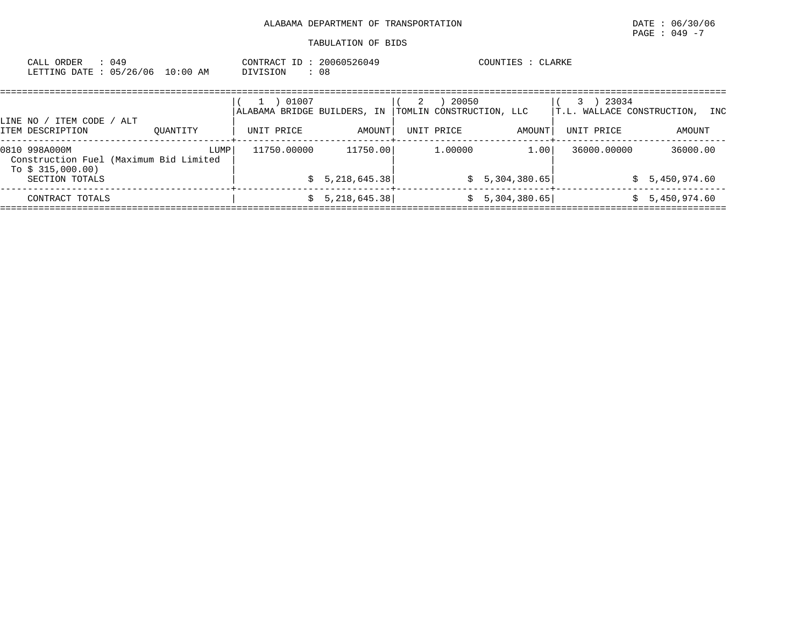| CALL ORDER : 049<br>LETTING DATE: 05/26/06 10:00 AM                                                            |  | CONTRACT ID: 20060526049<br>DIVISION : 08 |                                                                     | COUNTIES : CLARKE |                                               |  |
|----------------------------------------------------------------------------------------------------------------|--|-------------------------------------------|---------------------------------------------------------------------|-------------------|-----------------------------------------------|--|
| 그 사람들은 그 사람들은 아이들이 아이들이 아니라 아이들이 아니라 아이들이 아니라 아이들이 아니라 아이들이 아니라 아이들이 아니라 아이들이 아니라 아이들이 아니라 아이들이 아니라 아이들이 아니라 아 |  | 1 ) 01007                                 | $(2)$ 20050<br>ALABAMA BRIDGE BUILDERS, IN TOMLIN CONSTRUCTION, LLC |                   | $(3)$ 23034<br>T.L. WALLACE CONSTRUCTION, INC |  |

| ITEM CODE<br>LINE NO ,<br>ITEM DESCRIPTION           | ALT<br>OUANTITY                                | UNIT PRICE  | AMOUNT                      | UNIT PRICE | AMOUNT                               | UNIT PRICE  | AMOUNT                   |
|------------------------------------------------------|------------------------------------------------|-------------|-----------------------------|------------|--------------------------------------|-------------|--------------------------|
| 0810 998A000M<br>To $$315,000.00)$<br>SECTION TOTALS | LUMP<br>Construction Fuel (Maximum Bid Limited | 11750.00000 | 11750.00<br>\$5,218,645.38] | 1,00000    | 1.00 <sup>1</sup><br>\$5,304,380.65] | 36000.00000 | 36000.00<br>5,450,974.60 |
| CONTRACT TOTALS                                      |                                                |             | \$5,218,645.38]             |            | \$5,304,380.65]                      |             | 5,450,974.60             |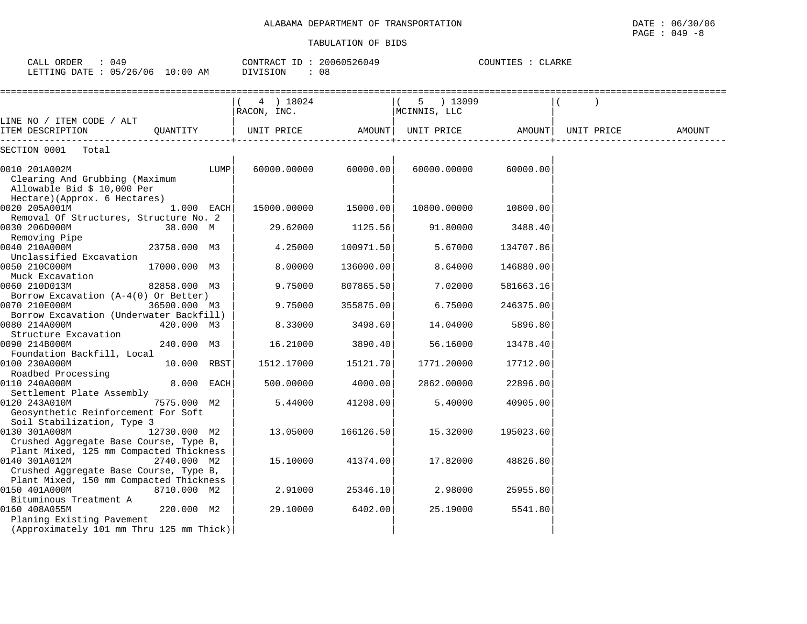| CALL ORDER : 049 |                                 |          | CONTRACT ID: 20060526049 | COUNTIES : CLARKE |
|------------------|---------------------------------|----------|--------------------------|-------------------|
|                  | LETTING DATE: 05/26/06 10:00 AM | DIVISION | : 08                     |                   |

|                                                                                                                    | ===================<br>(4) 18024 |           | $(5)$ 13099       |           |            |        |
|--------------------------------------------------------------------------------------------------------------------|----------------------------------|-----------|-------------------|-----------|------------|--------|
|                                                                                                                    | RACON, INC.                      |           | MCINNIS, LLC      |           |            |        |
| LINE NO / ITEM CODE / ALT                                                                                          |                                  |           |                   |           |            |        |
| ITEM DESCRIPTION<br>OUANTITY                                                                                       | UNIT PRICE                       | AMOUNT    | UNIT PRICE AMOUNT |           | UNIT PRICE | AMOUNT |
| SECTION 0001<br>Total                                                                                              |                                  |           |                   |           |            |        |
| 0010 201A002M<br>Clearing And Grubbing (Maximum<br>Allowable Bid \$ 10,000 Per                                     | 60000.00000<br>LUMP              | 60000.00  | 60000.00000       | 60000.00  |            |        |
| Hectare) (Approx. 6 Hectares)<br>0020 205A001M<br>$1.000$ EACH                                                     | 15000.00000                      | 15000.00  | 10800.00000       | 10800.00  |            |        |
| Removal Of Structures, Structure No. 2<br>0030 206D000M<br>38.000 M<br>Removing Pipe                               | 29.62000                         | 1125.56   | 91.80000          | 3488.40   |            |        |
| 0040 210A000M<br>23758.000 M3<br>Unclassified Excavation                                                           | 4.25000                          | 100971.50 | 5.67000           | 134707.86 |            |        |
| 0050 210C000M<br>17000.000 M3<br>Muck Excavation                                                                   | 8,00000                          | 136000.00 | 8.64000           | 146880.00 |            |        |
| 0060 210D013M<br>82858.000 M3<br>Borrow Excavation (A-4(0) Or Better)                                              | 9.75000                          | 807865.50 | 7.02000           | 581663.16 |            |        |
| 0070 210E000M<br>36500.000 M3<br>Borrow Excavation (Underwater Backfill)                                           | 9.75000                          | 355875.00 | 6.75000           | 246375.00 |            |        |
| 0080 214A000M<br>420.000 M3<br>Structure Excavation                                                                | 8.33000                          | 3498.60   | 14.04000          | 5896.80   |            |        |
| 0090 214B000M<br>240.000 M3<br>Foundation Backfill, Local                                                          | 16.21000                         | 3890.40   | 56.16000          | 13478.40  |            |        |
| 0100 230A000M<br>10.000 RBST<br>Roadbed Processing                                                                 | 1512.17000                       | 15121.70  | 1771.20000        | 17712.00  |            |        |
| 0110 240A000M<br>8.000 EACH<br>Settlement Plate Assembly                                                           | 500.00000                        | 4000.00   | 2862.00000        | 22896.00  |            |        |
| 0120 243A010M<br>7575.000 M2<br>Geosynthetic Reinforcement For Soft<br>Soil Stabilization, Type 3                  | 5.44000                          | 41208.00  | 5.40000           | 40905.00  |            |        |
| 0130 301A008M<br>12730.000 M2<br>Crushed Aggregate Base Course, Type B,<br>Plant Mixed, 125 mm Compacted Thickness | 13.05000                         | 166126.50 | 15.32000          | 195023.60 |            |        |
| 0140 301A012M<br>2740.000 M2<br>Crushed Aggregate Base Course, Type B,<br>Plant Mixed, 150 mm Compacted Thickness  | 15.10000                         | 41374.00  | 17.82000          | 48826.80  |            |        |
| 0150 401A000M<br>8710.000 M2<br>Bituminous Treatment A                                                             | 2.91000                          | 25346.10  | 2.98000           | 25955.80  |            |        |
| 0160 408A055M<br>220.000 M2<br>Planing Existing Pavement<br>(Approximately 101 mm Thru 125 mm Thick)               | 29.10000                         | 6402.00   | 25.19000          | 5541.80   |            |        |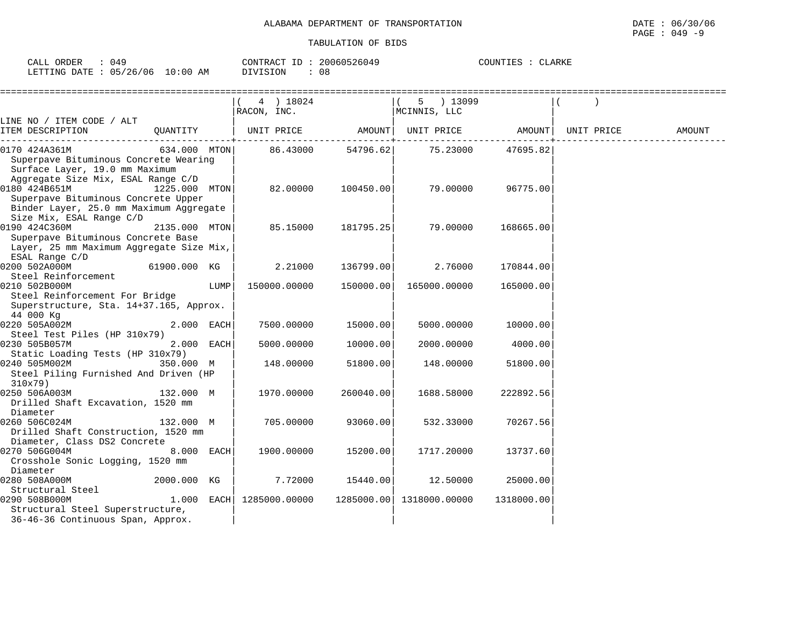| CALL ORDER : 049                |  |               | CONTRACT ID: 20060526049 | COUNTIES : CLARKE |  |
|---------------------------------|--|---------------|--------------------------|-------------------|--|
| LETTING DATE: 05/26/06 10:00 AM |  | DIVISION : 08 |                          |                   |  |

|                                          |               |      | 4 ) 18024         |           | 5 ) 13099                           |            |            |        |
|------------------------------------------|---------------|------|-------------------|-----------|-------------------------------------|------------|------------|--------|
|                                          |               |      | RACON, INC.       |           | MCINNIS, LLC                        |            |            |        |
| LINE NO / ITEM CODE / ALT                |               |      |                   |           |                                     |            |            |        |
| ITEM DESCRIPTION                         | QUANTITY      |      | UNIT PRICE AMOUNT |           | UNIT PRICE AMOUNT                   |            | UNIT PRICE | AMOUNT |
| 0170 424A361M                            | 634.000 MTON  |      |                   |           | 86.43000 54796.62 75.23000 47695.82 |            |            |        |
| Superpave Bituminous Concrete Wearing    |               |      |                   |           |                                     |            |            |        |
| Surface Layer, 19.0 mm Maximum           |               |      |                   |           |                                     |            |            |        |
| Aggregate Size Mix, ESAL Range C/D       |               |      |                   |           |                                     |            |            |        |
| 0180 424B651M                            | 1225.000 MTON |      | 82.00000          | 100450.00 | 79.00000                            | 96775.00   |            |        |
| Superpave Bituminous Concrete Upper      |               |      |                   |           |                                     |            |            |        |
| Binder Layer, 25.0 mm Maximum Aggregate  |               |      |                   |           |                                     |            |            |        |
| Size Mix, ESAL Range C/D                 |               |      |                   |           |                                     |            |            |        |
| 0190 424C360M                            | 2135.000 MTON |      | 85.15000          | 181795.25 | 79.00000                            | 168665.00  |            |        |
| Superpave Bituminous Concrete Base       |               |      |                   |           |                                     |            |            |        |
| Layer, 25 mm Maximum Aggregate Size Mix, |               |      |                   |           |                                     |            |            |        |
| ESAL Range C/D                           |               |      |                   |           |                                     |            |            |        |
| 0200 502A000M<br>61900.000 KG            |               |      | 2.21000           | 136799.00 | 2.76000                             | 170844.00  |            |        |
| Steel Reinforcement                      |               |      |                   |           |                                     |            |            |        |
| 0210 502B000M                            |               | LUMP | 150000.00000      | 150000.00 | 165000.00000                        | 165000.00  |            |        |
| Steel Reinforcement For Bridge           |               |      |                   |           |                                     |            |            |        |
| Superstructure, Sta. 14+37.165, Approx.  |               |      |                   |           |                                     |            |            |        |
| 44 000 Kg                                |               |      |                   |           |                                     |            |            |        |
| 0220 505A002M                            | 2.000 EACH    |      | 7500.00000        | 15000.00  | 5000.00000                          | 10000.00   |            |        |
| Steel Test Piles (HP 310x79)             |               |      |                   |           |                                     |            |            |        |
| 0230 505B057M                            | 2.000 EACH    |      | 5000.00000        | 10000.00  | 2000.00000                          | 4000.00    |            |        |
| Static Loading Tests (HP 310x79)         |               |      |                   |           |                                     |            |            |        |
| 0240 505M002M                            | 350.000 M     |      | 148.00000         | 51800.00  | 148.00000                           | 51800.00   |            |        |
| Steel Piling Furnished And Driven (HP    |               |      |                   |           |                                     |            |            |        |
| $310x79$ )                               |               |      |                   |           |                                     |            |            |        |
| 0250 506A003M                            | 132.000 M     |      | 1970.00000        | 260040.00 | 1688.58000                          | 222892.56  |            |        |
| Drilled Shaft Excavation, 1520 mm        |               |      |                   |           |                                     |            |            |        |
| Diameter                                 |               |      |                   |           |                                     |            |            |        |
| 0260 506C024M                            | 132.000 M     |      | 705,00000         | 93060.00  | 532.33000                           | 70267.56   |            |        |
| Drilled Shaft Construction, 1520 mm      |               |      |                   |           |                                     |            |            |        |
| Diameter, Class DS2 Concrete             |               |      |                   |           |                                     |            |            |        |
| 0270 506G004M                            | 8.000 EACH    |      | 1900.00000        | 15200.00  | 1717.20000                          | 13737.60   |            |        |
| Crosshole Sonic Logging, 1520 mm         |               |      |                   |           |                                     |            |            |        |
| Diameter                                 |               |      |                   |           |                                     |            |            |        |
| 0280 508A000M                            | 2000.000 KG   |      | 7.72000           | 15440.00  | 12.50000                            | 25000.00   |            |        |
| Structural Steel                         |               |      |                   |           |                                     |            |            |        |
| 0290 508B000M                            | $1.000$ EACH  |      | 1285000.00000     |           | 1285000.00 1318000.00000            | 1318000.00 |            |        |
| Structural Steel Superstructure,         |               |      |                   |           |                                     |            |            |        |
| 36-46-36 Continuous Span, Approx.        |               |      |                   |           |                                     |            |            |        |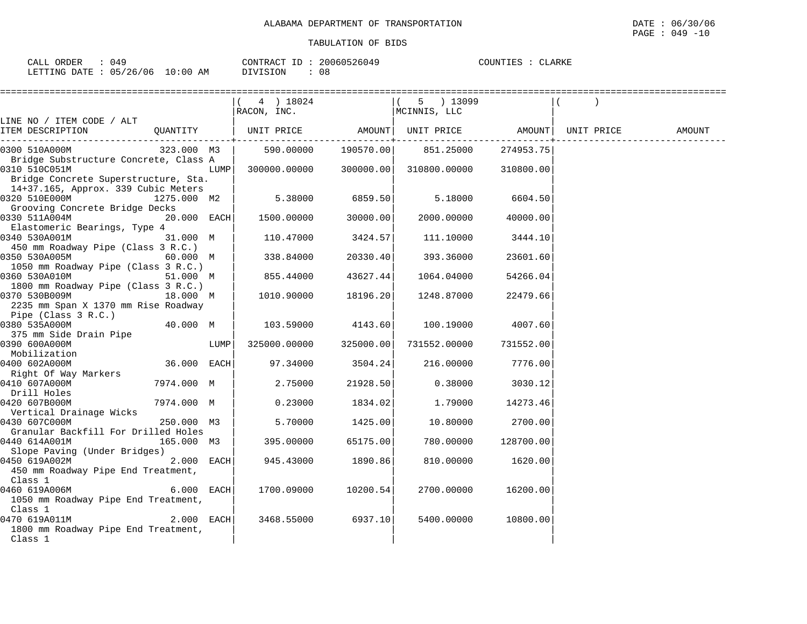| CALL ORDER                       | 049 | CONTRACT ID: | 20060526049 | COUNTIES : CLARKE |  |
|----------------------------------|-----|--------------|-------------|-------------------|--|
| LETTING DATE : 05/26/06 10:00 AM |     | DIVISION     | 08          |                   |  |

|                                                        |              |      | =============================                                       |                      |                             |                   |        |
|--------------------------------------------------------|--------------|------|---------------------------------------------------------------------|----------------------|-----------------------------|-------------------|--------|
|                                                        |              |      | $(4)$ 18024                                                         |                      | $(5)$ 13099                 |                   |        |
|                                                        |              |      | RACON, INC.                                                         |                      | MCINNIS, LLC                |                   |        |
| LINE NO / ITEM CODE / ALT                              |              |      |                                                                     |                      |                             |                   |        |
| ITEM DESCRIPTION                                       |              |      | QUANTITY   UNIT PRICE     AMOUNT  UNIT PRICE     AMOUNT  UNIT PRICE |                      |                             |                   | AMOUNT |
| 0300 510A000M                                          |              |      |                                                                     |                      |                             | 274953.75         |        |
| Bridge Substructure Concrete, Class A                  |              |      |                                                                     |                      |                             |                   |        |
| 0310 510C051M                                          |              |      |                                                                     |                      |                             |                   |        |
| Bridge Concrete Superstructure, Sta.                   |              |      |                                                                     |                      |                             |                   |        |
| 14+37.165, Approx. 339 Cubic Meters                    |              |      |                                                                     |                      |                             |                   |        |
| 0320 510E000M 1275.000 M2                              |              |      | 5.38000                                                             | 6859.50              | 5.18000                     | 6604.50           |        |
| Grooving Concrete Bridge Decks                         |              |      |                                                                     |                      |                             |                   |        |
| 0330 511A004M                                          |              |      | 20.000 EACH 1500.00000 30000.00                                     |                      | 2000.00000                  | 40000.00          |        |
| Elastomeric Bearings, Type 4<br>0340 530A001M 31.000 M |              |      | $110.47000$ $3424.57$ $111.10000$                                   |                      |                             |                   |        |
| 450 mm Roadway Pipe (Class 3 R.C.)                     |              |      |                                                                     |                      |                             | 3444.10           |        |
| 0350 530A005M 60.000 M                                 |              |      | 338.84000                                                           |                      | 20330.40 393.36000          | 23601.60          |        |
| 1050 mm Roadway Pipe (Class 3 R.C.)                    |              |      |                                                                     |                      |                             |                   |        |
| 0360 530A010M<br>51.000 M                              |              |      | $855.44000$ $43627.44$                                              |                      | 1064.04000                  | 54266.04          |        |
| 1800 mm Roadway Pipe (Class 3 R.C.)                    |              |      |                                                                     |                      |                             |                   |        |
| 0370 530B009M 18.000 M                                 |              |      | 1010.90000                                                          | 18196.20             | 1248.87000                  | 22479.66          |        |
| 2235 mm Span X 1370 mm Rise Roadway                    |              |      |                                                                     |                      |                             |                   |        |
| Pipe (Class 3 R.C.)                                    |              |      |                                                                     |                      |                             |                   |        |
| 0380 535A000M                                          | 40.000 M     |      |                                                                     |                      | 103.59000 4143.60 100.19000 | 4007.60           |        |
| 375 mm Side Drain Pipe                                 |              |      |                                                                     |                      |                             |                   |        |
| 0390 600A000M                                          |              | LUMP | 325000.00000 325000.00                                              |                      | 731552.00000 731552.00      |                   |        |
| Mobilization                                           |              |      |                                                                     |                      |                             |                   |        |
| $36.000$ EACH<br>0400 602A000M                         |              |      |                                                                     | $97.34000$ $3504.24$ |                             | 216.00000 7776.00 |        |
| Right Of Way Markers                                   |              |      |                                                                     |                      |                             |                   |        |
| 0410 607A000M                                          | 7974.000 M   |      | 2.75000                                                             | 21928.50             | 0.38000                     | 3030.12           |        |
| Drill Holes<br>0420 607B000M                           | 7974.000 M   |      | $0.23000$ 1834.02                                                   |                      | 1.79000 14273.46            |                   |        |
| Vertical Drainage Wicks                                |              |      |                                                                     |                      |                             |                   |        |
| 0430 607C000M                                          | 250.000 M3   |      |                                                                     | 5.70000 1425.00      | 10.80000                    | 2700.00           |        |
| Granular Backfill For Drilled Holes                    |              |      |                                                                     |                      |                             |                   |        |
| 0440 614A001M 165.000 M3                               |              |      | 395.00000                                                           | 65175.00             | 780.00000                   | 128700.00         |        |
| Slope Paving (Under Bridges)                           |              |      |                                                                     |                      |                             |                   |        |
| 0450 619A002M                                          | $2.000$ EACH |      | 945.43000                                                           | 1890.86              | 810.00000                   | 1620.00           |        |
| 450 mm Roadway Pipe End Treatment,                     |              |      |                                                                     |                      |                             |                   |        |
| Class 1                                                |              |      |                                                                     |                      |                             |                   |        |
| 0460 619A006M 6.000 EACH                               |              |      | 1700.09000                                                          | 10200.54             | 2700.00000                  | 16200.00          |        |
| 1050 mm Roadway Pipe End Treatment,                    |              |      |                                                                     |                      |                             |                   |        |
| Class 1                                                |              |      |                                                                     |                      |                             |                   |        |
| 0470 619A011M                                          | $2.000$ EACH |      | 3468.55000 6937.10                                                  |                      | 5400.00000                  | 10800.00          |        |
| 1800 mm Roadway Pipe End Treatment,                    |              |      |                                                                     |                      |                             |                   |        |
| Class 1                                                |              |      |                                                                     |                      |                             |                   |        |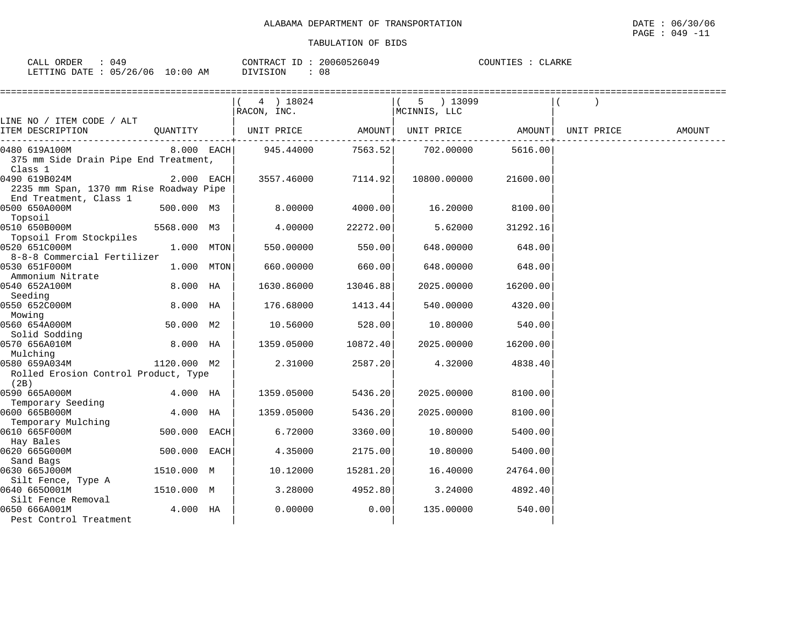| ORDER<br>CALL | .) 4 C        |             | CONTRACT | 20060526049 | ∩OINTT J | <b>LARKF</b> |
|---------------|---------------|-------------|----------|-------------|----------|--------------|
| LETTING DATE  | 05/26/06<br>ັ | 10:00<br>AΜ | DIVISION | U 8         |          |              |

|                                                          |              | 4 ) 18024<br>RACON, INC.                                                                                |          | 5 ) 13099<br>MCINNIS, LLC |          |        |
|----------------------------------------------------------|--------------|---------------------------------------------------------------------------------------------------------|----------|---------------------------|----------|--------|
| LINE NO / ITEM CODE / ALT<br>ITEM DESCRIPTION            |              | QUANTITY   UNIT PRICE                 AMOUNT    UNIT PRICE                         AMOUNT    UNIT PRICE |          |                           |          | AMOUNT |
| 0480 619A100M                                            | 8.000 EACH   | 945.44000                                                                                               |          | 7563.52 702.00000         | 5616.00  |        |
| 375 mm Side Drain Pipe End Treatment,<br>Class 1         |              |                                                                                                         |          |                           |          |        |
| 0490 619B024M<br>2235 mm Span, 1370 mm Rise Roadway Pipe | 2.000 EACH   | 3557.46000                                                                                              | 7114.92  | 10800.00000               | 21600.00 |        |
| End Treatment, Class 1<br>0500 650A000M<br>Topsoil       | 500.000 M3   | 8.00000                                                                                                 | 4000.00  | 16.20000                  | 8100.00  |        |
| 0510 650B000M<br>Topsoil From Stockpiles                 | 5568.000 M3  | 4.00000                                                                                                 | 22272.00 | 5.62000                   | 31292.16 |        |
| 0520 651C000M<br>8-8-8 Commercial Fertilizer             | 1.000 MTON   | 550.00000                                                                                               | 550.00   | 648.00000                 | 648.00   |        |
| 0530 651F000M<br>Ammonium Nitrate                        | 1.000 MTON   | 660.00000                                                                                               | 660.00   | 648.00000                 | 648.00   |        |
| 0540 652A100M<br>Seeding                                 | 8.000 HA     | 1630.86000                                                                                              | 13046.88 | 2025.00000                | 16200.00 |        |
| 0550 652C000M<br>Mowing                                  | 8.000 HA     | 176.68000                                                                                               | 1413.44  | 540.00000                 | 4320.00  |        |
| 0560 654A000M<br>Solid Sodding                           | 50.000 M2    | 10.56000                                                                                                | 528.00   | 10.80000                  | 540.00   |        |
| 0570 656A010M<br>Mulching                                | 8.000 HA     | 1359.05000                                                                                              | 10872.40 | 2025.00000                | 16200.00 |        |
| 0580 659A034M<br>Rolled Erosion Control Product, Type    | 1120.000 M2  | 2.31000                                                                                                 | 2587.20  | 4.32000                   | 4838.40  |        |
| (2B)<br>0590 665A000M                                    | 4.000 HA     | 1359.05000                                                                                              | 5436.20  | 2025.00000                | 8100.00  |        |
| Temporary Seeding                                        |              |                                                                                                         |          |                           |          |        |
| 0600 665B000M<br>Temporary Mulching                      | 4.000 HA     | 1359.05000                                                                                              | 5436.20  | 2025.00000                | 8100.00  |        |
| 0610 665F000M<br>Hay Bales                               | 500.000 EACH | 6.72000                                                                                                 | 3360.00  | 10.80000                  | 5400.00  |        |
| 0620 665G000M                                            | 500.000 EACH | 4.35000                                                                                                 | 2175.00  | 10.80000                  | 5400.00  |        |
| Sand Bags<br>0630 665J000M<br>Silt Fence, Type A         | 1510.000 M   | 10.12000                                                                                                | 15281.20 | 16.40000                  | 24764.00 |        |
| 0640 6650001M<br>Silt Fence Removal                      | 1510.000 M   | 3.28000                                                                                                 | 4952.80  | 3.24000                   | 4892.40  |        |
| 0650 666A001M<br>Pest Control Treatment                  | 4.000 HA     | 0.00000                                                                                                 | 0.00     | 135.00000                 | 540.00   |        |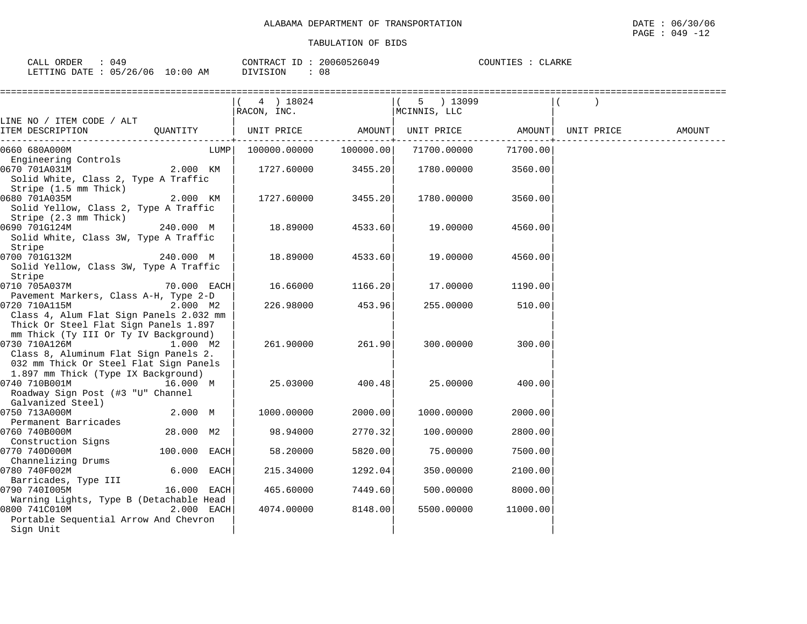| CALL<br><b>ORDER</b> | 149      |             | 'ONTRACT | 20060526049 | <b>COUNTIFS</b> | <b>ARKE</b> |
|----------------------|----------|-------------|----------|-------------|-----------------|-------------|
| LETTING DATE :       | 05/26/06 | 10:00<br>ΆM | DIVISION | 08          |                 |             |

|                                                                                                                                           |              | 4) 18024<br>RACON, INC. |           | 5 ) 13099<br>MCINNIS, LLC |           |            |        |
|-------------------------------------------------------------------------------------------------------------------------------------------|--------------|-------------------------|-----------|---------------------------|-----------|------------|--------|
| LINE NO / ITEM CODE / ALT                                                                                                                 |              |                         |           |                           |           |            |        |
| ITEM DESCRIPTION                                                                                                                          | OUANTITY     | UNIT PRICE AMOUNT       |           | UNIT PRICE AMOUNT         |           | UNIT PRICE | AMOUNT |
| 0660 680A000M                                                                                                                             | LUMPI        | 100000.00000            | 100000.00 | 71700.00000               | 71700.001 |            |        |
| Engineering Controls                                                                                                                      |              |                         |           |                           |           |            |        |
| 0670 701A031M<br>Solid White, Class 2, Type A Traffic                                                                                     | 2.000 KM     | 1727.60000              | 3455.20   | 1780.00000                | 3560.00   |            |        |
| Stripe (1.5 mm Thick)<br>0680 701A035M<br>Solid Yellow, Class 2, Type A Traffic<br>Stripe (2.3 mm Thick)                                  | 2.000 KM     | 1727.60000              | 3455.20   | 1780.00000                | 3560.00   |            |        |
| 0690 701G124M<br>Solid White, Class 3W, Type A Traffic                                                                                    | 240.000 M    | 18.89000                | 4533.60   | 19.00000                  | 4560.00   |            |        |
| Stripe<br>0700 701G132M 240.000 M<br>Solid Yellow, Class 3W, Type A Traffic                                                               |              | 18.89000                | 4533.60   | 19.00000                  | 4560.00   |            |        |
| Stripe<br>0710 705A037M                                                                                                                   | 70.000 EACH  |                         | 1166.20   |                           |           |            |        |
| Pavement Markers, Class A-H, Type 2-D                                                                                                     |              | 16.66000                |           | 17.00000                  | 1190.00   |            |        |
| 0720 710A115M<br>Class 4, Alum Flat Sign Panels 2.032 mm<br>Thick Or Steel Flat Sign Panels 1.897                                         | 2.000 M2     | 226.98000               | 453.96    | 255.00000                 | 510.00    |            |        |
| mm Thick (Ty III Or Ty IV Background)<br>0730 710A126M<br>Class 8, Aluminum Flat Sign Panels 2.<br>032 mm Thick Or Steel Flat Sign Panels | 1.000 M2     | 261.90000               | 261.90    | 300.00000                 | 300.00    |            |        |
| 1.897 mm Thick (Type IX Background)<br>0740 710B001M<br>Roadway Sign Post (#3 "U" Channel                                                 | 16.000 M     | 25.03000                | 400.48    | 25.00000                  | 400.00    |            |        |
| Galvanized Steel)<br>0750 713A000M                                                                                                        | 2.000 M      | 1000.00000              | 2000.00   | 1000.00000                | 2000.00   |            |        |
| Permanent Barricades<br>0760 740B000M                                                                                                     | 28.000 M2    | 98.94000                | 2770.32   | 100.00000                 | 2800.00   |            |        |
| Construction Signs<br>0770 740D000M                                                                                                       | 100.000 EACH | 58.20000                | 5820.00   | 75.00000                  | 7500.00   |            |        |
| Channelizing Drums<br>0780 740F002M<br>Barricades, Type III                                                                               | 6.000 EACH   | 215.34000               | 1292.04   | 350.00000                 | 2100.00   |            |        |
| 0790 740I005M                                                                                                                             | 16.000 EACH  | 465.60000               | 7449.60   | 500.00000                 | 8000.00   |            |        |
| Warning Lights, Type B (Detachable Head                                                                                                   |              |                         |           |                           |           |            |        |
| 0800 741C010M<br>Portable Sequential Arrow And Chevron                                                                                    | $2.000$ EACH | 4074.00000              | 8148.00   | 5500.00000                | 11000.00  |            |        |
| Sign Unit                                                                                                                                 |              |                         |           |                           |           |            |        |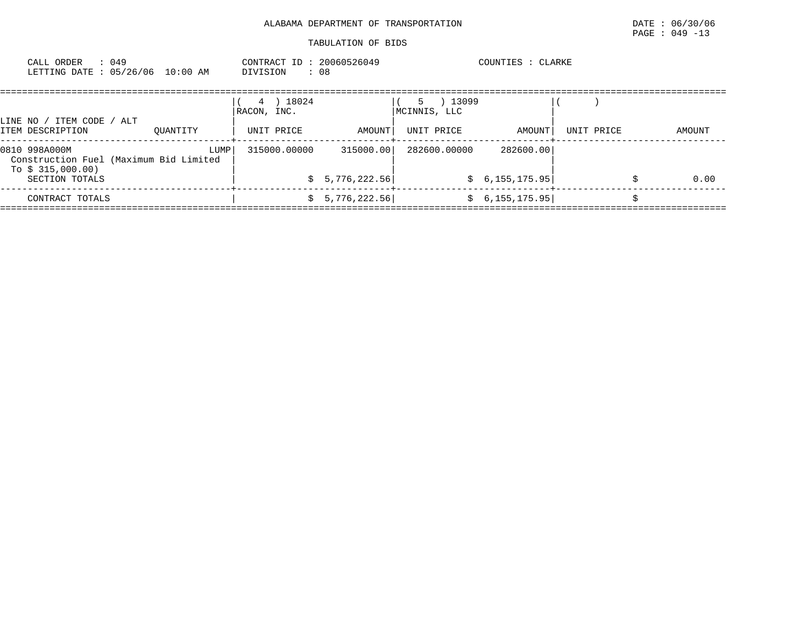| : 049<br>CALL ORDER<br>LETTING DATE: 05/26/06 10:00 AM                                         |          | CONTRACT ID: 20060526049<br>DIVISION<br>: 08 |                             |                                           | COUNTIES : CLARKE            |            |        |
|------------------------------------------------------------------------------------------------|----------|----------------------------------------------|-----------------------------|-------------------------------------------|------------------------------|------------|--------|
| LINE NO / ITEM CODE / ALT<br>ITEM DESCRIPTION                                                  | OUANTITY | 4 ) 18024<br>RACON, INC.<br>UNIT PRICE       | AMOUNT                      | 13099<br>-5<br>MCINNIS, LLC<br>UNIT PRICE | AMOUNT                       | UNIT PRICE | AMOUNT |
| 0810 998A000M<br>Construction Fuel (Maximum Bid Limited<br>To $$315,000.00)$<br>SECTION TOTALS | LUMP     | 315000.00000                                 | 315000.00<br>\$5,776,222.56 | 282600.00000                              | 282600.00<br>\$6,155,175.95] |            | 0.00   |
| CONTRACT TOTALS                                                                                |          | S.                                           | 5,776,222.56                |                                           | \$6,155,175.95]              |            |        |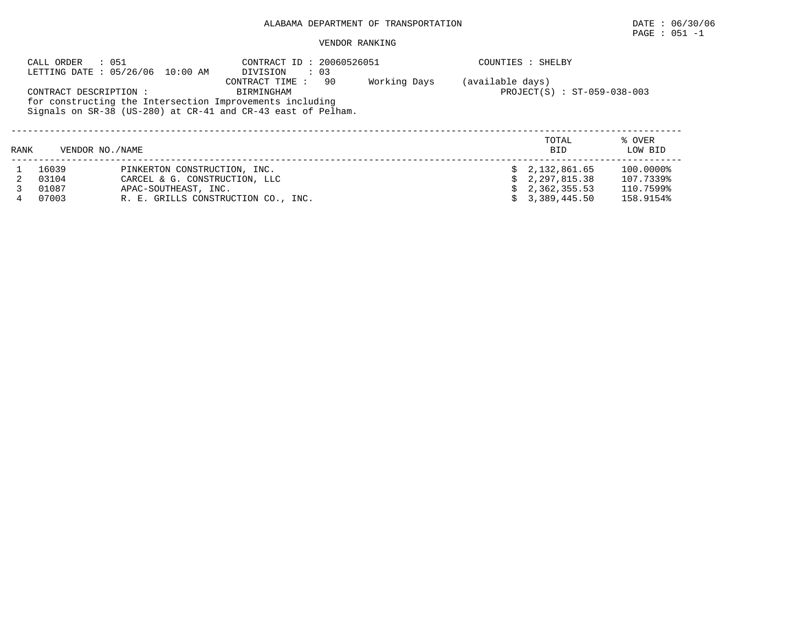## ALABAMA DEPARTMENT OF TRANSPORTATION DATE : 06/30/06

# PAGE : 051 -1

#### VENDOR RANKING

|      | CALL ORDER                                                                                                                                         | : 051<br>LETTING DATE: 05/26/06 10:00 AM        | CONTRACT ID: 20060526051<br>DIVISION<br>$\cdot$ 03 |  | COUNTIES : SHELBY |                   |
|------|----------------------------------------------------------------------------------------------------------------------------------------------------|-------------------------------------------------|----------------------------------------------------|--|-------------------|-------------------|
|      | CONTRACT DESCRIPTION :<br>for constructing the Intersection Improvements including<br>Signals on SR-38 (US-280) at CR-41 and CR-43 east of Pelham. | (available days)<br>PROJECT(S) : ST-059-038-003 |                                                    |  |                   |                   |
| RANK | VENDOR NO./NAME                                                                                                                                    |                                                 |                                                    |  | TOTAL<br>BID      | % OVER<br>LOW BID |
|      | 16039                                                                                                                                              | PINKERTON CONSTRUCTION, INC.                    |                                                    |  | \$2,132,861.65    | 100.0000%         |
| 2    | 03104                                                                                                                                              | CARCEL & G. CONSTRUCTION, LLC                   |                                                    |  | \$2.297.815.38    | 107.7339%         |
|      | 01087                                                                                                                                              | APAC-SOUTHEAST, INC.                            |                                                    |  | \$2,362,355.53    | 110.7599%         |
| 4    | 07003                                                                                                                                              | R. E. GRILLS CONSTRUCTION CO., INC.             |                                                    |  | \$3,389,445.50    | 158.9154%         |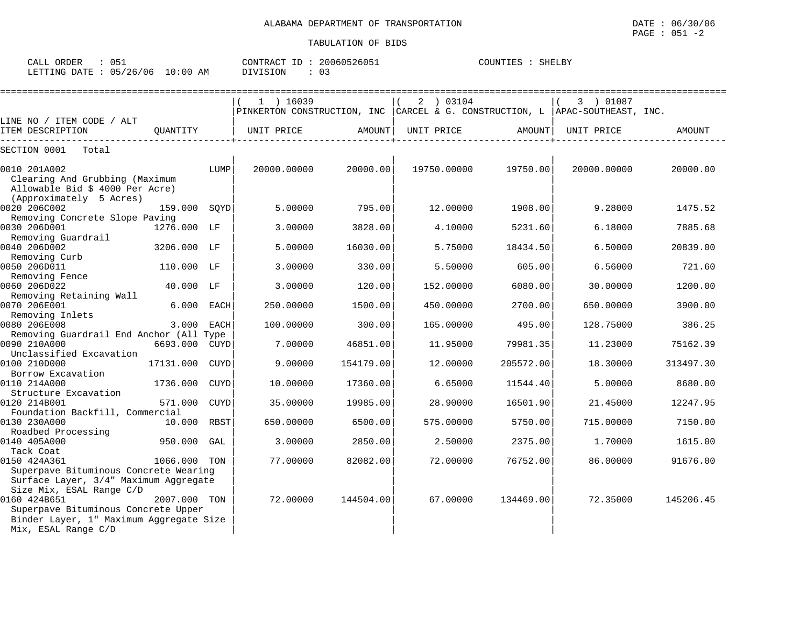| $\sim$ $ -$<br>ORDER<br>CALL | UE.                 |                   | CONTR<br>$\sqrt{2}$<br>'R A ( | TD. | 160526051<br>.161 | COUNTIES | SHELBY |
|------------------------------|---------------------|-------------------|-------------------------------|-----|-------------------|----------|--------|
| <b>ETTING</b><br>DATE        | ∩ ⊏<br>/26<br>' 0 6 | 00 :<br>L O<br>AΜ | VISION                        |     | ◡-                |          |        |

|                                                                                                                            |             |             | $1$ ) 16039<br>PINKERTON CONSTRUCTION, INC CARCEL & G. CONSTRUCTION, L APAC-SOUTHEAST, INC. |           | 2 ) 03104   |           | 3 ) 01087   |           |
|----------------------------------------------------------------------------------------------------------------------------|-------------|-------------|---------------------------------------------------------------------------------------------|-----------|-------------|-----------|-------------|-----------|
| LINE NO / ITEM CODE / ALT                                                                                                  |             |             |                                                                                             |           |             |           |             |           |
| ITEM DESCRIPTION                                                                                                           | OUANTITY    |             | UNIT PRICE                                                                                  | AMOUNT    | UNIT PRICE  | AMOUNT    | UNIT PRICE  | AMOUNT    |
| SECTION 0001<br>Total                                                                                                      |             |             |                                                                                             |           |             |           |             |           |
| 0010 201A002<br>Clearing And Grubbing (Maximum<br>Allowable Bid \$ 4000 Per Acre)<br>(Approximately 5 Acres)               |             | LUMP        | 20000.00000                                                                                 | 20000.00  | 19750.00000 | 19750.00  | 20000.00000 | 20000.00  |
| 0020 206C002                                                                                                               | 159.000     | SQYD        | 5.00000                                                                                     | 795.00    | 12.00000    | 1908.00   | 9.28000     | 1475.52   |
| Removing Concrete Slope Paving<br>0030 206D001<br>Removing Guardrail                                                       | 1276.000 LF |             | 3.00000                                                                                     | 3828.00   | 4.10000     | 5231.60   | 6.18000     | 7885.68   |
| 0040 206D002<br>Removing Curb                                                                                              | 3206.000    | LF          | 5.00000                                                                                     | 16030.00  | 5.75000     | 18434.50  | 6.50000     | 20839.00  |
| 0050 206D011<br>Removing Fence                                                                                             | 110.000     | LF          | 3.00000                                                                                     | 330.00    | 5.50000     | 605.00    | 6.56000     | 721.60    |
| 0060 206D022<br>Removing Retaining Wall                                                                                    | 40.000 LF   |             | 3.00000                                                                                     | 120.00    | 152.00000   | 6080.00   | 30.00000    | 1200.00   |
| 0070 206E001<br>Removing Inlets                                                                                            | 6.000       | <b>EACH</b> | 250.00000                                                                                   | 1500.00   | 450.00000   | 2700.00   | 650.00000   | 3900.00   |
| 0080 206E008<br>Removing Guardrail End Anchor (All Type                                                                    | 3.000       | <b>EACH</b> | 100.00000                                                                                   | 300.00    | 165.00000   | 495.00    | 128.75000   | 386.25    |
| 0090 210A000<br>Unclassified Excavation                                                                                    | 6693.000    | <b>CUYD</b> | 7.00000                                                                                     | 46851.00  | 11.95000    | 79981.35  | 11.23000    | 75162.39  |
| 0100 210D000<br>Borrow Excavation                                                                                          | 17131.000   | <b>CUYD</b> | 9.00000                                                                                     | 154179.00 | 12.00000    | 205572.00 | 18.30000    | 313497.30 |
| 0110 214A000<br>Structure Excavation                                                                                       | 1736.000    | <b>CUYD</b> | 10.00000                                                                                    | 17360.00  | 6.65000     | 11544.40  | 5.00000     | 8680.00   |
| 0120 214B001<br>Foundation Backfill, Commercial                                                                            | 571.000     | <b>CUYD</b> | 35.00000                                                                                    | 19985.00  | 28.90000    | 16501.90  | 21.45000    | 12247.95  |
| 0130 230A000<br>Roadbed Processing                                                                                         | 10.000      | <b>RBST</b> | 650.00000                                                                                   | 6500.00   | 575.00000   | 5750.00   | 715.00000   | 7150.00   |
| 0140 405A000<br>Tack Coat                                                                                                  | 950.000     | GAL         | 3.00000                                                                                     | 2850.00   | 2.50000     | 2375.00   | 1,70000     | 1615.00   |
| 0150 424A361<br>Superpave Bituminous Concrete Wearing<br>Surface Layer, 3/4" Maximum Aggregate<br>Size Mix, ESAL Range C/D | 1066.000    | TON         | 77.00000                                                                                    | 82082.00  | 72.00000    | 76752.00  | 86.00000    | 91676.00  |
| 0160 424B651<br>Superpave Bituminous Concrete Upper<br>Binder Layer, 1" Maximum Aggregate Size<br>Mix, ESAL Range C/D      | 2007.000    | TON         | 72.00000                                                                                    | 144504.00 | 67.00000    | 134469.00 | 72.35000    | 145206.45 |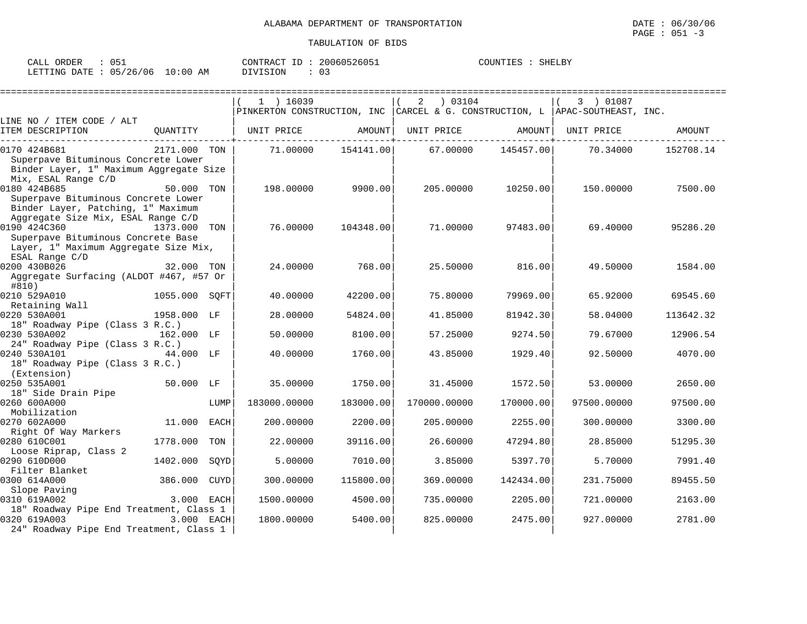| ORDER<br>CALL                   | 05⊥ | CONTRACT ID: | 20060526051 | COUNTIES : | $\therefore$ SHELBY |
|---------------------------------|-----|--------------|-------------|------------|---------------------|
| LETTING DATE: 05/26/06 10:00 AM |     | DIVISION     | 03          |            |                     |

|                                                                                                                                 |              |             | $1$ ) 16039<br>PINKERTON CONSTRUCTION, INC   CARCEL & G. CONSTRUCTION, L   APAC-SOUTHEAST, INC. |           | 03104<br>2   |           | 3 ) 01087   |           |
|---------------------------------------------------------------------------------------------------------------------------------|--------------|-------------|-------------------------------------------------------------------------------------------------|-----------|--------------|-----------|-------------|-----------|
| LINE NO / ITEM CODE / ALT                                                                                                       |              |             |                                                                                                 |           |              |           |             |           |
| ITEM DESCRIPTION                                                                                                                | OUANTITY     |             | UNIT PRICE                                                                                      | AMOUNT    | UNIT PRICE   | AMOUNT    | UNIT PRICE  | AMOUNT    |
| 0170 424B681<br>Superpave Bituminous Concrete Lower<br>Binder Layer, 1" Maximum Aggregate Size<br>Mix, ESAL Range C/D           | 2171.000 TON |             | 71,00000                                                                                        | 154141.00 | 67.00000     | 145457.00 | 70.34000    | 152708.14 |
| 0180 424B685<br>Superpave Bituminous Concrete Lower<br>Binder Layer, Patching, 1" Maximum<br>Aggregate Size Mix, ESAL Range C/D | 50.000       | TON         | 198.00000                                                                                       | 9900.00   | 205,00000    | 10250.00  | 150.00000   | 7500.00   |
| 0190 424C360<br>Superpave Bituminous Concrete Base<br>Layer, 1" Maximum Aggregate Size Mix,<br>ESAL Range C/D                   | 1373.000     | TON         | 76.00000                                                                                        | 104348.00 | 71.00000     | 97483.00  | 69.40000    | 95286.20  |
| 0200 430B026<br>Aggregate Surfacing (ALDOT #467, #57 Or<br>#810)                                                                | 32.000 TON   |             | 24.00000                                                                                        | 768.00    | 25.50000     | 816.00    | 49.50000    | 1584.00   |
| 0210 529A010<br>Retaining Wall                                                                                                  | 1055.000     | SOFT        | 40.00000                                                                                        | 42200.00  | 75.80000     | 79969.00  | 65.92000    | 69545.60  |
| 0220 530A001<br>18" Roadway Pipe (Class 3 R.C.)                                                                                 | 1958.000 LF  |             | 28.00000                                                                                        | 54824.00  | 41.85000     | 81942.30  | 58.04000    | 113642.32 |
| 0230 530A002<br>24" Roadway Pipe (Class 3 R.C.)                                                                                 | 162.000 LF   |             | 50.00000                                                                                        | 8100.00   | 57.25000     | 9274.50   | 79.67000    | 12906.54  |
| 0240 530A101<br>18" Roadway Pipe (Class 3 R.C.)<br>(Extension)                                                                  | 44.000 LF    |             | 40.00000                                                                                        | 1760.00   | 43.85000     | 1929.40   | 92.50000    | 4070.00   |
| 0250 535A001<br>18" Side Drain Pipe                                                                                             | 50.000 LF    |             | 35.00000                                                                                        | 1750.00   | 31.45000     | 1572.50   | 53.00000    | 2650.00   |
| 0260 600A000<br>Mobilization                                                                                                    |              | LUMP        | 183000.00000                                                                                    | 183000.00 | 170000.00000 | 170000.00 | 97500.00000 | 97500.00  |
| 0270 602A000<br>Right Of Way Markers                                                                                            | 11.000       | EACH        | 200.00000                                                                                       | 2200.00   | 205,00000    | 2255.00   | 300.00000   | 3300.00   |
| 0280 610C001<br>Loose Riprap, Class 2                                                                                           | 1778.000     | TON         | 22.00000                                                                                        | 39116.00  | 26.60000     | 47294.80  | 28.85000    | 51295.30  |
| 0290 610D000<br>Filter Blanket                                                                                                  | 1402.000     | SQYD        | 5.00000                                                                                         | 7010.00   | 3.85000      | 5397.70   | 5.70000     | 7991.40   |
| 0300 614A000<br>Slope Paving                                                                                                    | 386.000      | <b>CUYD</b> | 300,00000                                                                                       | 115800.00 | 369.00000    | 142434.00 | 231.75000   | 89455.50  |
| 0310 619A002<br>18" Roadway Pipe End Treatment, Class 1                                                                         | 3.000 EACH   |             | 1500.00000                                                                                      | 4500.00   | 735.00000    | 2205.00   | 721.00000   | 2163.00   |
| 0320 619A003<br>24" Roadway Pipe End Treatment, Class 1                                                                         | 3.000 EACH   |             | 1800.00000                                                                                      | 5400.00   | 825,00000    | 2475.00   | 927.00000   | 2781.00   |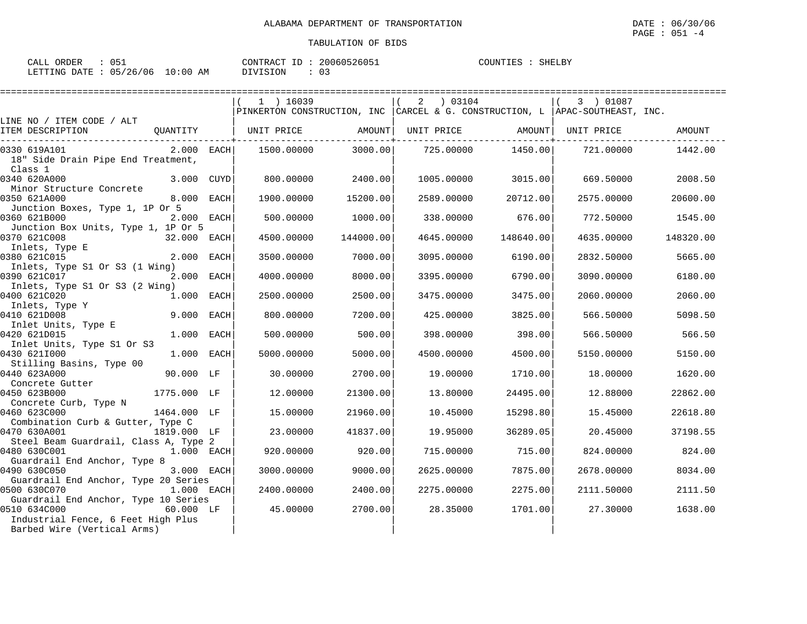| ORDER<br>CALL<br>∪⊃⊥        |             | 20060526051<br>$-1$<br>CONTRACT | SHELBY<br>COUNTIES |
|-----------------------------|-------------|---------------------------------|--------------------|
| 05/26/06<br>DATE<br>LETTING | 10:00<br>AM | DIVISION                        |                    |

|                                               |              |      | 1 ) 16039                                                                        |           | 2<br>03104 |           | 3 ) 01087          |           |
|-----------------------------------------------|--------------|------|----------------------------------------------------------------------------------|-----------|------------|-----------|--------------------|-----------|
|                                               |              |      | PINKERTON CONSTRUCTION, INC   CARCEL & G. CONSTRUCTION, L   APAC-SOUTHEAST, INC. |           |            |           |                    |           |
| LINE NO / ITEM CODE / ALT                     |              |      |                                                                                  |           |            |           |                    |           |
| ITEM DESCRIPTION                              | OUANTITY     |      | UNIT PRICE AMOUNT                                                                |           | UNIT PRICE |           | AMOUNT  UNIT PRICE | AMOUNT    |
|                                               |              |      |                                                                                  |           |            |           |                    |           |
| 0330 619A101                                  | $2.000$ EACH |      | 1500.00000                                                                       | 3000.00   | 725.00000  | 1450.00   | 721.00000          | 1442.00   |
| 18" Side Drain Pipe End Treatment,<br>Class 1 |              |      |                                                                                  |           |            |           |                    |           |
| 0340 620A000                                  |              |      |                                                                                  |           |            |           |                    |           |
| Minor Structure Concrete                      | 3.000 CUYD   |      | 800.00000                                                                        | 2400.00   | 1005.00000 | 3015.00   | 669.50000          | 2008.50   |
| 0350 621A000                                  | 8.000 EACH   |      | 1900.00000                                                                       | 15200.00  | 2589.00000 | 20712.00  | 2575.00000         | 20600.00  |
| Junction Boxes, Type 1, 1P Or 5               |              |      |                                                                                  |           |            |           |                    |           |
| 0360 621B000                                  | 2.000 EACH   |      | 500.00000                                                                        | 1000.00   | 338.00000  | 676.00    | 772.50000          | 1545.00   |
| Junction Box Units, Type 1, 1P Or 5           |              |      |                                                                                  |           |            |           |                    |           |
| 0370 621C008                                  | 32.000 EACH  |      | 4500.00000                                                                       | 144000.00 | 4645.00000 | 148640.00 | 4635,00000         | 148320.00 |
| Inlets, Type E                                |              |      |                                                                                  |           |            |           |                    |           |
| 0380 621C015                                  | 2.000        | EACH | 3500.00000                                                                       | 7000.00   | 3095.00000 | 6190.00   | 2832.50000         | 5665.00   |
| Inlets, Type S1 Or S3 (1 Wing)                |              |      |                                                                                  |           |            |           |                    |           |
| 0390 621C017                                  | 2.000 EACH   |      | 4000.00000                                                                       | 8000.00   | 3395.00000 | 6790.00   | 3090.00000         | 6180.00   |
| Inlets, Type S1 Or S3 (2 Wing)                |              |      |                                                                                  |           |            |           |                    |           |
| 0400 621C020                                  | 1.000 EACH   |      | 2500.00000                                                                       | 2500.00   | 3475.00000 | 3475.00   | 2060.00000         | 2060.00   |
| Inlets, Type Y                                |              |      |                                                                                  |           |            |           |                    |           |
| 0410 621D008                                  | 9.000        | EACH | 800,00000                                                                        | 7200.00   | 425,00000  | 3825.00   | 566.50000          | 5098.50   |
| Inlet Units, Type E                           |              |      |                                                                                  |           |            |           |                    |           |
| 0420 621D015                                  | 1.000 EACH   |      | 500.00000                                                                        | 500.00    | 398,00000  | 398.00    | 566.50000          | 566.50    |
| Inlet Units, Type S1 Or S3                    |              |      |                                                                                  |           |            |           |                    |           |
| 0430 6211000                                  | 1.000        | EACH | 5000.00000                                                                       | 5000.00   | 4500.00000 | 4500.00   | 5150.00000         | 5150.00   |
| Stilling Basins, Type 00                      |              |      |                                                                                  |           |            |           |                    |           |
| 0440 623A000                                  | 90.000 LF    |      | 30.00000                                                                         | 2700.00   | 19,00000   | 1710.00   | 18,00000           | 1620.00   |
| Concrete Gutter                               |              |      |                                                                                  |           |            |           |                    |           |
| 0450 623B000                                  | 1775.000 LF  |      | 12.00000                                                                         | 21300.00  | 13.80000   | 24495.00  | 12.88000           | 22862.00  |
| Concrete Curb, Type N                         |              |      |                                                                                  |           |            |           |                    |           |
| 0460 623C000                                  | 1464.000 LF  |      | 15,00000                                                                         | 21960.00  | 10.45000   | 15298.80  | 15.45000           | 22618.80  |
| Combination Curb & Gutter, Type C             |              |      |                                                                                  |           |            |           |                    |           |
| 0470 630A001                                  | 1819.000 LF  |      | 23.00000                                                                         | 41837.00  | 19.95000   | 36289.05  | 20.45000           | 37198.55  |
| Steel Beam Guardrail, Class A, Type 2         |              |      |                                                                                  |           |            |           |                    |           |
| 0480 630C001                                  | $1.000$ EACH |      | 920,00000                                                                        | 920.00    | 715.00000  | 715.00    | 824.00000          | 824.00    |
| Guardrail End Anchor, Type 8                  |              |      |                                                                                  |           |            |           |                    |           |
| 0490 630C050                                  | 3.000 EACH   |      | 3000.00000                                                                       | 9000.00   | 2625.00000 | 7875.00   | 2678.00000         | 8034.00   |
| Guardrail End Anchor, Type 20 Series          |              |      |                                                                                  |           |            |           |                    |           |
| 0500 630C070                                  | $1.000$ EACH |      | 2400.00000                                                                       | 2400.00   | 2275.00000 | 2275.00   | 2111.50000         | 2111.50   |
| Guardrail End Anchor, Type 10 Series          |              |      |                                                                                  |           |            |           |                    |           |
| 0510 634C000                                  | 60.000 LF    |      | 45.00000                                                                         | 2700.00   | 28.35000   | 1701.00   | 27.30000           | 1638.00   |
| Industrial Fence, 6 Feet High Plus            |              |      |                                                                                  |           |            |           |                    |           |
| Barbed Wire (Vertical Arms)                   |              |      |                                                                                  |           |            |           |                    |           |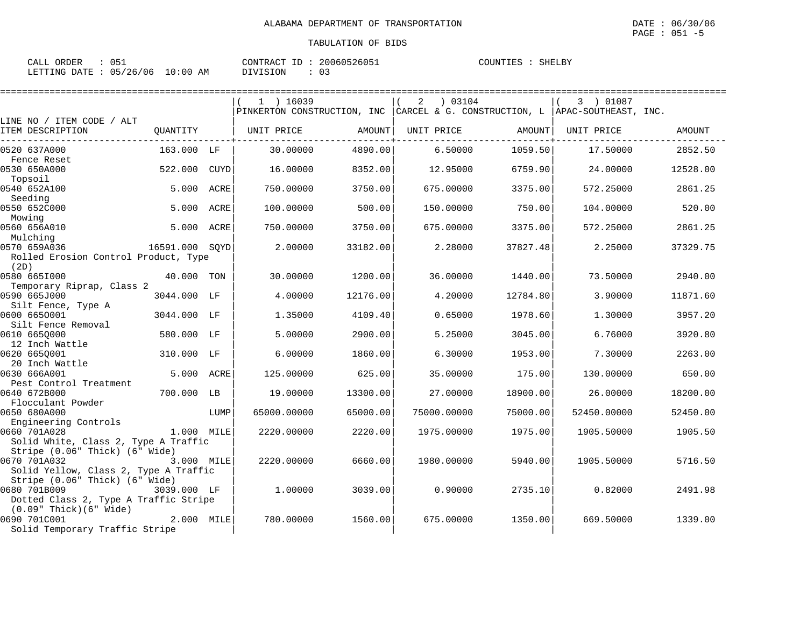| ORDER<br>$\sim$ $\sim$ $\sim$<br>- باباطات<br><u> UJ-</u> |             | 20060526051<br>CONTRACT ID      | COUNTIES<br>SHELBY |
|-----------------------------------------------------------|-------------|---------------------------------|--------------------|
| 05/26/06<br>LETTING DATE                                  | LO:00<br>AΜ | $\sim$ $\sim$<br>DIVISION<br>ັບ |                    |

|                                |                                                                                           | $1$ ) 16039                                                                                                                                                                                                                                                                                                                                                                                                  |                                                                                                                                                     | 2<br>03104                                                                                                             |                                                                                                                                                              | 3 ) 01087  |                                                                                                                                                                                                                                                                                                                                                                                                                                                         |
|--------------------------------|-------------------------------------------------------------------------------------------|--------------------------------------------------------------------------------------------------------------------------------------------------------------------------------------------------------------------------------------------------------------------------------------------------------------------------------------------------------------------------------------------------------------|-----------------------------------------------------------------------------------------------------------------------------------------------------|------------------------------------------------------------------------------------------------------------------------|--------------------------------------------------------------------------------------------------------------------------------------------------------------|------------|---------------------------------------------------------------------------------------------------------------------------------------------------------------------------------------------------------------------------------------------------------------------------------------------------------------------------------------------------------------------------------------------------------------------------------------------------------|
|                                |                                                                                           |                                                                                                                                                                                                                                                                                                                                                                                                              |                                                                                                                                                     |                                                                                                                        |                                                                                                                                                              |            |                                                                                                                                                                                                                                                                                                                                                                                                                                                         |
|                                |                                                                                           |                                                                                                                                                                                                                                                                                                                                                                                                              |                                                                                                                                                     |                                                                                                                        |                                                                                                                                                              |            |                                                                                                                                                                                                                                                                                                                                                                                                                                                         |
|                                |                                                                                           |                                                                                                                                                                                                                                                                                                                                                                                                              |                                                                                                                                                     |                                                                                                                        |                                                                                                                                                              |            | AMOUNT                                                                                                                                                                                                                                                                                                                                                                                                                                                  |
|                                |                                                                                           | 30.00000                                                                                                                                                                                                                                                                                                                                                                                                     | 4890.00                                                                                                                                             | 6.50000                                                                                                                |                                                                                                                                                              | 17.50000   | 2852.50                                                                                                                                                                                                                                                                                                                                                                                                                                                 |
|                                |                                                                                           |                                                                                                                                                                                                                                                                                                                                                                                                              |                                                                                                                                                     |                                                                                                                        |                                                                                                                                                              |            |                                                                                                                                                                                                                                                                                                                                                                                                                                                         |
|                                | CUYD                                                                                      | 16.00000                                                                                                                                                                                                                                                                                                                                                                                                     | 8352.00                                                                                                                                             | 12.95000                                                                                                               |                                                                                                                                                              | 24.00000   | 12528.00                                                                                                                                                                                                                                                                                                                                                                                                                                                |
|                                |                                                                                           |                                                                                                                                                                                                                                                                                                                                                                                                              |                                                                                                                                                     |                                                                                                                        |                                                                                                                                                              |            |                                                                                                                                                                                                                                                                                                                                                                                                                                                         |
|                                |                                                                                           |                                                                                                                                                                                                                                                                                                                                                                                                              |                                                                                                                                                     |                                                                                                                        |                                                                                                                                                              |            | 2861.25                                                                                                                                                                                                                                                                                                                                                                                                                                                 |
|                                |                                                                                           |                                                                                                                                                                                                                                                                                                                                                                                                              |                                                                                                                                                     |                                                                                                                        |                                                                                                                                                              |            | 520.00                                                                                                                                                                                                                                                                                                                                                                                                                                                  |
|                                |                                                                                           |                                                                                                                                                                                                                                                                                                                                                                                                              |                                                                                                                                                     |                                                                                                                        |                                                                                                                                                              |            |                                                                                                                                                                                                                                                                                                                                                                                                                                                         |
|                                |                                                                                           |                                                                                                                                                                                                                                                                                                                                                                                                              |                                                                                                                                                     |                                                                                                                        |                                                                                                                                                              |            | 2861.25                                                                                                                                                                                                                                                                                                                                                                                                                                                 |
|                                |                                                                                           |                                                                                                                                                                                                                                                                                                                                                                                                              |                                                                                                                                                     |                                                                                                                        |                                                                                                                                                              |            |                                                                                                                                                                                                                                                                                                                                                                                                                                                         |
|                                |                                                                                           | 2.00000                                                                                                                                                                                                                                                                                                                                                                                                      | 33182.00                                                                                                                                            | 2.28000                                                                                                                |                                                                                                                                                              | 2.25000    | 37329.75                                                                                                                                                                                                                                                                                                                                                                                                                                                |
|                                |                                                                                           |                                                                                                                                                                                                                                                                                                                                                                                                              |                                                                                                                                                     |                                                                                                                        |                                                                                                                                                              |            |                                                                                                                                                                                                                                                                                                                                                                                                                                                         |
|                                |                                                                                           |                                                                                                                                                                                                                                                                                                                                                                                                              |                                                                                                                                                     |                                                                                                                        |                                                                                                                                                              |            |                                                                                                                                                                                                                                                                                                                                                                                                                                                         |
|                                |                                                                                           |                                                                                                                                                                                                                                                                                                                                                                                                              |                                                                                                                                                     |                                                                                                                        |                                                                                                                                                              |            | 2940.00                                                                                                                                                                                                                                                                                                                                                                                                                                                 |
|                                |                                                                                           |                                                                                                                                                                                                                                                                                                                                                                                                              |                                                                                                                                                     |                                                                                                                        |                                                                                                                                                              |            |                                                                                                                                                                                                                                                                                                                                                                                                                                                         |
|                                |                                                                                           |                                                                                                                                                                                                                                                                                                                                                                                                              |                                                                                                                                                     |                                                                                                                        |                                                                                                                                                              |            | 11871.60                                                                                                                                                                                                                                                                                                                                                                                                                                                |
|                                |                                                                                           |                                                                                                                                                                                                                                                                                                                                                                                                              |                                                                                                                                                     |                                                                                                                        |                                                                                                                                                              |            | 3957.20                                                                                                                                                                                                                                                                                                                                                                                                                                                 |
|                                |                                                                                           |                                                                                                                                                                                                                                                                                                                                                                                                              |                                                                                                                                                     |                                                                                                                        |                                                                                                                                                              |            |                                                                                                                                                                                                                                                                                                                                                                                                                                                         |
|                                |                                                                                           | 5.00000                                                                                                                                                                                                                                                                                                                                                                                                      | 2900.00                                                                                                                                             | 5.25000                                                                                                                |                                                                                                                                                              | 6.76000    | 3920.80                                                                                                                                                                                                                                                                                                                                                                                                                                                 |
|                                |                                                                                           |                                                                                                                                                                                                                                                                                                                                                                                                              |                                                                                                                                                     |                                                                                                                        |                                                                                                                                                              |            |                                                                                                                                                                                                                                                                                                                                                                                                                                                         |
|                                |                                                                                           | 6.00000                                                                                                                                                                                                                                                                                                                                                                                                      | 1860.00                                                                                                                                             | 6.30000                                                                                                                |                                                                                                                                                              | 7.30000    | 2263.00                                                                                                                                                                                                                                                                                                                                                                                                                                                 |
|                                |                                                                                           |                                                                                                                                                                                                                                                                                                                                                                                                              |                                                                                                                                                     |                                                                                                                        |                                                                                                                                                              |            |                                                                                                                                                                                                                                                                                                                                                                                                                                                         |
|                                |                                                                                           |                                                                                                                                                                                                                                                                                                                                                                                                              |                                                                                                                                                     |                                                                                                                        |                                                                                                                                                              |            | 650.00                                                                                                                                                                                                                                                                                                                                                                                                                                                  |
|                                |                                                                                           |                                                                                                                                                                                                                                                                                                                                                                                                              |                                                                                                                                                     |                                                                                                                        |                                                                                                                                                              |            |                                                                                                                                                                                                                                                                                                                                                                                                                                                         |
|                                |                                                                                           |                                                                                                                                                                                                                                                                                                                                                                                                              |                                                                                                                                                     |                                                                                                                        |                                                                                                                                                              |            | 18200.00                                                                                                                                                                                                                                                                                                                                                                                                                                                |
|                                |                                                                                           |                                                                                                                                                                                                                                                                                                                                                                                                              |                                                                                                                                                     |                                                                                                                        |                                                                                                                                                              |            | 52450.00                                                                                                                                                                                                                                                                                                                                                                                                                                                |
|                                |                                                                                           |                                                                                                                                                                                                                                                                                                                                                                                                              |                                                                                                                                                     |                                                                                                                        |                                                                                                                                                              |            |                                                                                                                                                                                                                                                                                                                                                                                                                                                         |
|                                |                                                                                           | 2220.00000                                                                                                                                                                                                                                                                                                                                                                                                   | 2220.00                                                                                                                                             | 1975.00000                                                                                                             |                                                                                                                                                              | 1905.50000 | 1905.50                                                                                                                                                                                                                                                                                                                                                                                                                                                 |
|                                |                                                                                           |                                                                                                                                                                                                                                                                                                                                                                                                              |                                                                                                                                                     |                                                                                                                        |                                                                                                                                                              |            |                                                                                                                                                                                                                                                                                                                                                                                                                                                         |
| Stripe (0.06" Thick) (6" Wide) |                                                                                           |                                                                                                                                                                                                                                                                                                                                                                                                              |                                                                                                                                                     |                                                                                                                        |                                                                                                                                                              |            |                                                                                                                                                                                                                                                                                                                                                                                                                                                         |
|                                |                                                                                           | 2220.00000                                                                                                                                                                                                                                                                                                                                                                                                   | 6660.00                                                                                                                                             | 1980.00000                                                                                                             |                                                                                                                                                              | 1905.50000 | 5716.50                                                                                                                                                                                                                                                                                                                                                                                                                                                 |
|                                |                                                                                           |                                                                                                                                                                                                                                                                                                                                                                                                              |                                                                                                                                                     |                                                                                                                        |                                                                                                                                                              |            |                                                                                                                                                                                                                                                                                                                                                                                                                                                         |
|                                |                                                                                           |                                                                                                                                                                                                                                                                                                                                                                                                              |                                                                                                                                                     |                                                                                                                        |                                                                                                                                                              |            |                                                                                                                                                                                                                                                                                                                                                                                                                                                         |
|                                |                                                                                           |                                                                                                                                                                                                                                                                                                                                                                                                              |                                                                                                                                                     |                                                                                                                        |                                                                                                                                                              |            | 2491.98                                                                                                                                                                                                                                                                                                                                                                                                                                                 |
|                                |                                                                                           |                                                                                                                                                                                                                                                                                                                                                                                                              |                                                                                                                                                     |                                                                                                                        |                                                                                                                                                              |            |                                                                                                                                                                                                                                                                                                                                                                                                                                                         |
|                                |                                                                                           |                                                                                                                                                                                                                                                                                                                                                                                                              |                                                                                                                                                     |                                                                                                                        |                                                                                                                                                              |            | 1339.00                                                                                                                                                                                                                                                                                                                                                                                                                                                 |
| Solid Temporary Traffic Stripe |                                                                                           |                                                                                                                                                                                                                                                                                                                                                                                                              |                                                                                                                                                     |                                                                                                                        |                                                                                                                                                              |            |                                                                                                                                                                                                                                                                                                                                                                                                                                                         |
|                                | QUANTITY<br>5.000<br>5.000<br>Temporary Riprap, Class 2<br>Stripe (0.06" Thick) (6" Wide) | 163.000 LF<br>522.000<br>ACRE<br>ACRE<br>5.000 ACRE<br>16591.000 SOYD<br>Rolled Erosion Control Product, Type<br>40.000 TON<br>3044.000 LF<br>3044.000 LF<br>580.000 LF<br>310.000 LF<br>5.000 ACRE<br>700.000 LB<br>LUMP<br>1.000 MILE<br>Solid White, Class 2, Type A Traffic<br>3.000 MILE<br>Solid Yellow, Class 2, Type A Traffic<br>3039.000 LF<br>Dotted Class 2, Type A Traffic Stripe<br>2.000 MILE | UNIT PRICE<br>750.00000<br>100.00000<br>750.00000<br>30.00000<br>4.00000<br>1.35000<br>125.00000<br>19,00000<br>65000.00000<br>1.00000<br>780.00000 | 3750.00<br>500.00<br>3750.00<br>1200.00<br>12176.00<br>4109.40<br>625.00<br>13300.00<br>65000.00<br>3039.00<br>1560.00 | AMOUNT<br>UNIT PRICE<br>675.00000<br>150.00000<br>675.00000<br>36.00000<br>4.20000<br>0.65000<br>35.00000<br>27.00000<br>75000.00000<br>0.90000<br>675.00000 |            | PINKERTON CONSTRUCTION, INC CARCEL & G. CONSTRUCTION, L APAC-SOUTHEAST, INC.<br>AMOUNT  <br>UNIT PRICE<br>1059.50<br>6759.90<br>3375.00<br>572.25000<br>750.00<br>104.00000<br>3375.00<br>572.25000<br>37827.48<br>1440.00<br>73.50000<br>12784.80<br>3.90000<br>1978.60<br>1.30000<br>3045.00<br>1953.00<br>175.00<br>130.00000<br>18900.00<br>26.00000<br>75000.00<br>52450.00000<br>1975.00<br>5940.00<br>2735.10<br>0.82000<br>1350.00<br>669.50000 |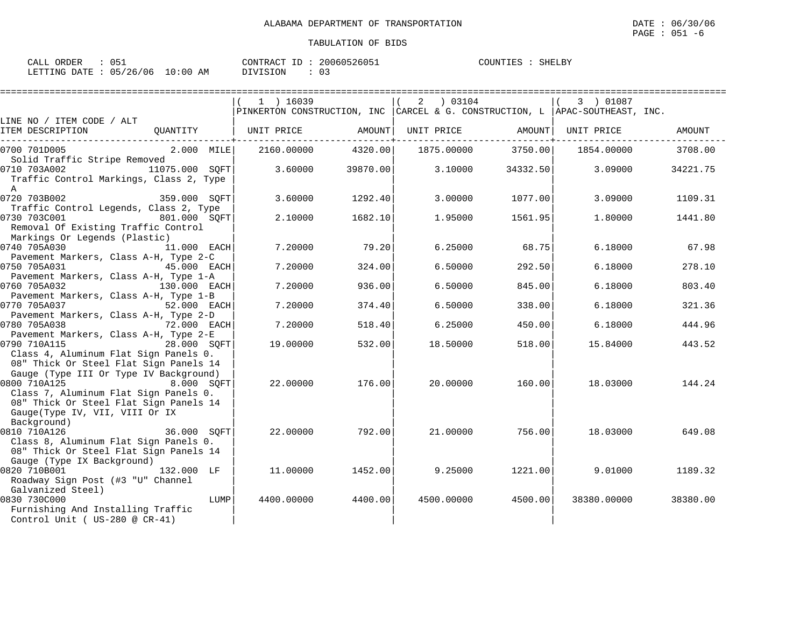| : 051<br>CALL ORDER             | CONTRACT ID: 20060526051 | COUNTIES : SHELBY |
|---------------------------------|--------------------------|-------------------|
| LETTING DATE: 05/26/06 10:00 AM | DIVISION                 |                   |

|                                                                                                                                                                                                                                     | $1$ ) 16039<br>PINKERTON CONSTRUCTION, INC CARCEL & G. CONSTRUCTION, L APAC-SOUTHEAST, INC. |                     | 2 03104    |                                          | 3 ) 01087   |               |
|-------------------------------------------------------------------------------------------------------------------------------------------------------------------------------------------------------------------------------------|---------------------------------------------------------------------------------------------|---------------------|------------|------------------------------------------|-------------|---------------|
| LINE NO / ITEM CODE / ALT                                                                                                                                                                                                           |                                                                                             |                     |            |                                          |             |               |
| ITEM DESCRIPTION                                                                                                                                                                                                                    | QUANTITY   UNIT PRICE AMOUNT                                                                | ------------+------ |            | UNIT PRICE AMOUNT<br>------------+------ | UNIT PRICE  | AMOUNT        |
| 2.000 MILE<br>0700 701D005                                                                                                                                                                                                          | 2160.00000                                                                                  | 4320.00             |            | 1875.00000 3750.00                       | 1854.00000  | 3708.00       |
| Solid Traffic Stripe Removed<br>0710 703A002 11075.000 SOFT<br>Traffic Control Markings, Class 2, Type<br>$\mathbb A$                                                                                                               | 3.60000                                                                                     | 39870.00            | 3.10000    | 34332.50                                 | 3.09000     | 34221.75      |
| 0720 703B002 359.000 SQFT                                                                                                                                                                                                           | 3.60000                                                                                     | 1292.40             | 3.00000    | 1077.00                                  | 3.09000     | 1109.31       |
| Traffic Control Legends, Class 2, Type<br>0730 703C001 801.000 SQFT<br>Removal Of Existing Traffic Control<br>Markings Or Legends (Plastic)                                                                                         | 2.10000                                                                                     | 1682.10             | 1.95000    | 1561.95                                  | 1.80000     | 1441.80       |
| 0740 705A030<br>11.000 EACH                                                                                                                                                                                                         | 7.20000                                                                                     | 79.20               | 6.25000    | 68.75                                    |             | 6.18000 67.98 |
| Pavement Markers, Class A-H, Type 2-C<br>45.000 EACH<br>0750 705A031<br>Pavement Markers, Class A-H, Type 1-A                                                                                                                       | 7.20000                                                                                     | 324.00              | 6.50000    | 292.50                                   | 6.18000     | 278.10        |
| 0760 705A032<br>130.000 EACH                                                                                                                                                                                                        | 7.20000                                                                                     | 936.00              | 6.50000    | 845.00                                   | 6.18000     | 803.40        |
| Pavement Markers, Class A-H, Type 1-B<br>0770 705A037<br>52.000 EACH                                                                                                                                                                | 7.20000                                                                                     | 374.40              | 6.50000    | 338.00                                   | 6.18000     | 321.36        |
| Pavement Markers, Class A-H, Type 2-D<br>72.000 EACH<br>0780 705A038                                                                                                                                                                | 7.20000                                                                                     | 518.40              | 6.25000    | 450.00                                   | 6.18000     | 444.96        |
| Pavement Markers, Class A-H, Type 2-E<br>0790 710A115<br>28.000 SOFT<br>Class 4, Aluminum Flat Sign Panels 0.                                                                                                                       | 19.00000                                                                                    | 532.00              | 18.50000   | 518.00                                   | 15.84000    | 443.52        |
| 08" Thick Or Steel Flat Sign Panels 14<br>Gauge (Type III Or Type IV Background)<br>0800 710A125<br>8.000 SOFT<br>Class 7, Aluminum Flat Sign Panels 0.<br>08" Thick Or Steel Flat Sign Panels 14<br>Gauge(Type IV, VII, VIII Or IX | 22.00000                                                                                    | 176.00              | 20.00000   | 160.00                                   | 18.03000    | 144.24        |
| $\frac{36.000}{210000}$ SQFT <sup>1</sup><br>0810 710A126<br>Class 8, Aluminum Flat Sign Panels 0.<br>08" Thick Or Steel Flat Sign Panels 14                                                                                        | 22.00000                                                                                    | 792.00              | 21.00000   | 756.00                                   | 18.03000    | 649.08        |
| Gauge (Type IX Background)<br>0820 710B001 132.000 LF<br>Roadway Sign Post (#3 "U" Channel                                                                                                                                          | 11,00000                                                                                    | 1452.00             | 9.25000    | 1221.00                                  | 9.01000     | 1189.32       |
| Galvanized Steel)<br>0830 730C000<br>LUMP<br>Furnishing And Installing Traffic<br>Control Unit ( $US-280$ @ $CR-41$ )                                                                                                               | 4400.00000                                                                                  | 4400.00             | 4500.00000 | 4500.00                                  | 38380.00000 | 38380.00      |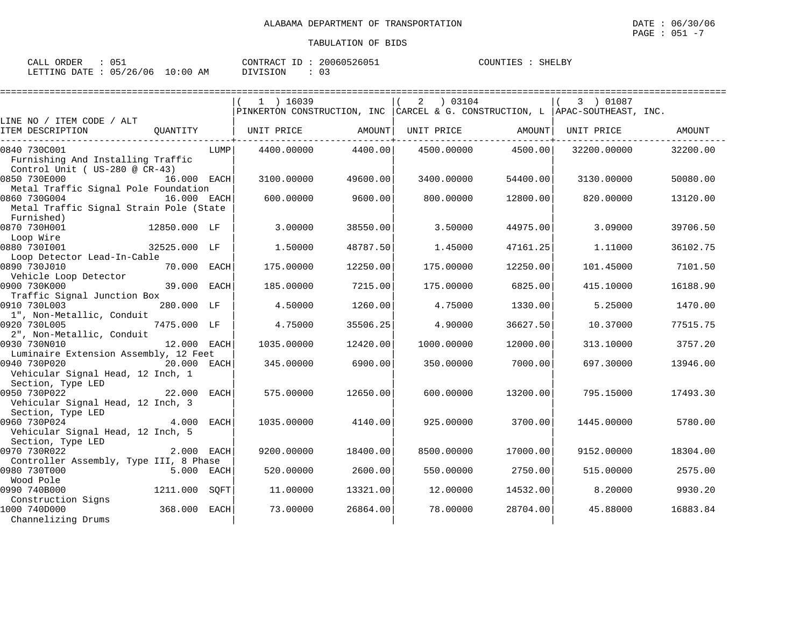| ORDER<br>CALL | 05.                     | 20060526051<br>CONTRACT<br>ΙD | COUNTIES<br>SHELBY |
|---------------|-------------------------|-------------------------------|--------------------|
| LETTING DATE  | 10:00<br>05/26/06<br>AM | DIVISION                      |                    |

|                                                      |               |      | $1$ ) 16039                                                                  |          | 2<br>03104 |          | 3 ) 01087   |          |
|------------------------------------------------------|---------------|------|------------------------------------------------------------------------------|----------|------------|----------|-------------|----------|
|                                                      |               |      | PINKERTON CONSTRUCTION, INC CARCEL & G. CONSTRUCTION, L APAC-SOUTHEAST, INC. |          |            |          |             |          |
| LINE NO / ITEM CODE / ALT<br>ITEM DESCRIPTION        | OUANTITY      |      | UNIT PRICE                                                                   | AMOUNT   | UNIT PRICE | AMOUNT   | UNIT PRICE  | AMOUNT   |
|                                                      |               |      |                                                                              |          |            |          |             |          |
| 0840 730C001                                         |               | LUMP | 4400.00000                                                                   | 4400.00  | 4500.00000 | 4500.00  | 32200.00000 | 32200.00 |
| Furnishing And Installing Traffic                    |               |      |                                                                              |          |            |          |             |          |
| Control Unit ( US-280 @ CR-43)                       |               |      |                                                                              |          |            |          |             |          |
| 0850 730E000                                         | 16.000 EACH   |      | 3100.00000                                                                   | 49600.00 | 3400.00000 | 54400.00 | 3130.00000  | 50080.00 |
| Metal Traffic Signal Pole Foundation<br>0860 730G004 | 16.000 EACH   |      | 600,00000                                                                    | 9600.00  | 800,00000  | 12800.00 | 820,00000   | 13120.00 |
| Metal Traffic Signal Strain Pole (State              |               |      |                                                                              |          |            |          |             |          |
| Furnished)                                           |               |      |                                                                              |          |            |          |             |          |
| 0870 730H001                                         | 12850.000 LF  |      | 3.00000                                                                      | 38550.00 | 3.50000    | 44975.00 | 3.09000     | 39706.50 |
| Loop Wire                                            |               |      |                                                                              |          |            |          |             |          |
| 0880 7301001                                         | 32525.000 LF  |      | 1.50000                                                                      | 48787.50 | 1.45000    | 47161.25 | 1,11000     | 36102.75 |
| Loop Detector Lead-In-Cable                          |               |      |                                                                              |          |            |          |             |          |
| 0890 730J010                                         | 70.000 EACH   |      | 175.00000                                                                    | 12250.00 | 175.00000  | 12250.00 | 101.45000   | 7101.50  |
| Vehicle Loop Detector                                |               |      |                                                                              |          |            |          |             |          |
| 0900 730K000                                         | 39.000 EACH   |      | 185.00000                                                                    | 7215.00  | 175.00000  | 6825.00  | 415.10000   | 16188.90 |
| Traffic Signal Junction Box                          |               |      |                                                                              |          |            |          |             |          |
| 0910 730L003                                         | 280.000 LF    |      | 4.50000                                                                      | 1260.00  | 4.75000    | 1330.00  | 5.25000     | 1470.00  |
| 1", Non-Metallic, Conduit                            |               |      |                                                                              |          |            |          |             |          |
| 0920 730L005                                         | 7475.000 LF   |      | 4.75000                                                                      | 35506.25 | 4.90000    | 36627.50 | 10.37000    | 77515.75 |
| 2", Non-Metallic, Conduit                            |               |      |                                                                              |          |            |          |             |          |
| 0930 730N010                                         | 12.000 EACH   |      | 1035.00000                                                                   | 12420.00 | 1000.00000 | 12000.00 | 313.10000   | 3757.20  |
| Luminaire Extension Assembly, 12 Feet                |               |      |                                                                              |          |            |          |             |          |
| 0940 730P020                                         | 20.000 EACH   |      | 345.00000                                                                    | 6900.00  | 350.00000  | 7000.00  | 697.30000   | 13946.00 |
| Vehicular Signal Head, 12 Inch, 1                    |               |      |                                                                              |          |            |          |             |          |
| Section, Type LED                                    |               |      |                                                                              |          |            |          |             |          |
| 0950 730P022                                         | 22.000 EACH   |      | 575.00000                                                                    | 12650.00 | 600.00000  | 13200.00 | 795.15000   | 17493.30 |
| Vehicular Signal Head, 12 Inch, 3                    |               |      |                                                                              |          |            |          |             |          |
| Section, Type LED                                    |               |      |                                                                              |          |            |          |             |          |
| 0960 730P024                                         | 4.000 EACH    |      | 1035.00000                                                                   | 4140.00  | 925.00000  | 3700.00  | 1445.00000  | 5780.00  |
| Vehicular Signal Head, 12 Inch, 5                    |               |      |                                                                              |          |            |          |             |          |
| Section, Type LED<br>0970 730R022                    | 2.000 EACH    |      | 9200.00000                                                                   | 18400.00 | 8500.00000 | 17000.00 | 9152.00000  |          |
| Controller Assembly, Type III, 8 Phase               |               |      |                                                                              |          |            |          |             | 18304.00 |
| 0980 730T000                                         | 5.000 EACH    |      | 520.00000                                                                    | 2600.00  | 550.00000  | 2750.00  | 515.00000   | 2575.00  |
| Wood Pole                                            |               |      |                                                                              |          |            |          |             |          |
| 0990 740B000                                         | 1211.000 SOFT |      | 11,00000                                                                     | 13321.00 | 12.00000   | 14532.00 | 8.20000     | 9930.20  |
| Construction Signs                                   |               |      |                                                                              |          |            |          |             |          |
| 1000 740D000                                         | 368.000 EACH  |      | 73.00000                                                                     | 26864.00 | 78,00000   | 28704.00 | 45.88000    | 16883.84 |
| Channelizing Drums                                   |               |      |                                                                              |          |            |          |             |          |
|                                                      |               |      |                                                                              |          |            |          |             |          |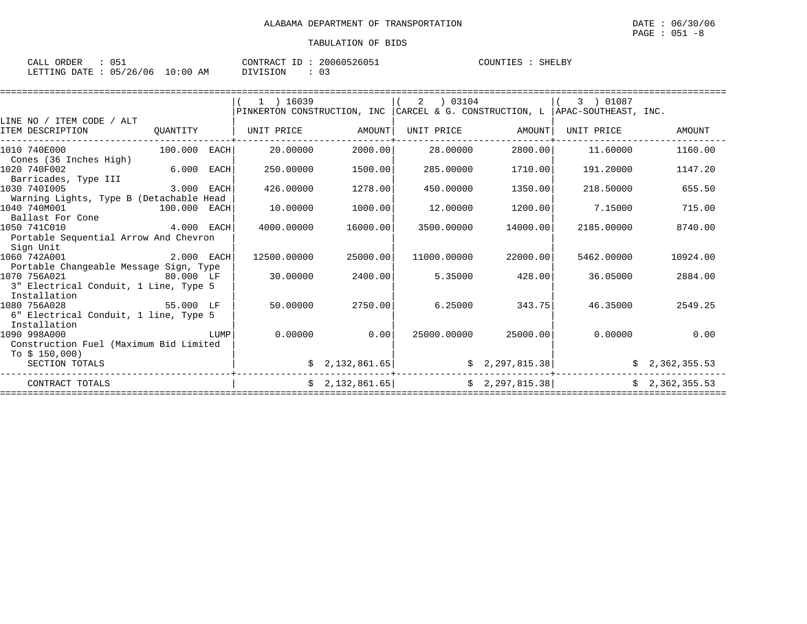| $\sim$ $\sim$ $\sim$<br>ORDER<br>CALL | 051      |             | ___<br>CONTRACT | 20060526051 | COUNTIES | SHELBY |
|---------------------------------------|----------|-------------|-----------------|-------------|----------|--------|
| LETTING DATE                          | 05/26/06 | .0:00<br>AΜ | DIVISION        | 03          |          |        |

|                                                       |              |      | $1$ ) 16039 |                             | 2<br>03104  |                 | 3 ) 01087                                                                    |                |
|-------------------------------------------------------|--------------|------|-------------|-----------------------------|-------------|-----------------|------------------------------------------------------------------------------|----------------|
|                                                       |              |      |             |                             |             |                 | PINKERTON CONSTRUCTION, INC CARCEL & G. CONSTRUCTION, L APAC-SOUTHEAST, INC. |                |
| LINE NO / ITEM CODE / ALT                             |              |      |             |                             |             |                 |                                                                              |                |
| ITEM DESCRIPTION                                      | QUANTITY     |      | UNIT PRICE  | AMOUNT                      | UNIT PRICE  | AMOUNT          | UNIT PRICE                                                                   | <b>AMOUNT</b>  |
| 1010 740E000                                          | 100.000 EACH |      | 20,00000    | 2000.00                     | 28,00000    | 2800.00         | 11,60000                                                                     | 1160.00        |
| Cones (36 Inches High)                                |              |      |             |                             |             |                 |                                                                              |                |
| 1020 740F002                                          | 6.000        | EACH | 250.00000   | 1500.00                     | 285.00000   | 1710.00         | 191.20000                                                                    | 1147.20        |
| Barricades, Type III                                  |              |      |             |                             |             |                 |                                                                              |                |
| 3.000 EACH<br>1030 7401005                            |              |      | 426.00000   | 1278.00                     | 450.00000   | 1350.00         | 218.50000                                                                    | 655.50         |
| Warning Lights, Type B (Detachable Head               |              |      |             |                             |             |                 |                                                                              |                |
| 1040 740M001<br>$100.000$ EACH                        |              |      | 10.00000    | 1000.00                     | 12.00000    | 1200.00         | 7.15000                                                                      | 715.00         |
| Ballast For Cone                                      |              |      |             |                             |             |                 |                                                                              |                |
| $4.000$ EACH<br>1050 741C010                          |              |      | 4000.00000  | 16000.00                    | 3500.00000  | 14000.00        | 2185.00000                                                                   | 8740.00        |
| Portable Sequential Arrow And Chevron                 |              |      |             |                             |             |                 |                                                                              |                |
| Sign Unit                                             |              |      |             |                             |             |                 |                                                                              |                |
| 1060 742A001                                          | 2.000 EACH   |      | 12500.00000 | 25000.00                    | 11000.00000 | 22000.00        | 5462.00000                                                                   | 10924.00       |
| Portable Changeable Message Sign, Type                |              |      |             |                             |             |                 |                                                                              |                |
| 1070 756A021                                          |              |      | 30,00000    | 2400.00                     | 5.35000     | 428.00          | 36.05000                                                                     | 2884.00        |
| 3" Electrical Conduit, 1 Line, Type 5                 |              |      |             |                             |             |                 |                                                                              |                |
| Installation                                          |              |      |             |                             |             |                 |                                                                              |                |
| 1080 756A028                                          | 55.000 LF    |      | 50.00000    | 2750.00                     | 6.25000     | 343.75          | 46.35000                                                                     | 2549.25        |
| 6" Electrical Conduit, 1 line, Type 5<br>Installation |              |      |             |                             |             |                 |                                                                              |                |
| 1090 998A000                                          |              | LUMP | 0.00000     | 0.00                        |             | 25000.00        |                                                                              | $0.00000$ 0.00 |
| Construction Fuel (Maximum Bid Limited                |              |      |             |                             | 25000.00000 |                 |                                                                              |                |
| To $$150,000$                                         |              |      |             |                             |             |                 |                                                                              |                |
| SECTION TOTALS                                        |              |      |             | $\frac{1}{2}$ , 132, 861.65 |             | \$2,297,815.38] |                                                                              | \$2,362,355.53 |
|                                                       |              |      |             |                             |             |                 |                                                                              |                |
| CONTRACT TOTALS                                       |              |      |             | \$2,132,861.65]             |             | \$2,297,815.38] |                                                                              | \$2,362,355.53 |
|                                                       |              |      |             |                             |             |                 |                                                                              |                |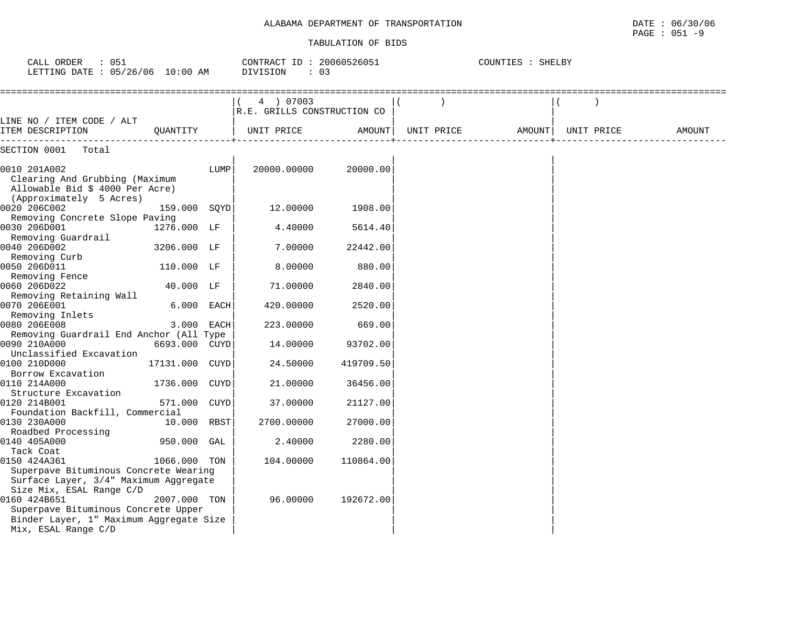# ALABAMA DEPARTMENT OF TRANSPORTATION DATE : 06/30/06

#### TABULATION OF BIDS

PAGE : 051 -9

| CALL ORDER : 051<br>LETTING DATE : 05/26/06 10:00 AM                                                                                              |                |      | CONTRACT ID: 20060526051<br>DIVISION<br>$\therefore$ 03 |           | COUNTIES : SHELBY |            |        |
|---------------------------------------------------------------------------------------------------------------------------------------------------|----------------|------|---------------------------------------------------------|-----------|-------------------|------------|--------|
|                                                                                                                                                   |                |      | 4 ) 07003<br>R.E. GRILLS CONSTRUCTION CO                |           |                   |            |        |
| LINE NO / ITEM CODE / ALT<br>ITEM DESCRIPTION                                                                                                     | OUANTITY       |      | UNIT PRICE                                              | AMOUNT    | UNIT PRICE AMOUNT | UNIT PRICE | AMOUNT |
| SECTION 0001<br>Total                                                                                                                             |                |      |                                                         |           |                   |            |        |
| 0010 201A002<br>Clearing And Grubbing (Maximum<br>Allowable Bid \$ 4000 Per Acre)<br>(Approximately 5 Acres)                                      |                | LUMP | 20000.00000                                             | 20000.00  |                   |            |        |
| 0020 206C002                                                                                                                                      | 159.000 SQYD   |      | 12.00000                                                | 1908.00   |                   |            |        |
| Removing Concrete Slope Paving<br>0030 206D001<br>Removing Guardrail                                                                              | 1276.000 LF    |      | 4.40000                                                 | 5614.40   |                   |            |        |
| 0040 206D002<br>Removing Curb                                                                                                                     | 3206.000 LF    |      | 7.00000                                                 | 22442.00  |                   |            |        |
| 0050 206D011<br>Removing Fence                                                                                                                    | 110.000 LF     |      | 8.00000                                                 | 880.00    |                   |            |        |
| 0060 206D022                                                                                                                                      | 40.000 LF      |      | 71.00000                                                | 2840.00   |                   |            |        |
| Removing Retaining Wall<br>0070 206E001                                                                                                           | 6.000 EACH     |      | 420.00000                                               | 2520.00   |                   |            |        |
| Removing Inlets<br>0080 206E008                                                                                                                   | 3.000 EACH     |      | 223.00000                                               | 669.00    |                   |            |        |
| Removing Guardrail End Anchor (All Type<br>0090 210A000                                                                                           | 6693.000 CUYD  |      | 14.00000                                                | 93702.00  |                   |            |        |
| Unclassified Excavation<br>0100 210D000                                                                                                           | 17131.000 CUYD |      | 24.50000                                                | 419709.50 |                   |            |        |
| Borrow Excavation<br>0110 214A000                                                                                                                 | 1736.000 CUYD  |      | 21,00000                                                | 36456.00  |                   |            |        |
| Structure Excavation<br>0120 214B001                                                                                                              | 571.000 CUYD   |      | 37.00000                                                | 21127.00  |                   |            |        |
| Foundation Backfill, Commercial<br>0130 230A000<br>Roadbed Processing                                                                             | 10.000 RBST    |      | 2700.00000                                              | 27000.00  |                   |            |        |
| 0140 405A000<br>Tack Coat                                                                                                                         | 950.000 GAL    |      | 2.40000                                                 | 2280.00   |                   |            |        |
| 0150 424A361<br>Superpave Bituminous Concrete Wearing<br>Surface Layer, 3/4" Maximum Aggregate                                                    | 1066.000 TON   |      | 104.00000                                               | 110864.00 |                   |            |        |
| Size Mix, ESAL Range C/D<br>0160 424B651<br>Superpave Bituminous Concrete Upper<br>Binder Layer, 1" Maximum Aggregate Size<br>Mix, ESAL Range C/D | 2007.000 TON   |      | 96.00000                                                | 192672.00 |                   |            |        |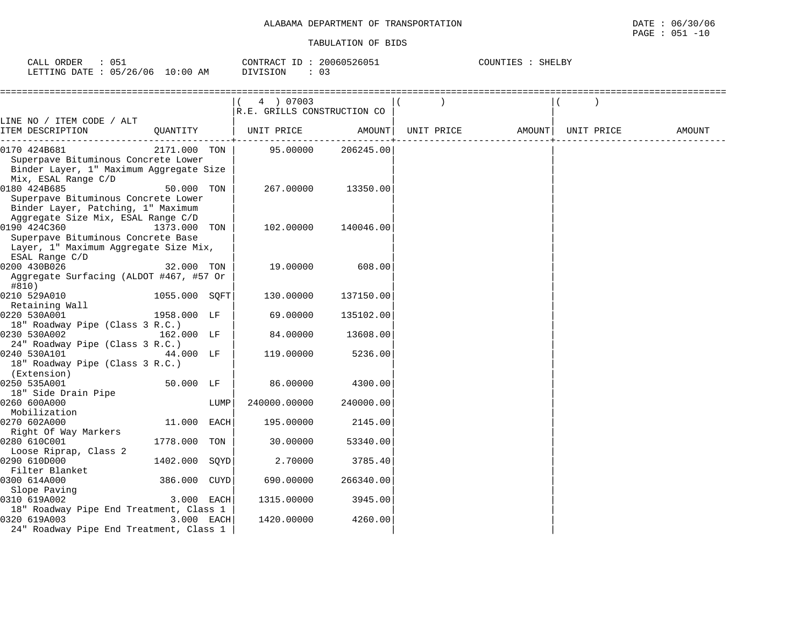| 051<br>CALL ORDER                | CONTRACT ID: 20060526051 | COUNTIES : SHELBY |
|----------------------------------|--------------------------|-------------------|
| LETTING DATE : 05/26/06 10:00 AM | DIVISION                 |                   |

|                                                                                                                                 |               |      | 4 ) 07003<br>R.E. GRILLS CONSTRUCTION CO |           |                                |        |
|---------------------------------------------------------------------------------------------------------------------------------|---------------|------|------------------------------------------|-----------|--------------------------------|--------|
| LINE NO / ITEM CODE / ALT<br>ITEM DESCRIPTION                                                                                   | QUANTITY      |      | UNIT PRICE                               | AMOUNT    | UNIT PRICE AMOUNT   UNIT PRICE | AMOUNT |
|                                                                                                                                 |               |      |                                          |           |                                |        |
| 0170 424B681<br>Superpave Bituminous Concrete Lower<br>Binder Layer, 1" Maximum Aggregate Size<br>Mix, ESAL Range C/D           | 2171.000 TON  |      | 95.00000                                 | 206245.00 |                                |        |
| 0180 424B685<br>Superpave Bituminous Concrete Lower<br>Binder Layer, Patching, 1" Maximum<br>Aggregate Size Mix, ESAL Range C/D | 50.000 TON    |      | 267.00000                                | 13350.00  |                                |        |
| 0190 424C360<br>Superpave Bituminous Concrete Base<br>Layer, 1" Maximum Aggregate Size Mix,<br>ESAL Range C/D                   | 1373.000 TON  |      | 102.00000                                | 140046.00 |                                |        |
| 0200 430B026<br>Aggregate Surfacing (ALDOT #467, #57 Or<br>#810)                                                                | 32.000 TON    |      | 19.00000                                 | 608.00    |                                |        |
| 0210 529A010                                                                                                                    | 1055.000 SQFT |      | 130.00000                                | 137150.00 |                                |        |
| Retaining Wall                                                                                                                  |               |      |                                          |           |                                |        |
| 0220 530A001<br>18" Roadway Pipe (Class 3 R.C.)                                                                                 | 1958.000 LF   |      | 69.00000                                 | 135102.00 |                                |        |
| 0230 530A002                                                                                                                    | 162.000 LF    |      | 84.00000                                 | 13608.00  |                                |        |
| 24" Roadway Pipe (Class 3 R.C.)<br>0240 530A101<br>18" Roadway Pipe (Class 3 R.C.)<br>(Extension)                               | 44.000 LF     |      | 119.00000                                | 5236.00   |                                |        |
| 0250 535A001                                                                                                                    | 50.000 LF     |      | 86.00000                                 | 4300.00   |                                |        |
| 18" Side Drain Pipe<br>0260 600A000<br>Mobilization                                                                             |               | LUMP | 240000.00000                             | 240000.00 |                                |        |
| 0270 602A000<br>Right Of Way Markers                                                                                            | 11.000 EACH   |      | 195.00000                                | 2145.00   |                                |        |
| 0280 610C001                                                                                                                    | 1778.000 TON  |      | 30.00000                                 | 53340.00  |                                |        |
| Loose Riprap, Class 2<br>0290 610D000                                                                                           | 1402.000 SQYD |      | 2.70000                                  | 3785.40   |                                |        |
| Filter Blanket<br>0300 614A000                                                                                                  | 386.000 CUYD  |      | 690.00000                                | 266340.00 |                                |        |
| Slope Paving<br>0310 619A002                                                                                                    | 3.000 EACH    |      | 1315.00000                               | 3945.00   |                                |        |
| 18" Roadway Pipe End Treatment, Class 1<br>0320 619A003<br>24" Roadway Pipe End Treatment, Class 1                              | 3.000 EACH    |      | 1420.00000                               | 4260.00   |                                |        |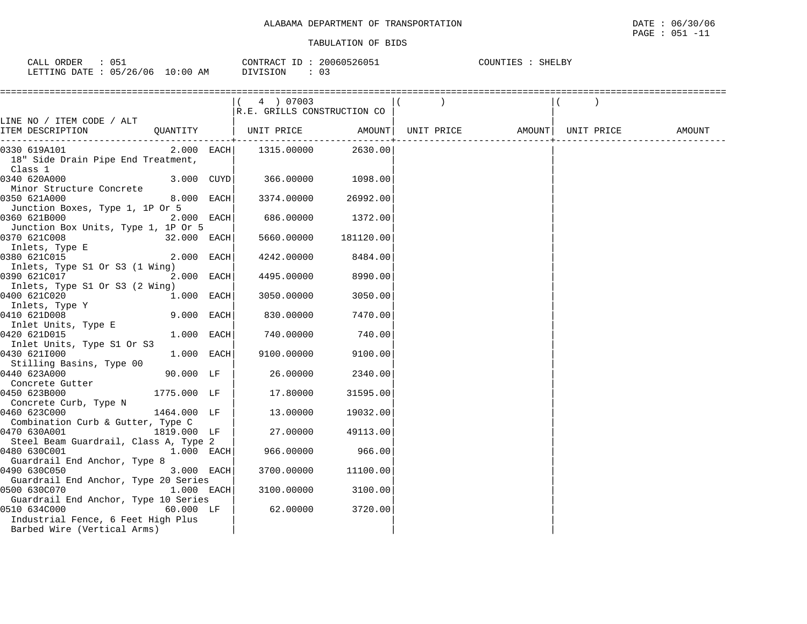| CALL ORDER<br>051               |          | CONTRACT ID: 20060526051 | COUNTIES : SHELBY |
|---------------------------------|----------|--------------------------|-------------------|
| LETTING DATE: 05/26/06 10:00 AM | DIVISION | : 0.3                    |                   |

|                                                                                            |              | (4) 07003<br>R.E. GRILLS CONSTRUCTION CO |           |  |  |
|--------------------------------------------------------------------------------------------|--------------|------------------------------------------|-----------|--|--|
| LINE NO / ITEM CODE / ALT                                                                  |              |                                          |           |  |  |
| ITEM DESCRIPTION QUANTITY   UNIT PRICE AMOUNT                                              |              |                                          |           |  |  |
| 0330 619A101<br>18" Side Drain Pipe End Treatment,<br>Class 1                              |              | $2.000$ EACH 1315.00000 2630.00          |           |  |  |
| 0340 620A000<br>Minor Structure Concrete                                                   | $3.000$ CUYD | 366.00000                                | 1098.00   |  |  |
| 0350 621A000<br>Junction Boxes, Type 1, 1P Or 5                                            | 8.000 EACH   | 3374.00000                               | 26992.00  |  |  |
| 0360 621B000<br>Junction Box Units, Type 1, 1P Or 5                                        | 2.000 EACH   | 686.00000                                | 1372.00   |  |  |
| 0370 621C008<br>Inlets, Type E                                                             | 32.000 EACH  | 5660.00000                               | 181120.00 |  |  |
| 0380 621C015                                                                               | 2.000 EACH   | 4242.00000                               | 8484.00   |  |  |
| Inlets, Type S1 Or S3 (1 Wing)<br>0390 621C017                                             | 2.000 EACH   | 4495.00000                               | 8990.00   |  |  |
| Inlets, Type S1 Or S3 (2 Wing)<br>0400 621C020<br>Inlets, Type Y                           | 1.000 EACH   | 3050.00000                               | 3050.00   |  |  |
| 0410 621D008<br>Inlet Units, Type E                                                        | 9.000 EACH   | 830.00000                                | 7470.00   |  |  |
| 0420 621D015<br>Inlet Units, Type S1 Or S3                                                 | 1.000 EACH   | 740.00000                                | 740.00    |  |  |
| 0430 6211000<br>Stilling Basins, Type 00                                                   | 1.000 EACH   | 9100.00000                               | 9100.00   |  |  |
| 0440 623A000<br>Concrete Gutter                                                            | 90.000 LF    | 26.00000                                 | 2340.00   |  |  |
| 0450 623B000<br>Concrete Curb, Type N                                                      | 1775.000 LF  | 17.80000                                 | 31595.00  |  |  |
| 0460 623C000<br>Combination Curb & Gutter, Type C                                          | 1464.000 LF  | 13.00000                                 | 19032.00  |  |  |
| 0470 630A001                                                                               | 1819.000 LF  | 27.00000                                 | 49113.00  |  |  |
| Steel Beam Guardrail, Class A, Type 2<br>0480 630C001                                      | 1.000 EACH   | 966.00000                                | 966.00    |  |  |
| Guardrail End Anchor, Type 8<br>0490 630C050                                               | 3.000 EACH   | 3700.00000                               | 11100.00  |  |  |
| Guardrail End Anchor, Type 20 Series<br>0500 630C070                                       | 1.000 EACH   | 3100.00000                               | 3100.00   |  |  |
| Guardrail End Anchor, Type 10 Series<br>0510 634C000<br>Industrial Fence, 6 Feet High Plus | 60.000 LF    | 62.00000                                 | 3720.00   |  |  |
| Barbed Wire (Vertical Arms)                                                                |              |                                          |           |  |  |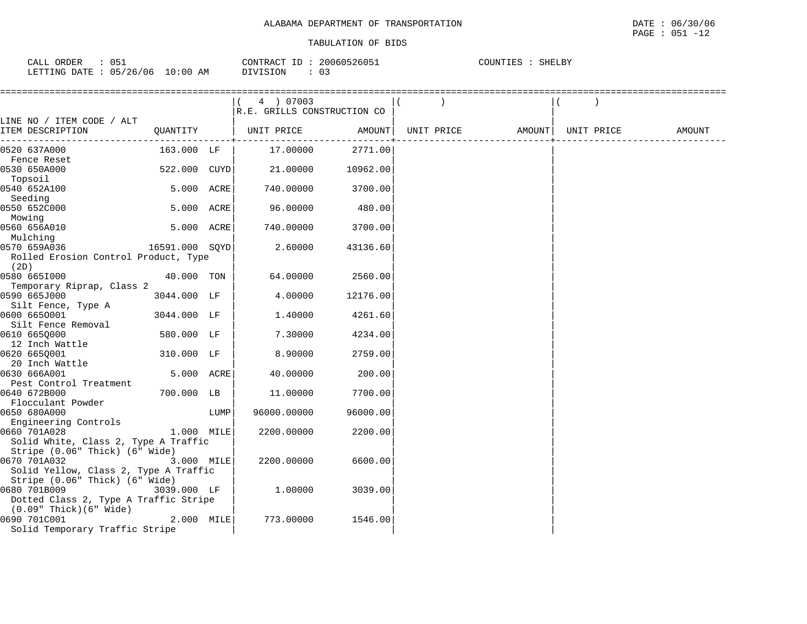| CALL ORDER                       | 051 |          | CONTRACT ID: 20060526051 | COUNTIES : SHELBY |
|----------------------------------|-----|----------|--------------------------|-------------------|
| LETTING DATE : 05/26/06 10:00 AM |     | DIVISION | 0:                       |                   |

|                                       |                |      | 4 ) 07003                   |                          |            |                    |        |
|---------------------------------------|----------------|------|-----------------------------|--------------------------|------------|--------------------|--------|
|                                       |                |      | R.E. GRILLS CONSTRUCTION CO |                          |            |                    |        |
| LINE NO / ITEM CODE / ALT             |                |      |                             |                          |            |                    |        |
| ITEM DESCRIPTION                      | QUANTITY       |      | UNIT PRICE                  | AMOUNT  <br>------------ | UNIT PRICE | AMOUNT  UNIT PRICE | AMOUNT |
| 0520 637A000                          | 163.000 LF     |      | 17.00000                    | 2771.00                  |            |                    |        |
| Fence Reset                           |                |      |                             |                          |            |                    |        |
| 0530 650A000                          | 522.000 CUYD   |      | 21.00000                    | 10962.00                 |            |                    |        |
| Topsoil                               |                |      |                             |                          |            |                    |        |
| 0540 652A100                          | 5.000 ACRE     |      | 740.00000                   | 3700.00                  |            |                    |        |
| Seeding                               |                |      |                             |                          |            |                    |        |
| 0550 652C000                          | 5.000 ACRE     |      | 96.00000                    | 480.00                   |            |                    |        |
| Mowing                                |                |      |                             |                          |            |                    |        |
| 0560 656A010                          | 5.000 ACRE     |      | 740.00000                   | 3700.00                  |            |                    |        |
| Mulching                              |                |      |                             |                          |            |                    |        |
| 0570 659A036                          | 16591.000 SQYD |      | 2.60000                     | 43136.60                 |            |                    |        |
| Rolled Erosion Control Product, Type  |                |      |                             |                          |            |                    |        |
| (2D)<br>0580 665I000                  | 40.000 TON     |      | 64.00000                    | 2560.00                  |            |                    |        |
| Temporary Riprap, Class 2             |                |      |                             |                          |            |                    |        |
| 0590 665J000                          | 3044.000 LF    |      | 4.00000                     | 12176.00                 |            |                    |        |
| Silt Fence, Type A                    |                |      |                             |                          |            |                    |        |
| 0600 6650001                          | 3044.000 LF    |      | 1.40000                     | 4261.60                  |            |                    |        |
| Silt Fence Removal                    |                |      |                             |                          |            |                    |        |
| 0610 665Q000                          | 580.000 LF     |      | 7.30000                     | 4234.00                  |            |                    |        |
| 12 Inch Wattle                        |                |      |                             |                          |            |                    |        |
| 0620 665Q001                          | 310.000 LF     |      | 8.90000                     | 2759.00                  |            |                    |        |
| 20 Inch Wattle                        |                |      |                             |                          |            |                    |        |
| 0630 666A001                          | 5.000 ACRE     |      | 40.00000                    | 200.00                   |            |                    |        |
| Pest Control Treatment                |                |      |                             |                          |            |                    |        |
| 0640 672B000                          | 700.000 LB     |      | 11,00000                    | 7700.00                  |            |                    |        |
| Flocculant Powder                     |                |      |                             |                          |            |                    |        |
| 0650 680A000<br>Engineering Controls  |                | LUMP | 96000.00000                 | 96000.00                 |            |                    |        |
| 0660 701A028                          | 1.000 MILE     |      | 2200.00000                  | 2200.00                  |            |                    |        |
| Solid White, Class 2, Type A Traffic  |                |      |                             |                          |            |                    |        |
| Stripe (0.06" Thick) (6" Wide)        |                |      |                             |                          |            |                    |        |
| 0670 701A032                          | 3.000 MILE     |      | 2200.00000                  | 6600.00                  |            |                    |        |
| Solid Yellow, Class 2, Type A Traffic |                |      |                             |                          |            |                    |        |
| Stripe (0.06" Thick) (6" Wide)        |                |      |                             |                          |            |                    |        |
| 0680 701B009                          | 3039.000 LF    |      | 1.00000                     | 3039.00                  |            |                    |        |
| Dotted Class 2, Type A Traffic Stripe |                |      |                             |                          |            |                    |        |
| $(0.09"$ Thick $)(6"$ Wide $)$        |                |      |                             |                          |            |                    |        |
| 0690 701C001                          | $2.000$ MILE   |      | 773.00000                   | 1546.00                  |            |                    |        |
| Solid Temporary Traffic Stripe        |                |      |                             |                          |            |                    |        |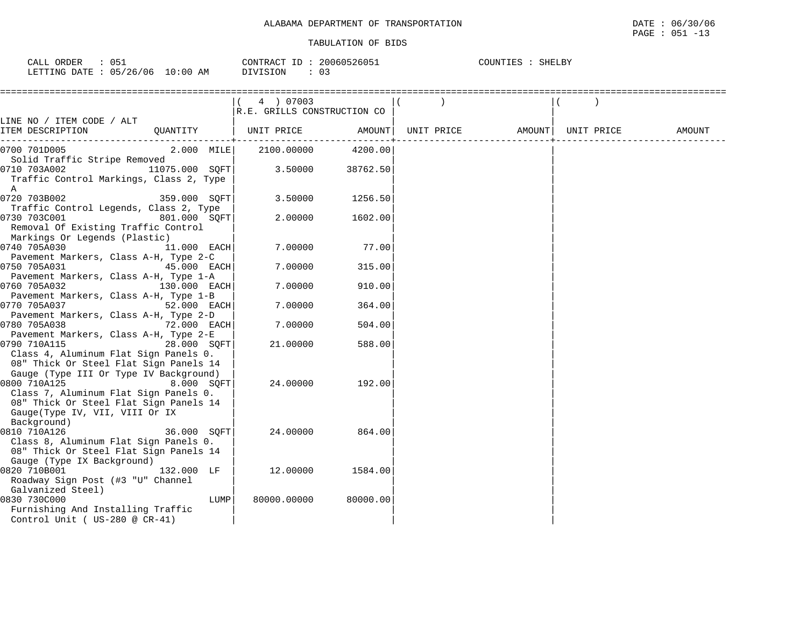| ORDER<br><b>CALL</b>            | CONTRACT ID: 20060526051 | COUNTIES : SHELBY |
|---------------------------------|--------------------------|-------------------|
| LETTING DATE: 05/26/06 10:00 AM | 03<br>DIVISION           |                   |

|                                                                                                                           | 4 ) 07003                   |          |                   |            |        |
|---------------------------------------------------------------------------------------------------------------------------|-----------------------------|----------|-------------------|------------|--------|
|                                                                                                                           | R.E. GRILLS CONSTRUCTION CO |          |                   |            |        |
| LINE NO / ITEM CODE / ALT                                                                                                 |                             |          |                   |            |        |
| ITEM DESCRIPTION                                                                                                          | QUANTITY   UNIT PRICE       | AMOUNT   | UNIT PRICE AMOUNT | UNIT PRICE | AMOUNT |
| $2.000$ MILE<br>0700 701D005                                                                                              | 2100.00000                  | 4200.00  |                   |            |        |
| Solid Traffic Stripe Removed                                                                                              |                             |          |                   |            |        |
| 0710 703A002<br>11075.000 SQFT<br>Traffic Control Markings, Class 2, Type<br>A                                            | 3.50000                     | 38762.50 |                   |            |        |
| 0720 703B002<br>359.000 SQFT                                                                                              | 3.50000                     | 1256.50  |                   |            |        |
| Traffic Control Legends, Class 2, Type                                                                                    |                             |          |                   |            |        |
| 0730 703C001<br>801.000 SOFT<br>Removal Of Existing Traffic Control<br>Markings Or Legends (Plastic)                      | 2.00000                     | 1602.00  |                   |            |        |
| 0740 705A030<br>11.000 EACH                                                                                               | 7.00000                     | 77.00    |                   |            |        |
| Pavement Markers, Class A-H, Type 2-C                                                                                     |                             |          |                   |            |        |
| 0750 705A031<br>45.000 EACH                                                                                               | 7.00000                     | 315.00   |                   |            |        |
| Pavement Markers, Class A-H, Type 1-A                                                                                     |                             |          |                   |            |        |
| 0760 705A032<br>130.000 EACH                                                                                              | 7.00000                     | 910.00   |                   |            |        |
| Pavement Markers, Class A-H, Type 1-B                                                                                     |                             |          |                   |            |        |
| 0770 705A037<br>52.000 EACH                                                                                               | 7.00000                     | 364.00   |                   |            |        |
| Pavement Markers, Class A-H, Type 2-D<br>0780 705A038<br>72.000 EACH                                                      | 7.00000                     | 504.00   |                   |            |        |
| Pavement Markers, Class A-H, Type 2-E<br>0790 710A115<br>28.000 SOFT                                                      | 21.00000                    | 588.00   |                   |            |        |
| Class 4, Aluminum Flat Sign Panels 0.<br>08" Thick Or Steel Flat Sign Panels 14<br>Gauge (Type III Or Type IV Background) |                             |          |                   |            |        |
| 0800 710A125<br>8.000 SQFT                                                                                                | 24,00000                    | 192.00   |                   |            |        |
| Class 7, Aluminum Flat Sign Panels 0.                                                                                     |                             |          |                   |            |        |
| 08" Thick Or Steel Flat Sign Panels 14                                                                                    |                             |          |                   |            |        |
| Gauge(Type IV, VII, VIII Or IX                                                                                            |                             |          |                   |            |        |
| Background)                                                                                                               |                             |          |                   |            |        |
| 0810 710A126<br>36.000 SOFT                                                                                               | 24.00000                    | 864.00   |                   |            |        |
| Class 8, Aluminum Flat Sign Panels 0.                                                                                     |                             |          |                   |            |        |
| 08" Thick Or Steel Flat Sign Panels 14                                                                                    |                             |          |                   |            |        |
| Gauge (Type IX Background)                                                                                                |                             |          |                   |            |        |
| 0820 710B001<br>132.000 LF                                                                                                | 12.00000                    | 1584.00  |                   |            |        |
| Roadway Sign Post (#3 "U" Channel                                                                                         |                             |          |                   |            |        |
| Galvanized Steel)<br>0830 730C000<br>LUMP                                                                                 | 80000.00000                 | 80000.00 |                   |            |        |
| Furnishing And Installing Traffic<br>Control Unit ( $US-280$ @ $CR-41$ )                                                  |                             |          |                   |            |        |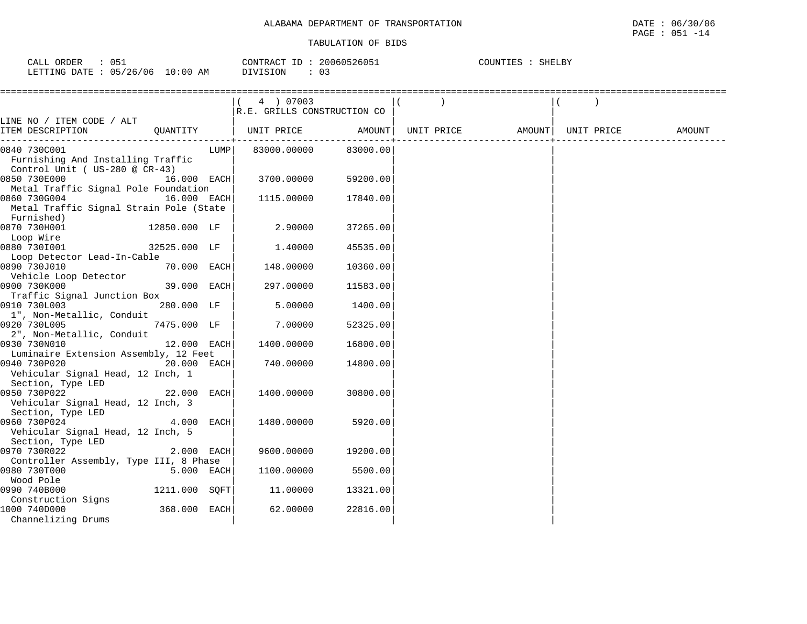| 051<br>CALL ORDER               |          | CONTRACT ID: 20060526051 | COUNTIES : SHELBY |
|---------------------------------|----------|--------------------------|-------------------|
| LETTING DATE: 05/26/06 10:00 AM | DIVISION |                          |                   |

|                                                      |               |      | 4 ) 07003<br>R.E. GRILLS CONSTRUCTION CO |          |                              |  |        |
|------------------------------------------------------|---------------|------|------------------------------------------|----------|------------------------------|--|--------|
| LINE NO / ITEM CODE / ALT                            |               |      |                                          |          |                              |  |        |
| ITEM DESCRIPTION                                     |               |      | QUANTITY   UNIT PRICE AMOUNT             |          | UNIT PRICE AMOUNT UNIT PRICE |  | AMOUNT |
| 0840 730C001                                         |               | LUMP | 83000.00000                              | 83000.00 |                              |  |        |
| Furnishing And Installing Traffic                    |               |      |                                          |          |                              |  |        |
| Control Unit ( US-280 @ $CR-43$ )                    | $16.000$ EACH |      |                                          | 59200.00 |                              |  |        |
| 0850 730E000<br>Metal Traffic Signal Pole Foundation |               |      | 3700.00000                               |          |                              |  |        |
| $16.000$ EACH<br>0860 730G004                        |               |      | 1115.00000                               | 17840.00 |                              |  |        |
| Metal Traffic Signal Strain Pole (State              |               |      |                                          |          |                              |  |        |
| Furnished)                                           |               |      |                                          |          |                              |  |        |
| 0870 730H001                                         | 12850.000 LF  |      | 2.90000                                  | 37265.00 |                              |  |        |
| Loop Wire                                            |               |      |                                          |          |                              |  |        |
| 0880 7301001                                         | 32525.000 LF  |      | 1.40000                                  | 45535.00 |                              |  |        |
| Loop Detector Lead-In-Cable                          |               |      |                                          |          |                              |  |        |
| 0890 730J010                                         | $70.000$ EACH |      | 148.00000                                | 10360.00 |                              |  |        |
| Vehicle Loop Detector                                |               |      |                                          |          |                              |  |        |
| 0900 730K000                                         | 39.000 EACH   |      | 297.00000                                | 11583.00 |                              |  |        |
| Traffic Signal Junction Box                          |               |      |                                          |          |                              |  |        |
| 0910 730L003                                         | 280.000 LF    |      | 5.00000                                  | 1400.00  |                              |  |        |
| 1", Non-Metallic, Conduit                            |               |      |                                          |          |                              |  |        |
| 0920 730L005                                         | 7475.000 LF   |      | 7.00000                                  | 52325.00 |                              |  |        |
| 2", Non-Metallic, Conduit                            |               |      |                                          |          |                              |  |        |
| 0930 730N010                                         | $12.000$ EACH |      | 1400.00000                               | 16800.00 |                              |  |        |
| Luminaire Extension Assembly, 12 Feet                |               |      |                                          |          |                              |  |        |
| 0940 730P020                                         | 20.000 EACH   |      | 740.00000                                | 14800.00 |                              |  |        |
| Vehicular Signal Head, 12 Inch, 1                    |               |      |                                          |          |                              |  |        |
| Section, Type LED<br>22.000 EACH<br>0950 730P022     |               |      | 1400.00000                               | 30800.00 |                              |  |        |
| Vehicular Signal Head, 12 Inch, 3                    |               |      |                                          |          |                              |  |        |
| Section, Type LED                                    |               |      |                                          |          |                              |  |        |
| 0960 730P024                                         | 4.000 EACH    |      | 1480.00000                               | 5920.00  |                              |  |        |
| Vehicular Signal Head, 12 Inch, 5                    |               |      |                                          |          |                              |  |        |
| Section, Type LED                                    |               |      |                                          |          |                              |  |        |
| 0970 730R022                                         | 2.000 EACH    |      | 9600.00000                               | 19200.00 |                              |  |        |
| Controller Assembly, Type III, 8 Phase               |               |      |                                          |          |                              |  |        |
| 0980 730T000                                         | 5.000 EACH    |      | 1100.00000                               | 5500.00  |                              |  |        |
| Wood Pole                                            |               |      |                                          |          |                              |  |        |
| 0990 740B000                                         | 1211.000 SOFT |      | 11.00000                                 | 13321.00 |                              |  |        |
| Construction Signs                                   |               |      |                                          |          |                              |  |        |
| 1000 740D000                                         | 368.000 EACH  |      | 62.00000                                 | 22816.00 |                              |  |        |
| Channelizing Drums                                   |               |      |                                          |          |                              |  |        |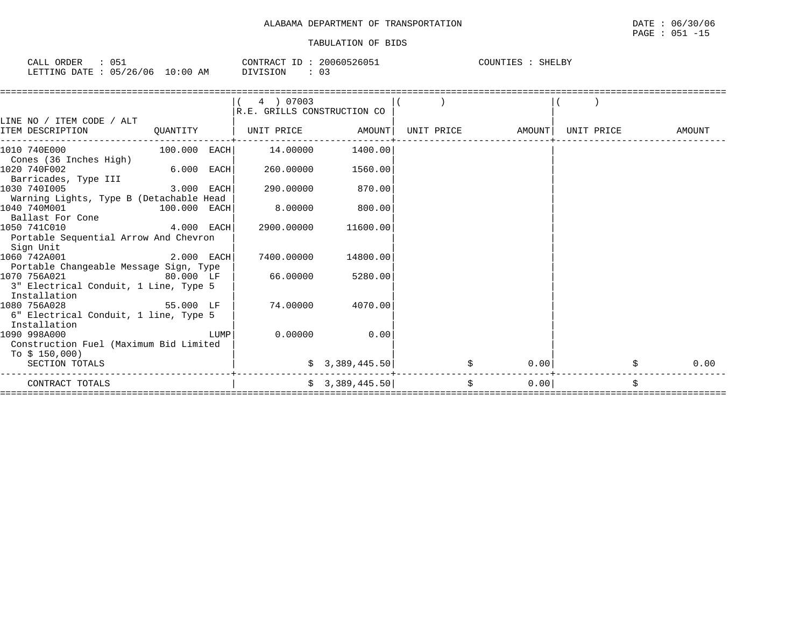| $\cdot$ 051<br>CALL ORDER       | CONTRACT ID: 20060526051 | COUNTIES<br>: SHELBY |
|---------------------------------|--------------------------|----------------------|
| LETTING DATE: 05/26/06 10:00 AM | DIVISION                 |                      |

|                                         |                |      | 4 ) 07003                   |                 |            |        |            |        |
|-----------------------------------------|----------------|------|-----------------------------|-----------------|------------|--------|------------|--------|
|                                         |                |      | R.E. GRILLS CONSTRUCTION CO |                 |            |        |            |        |
| LINE NO / ITEM CODE / ALT               |                |      |                             |                 |            |        |            |        |
| ITEM DESCRIPTION                        | QUANTITY       |      | UNIT PRICE                  | AMOUNT          | UNIT PRICE | AMOUNT | UNIT PRICE | AMOUNT |
| 1010 740E000                            | $100.000$ EACH |      | 14.00000                    | 1400.00         |            |        |            |        |
| Cones (36 Inches High)                  |                |      |                             |                 |            |        |            |        |
| 1020 740F002                            | 6.000 EACH     |      | 260.00000                   | 1560.00         |            |        |            |        |
| Barricades, Type III                    |                |      |                             |                 |            |        |            |        |
| 1030 7401005                            | 3.000 EACH     |      | 290.00000                   | 870.00          |            |        |            |        |
| Warning Lights, Type B (Detachable Head |                |      |                             |                 |            |        |            |        |
| 1040 740M001                            | 100.000 EACH   |      | 8,00000                     | 800.00          |            |        |            |        |
| Ballast For Cone                        |                |      |                             |                 |            |        |            |        |
| 1050 741C010                            | $4.000$ EACH   |      | 2900.00000                  | 11600.00        |            |        |            |        |
| Portable Sequential Arrow And Chevron   |                |      |                             |                 |            |        |            |        |
| Sign Unit                               |                |      |                             |                 |            |        |            |        |
| 1060 742A001                            | 2.000 EACH     |      | 7400.00000                  | 14800.00        |            |        |            |        |
| Portable Changeable Message Sign, Type  |                |      |                             |                 |            |        |            |        |
| 1070 756A021                            | 80.000 LF      |      | 66.00000                    | 5280.00         |            |        |            |        |
| 3" Electrical Conduit, 1 Line, Type 5   |                |      |                             |                 |            |        |            |        |
| Installation                            |                |      |                             |                 |            |        |            |        |
| 1080 756A028                            | 55.000 LF      |      | 74.00000                    | 4070.00         |            |        |            |        |
| 6" Electrical Conduit, 1 line, Type 5   |                |      |                             |                 |            |        |            |        |
| Installation                            |                |      |                             |                 |            |        |            |        |
| 1090 998A000                            |                | LUMP | 0.00000                     | 0.00            |            |        |            |        |
| Construction Fuel (Maximum Bid Limited  |                |      |                             |                 |            |        |            |        |
| To $$150,000$                           |                |      |                             |                 |            |        |            |        |
| SECTION TOTALS                          |                |      |                             | \$3,389,445.50] |            | 0.00   |            | 0.00   |
| CONTRACT TOTALS                         |                |      |                             | \$3,389,445.50  | \$         | 0.00   |            | \$     |
|                                         |                |      |                             |                 |            |        |            |        |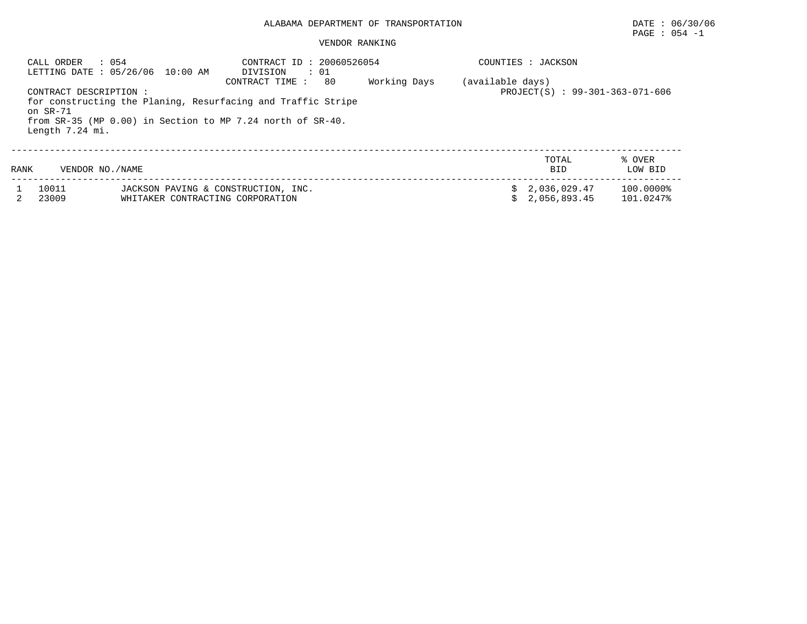# PAGE : 054 -1

## VENDOR RANKING

| CALL ORDER                    | 0.54<br>LETTING DATE: 05/26/06 10:00 AM | CONTRACT ID: 20060526054<br>DIVISION<br>$\cdot$ 01<br>80<br>CONTRACT TIME :                                                     | Working Days | (available days)                | COUNTIES : JACKSON               |                        |
|-------------------------------|-----------------------------------------|---------------------------------------------------------------------------------------------------------------------------------|--------------|---------------------------------|----------------------------------|------------------------|
| on $SR-71$<br>Length 7.24 mi. | CONTRACT DESCRIPTION:                   | for constructing the Planing, Resurfacing and Traffic Stripe<br>from $SR-35$ (MP 0.00) in Section to MP 7.24 north of $SR-40$ . |              | PROJECT(S) : 99-301-363-071-606 |                                  |                        |
| RANK                          | VENDOR NO./NAME                         |                                                                                                                                 |              |                                 | TOTAL<br><b>BID</b>              | % OVER<br>LOW BID      |
| 10011<br>23009                | WHITAKER CONTRACTING CORPORATION        | JACKSON PAVING & CONSTRUCTION, INC.                                                                                             |              |                                 | \$2,036,029.47<br>\$2.056.893.45 | 100.0000%<br>101.0247% |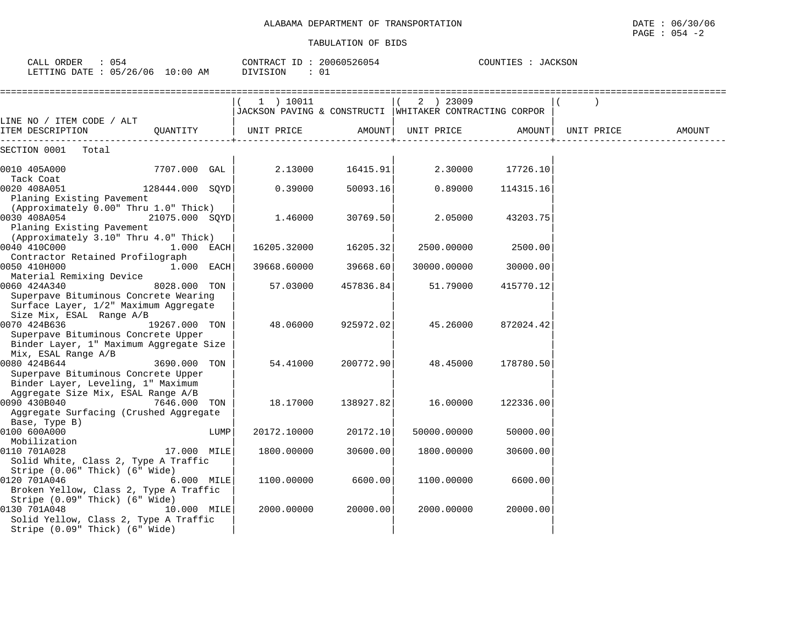| CALL ORDER<br>: 054<br>LETTING DATE : 05/26/06 10:00 AM | CONTRACT ID: 20060526054<br>: 01<br>DIVISION | COUNTIES<br>JACKSON |
|---------------------------------------------------------|----------------------------------------------|---------------------|
|                                                         |                                              |                     |

|                                                                                                                           |                 |      | $1$ ) $10011$<br>JACKSON PAVING & CONSTRUCTI WHITAKER CONTRACTING CORPOR |           | 2 ) 23009           |           |            |        |
|---------------------------------------------------------------------------------------------------------------------------|-----------------|------|--------------------------------------------------------------------------|-----------|---------------------|-----------|------------|--------|
| LINE NO / ITEM CODE / ALT<br>ITEM DESCRIPTION                                                                             | OUANTITY        |      | UNIT PRICE                                                               |           | AMOUNT   UNIT PRICE | AMOUNT    | UNIT PRICE | AMOUNT |
| SECTION 0001<br>Total                                                                                                     |                 |      |                                                                          |           |                     |           |            |        |
| 0010 405A000                                                                                                              | 7707.000 GAL    |      | 2.13000                                                                  | 16415.91  | 2.30000             | 17726.10  |            |        |
| Tack Coat<br>0020 408A051<br>Planing Existing Pavement                                                                    | 128444.000 SQYD |      | 0.39000                                                                  | 50093.16  | 0.89000             | 114315.16 |            |        |
| (Approximately 0.00" Thru 1.0" Thick)                                                                                     |                 |      |                                                                          |           |                     |           |            |        |
| 0030 408A054<br>Planing Existing Pavement                                                                                 | 21075.000 SQYD  |      | 1.46000                                                                  | 30769.50  | 2.05000             | 43203.75  |            |        |
| (Approximately 3.10" Thru 4.0" Thick)<br>0040 410C000                                                                     | $1.000$ EACH    |      | 16205.32000                                                              | 16205.32  | 2500.00000          | 2500.00   |            |        |
| Contractor Retained Profilograph<br>0050 410H000<br>Material Remixing Device                                              | 1.000 EACH      |      | 39668.60000                                                              | 39668.60  | 30000.00000         | 30000.00  |            |        |
| 0060 424A340<br>Superpave Bituminous Concrete Wearing<br>Surface Layer, 1/2" Maximum Aggregate                            | 8028.000 TON    |      | 57.03000                                                                 | 457836.84 | 51.79000            | 415770.12 |            |        |
| Size Mix, ESAL Range A/B<br>0070 424B636                                                                                  | 19267.000 TON   |      | 48.06000                                                                 | 925972.02 | 45.26000            | 872024.42 |            |        |
| Superpave Bituminous Concrete Upper<br>Binder Layer, 1" Maximum Aggregate Size<br>Mix, ESAL Range A/B                     |                 |      |                                                                          |           |                     |           |            |        |
| 0080 424B644<br>Superpave Bituminous Concrete Upper                                                                       | 3690.000 TON    |      | 54.41000                                                                 | 200772.90 | 48.45000            | 178780.50 |            |        |
| Binder Layer, Leveling, 1" Maximum<br>Aggregate Size Mix, ESAL Range A/B<br>0090 430B040                                  | 7646.000 TON    |      | 18.17000                                                                 | 138927.82 | 16.00000            | 122336.00 |            |        |
| Aggregate Surfacing (Crushed Aggregate<br>Base, Type B)                                                                   |                 |      |                                                                          |           |                     |           |            |        |
| 0100 600A000<br>Mobilization                                                                                              |                 | LUMP | 20172.10000                                                              | 20172.10  | 50000.00000         | 50000.00  |            |        |
| 0110 701A028<br>Solid White, Class 2, Type A Traffic                                                                      | 17.000 MILE     |      | 1800.00000                                                               | 30600.00  | 1800.00000          | 30600.00  |            |        |
| Stripe (0.06" Thick) (6" Wide)<br>0120 701A046<br>Broken Yellow, Class 2, Type A Traffic                                  | 6.000 MILE      |      | 1100.00000                                                               | 6600.00   | 1100.00000          | 6600.00   |            |        |
| Stripe (0.09" Thick) (6" Wide)<br>0130 701A048<br>Solid Yellow, Class 2, Type A Traffic<br>Stripe (0.09" Thick) (6" Wide) | 10.000 MILE     |      | 2000.00000                                                               | 20000.00  | 2000.00000          | 20000.00  |            |        |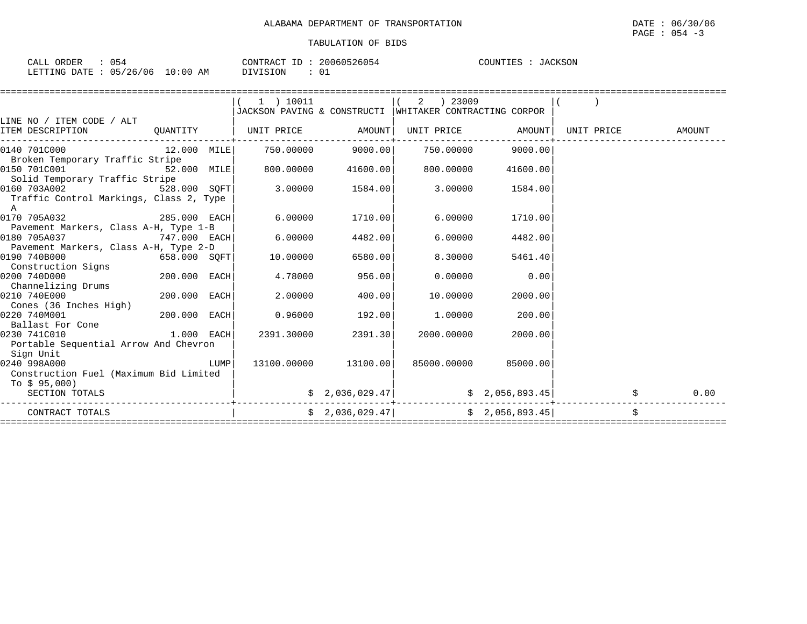| : 054<br>CALL ORDER             |          | CONTRACT ID: 20060526054 | COUNTIES : JACKSON |  |  |
|---------------------------------|----------|--------------------------|--------------------|--|--|
| LETTING DATE: 05/26/06 10:00 AM | DIVISION |                          |                    |  |  |

|                                                           |                |      | 1 ) 10011                    |                      | 2  23009                                                                                                  |          |                                       |      |
|-----------------------------------------------------------|----------------|------|------------------------------|----------------------|-----------------------------------------------------------------------------------------------------------|----------|---------------------------------------|------|
|                                                           |                |      |                              |                      | JACKSON PAVING & CONSTRUCTI WHITAKER CONTRACTING CORPOR                                                   |          |                                       |      |
| LINE NO / ITEM CODE / ALT                                 |                |      |                              |                      |                                                                                                           |          |                                       |      |
| ITEM DESCRIPTION                                          |                |      | QUANTITY   UNIT PRICE AMOUNT |                      |                                                                                                           |          | UNIT PRICE AMOUNT   UNIT PRICE AMOUNT |      |
|                                                           |                |      |                              |                      |                                                                                                           |          |                                       |      |
| $[0140 \t 701C000$ $12.000 \t 11000$ $-750.00000$ 9000.00 |                |      |                              |                      | 750.00000 9000.00                                                                                         |          |                                       |      |
| Broken Temporary Traffic Stripe                           |                |      |                              |                      |                                                                                                           |          |                                       |      |
| 0150 701C001<br>52.000 MILE                               |                |      | 800.00000                    | 41600.00             | 800.00000                                                                                                 | 41600.00 |                                       |      |
| Solid Temporary Traffic Stripe                            |                |      |                              |                      |                                                                                                           |          |                                       |      |
| 0160 703A002<br>528.000 SQFT                              |                |      | 3.00000                      | 1584.00              | 3.00000                                                                                                   | 1584.00  |                                       |      |
| Traffic Control Markings, Class 2, Type                   |                |      |                              |                      |                                                                                                           |          |                                       |      |
| $\mathbb{A}$                                              |                |      |                              |                      |                                                                                                           |          |                                       |      |
| 0170 705A032<br>285.000 EACH                              |                |      | 6.00000                      | 1710.00              | 6.00000                                                                                                   | 1710.00  |                                       |      |
| Pavement Markers, Class A-H, Type 1-B                     |                |      |                              |                      |                                                                                                           |          |                                       |      |
| 0180 705A037                                              | 747.000 EACH   |      | 6,00000                      | 4482.00              | 6,00000                                                                                                   | 4482.00  |                                       |      |
| Pavement Markers, Class A-H, Type 2-D                     |                |      |                              |                      |                                                                                                           |          |                                       |      |
| 0190 740B000                                              | 658.000 SQFT   |      | 10.00000                     | 6580.00              | 8.30000                                                                                                   | 5461.40  |                                       |      |
| Construction Signs                                        |                |      |                              |                      |                                                                                                           |          |                                       |      |
| 0200 740D000                                              | $200.000$ EACH |      | 4.78000                      | 956.00               | 0.00000                                                                                                   | 0.00     |                                       |      |
| Channelizing Drums                                        |                |      |                              |                      |                                                                                                           |          |                                       |      |
| 0210 740E000                                              | 200.000 EACH   |      | 2.00000                      | 400.00               | 10.00000                                                                                                  | 2000.00  |                                       |      |
| Cones (36 Inches High)                                    |                |      |                              |                      |                                                                                                           |          |                                       |      |
| 0220 740M001                                              | 200.000 EACH   |      | 0.96000                      | 192.00               | 1.00000                                                                                                   | 200.00   |                                       |      |
| Ballast For Cone                                          |                |      |                              |                      |                                                                                                           |          |                                       |      |
| 0230 741C010                                              | $1.000$ EACH   |      | 2391.30000                   | 2391.30              | 2000.00000                                                                                                | 2000.00  |                                       |      |
| Portable Sequential Arrow And Chevron                     |                |      |                              |                      |                                                                                                           |          |                                       |      |
| Sign Unit                                                 |                |      |                              |                      |                                                                                                           |          |                                       |      |
| 0240 998A000                                              |                | LUMP |                              | 13100.00000 13100.00 | 85000.00000                                                                                               | 85000.00 |                                       |      |
| Construction Fuel (Maximum Bid Limited                    |                |      |                              |                      |                                                                                                           |          |                                       |      |
| To $$95,000$ )                                            |                |      |                              |                      |                                                                                                           |          |                                       |      |
| SECTION TOTALS                                            |                |      |                              |                      | $\begin{bmatrix} 2 & 2 & 036 & 029 & 47 \end{bmatrix}$ $\begin{bmatrix} 2 & 056 & 893 & 45 \end{bmatrix}$ |          |                                       | 0.00 |
| CONTRACT TOTALS                                           |                |      |                              |                      | $\frac{1}{2}$ , 036, 029.47   $\frac{1}{2}$   $\frac{1}{2}$ , 056, 893.45                                 |          | Ŝ.                                    |      |
|                                                           |                |      |                              |                      |                                                                                                           |          |                                       |      |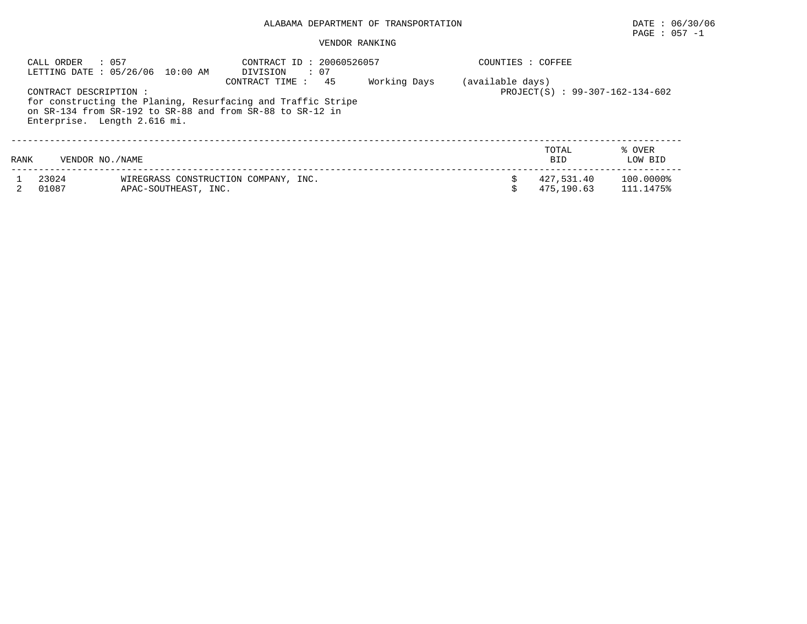# PAGE : 057 -1

### VENDOR RANKING

| : 057<br>CALL ORDER<br>LETTING DATE : 05/26/06 10:00 AM |                                                       |                      | $\therefore$ 07<br>DIVISION                                                                                                                       | CONTRACT ID: 20060526057<br>COUNTIES : COFFEE |                  |                                   |                        |  |  |
|---------------------------------------------------------|-------------------------------------------------------|----------------------|---------------------------------------------------------------------------------------------------------------------------------------------------|-----------------------------------------------|------------------|-----------------------------------|------------------------|--|--|
|                                                         | CONTRACT DESCRIPTION:<br>Enterprise. Length 2.616 mi. |                      | 45<br>CONTRACT TIME:<br>for constructing the Planing, Resurfacing and Traffic Stripe<br>on SR-134 from SR-192 to SR-88 and from SR-88 to SR-12 in | Working Days                                  | (available days) | $PROJECT(S)$ : 99-307-162-134-602 |                        |  |  |
| RANK                                                    | VENDOR NO. / NAME                                     |                      |                                                                                                                                                   |                                               |                  | TOTAL<br><b>BID</b>               | % OVER<br>LOW BID      |  |  |
|                                                         | 23024<br>01087                                        | APAC-SOUTHEAST, INC. | WIREGRASS CONSTRUCTION COMPANY, INC.                                                                                                              |                                               |                  | 427.531.40<br>475,190.63          | 100.0000%<br>111.1475% |  |  |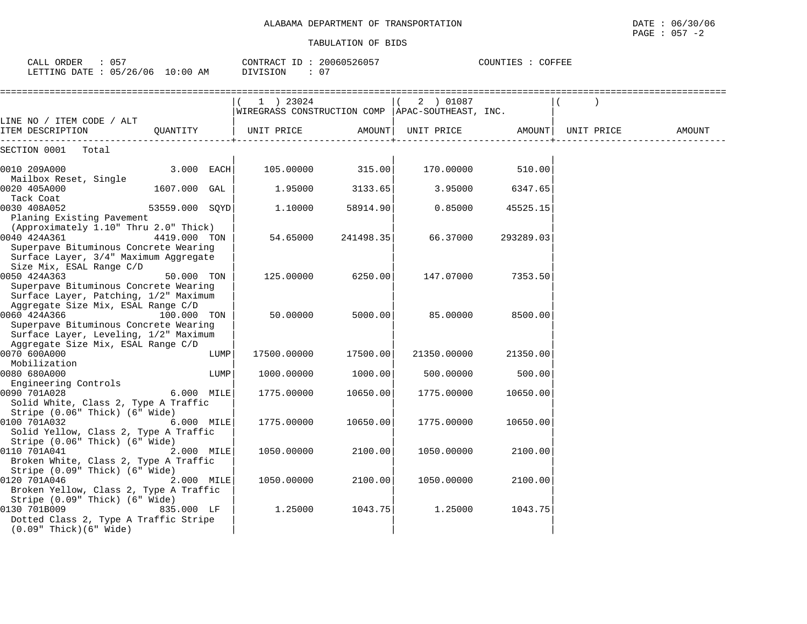| CALL ORDER<br>$\therefore$ 057<br>LETTING DATE : 05/26/06 10:00 AM                                                                   |                |      | CONTRACT ID: 20060526057<br>DIVISION<br>: 07                      |           |                     | COUNTIES : COFFEE |            |        |
|--------------------------------------------------------------------------------------------------------------------------------------|----------------|------|-------------------------------------------------------------------|-----------|---------------------|-------------------|------------|--------|
|                                                                                                                                      |                |      | $1$ ) 23024<br>WIREGRASS CONSTRUCTION COMP   APAC-SOUTHEAST, INC. |           | 2 ) 01087           |                   |            |        |
| LINE NO / ITEM CODE / ALT<br>ITEM DESCRIPTION                                                                                        | OUANTITY       |      | UNIT PRICE                                                        |           | AMOUNT   UNIT PRICE | AMOUNT            | UNIT PRICE | AMOUNT |
| SECTION 0001 Total                                                                                                                   |                |      |                                                                   |           |                     |                   |            |        |
| 0010 209A000<br>Mailbox Reset, Single                                                                                                | $3.000$ EACH   |      | 105.00000                                                         | 315.00    | 170.00000           | 510.00            |            |        |
| 0020 405A000<br>Tack Coat                                                                                                            | 1607.000 GAL   |      | 1.95000                                                           | 3133.65   | 3.95000             | 6347.65           |            |        |
| 0030 408A052<br>Planing Existing Pavement                                                                                            | 53559.000 SOYD |      | 1.10000                                                           | 58914.90  | 0.85000             | 45525.15          |            |        |
| (Approximately 1.10" Thru 2.0" Thick)<br>0040 424A361<br>Superpave Bituminous Concrete Wearing                                       | 4419.000 TON   |      | 54.65000                                                          | 241498.35 | 66.37000            | 293289.03         |            |        |
| Surface Layer, 3/4" Maximum Aggregate<br>Size Mix, ESAL Range C/D<br>0050 424A363<br>Superpave Bituminous Concrete Wearing           | 50.000 TON     |      | 125.00000                                                         | 6250.00   | 147.07000           | 7353.50           |            |        |
| Surface Layer, Patching, 1/2" Maximum<br>Aggregate Size Mix, ESAL Range C/D<br>0060 424A366<br>Superpave Bituminous Concrete Wearing | 100.000 TON    |      | 50.00000                                                          | 5000.00   | 85.00000            | 8500.00           |            |        |
| Surface Layer, Leveling, 1/2" Maximum<br>Aggregate Size Mix, ESAL Range C/D                                                          |                |      |                                                                   |           |                     |                   |            |        |
| 0070 600A000<br>Mobilization                                                                                                         |                | LUMP | 17500.00000                                                       | 17500.00  | 21350.00000         | 21350.00          |            |        |
| 0080 680A000<br>Engineering Controls                                                                                                 |                | LUMP | 1000.00000                                                        | 1000.00   | 500.00000           | 500.00            |            |        |
| 0090 701A028<br>Solid White, Class 2, Type A Traffic                                                                                 | 6.000 MILE     |      | 1775.00000                                                        | 10650.00  | 1775.00000          | 10650.00          |            |        |
| Stripe (0.06" Thick) (6" Wide)<br>0100 701A032<br>Solid Yellow, Class 2, Type A Traffic                                              | 6.000 MILE     |      | 1775.00000                                                        | 10650.00  | 1775.00000          | 10650.00          |            |        |
| Stripe (0.06" Thick) (6" Wide)<br>0110 701A041<br>Broken White, Class 2, Type A Traffic                                              | 2.000 MILE     |      | 1050.00000                                                        | 2100.00   | 1050.00000          | 2100.00           |            |        |
| Stripe (0.09" Thick) (6" Wide)<br>0120 701A046<br>Broken Yellow, Class 2, Type A Traffic                                             | 2.000 MILE     |      | 1050.00000                                                        | 2100.00   | 1050.00000          | 2100.00           |            |        |
| Stripe (0.09" Thick) (6" Wide)<br>0130 701B009<br>Dotted Class 2, Type A Traffic Stripe<br>$(0.09"$ Thick $)(6"$ Wide)               | 835.000 LF     |      | 1.25000                                                           | 1043.75   | 1.25000             | 1043.75           |            |        |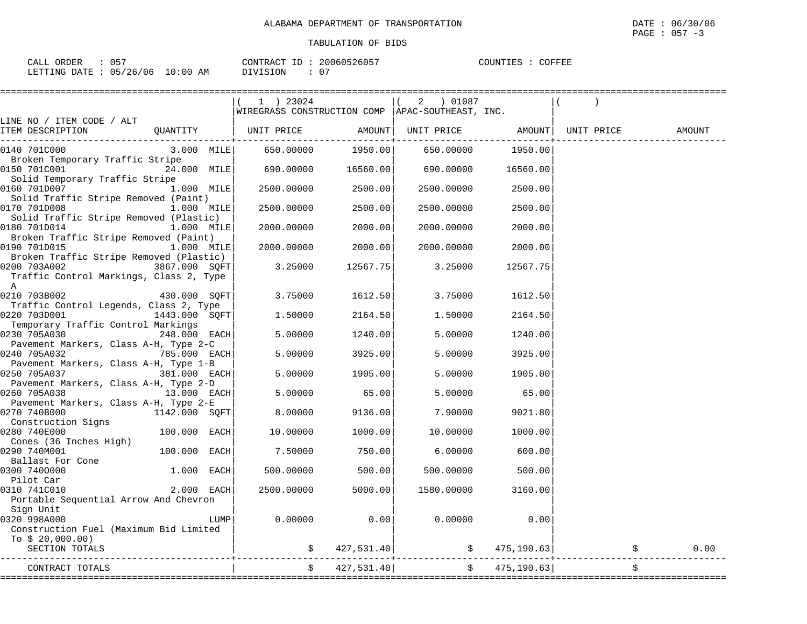| ORDER<br>∘∆ I<br>ىست | ັບ                                  |           | CONTR<br>$\pi$ $\pi$ .<br>"RAU                                                                                               | $ -$ | 160526057<br>200<br>160' | COUNTIES<br>COFFEL |  |
|----------------------|-------------------------------------|-----------|------------------------------------------------------------------------------------------------------------------------------|------|--------------------------|--------------------|--|
| LETTING<br>חים מ     | 106<br>126.<br>$\cap$ $\Box$<br>2 U | :00<br>AΜ | SION<br>.<br>the contract of the contract of the contract of the contract of the contract of the contract of the contract of |      | $\cap$<br>U.             |                    |  |

|                                                                      |                |      |                                                             | ================   |                                                         |             |                     |        |
|----------------------------------------------------------------------|----------------|------|-------------------------------------------------------------|--------------------|---------------------------------------------------------|-------------|---------------------|--------|
|                                                                      |                |      | $(1)$ 23024                                                 |                    | $(2)$ 01087                                             |             |                     |        |
|                                                                      |                |      | WIREGRASS CONSTRUCTION COMP  APAC-SOUTHEAST, INC.           |                    |                                                         |             |                     |        |
| LINE NO / ITEM CODE / ALT                                            |                |      |                                                             |                    |                                                         |             |                     |        |
| ITEM DESCRIPTION                                                     |                |      | QUANTITY   UNIT PRICE AMOUNT  UNIT PRICE AMOUNT  UNIT PRICE |                    |                                                         |             |                     | AMOUNT |
|                                                                      |                |      |                                                             |                    |                                                         |             |                     |        |
| 0140 701C000                                                         |                |      | $3.000$ MILE 650.00000 1950.00 650.00000 1950.00            |                    |                                                         |             |                     |        |
| Broken Temporary Traffic Stripe                                      |                |      |                                                             |                    |                                                         |             |                     |        |
| $[0150 \t 701C001$ 24.000 MILE 690.00000 16560.00 690.00000 16560.00 |                |      |                                                             |                    |                                                         |             |                     |        |
| Solid Temporary Traffic Stripe                                       |                |      |                                                             |                    |                                                         |             |                     |        |
| 0160 701D007                                                         | 1.000 MILE     |      |                                                             | 2500.00000 2500.00 | 2500.00000                                              | 2500.00     |                     |        |
| Solid Traffic Stripe Removed (Paint)                                 |                |      |                                                             |                    |                                                         |             |                     |        |
| 0170 701D008                                                         | $1.000$ MILE   |      | 2500.00000                                                  | 2500.00            | 2500.00000                                              | 2500.00     |                     |        |
| Solid Traffic Stripe Removed (Plastic)                               |                |      |                                                             |                    |                                                         |             |                     |        |
| 0180 701D014                                                         | 1.000 MILE     |      | 2000.00000                                                  | 2000.00            | 2000.00000                                              | 2000.00     |                     |        |
| Broken Traffic Stripe Removed (Paint)                                |                |      |                                                             |                    |                                                         |             |                     |        |
| 0190 701D015                                                         | 1.000 MILE     |      | 2000.00000                                                  | 2000.00            | 2000.00000                                              | 2000.00     |                     |        |
| Broken Traffic Stripe Removed (Plastic)                              |                |      |                                                             |                    |                                                         |             |                     |        |
| 0200 703A002                                                         | 3867.000 SQFT  |      | 3.25000                                                     | 12567.75           | 3.25000                                                 | 12567.75    |                     |        |
| Traffic Control Markings, Class 2, Type                              |                |      |                                                             |                    |                                                         |             |                     |        |
| $\mathbb A$                                                          |                |      |                                                             |                    |                                                         |             |                     |        |
| 0210 703B002                                                         | 430.000 SOFT   |      | 3.75000                                                     | 1612.50            | 3.75000                                                 | 1612.50     |                     |        |
| Traffic Control Legends, Class 2, Type                               |                |      |                                                             |                    |                                                         |             |                     |        |
| 0220 703D001<br>1443.000 SQFT                                        |                |      | 1.50000                                                     | 2164.50            | 1.50000                                                 | 2164.50     |                     |        |
| Temporary Traffic Control Markings                                   |                |      |                                                             |                    |                                                         |             |                     |        |
| 0230 705A030                                                         | 248.000 EACH   |      | 5.00000                                                     | 1240.00            | 5.00000                                                 | 1240.00     |                     |        |
| Pavement Markers, Class A-H, Type 2-C                                |                |      |                                                             |                    |                                                         |             |                     |        |
| 0240 705A032                                                         | 785.000 EACH   |      | 5.00000                                                     | 3925.00            | 5.00000                                                 | 3925.00     |                     |        |
| Pavement Markers, Class A-H, Type 1-B                                |                |      |                                                             |                    |                                                         |             |                     |        |
| 0250 705A037                                                         | 381.000 EACH   |      | 5.00000                                                     | 1905.00            | 5.00000                                                 | 1905.00     |                     |        |
| Pavement Markers, Class A-H, Type 2-D                                |                |      |                                                             |                    |                                                         |             |                     |        |
| 0260 705A038                                                         | 13.000 EACH    |      | 5.00000                                                     | 65.00              | 5.00000                                                 | 65.00       |                     |        |
| Pavement Markers, Class A-H, Type 2-E                                |                |      |                                                             |                    |                                                         |             |                     |        |
| 0270 740B000                                                         | 1142.000 SOFT  |      | 8.00000                                                     | 9136.00            | 7.90000                                                 | 9021.80     |                     |        |
| Construction Signs                                                   |                |      |                                                             |                    |                                                         |             |                     |        |
| 0280 740E000                                                         | $100.000$ EACH |      | 10.00000                                                    | 1000.00            | 10.00000                                                | 1000.00     |                     |        |
| Cones (36 Inches High)                                               |                |      |                                                             |                    |                                                         |             |                     |        |
| 0290 740M001                                                         | 100.000 EACH   |      | 7.50000                                                     | 750.00             | 6.00000                                                 | 600.00      |                     |        |
| Ballast For Cone                                                     |                |      |                                                             |                    |                                                         |             |                     |        |
| 0300 7400000                                                         | $1.000$ EACH   |      | 500.00000                                                   | 500.00             | 500.00000                                               | 500.00      |                     |        |
| Pilot Car                                                            |                |      |                                                             |                    |                                                         |             |                     |        |
| 0310 741C010                                                         | $2.000$ EACH   |      | 2500.00000                                                  | 5000.00            | 1580.00000                                              | 3160.00     |                     |        |
| Portable Sequential Arrow And Chevron                                |                |      |                                                             |                    |                                                         |             |                     |        |
| Sign Unit                                                            |                |      |                                                             |                    |                                                         |             |                     |        |
| 0320 998A000                                                         |                | LUMP | 0.00000                                                     | 0.00               | 0.00000                                                 | 0.00        |                     |        |
| Construction Fuel (Maximum Bid Limited                               |                |      |                                                             |                    |                                                         |             |                     |        |
| To $$20,000.00)$                                                     |                |      |                                                             |                    |                                                         |             |                     |        |
| SECTION TOTALS                                                       |                |      |                                                             |                    | $\frac{1}{2}$ \$ 427,531.40 $\frac{1}{2}$ \$ 475,190.63 |             | $\ddot{\mathbf{S}}$ | 0.00   |
|                                                                      |                |      |                                                             |                    |                                                         |             |                     |        |
| CONTRACT TOTALS                                                      |                |      |                                                             | \$ 427,531.40]     | $\ddot{\mathsf{S}}$                                     | 475, 190.63 |                     |        |
|                                                                      |                |      |                                                             |                    |                                                         |             |                     |        |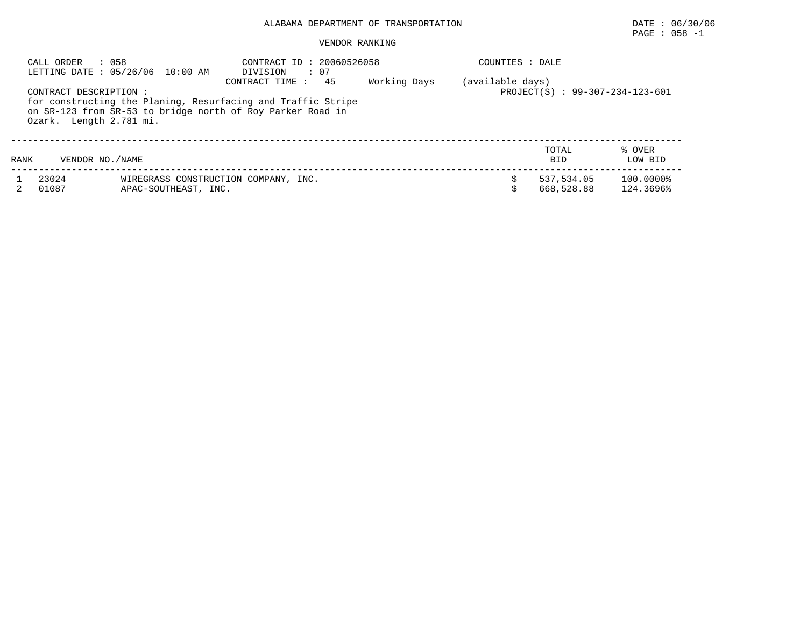# PAGE : 058 -1

## VENDOR RANKING

|      | : 058<br>CALL ORDER                              | LETTING DATE: 05/26/06 10:00 AM                                                                                            | CONTRACT ID: 20060526058<br>$\therefore$ 07<br>DIVISION | Working Days | COUNTIES : DALE |                          |                        |
|------|--------------------------------------------------|----------------------------------------------------------------------------------------------------------------------------|---------------------------------------------------------|--------------|-----------------|--------------------------|------------------------|
|      | CONTRACT DESCRIPTION:<br>Ozark. Length 2.781 mi. | for constructing the Planing, Resurfacing and Traffic Stripe<br>on SR-123 from SR-53 to bridge north of Roy Parker Road in | (available days)<br>PROJECT(S) : 99-307-234-123-601     |              |                 |                          |                        |
| RANK | VENDOR NO. / NAME                                |                                                                                                                            |                                                         |              |                 | TOTAL<br><b>BID</b>      | % OVER<br>LOW BID      |
|      | 23024<br>01087                                   | APAC-SOUTHEAST, INC.                                                                                                       | WIREGRASS CONSTRUCTION COMPANY, INC.                    |              |                 | 537,534.05<br>668,528.88 | 100.0000%<br>124.3696% |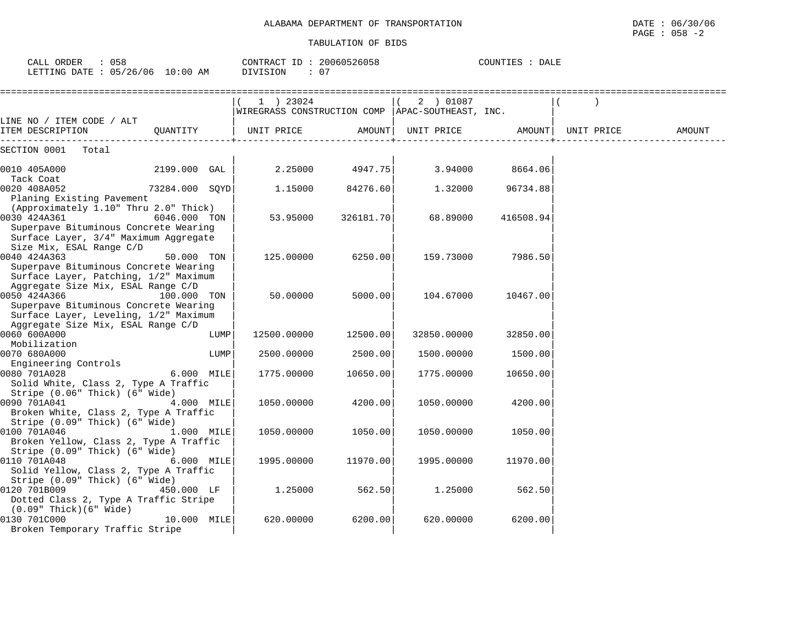| CALL ORDER : 058<br>LETTING DATE : 05/26/06 10:00 AM | CONTRACT ID: 20060526058<br>: 07<br>DIVISION | COUNTIES : DALE                               |  |
|------------------------------------------------------|----------------------------------------------|-----------------------------------------------|--|
|                                                      | 23024                                        | 01087<br>$\begin{array}{ccc} & 2 \end{array}$ |  |

| LINE NO / ITEM CODE / ALT                                                                                                            |               |      | WIREGRASS CONSTRUCTION COMP   APAC-SOUTHEAST, INC. |           |                   |                 |            |        |
|--------------------------------------------------------------------------------------------------------------------------------------|---------------|------|----------------------------------------------------|-----------|-------------------|-----------------|------------|--------|
| ITEM DESCRIPTION                                                                                                                     | QUANTITY      |      | UNIT PRICE AMOUNT                                  |           | UNIT PRICE AMOUNT |                 | UNIT PRICE | AMOUNT |
| SECTION 0001 Total                                                                                                                   |               |      |                                                    |           |                   |                 |            |        |
| 2199.000 GAL<br>0010 405A000<br>Tack Coat                                                                                            |               |      | $2.25000$ 4947.75                                  |           |                   | 3.94000 8664.06 |            |        |
| 73284.000 SQYD<br>0020 408A052<br>Planing Existing Pavement<br>(Approximately 1.10" Thru 2.0" Thick)                                 |               |      | 1.15000                                            | 84276.60  | 1.32000           | 96734.88        |            |        |
| 0030 424A361<br>Superpave Bituminous Concrete Wearing<br>Surface Layer, 3/4" Maximum Aggregate<br>Size Mix, ESAL Range C/D           | 6046.000 TON  |      | 53.95000                                           | 326181.70 | 68.89000          | 416508.94       |            |        |
| 0040 424A363<br>Superpave Bituminous Concrete Wearing<br>Surface Layer, Patching, 1/2" Maximum<br>Aggregate Size Mix, ESAL Range C/D | 50.000 TON    |      | 125.00000                                          | 6250.00   | 159.73000         | 7986.50         |            |        |
| 0050 424A366<br>Superpave Bituminous Concrete Wearing<br>Surface Layer, Leveling, 1/2" Maximum<br>Aggregate Size Mix, ESAL Range C/D | 100.000 TON   |      | 50.00000                                           | 5000.00   | 104.67000         | 10467.00        |            |        |
| 0060 600A000<br>Mobilization                                                                                                         |               | LUMP | 12500.00000                                        | 12500.00  | 32850.00000       | 32850.00        |            |        |
| 0070 680A000<br>Engineering Controls                                                                                                 |               | LUMP | 2500.00000                                         | 2500.00   | 1500.00000        | 1500.00         |            |        |
| 5.000 MILE<br>0080 701A028<br>Solid White, Class 2, Type A Traffic<br>Stripe (0.06" Thick) (6" Wide)                                 |               |      | 1775.00000                                         | 10650.00  | 1775.00000        | 10650.00        |            |        |
| 0090 701A041<br>Broken White, Class 2, Type A Traffic<br>Stripe (0.09" Thick) (6" Wide)                                              | 4.000 MILE    |      | 1050.00000                                         | 4200.00   | 1050.00000        | 4200.00         |            |        |
| 0100 701A046<br>Broken Yellow, Class 2, Type A Traffic<br>Stripe (0.09" Thick) (6" Wide)                                             | 1.000 MILE    |      | 1050.00000                                         | 1050.00   | 1050.00000        | 1050.00         |            |        |
| 6.000 MILE<br>0110 701A048<br>Solid Yellow, Class 2, Type A Traffic<br>Stripe (0.09" Thick) (6" Wide)                                |               |      | 1995.00000                                         | 11970.00  | 1995.00000        | 11970.00        |            |        |
| 0120 701B009<br>Dotted Class 2, Type A Traffic Stripe<br>$(0.09"$ Thick $)(6"$ Wide $)$                                              | 450.000 LF    |      | 1.25000                                            | 562.50    | 1.25000           | 562.50          |            |        |
| 0130 701C000<br>Broken Temporary Traffic Stripe                                                                                      | $10.000$ MILE |      | 620.00000                                          | 6200.00   | 620.00000         | 6200.00         |            |        |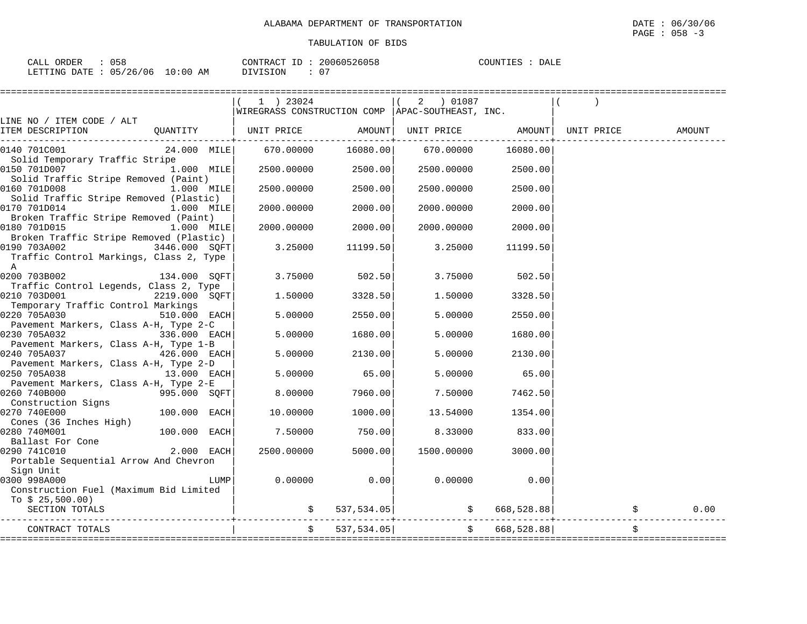| ORDER<br>CALL | $\cap$ $\cap$ $\cap$<br>ひちど     | CONTRACT ID               | 20060526058 | DALE<br>COUNTIES |
|---------------|---------------------------------|---------------------------|-------------|------------------|
| LETTING DATE  | $10:00$ AM<br>05/26/06<br>— ∪ ∴ | $\sim$ $\sim$<br>DIVISION |             |                  |

|                                                                                                                                                                  | 1 ) 23024                                          |                          | 2 ) 01087                  |               |        |
|------------------------------------------------------------------------------------------------------------------------------------------------------------------|----------------------------------------------------|--------------------------|----------------------------|---------------|--------|
|                                                                                                                                                                  | WIREGRASS CONSTRUCTION COMP   APAC-SOUTHEAST, INC. |                          |                            |               |        |
| LINE NO / ITEM CODE / ALT<br>ITEM DESCRIPTION                    QUANTITY          UNIT PRICE              AMOUNT   UNIT PRICE               AMOUNT   UNIT PRICE |                                                    |                          |                            |               | AMOUNT |
| 0140 701C001                                                                                                                                                     | 24.000 MILE 670.00000                              | 16080.00                 | 670.00000                  | 16080.00      |        |
| Solid Temporary Traffic Stripe<br>0150 701D007<br>1.000 MILE                                                                                                     | $2500.00000$ 2500.00                               |                          | 2500.00000                 | 2500.00       |        |
| Solid Traffic Stripe Removed (Paint)<br>0160 701D008<br>1.000 MILE                                                                                               | 2500.00000                                         | 2500.00                  | 2500.00000                 | 2500.00       |        |
| Solid Traffic Stripe Removed (Plastic)                                                                                                                           |                                                    |                          |                            |               |        |
| 0170 701D014<br>1.000 MILE<br>Broken Traffic Stripe Removed (Paint)                                                                                              | 2000.00000                                         | 2000.00                  | 2000.00000                 | 2000.00       |        |
| 1.000 MILE<br>0180 701D015<br>Broken Traffic Stripe Removed (Plastic)                                                                                            |                                                    | 2000.00000 2000.00       | 2000.00000                 | 2000.00       |        |
| 0190 703A002 3446.000 SQFT<br>Traffic Control Markings, Class 2, Type<br>A                                                                                       | 3.25000                                            | 11199.50                 | 3.25000                    | 11199.50      |        |
| $0200$ 703B002 134.000 SQFT                                                                                                                                      | 3.75000                                            | 502.50                   | 3.75000                    | 502.50        |        |
| Traffic Control Legends, Class 2, Type<br>2219.000 SQFT<br>0210 703D001                                                                                          | 1.50000                                            | 3328.50                  | 1.50000                    | 3328.50       |        |
| Temporary Traffic Control Markings<br>0220 705A030<br>510.000 EACH                                                                                               | 5.00000                                            | 2550.00                  | 5.00000                    | 2550.00       |        |
| Pavement Markers, Class A-H, Type 2-C<br>$336.000$ EACH<br>0230 705A032                                                                                          | 5,00000                                            | 1680.00                  | 5.00000                    | 1680.00       |        |
| Pavement Markers, Class A-H, Type 1-B<br>0240 705A037 426.000 EACH                                                                                               | 5.00000                                            | 2130.00                  | 5.00000                    | 2130.00       |        |
| Pavement Markers, Class A-H, Type 2-D<br>$13.000$ EACH<br>0250 705A038                                                                                           | 5.00000                                            | 65.00                    | 5.00000                    | 65.00         |        |
| Pavement Markers, Class A-H, Type 2-E<br>0260 740B000<br>$995.000$ SQFT                                                                                          | 8.00000                                            | 7960.00                  | 7.50000                    | 7462.50       |        |
| Construction Signs<br>100.000 EACH<br>0270 740E000                                                                                                               | 10.00000                                           | 1000.00                  | 13.54000                   | 1354.00       |        |
| Cones (36 Inches High)<br>0280 740M001<br>$100.000$ EACH                                                                                                         | 7.50000                                            | 750.00                   | 8.33000                    | 833.00        |        |
| Ballast For Cone<br>$2.000$ EACH<br>0290 741C010<br>Portable Sequential Arrow And Chevron                                                                        | 2500.00000                                         | 5000.00                  | 1500.00000                 | 3000.00       |        |
| Sign Unit                                                                                                                                                        |                                                    |                          |                            |               |        |
| 0300 998A000<br>LUMP                                                                                                                                             | 0.00000                                            | 0.00                     | 0.00000                    | 0.00          |        |
| Construction Fuel (Maximum Bid Limited                                                                                                                           |                                                    |                          |                            |               |        |
| To $$25,500.00)$<br>SECTION TOTALS                                                                                                                               |                                                    | $\frac{1}{5}$ 537,534.05 | $\frac{1}{5}$ 668,528.88   |               | 0.00   |
| CONTRACT TOTALS                                                                                                                                                  |                                                    | 537, 534.05              | :========================= | \$668,528.88] |        |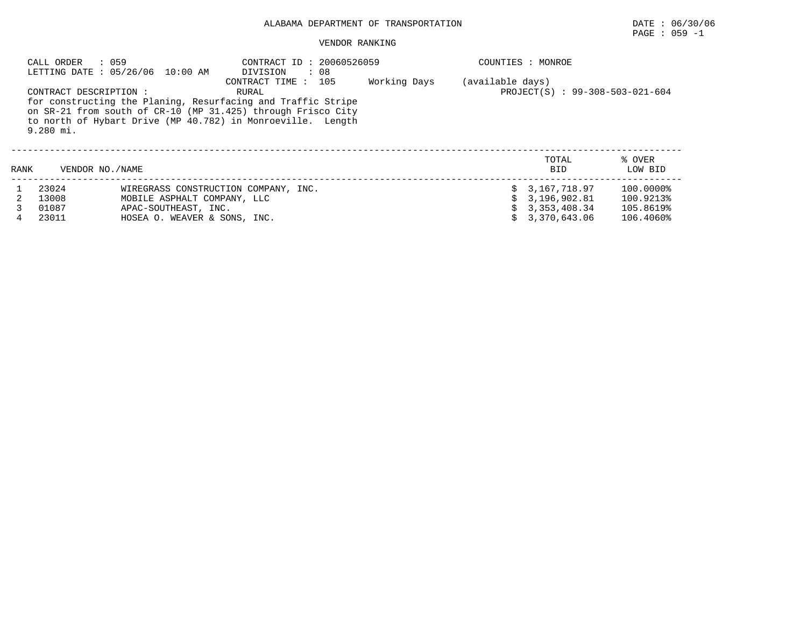#### VENDOR RANKING

|      | : 059<br>CALL ORDER                   | LETTING DATE : 05/26/06 10:00 AM                                                                                                                                                            | CONTRACT ID: 20060526059<br>DIVISION<br>$\cdot$ 08  |              |           | COUNTIES : MONROE   |                   |
|------|---------------------------------------|---------------------------------------------------------------------------------------------------------------------------------------------------------------------------------------------|-----------------------------------------------------|--------------|-----------|---------------------|-------------------|
|      | CONTRACT DESCRIPTION :<br>$9.280$ mi. | for constructing the Planing, Resurfacing and Traffic Stripe<br>on SR-21 from south of CR-10 (MP 31.425) through Frisco City<br>to north of Hybart Drive (MP 40.782) in Monroeville. Length | (available days)<br>PROJECT(S) : 99-308-503-021-604 |              |           |                     |                   |
| RANK | VENDOR NO./NAME                       |                                                                                                                                                                                             |                                                     |              |           | TOTAL<br><b>BID</b> | % OVER<br>LOW BID |
|      | 23024                                 |                                                                                                                                                                                             | WIREGRASS CONSTRUCTION COMPANY, INC.                |              |           | 3,167,718.97        | 100.0000%         |
|      | 13008                                 | MOBILE ASPHALT COMPANY, LLC                                                                                                                                                                 |                                                     | 3,196,902.81 | 100.9213% |                     |                   |
|      | 01087                                 | APAC-SOUTHEAST, INC.                                                                                                                                                                        |                                                     | 3,353,408.34 | 105.8619% |                     |                   |
|      | 23011                                 | HOSEA O. WEAVER & SONS, INC.                                                                                                                                                                |                                                     | 3,370,643.06 | 106.4060% |                     |                   |

PAGE : 059 -1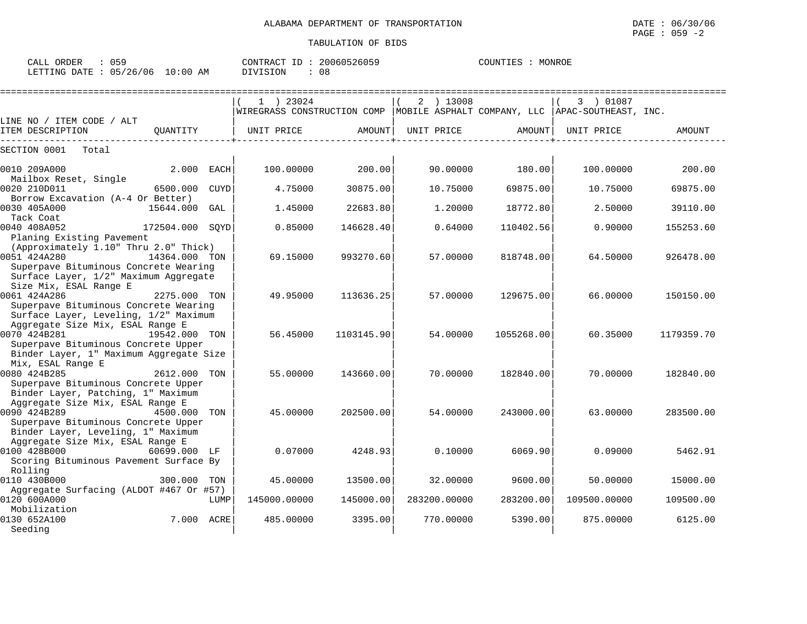| CALL ORDER | 059                              | CONTRACT ID: 20060526059 |    | COUNTIES : MONROE |  |
|------------|----------------------------------|--------------------------|----|-------------------|--|
|            | LETTING DATE : 05/26/06 10:00 AM | DIVISION                 | 08 |                   |  |

|                                                                                                                                                          | $1$ ) 23024<br>WIREGRASS CONSTRUCTION COMP   MOBILE ASPHALT COMPANY, LLC   APAC-SOUTHEAST, INC. |            | 2 ) 13008    |            | 3 ) 01087    |            |
|----------------------------------------------------------------------------------------------------------------------------------------------------------|-------------------------------------------------------------------------------------------------|------------|--------------|------------|--------------|------------|
| LINE NO / ITEM CODE / ALT                                                                                                                                |                                                                                                 |            |              |            |              |            |
| ITEM DESCRIPTION<br>QUANTITY                                                                                                                             | UNIT PRICE                                                                                      | AMOUNT     | UNIT PRICE   | AMOUNT     | UNIT PRICE   | AMOUNT     |
| SECTION 0001<br>Total                                                                                                                                    |                                                                                                 |            |              |            |              |            |
| 0010 209A000<br>2.000<br>EACH<br>Mailbox Reset, Single                                                                                                   | 100.00000                                                                                       | 200.00     | 90.00000     | 180.00     | 100,00000    | 200.00     |
| 0020 210D011<br>6500.000<br><b>CUYD</b><br>Borrow Excavation (A-4 Or Better)                                                                             | 4.75000                                                                                         | 30875.00   | 10.75000     | 69875.00   | 10.75000     | 69875.00   |
| 0030 405A000<br>15644.000<br>GAL<br>Tack Coat                                                                                                            | 1.45000                                                                                         | 22683.80   | 1.20000      | 18772.80   | 2.50000      | 39110.00   |
| 0040 408A052<br>172504.000 SOYD<br>Planing Existing Pavement                                                                                             | 0.85000                                                                                         | 146628.40  | 0.64000      | 110402.56  | 0.90000      | 155253.60  |
| (Approximately 1.10" Thru 2.0" Thick)<br>0051 424A280<br>14364.000 TON<br>Superpave Bituminous Concrete Wearing<br>Surface Layer, 1/2" Maximum Aggregate | 69.15000                                                                                        | 993270.60  | 57.00000     | 818748.00  | 64.50000     | 926478.00  |
| Size Mix, ESAL Range E<br>0061 424A286<br>2275.000 TON<br>Superpave Bituminous Concrete Wearing<br>Surface Layer, Leveling, 1/2" Maximum                 | 49.95000                                                                                        | 113636.25  | 57.00000     | 129675.00  | 66,00000     | 150150.00  |
| Aggregate Size Mix, ESAL Range E<br>0070 424B281<br>19542.000 TON<br>Superpave Bituminous Concrete Upper<br>Binder Layer, 1" Maximum Aggregate Size      | 56.45000                                                                                        | 1103145.90 | 54.00000     | 1055268.00 | 60.35000     | 1179359.70 |
| Mix, ESAL Range E<br>0080 424B285<br>2612.000<br>TON<br>Superpave Bituminous Concrete Upper<br>Binder Layer, Patching, 1" Maximum                        | 55.00000                                                                                        | 143660.00  | 70.00000     | 182840.00  | 70.00000     | 182840.00  |
| Aggregate Size Mix, ESAL Range E<br>0090 424B289<br>4500.000<br>TON<br>Superpave Bituminous Concrete Upper<br>Binder Layer, Leveling, 1" Maximum         | 45.00000                                                                                        | 202500.00  | 54.00000     | 243000.00  | 63.00000     | 283500.00  |
| Aggregate Size Mix, ESAL Range E<br>0100 428B000<br>60699.000 LF<br>Scoring Bituminous Pavement Surface By                                               | 0.07000                                                                                         | 4248.93    | 0.10000      | 6069.90    | 0.09000      | 5462.91    |
| Rolling<br>0110 430B000<br>300.000<br>TON                                                                                                                | 45.00000                                                                                        | 13500.00   | 32.00000     | 9600.00    | 50.00000     | 15000.00   |
| Aggregate Surfacing (ALDOT #467 Or #57)<br>0120 600A000<br>LUMP                                                                                          | 145000.00000                                                                                    | 145000.00  | 283200.00000 | 283200.00  | 109500.00000 | 109500.00  |
| Mobilization<br>7.000<br>0130 652A100<br>ACRE<br>Seeding                                                                                                 | 485.00000                                                                                       | 3395.00    | 770.00000    | 5390.00    | 875,00000    | 6125.00    |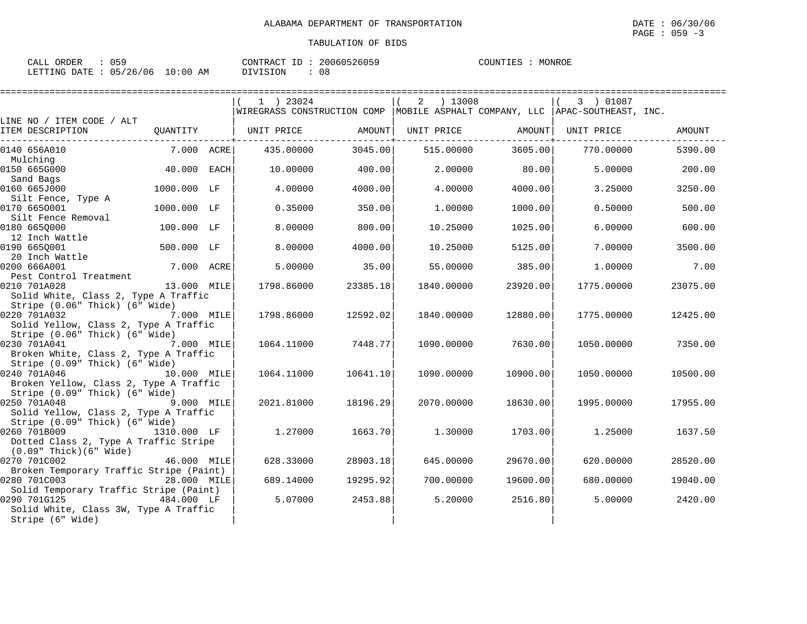| $\sim$ $ \sim$<br>ORDER<br>$\sim$ $\sim$ $\sim$<br>لىلەك<br>ັບ ມີ |                  | 20060526059<br>CONTRACT<br>TD.   | MONROE<br>COUNTIES |
|-------------------------------------------------------------------|------------------|----------------------------------|--------------------|
| 05/26/06<br>LETTING<br>DATE.                                      | 10:00<br>AM<br>∸ | $\cap$<br><b>DIVICION</b><br>U ö |                    |

|                                                                                                       |             | 1 ) 23024<br>WIREGRASS CONSTRUCTION COMP   MOBILE ASPHALT COMPANY, LLC   APAC-SOUTHEAST, INC. |          | 2 ) 13008  |                   | 3 ) 01087  |          |
|-------------------------------------------------------------------------------------------------------|-------------|-----------------------------------------------------------------------------------------------|----------|------------|-------------------|------------|----------|
| LINE NO / ITEM CODE / ALT                                                                             |             |                                                                                               |          |            |                   |            |          |
| ITEM DESCRIPTION                                                                                      | OUANTITY    | UNIT PRICE                                                                                    | AMOUNT   |            | UNIT PRICE AMOUNT | UNIT PRICE | AMOUNT   |
| 0140 656A010                                                                                          | 7.000 ACRE  | 435.00000                                                                                     | 3045.00  | 515.00000  | 3605.00           | 770.00000  | 5390.00  |
| Mulching<br>0150 665G000                                                                              | 40.000 EACH | 10.00000                                                                                      | 400.00   | 2.00000    | 80.00             | 5.00000    | 200.00   |
| Sand Bags<br>0160 665J000                                                                             | 1000.000 LF | 4.00000                                                                                       | 4000.00  | 4.00000    | 4000.00           | 3.25000    | 3250.00  |
| Silt Fence, Type A<br>0170 6650001                                                                    | 1000.000 LF | 0.35000                                                                                       | 350.00   | 1,00000    | 1000.00           | 0.50000    | 500.00   |
| Silt Fence Removal<br>0180 6650000<br>12 Inch Wattle                                                  | 100.000 LF  | 8.00000                                                                                       | 800.00   | 10.25000   | 1025.00           | 6.00000    | 600.00   |
| 0190 6650001                                                                                          | 500.000 LF  | 8.00000                                                                                       | 4000.00  | 10.25000   | 5125.00           | 7.00000    | 3500.00  |
| .90 000go.<br>20 Inch Wattle<br>200 6662001<br>0200 666A001<br>Pest Control Treatment                 | 7.000 ACRE  | 5,00000                                                                                       | 35.00    | 55.00000   | 385.00            | 1,00000    | 7.00     |
| 0210 701A028<br>Solid White, Class 2, Type A Traffic                                                  | 13.000 MILE | 1798.86000                                                                                    | 23385.18 | 1840.00000 | 23920.00          | 1775.00000 | 23075.00 |
| Stripe (0.06" Thick) (6" Wide)<br>0220 701A032<br>Solid Yellow, Class 2, Type A Traffic               | 7.000 MILE  | 1798.86000                                                                                    | 12592.02 | 1840.00000 | 12880.00          | 1775.00000 | 12425.00 |
| Stripe (0.06" Thick) (6" Wide)<br>0230 701A041<br>7.000 MILE<br>Broken White, Class 2, Type A Traffic |             | 1064.11000                                                                                    | 7448.77  | 1090.00000 | 7630.00           | 1050.00000 | 7350.00  |
| Stripe (0.09" Thick) (6" Wide)<br>0240 701A046<br>Broken Yellow, Class 2, Type A Traffic              | 10.000 MILE | 1064.11000                                                                                    | 10641.10 | 1090.00000 | 10900.00          | 1050.00000 | 10500.00 |
| Stripe (0.09" Thick) (6" Wide)<br>0250 701A048<br>9.000 MILE<br>Solid Yellow, Class 2, Type A Traffic |             | 2021.81000                                                                                    | 18196.29 | 2070.00000 | 18630.00          | 1995.00000 | 17955.00 |
| Stripe (0.09" Thick) (6" Wide)<br>0260 701B009<br>Dotted Class 2, Type A Traffic Stripe               | 1310.000 LF | 1,27000                                                                                       | 1663.70  | 1,30000    | 1703.00           | 1,25000    | 1637.50  |
| $(0.09"$ Thick $)(6"$ Wide $)$<br>0270 701C002                                                        | 46.000 MILE | 628.33000                                                                                     | 28903.18 | 645.00000  | 29670.00          | 620.00000  | 28520.00 |
| Broken Temporary Traffic Stripe (Paint)<br>0280 701C003<br>Solid Temporary Traffic Stripe (Paint)     | 28.000 MILE | 689.14000                                                                                     | 19295.92 | 700.00000  | 19600.00          | 680.00000  | 19040.00 |
| 0290 701G125<br>Solid White, Class 3W, Type A Traffic<br>Stripe (6" Wide)                             | 484.000 LF  | 5.07000                                                                                       | 2453.88  | 5.20000    | 2516.80           | 5.00000    | 2420.00  |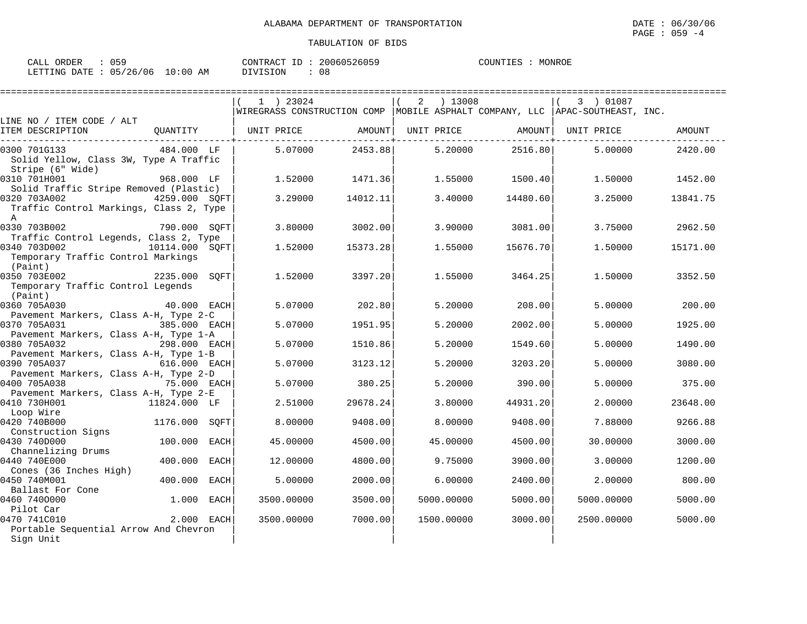| 059<br>CALL ORDER               | CONTRACT ID: 20060526059 | MONROE<br>COUNTIES |
|---------------------------------|--------------------------|--------------------|
| LETTING DATE: 05/26/06 10:00 AM | DIVISION<br>08           |                    |

|                                                                            |                        | 1 ) 23024  |          | ) 13008<br>2 |          | 3 ) 01087                                                                        |          |
|----------------------------------------------------------------------------|------------------------|------------|----------|--------------|----------|----------------------------------------------------------------------------------|----------|
|                                                                            |                        |            |          |              |          | WIREGRASS CONSTRUCTION COMP   MOBILE ASPHALT COMPANY, LLC   APAC-SOUTHEAST, INC. |          |
| LINE NO / ITEM CODE / ALT<br>ITEM DESCRIPTION                              | QUANTITY               | UNIT PRICE | AMOUNT   | UNIT PRICE   | AMOUNT   | UNIT PRICE                                                                       | AMOUNT   |
| 0300 701G133<br>Solid Yellow, Class 3W, Type A Traffic<br>Stripe (6" Wide) | 484.000 LF             | 5.07000    | 2453.88  | 5.20000      | 2516.80  | 5,00000                                                                          | 2420.00  |
| 0310 701H001<br>Solid Traffic Stripe Removed (Plastic)                     | 968.000 LF             | 1.52000    | 1471.36  | 1.55000      | 1500.401 | 1.50000                                                                          | 1452.00  |
| 0320 703A002<br>Traffic Control Markings, Class 2, Type<br>$\mathbb{A}$    | 4259.000 SQFT          | 3.29000    | 14012.11 | 3.40000      | 14480.60 | 3.25000                                                                          | 13841.75 |
| 0330 703B002<br>Traffic Control Legends, Class 2, Type                     | 790.000 SQFT           | 3.80000    | 3002.00  | 3.90000      | 3081.00  | 3.75000                                                                          | 2962.50  |
| 0340 703D002<br>Temporary Traffic Control Markings<br>(Paint)              | 10114.000 SQFT         | 1.52000    | 15373.28 | 1.55000      | 15676.70 | 1.50000                                                                          | 15171.00 |
| 0350 703E002<br>Temporary Traffic Control Legends<br>(Paint)               | 2235.000 SQFT          | 1.52000    | 3397.20  | 1.55000      | 3464.25  | 1.50000                                                                          | 3352.50  |
| 0360 705A030<br>Pavement Markers, Class A-H, Type 2-C                      | 40.000 EACH            | 5.07000    | 202.80   | 5.20000      | 208.00   | 5.00000                                                                          | 200.00   |
| 0370 705A031                                                               | 385.000 EACH           | 5.07000    | 1951.95  | 5.20000      | 2002.00  | 5.00000                                                                          | 1925.00  |
| Pavement Markers, Class A-H, Type 1-A<br>0380 705A032                      | 298.000 EACH           | 5.07000    | 1510.86  | 5.20000      | 1549.60  | 5.00000                                                                          | 1490.00  |
| Pavement Markers, Class A-H, Type 1-B<br>0390 705A037                      | 616.000 EACH           | 5.07000    | 3123.12  | 5.20000      | 3203.20  | 5.00000                                                                          | 3080.00  |
| Pavement Markers, Class A-H, Type 2-D<br>0400 705A038                      | 75.000 EACH            | 5.07000    | 380.25   | 5.20000      | 390.00   | 5.00000                                                                          | 375.00   |
| Pavement Markers, Class A-H, Type 2-E<br>0410 730H001<br>Loop Wire         | 11824.000 LF           | 2.51000    | 29678.24 | 3.80000      | 44931.20 | 2.00000                                                                          | 23648.00 |
| 0420 740B000<br>Construction Signs                                         | 1176.000 SOFT          | 8,00000    | 9408.00  | 8,00000      | 9408.00  | 7.88000                                                                          | 9266.88  |
| 0430 740D000<br>Channelizing Drums                                         | 100.000<br>EACH        | 45.00000   | 4500.00  | 45.00000     | 4500.00  | 30.00000                                                                         | 3000.00  |
| 0440 740E000<br>Cones (36 Inches High)                                     | 400.000<br><b>EACH</b> | 12,00000   | 4800.00  | 9.75000      | 3900.00  | 3.00000                                                                          | 1200.00  |
| 0450 740M001<br>Ballast For Cone                                           | 400.000<br><b>EACH</b> | 5.00000    | 2000.00  | 6.00000      | 2400.00  | 2.00000                                                                          | 800.00   |
| 0460 7400000<br>Pilot Car                                                  | 1.000<br>EACH          | 3500.00000 | 3500.00  | 5000.00000   | 5000.00  | 5000.00000                                                                       | 5000.00  |
| 0470 741C010<br>Portable Sequential Arrow And Chevron                      | 2.000 EACH             | 3500.00000 | 7000.00  | 1500.00000   | 3000.00  | 2500.00000                                                                       | 5000.00  |
| Sign Unit                                                                  |                        |            |          |              |          |                                                                                  |          |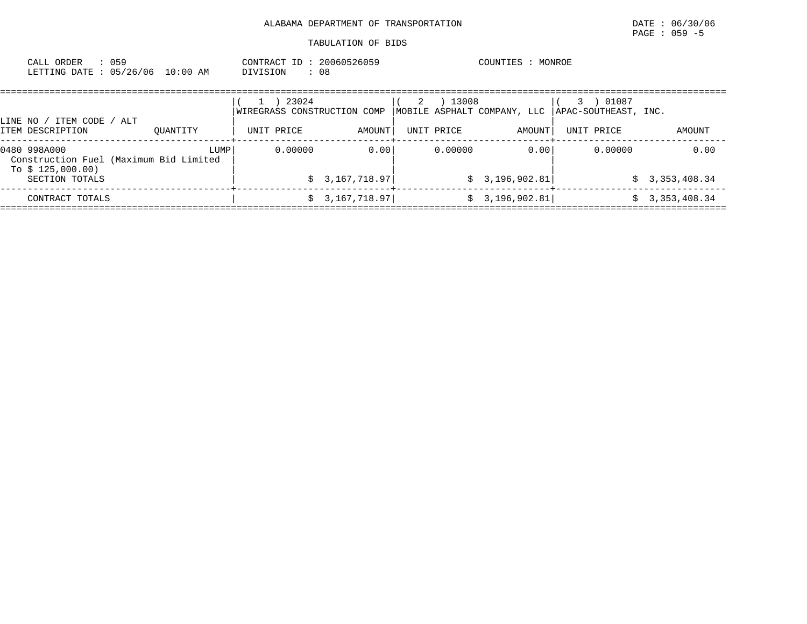| CALL ORDER<br>: 059<br>LETTING DATE: 05/26/06 10:00 AM | CONTRACT ID: 20060526059<br>: 08<br>DIVISION | COUNTIES : MONROE                                                                          |        |                   |            |        |             |  |        |
|--------------------------------------------------------|----------------------------------------------|--------------------------------------------------------------------------------------------|--------|-------------------|------------|--------|-------------|--|--------|
|                                                        |                                              | 23024<br> WIREGRASS CONSTRUCTION COMP   MOBILE ASPHALT COMPANY, LLC   APAC-SOUTHEAST, INC. |        | $(1)$ $2$ $1$ $4$ | 13008      |        | $(3)$ 01087 |  |        |
| LINE NO / ITEM CODE / ALT<br>ITEM DESCRIPTION          | OUANTITY                                     | UNIT PRICE                                                                                 | AMOUNT |                   | UNIT PRICE | AMOUNT | UNIT PRICE  |  | AMOUNT |

| LUMP  <br>0480 998A000                 | 0.00000 | 0.00           | 0.00000 | 0.00           | 0.00000 | 0.00           |
|----------------------------------------|---------|----------------|---------|----------------|---------|----------------|
| Construction Fuel (Maximum Bid Limited |         |                |         |                |         |                |
| To $$125,000.00)$<br>SECTION TOTALS    |         | \$3,167,718.97 |         | \$3,196,902.81 |         | \$3,353,408.34 |
|                                        |         |                |         |                |         |                |
| CONTRACT TOTALS                        |         | \$3,167,718.97 |         | \$3,196,902.81 |         | \$3,353,408.34 |
|                                        |         |                |         |                |         |                |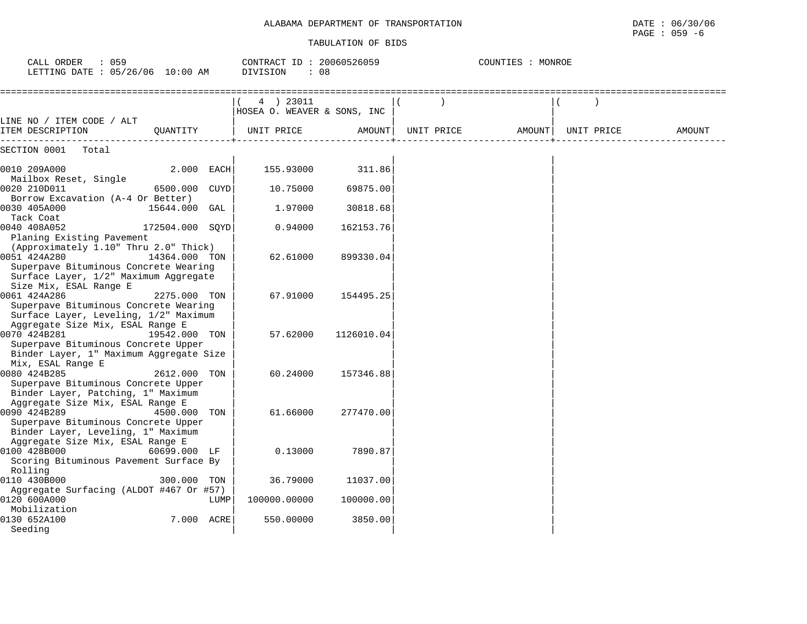| CALL ORDER<br>: 059<br>LETTING DATE : 05/26/06 10:00 AM                                                                                                 |                                |      | CONTRACT ID: 20060526059<br>DIVISION<br>: 08 |            | COUNTIES : MONROE |        |            |  |        |  |
|---------------------------------------------------------------------------------------------------------------------------------------------------------|--------------------------------|------|----------------------------------------------|------------|-------------------|--------|------------|--|--------|--|
|                                                                                                                                                         | ============================== |      | 4 ) 23011<br>HOSEA O. WEAVER & SONS, INC     |            |                   |        |            |  |        |  |
| LINE NO / ITEM CODE / ALT<br>ITEM DESCRIPTION                                                                                                           | OUANTITY                       |      | UNIT PRICE                                   | AMOUNT     | UNIT PRICE        | AMOUNT | UNIT PRICE |  | AMOUNT |  |
| SECTION 0001<br>Total                                                                                                                                   |                                |      |                                              |            |                   |        |            |  |        |  |
| 0010 209A000                                                                                                                                            | 2.000 EACH                     |      | 155.93000                                    | 311.86     |                   |        |            |  |        |  |
| Mailbox Reset, Single<br>0020 210D011                                                                                                                   | 6500.000 CUYD                  |      | 10.75000                                     | 69875.00   |                   |        |            |  |        |  |
| Borrow Excavation (A-4 Or Better)<br>0030 405A000                                                                                                       | 15644.000 GAL                  |      | 1.97000                                      | 30818.68   |                   |        |            |  |        |  |
| Tack Coat<br>0040 408A052<br>Planing Existing Pavement                                                                                                  | 172504.000 SOYD                |      | 0.94000                                      | 162153.76  |                   |        |            |  |        |  |
| (Approximately 1.10" Thru 2.0" Thick)<br>0051 424A280<br>Superpave Bituminous Concrete Wearing                                                          | 14364.000 TON                  |      | 62.61000                                     | 899330.04  |                   |        |            |  |        |  |
| Surface Layer, 1/2" Maximum Aggregate<br>Size Mix, ESAL Range E                                                                                         |                                |      |                                              |            |                   |        |            |  |        |  |
| 0061 424A286<br>Superpave Bituminous Concrete Wearing<br>Surface Layer, Leveling, 1/2" Maximum                                                          | 2275.000 TON                   |      | 67.91000                                     | 154495.25  |                   |        |            |  |        |  |
| Aggregate Size Mix, ESAL Range E<br>0070 424B281<br>Superpave Bituminous Concrete Upper<br>Binder Layer, 1" Maximum Aggregate Size<br>Mix, ESAL Range E | 19542.000 TON                  |      | 57.62000                                     | 1126010.04 |                   |        |            |  |        |  |
| 0080 424B285<br>Superpave Bituminous Concrete Upper<br>Binder Layer, Patching, 1" Maximum                                                               | 2612.000 TON                   |      | 60.24000                                     | 157346.88  |                   |        |            |  |        |  |
| Aggregate Size Mix, ESAL Range E<br>0090 424B289<br>Superpave Bituminous Concrete Upper                                                                 | 4500.000 TON                   |      | 61.66000                                     | 277470.00  |                   |        |            |  |        |  |
| Binder Layer, Leveling, 1" Maximum<br>Aggregate Size Mix, ESAL Range E<br>0100 428B000                                                                  | 60699.000 LF                   |      | 0.13000                                      | 7890.87    |                   |        |            |  |        |  |
| Scoring Bituminous Pavement Surface By<br>Rolling                                                                                                       |                                |      |                                              |            |                   |        |            |  |        |  |
| 0110 430B000<br>Aggregate Surfacing (ALDOT #467 Or #57)                                                                                                 | 300.000 TON                    |      | 36.79000                                     | 11037.00   |                   |        |            |  |        |  |
| 0120 600A000<br>Mobilization                                                                                                                            |                                | LUMP | 100000.00000                                 | 100000.00  |                   |        |            |  |        |  |
| 0130 652A100<br>Seeding                                                                                                                                 | 7.000 ACRE                     |      | 550.00000                                    | 3850.00    |                   |        |            |  |        |  |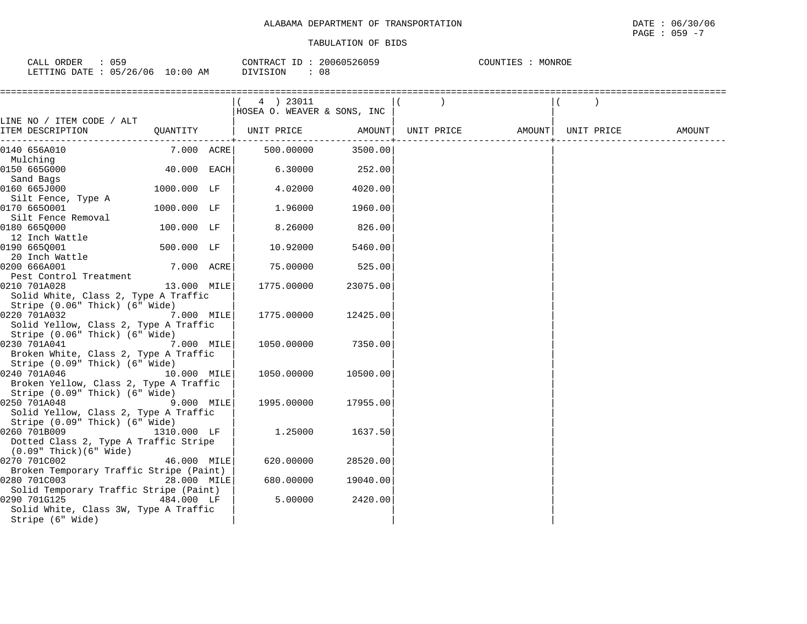| 059<br>CALL ORDER               | CONTRACT ID: 20060526059 | COUNTIES : MONROE |
|---------------------------------|--------------------------|-------------------|
| LETTING DATE: 05/26/06 10:00 AM | DIVISION<br>08           |                   |

|                                                                          |             | (4) 23011                    |          |                   |                   |  |
|--------------------------------------------------------------------------|-------------|------------------------------|----------|-------------------|-------------------|--|
|                                                                          |             | HOSEA O. WEAVER & SONS, INC  |          |                   |                   |  |
| LINE NO / ITEM CODE / ALT                                                |             |                              |          |                   |                   |  |
| ITEM DESCRIPTION                                                         |             | QUANTITY   UNIT PRICE AMOUNT |          | UNIT PRICE AMOUNT | UNIT PRICE AMOUNT |  |
| 0140 656A010                                                             | 7.000 ACRE  | 500.00000                    | 3500.00  |                   |                   |  |
| Mulching                                                                 |             |                              |          |                   |                   |  |
| 0150 665G000                                                             | 40.000 EACH | 6.30000                      | 252.00   |                   |                   |  |
| Sand Bags                                                                |             |                              |          |                   |                   |  |
| 0160 665J000                                                             | 1000.000 LF | 4.02000                      | 4020.00  |                   |                   |  |
| Silt Fence, Type A                                                       |             |                              |          |                   |                   |  |
| 0170 6650001                                                             | 1000.000 LF | 1.96000                      | 1960.00  |                   |                   |  |
| Silt Fence Removal<br>0180 6650000                                       | 100.000 LF  | 8.26000                      | 826.00   |                   |                   |  |
| 12 Inch Wattle                                                           |             |                              |          |                   |                   |  |
| 0190 665Q001                                                             | 500.000 LF  | 10.92000                     | 5460.00  |                   |                   |  |
| 20 Inch Wattle                                                           |             |                              |          |                   |                   |  |
| 0200 666A001                                                             | 7.000 ACRE  | 75.00000                     | 525.00   |                   |                   |  |
| Pest Control Treatment                                                   |             |                              |          |                   |                   |  |
| 0210 701A028                                                             | 13.000 MILE | 1775.00000                   | 23075.00 |                   |                   |  |
| Solid White, Class 2, Type A Traffic                                     |             |                              |          |                   |                   |  |
| Stripe (0.06" Thick) (6" Wide)                                           |             |                              |          |                   |                   |  |
| 0220 701A032                                                             | 7.000 MILE  | 1775.00000                   | 12425.00 |                   |                   |  |
| Solid Yellow, Class 2, Type A Traffic                                    |             |                              |          |                   |                   |  |
| Stripe (0.06" Thick) (6" Wide)                                           |             |                              |          |                   |                   |  |
| 0230 701A041<br>7.000 MILE                                               |             | 1050.00000                   | 7350.00  |                   |                   |  |
| Broken White, Class 2, Type A Traffic                                    |             |                              |          |                   |                   |  |
| Stripe (0.09" Thick) (6" Wide)                                           |             |                              |          |                   |                   |  |
| 0240 701A046                                                             | 10.000 MILE | 1050.00000                   | 10500.00 |                   |                   |  |
| Broken Yellow, Class 2, Type A Traffic<br>Stripe (0.09" Thick) (6" Wide) |             |                              |          |                   |                   |  |
| 9.000 MILE<br>0250 701A048                                               |             | 1995.00000                   | 17955.00 |                   |                   |  |
| Solid Yellow, Class 2, Type A Traffic                                    |             |                              |          |                   |                   |  |
| Stripe (0.09" Thick) (6" Wide)                                           |             |                              |          |                   |                   |  |
| 0260 701B009                                                             | 1310.000 LF | 1.25000                      | 1637.50  |                   |                   |  |
| Dotted Class 2, Type A Traffic Stripe                                    |             |                              |          |                   |                   |  |
| $(0.09"$ Thick $)(6"$ Wide $)$                                           |             |                              |          |                   |                   |  |
| 0270 701C002                                                             | 46.000 MILE | 620.00000                    | 28520.00 |                   |                   |  |
| Broken Temporary Traffic Stripe (Paint)                                  |             |                              |          |                   |                   |  |
| 0280 701C003                                                             | 28.000 MILE | 680.00000                    | 19040.00 |                   |                   |  |
| Solid Temporary Traffic Stripe (Paint)                                   |             |                              |          |                   |                   |  |
| 0290 701G125                                                             | 484.000 LF  | 5.00000                      | 2420.00  |                   |                   |  |
| Solid White, Class 3W, Type A Traffic                                    |             |                              |          |                   |                   |  |
| Stripe (6" Wide)                                                         |             |                              |          |                   |                   |  |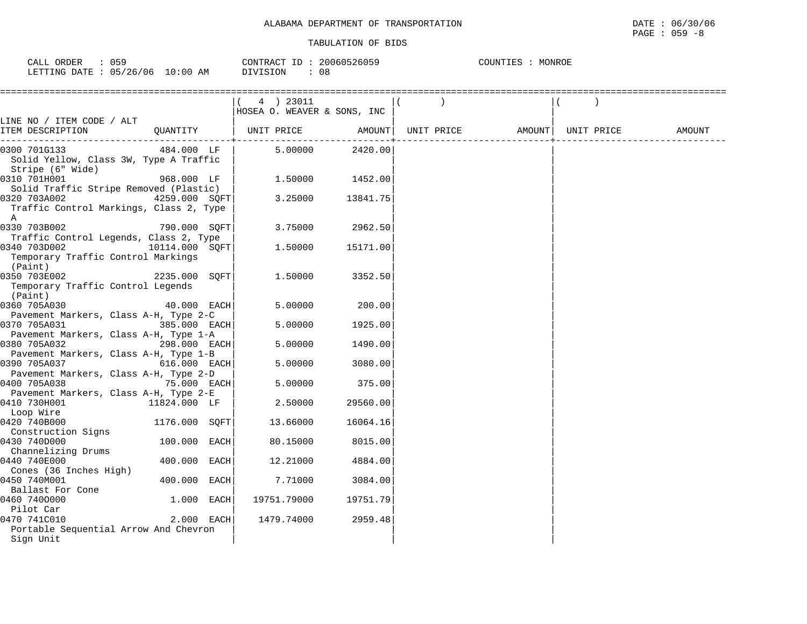| 059<br>CALL ORDER      |            | CONTRACT ID: 20060526059 | MONROE<br>COUNTIES |
|------------------------|------------|--------------------------|--------------------|
| LETTING DATE: 05/26/06 | $10:00$ AM | 08<br>DIVISION           |                    |

|                                                       |                | (4) 23011                            |          |                                |  |        |
|-------------------------------------------------------|----------------|--------------------------------------|----------|--------------------------------|--|--------|
|                                                       |                | HOSEA O. WEAVER & SONS, INC          |          |                                |  |        |
| LINE NO / ITEM CODE / ALT                             |                |                                      |          |                                |  |        |
| ITEM DESCRIPTION                                      |                | QUANTITY   UNIT PRICE AMOUNT         |          | UNIT PRICE AMOUNT   UNIT PRICE |  | AMOUNT |
| 0300 701G133                                          |                | $484.000$ LF $\vert$ 5.00000 2420.00 |          |                                |  |        |
| Solid Yellow, Class 3W, Type A Traffic                |                |                                      |          |                                |  |        |
| Stripe (6" Wide)                                      |                |                                      |          |                                |  |        |
| 0310 701H001                                          | 968.000 LF     | 1.50000                              | 1452.00  |                                |  |        |
| Solid Traffic Stripe Removed (Plastic)                |                |                                      |          |                                |  |        |
| 0320 703A002<br>4259.000 SOFT                         |                | 3.25000                              | 13841.75 |                                |  |        |
| Traffic Control Markings, Class 2, Type               |                |                                      |          |                                |  |        |
| A                                                     |                |                                      |          |                                |  |        |
| 0330 703B002                                          | 790.000 SOFT   | 3.75000                              | 2962.50  |                                |  |        |
| Traffic Control Legends, Class 2, Type                |                |                                      |          |                                |  |        |
| 10114.000 SQFT<br>0340 703D002                        |                | 1.50000                              | 15171.00 |                                |  |        |
| Temporary Traffic Control Markings<br>(Paint)         |                |                                      |          |                                |  |        |
| 0350 703E002                                          | 2235.000 SQFT  | 1.50000                              | 3352.50  |                                |  |        |
| Temporary Traffic Control Legends                     |                |                                      |          |                                |  |        |
| (Paint)                                               |                |                                      |          |                                |  |        |
| 0360 705A030                                          | 40.000 EACH    | 5.00000                              | 200.00   |                                |  |        |
| Pavement Markers, Class A-H, Type 2-C                 |                |                                      |          |                                |  |        |
| 0370 705A031                                          | 385.000 EACH   | 5.00000                              | 1925.00  |                                |  |        |
| Pavement Markers, Class A-H, Type 1-A                 |                |                                      |          |                                |  |        |
| $298.000$ EACH<br>0380 705A032                        |                | 5.00000                              | 1490.00  |                                |  |        |
| Pavement Markers, Class A-H, Type 1-B                 |                |                                      |          |                                |  |        |
| 0390 705A037                                          | 616.000 EACH   | 5.00000                              | 3080.00  |                                |  |        |
| Pavement Markers, Class A-H, Type 2-D<br>0400 705A038 | 75.000 EACH    | 5.00000                              | 375.00   |                                |  |        |
| Pavement Markers, Class A-H, Type 2-E                 |                |                                      |          |                                |  |        |
| 0410 730H001<br>$11824.000$ LF                        |                | 2.50000                              | 29560.00 |                                |  |        |
| Loop Wire                                             |                |                                      |          |                                |  |        |
| 0420 740B000                                          | 1176.000 SQFT  | 13.66000                             | 16064.16 |                                |  |        |
| Construction Signs                                    |                |                                      |          |                                |  |        |
| 0430 740D000                                          | $100.000$ EACH | 80.15000                             | 8015.00  |                                |  |        |
| Channelizing Drums                                    |                |                                      |          |                                |  |        |
| 0440 740E000                                          | 400.000 EACH   | 12.21000                             | 4884.00  |                                |  |        |
| Cones (36 Inches High)                                |                |                                      |          |                                |  |        |
| 0450 740M001                                          | 400.000 EACH   | 7.71000                              | 3084.00  |                                |  |        |
| Ballast For Cone                                      |                |                                      |          |                                |  |        |
| 0460 7400000                                          | 1.000 EACH     | 19751.79000                          | 19751.79 |                                |  |        |
| Pilot Car<br>0470 741C010                             | 2.000 EACH     | 1479.74000                           | 2959.48  |                                |  |        |
| Portable Sequential Arrow And Chevron                 |                |                                      |          |                                |  |        |
| Sign Unit                                             |                |                                      |          |                                |  |        |
|                                                       |                |                                      |          |                                |  |        |